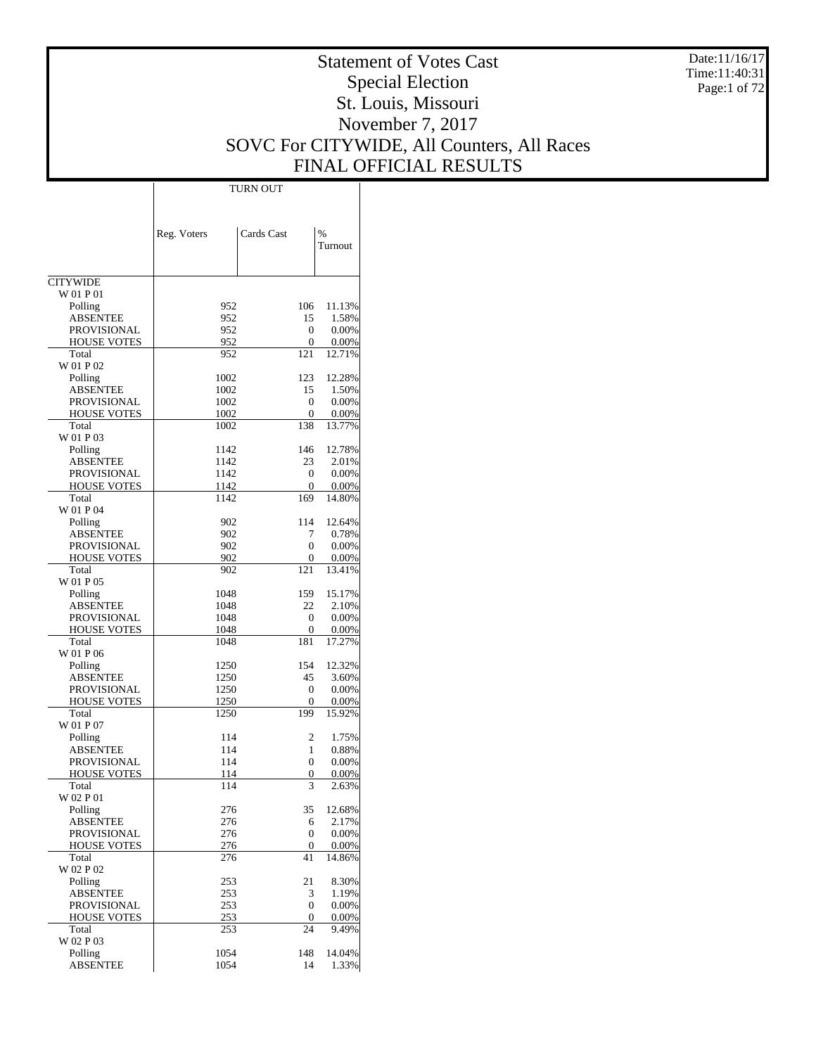Date:11/16/17 Time:11:40:31 Page:1 of 72

# Statement of Votes Cast Special Election St. Louis, Missouri November 7, 2017 SOVC For CITYWIDE, All Counters, All Races FINAL OFFICIAL RESULTS

Τ

|                                       | <b>TURN OUT</b> |            |                 |
|---------------------------------------|-----------------|------------|-----------------|
|                                       |                 |            |                 |
|                                       |                 |            |                 |
|                                       | Reg. Voters     | Cards Cast | $\frac{0}{0}$   |
|                                       |                 |            | Turnout         |
|                                       |                 |            |                 |
| <b>CITYWIDE</b>                       |                 |            |                 |
| W 01 P 01                             |                 |            |                 |
| Polling                               | 952             | 106        | 11.13%          |
| <b>ABSENTEE</b>                       | 952             | 15         | 1.58%           |
| PROVISIONAL                           | 952             | 0          | 0.00%           |
| HOUSE VOTES<br>Total                  | 952<br>952      | 0<br>121   | 0.00%<br>12.71% |
| W 01 P 02                             |                 |            |                 |
| Polling                               | 1002            | 123        | 12.28%          |
| ABSENTEE                              | 1002            | 15         | 1.50%           |
| PROVISIONAL                           | 1002            | 0          | 0.00%           |
| HOUSE VOTES                           | 1002            | 0          | 0.00%           |
| Total<br>W 01 P 03                    | 1002            | 138        | 13.77%          |
| Polling                               | 1142            | 146        | 12.78%          |
| ABSENTEE                              | 1142            | 23         | 2.01%           |
| PROVISIONAL                           | 1142            | 0          | 0.00%           |
| <b>HOUSE VOTES</b>                    | 1142            | 0          | 0.00%           |
| Total                                 | 1142            | 169        | 14.80%          |
| W 01 P 04                             |                 |            |                 |
| Polling                               | 902             | 114        | 12.64%          |
| <b>ABSENTEE</b><br><b>PROVISIONAL</b> | 902<br>902      | 7<br>0     | 0.78%<br>0.00%  |
| <b>HOUSE VOTES</b>                    | 902             | 0          | 0.00%           |
| Total                                 | 902             | 121        | 13.41%          |
| W 01 P 05                             |                 |            |                 |
| Polling                               | 1048            | 159        | 15.17%          |
| ABSENTEE                              | 1048            | 22         | 2.10%           |
| <b>PROVISIONAL</b>                    | 1048            | 0          | 0.00%           |
| HOUSE VOTES                           | 1048            | 0          | 0.00%           |
| Total<br>W 01 P 06                    | 1048            | 181        | 17.27%          |
| Polling                               | 1250            | 154        | 12.32%          |
| <b>ABSENTEE</b>                       | 1250            | 45         | 3.60%           |
| PROVISIONAL                           | 1250            | 0          | 0.00%           |
| HOUSE VOTES                           | 1250            | 0          | 0.00%           |
| Total                                 | 1250            | 199        | 15.92%          |
| W 01 P 07                             |                 |            |                 |
| Polling                               | 114             | 2<br>1     | 1.75%           |
| ABSENTEE<br><b>PROVISIONAL</b>        | 114<br>114      | 0          | 0.88%<br>0.00%  |
| <u>HOUSE VOTES</u>                    | 114             | 0          | 0.00%           |
| Total                                 | 114             | 3          | 2.63%           |
| W 02 P 01                             |                 |            |                 |
| Polling                               | 276             | 35         | 12.68%          |
| <b>ABSENTEE</b>                       | 276             | 6          | 2.17%           |
| PROVISIONAL                           | 276             | 0          | 0.00%           |
| <b>HOUSE VOTES</b><br>Total           | 276<br>276      | 0<br>41    | 0.00%<br>14.86% |
| W 02 P 02                             |                 |            |                 |
| Polling                               | 253             | 21         | 8.30%           |
| <b>ABSENTEE</b>                       | 253             | 3          | 1.19%           |
| PROVISIONAL                           | 253             | 0          | 0.00%           |
| HOUSE VOTES                           | 253             | 0          | 0.00%           |
| Total                                 | 253             | 24         | 9.49%           |
| W 02 P 03<br>Polling                  | 1054            | 148        | 14.04%          |
| <b>ABSENTEE</b>                       | 1054            | 14         | 1.33%           |
|                                       |                 |            |                 |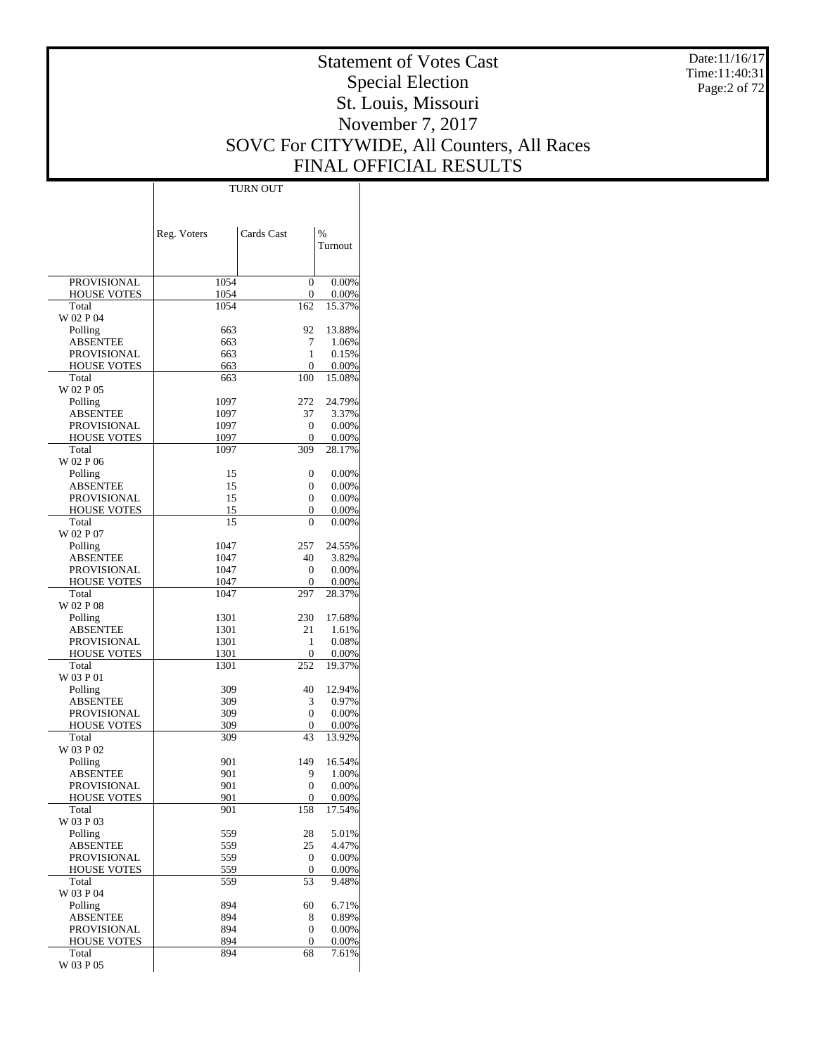Date:11/16/17 Time:11:40:31 Page:2 of 72

# Statement of Votes Cast Special Election St. Louis, Missouri November 7, 2017 SOVC For CITYWIDE, All Counters, All Races FINAL OFFICIAL RESULTS

 $\overline{\phantom{a}}$ 

|                                   | Reg. Voters  | Cards Cast       | %               |
|-----------------------------------|--------------|------------------|-----------------|
|                                   |              |                  | Turnout         |
|                                   |              |                  |                 |
| PROVISIONAL                       | 1054         | 0                | 0.00%           |
| <b>HOUSE VOTES</b>                | 1054         | 0                | 0.00%           |
| Total                             | 1054         | 162              | 15.37%          |
| W 02 P 04                         | 663          | 92               | 13.88%          |
| Polling<br><b>ABSENTEE</b>        | 663          | 7                | 1.06%           |
| <b>PROVISIONAL</b>                | 663          | 1                | 0.15%           |
| <b>HOUSE VOTES</b>                | 663          | 0                | 0.00%           |
| Total                             | 663          | 100              | 15.08%          |
| W 02 P 05                         |              |                  |                 |
| Polling                           | 1097         | 272              | 24.79%          |
| ABSENTEE<br>PROVISIONAL           | 1097<br>1097 | 37<br>0          | 3.37%<br>0.00%  |
| <b>HOUSE VOTES</b>                | 1097         | 0                | 0.00%           |
| Total                             | 1097         | 309              | 28.17%          |
| W 02 P 06                         |              |                  |                 |
| Polling                           | 15           | 0                | 0.00%           |
| <b>ABSENTEE</b>                   | 15           | 0                | 0.00%           |
| PROVISIONAL                       | 15           | 0                | 0.00%           |
| <b>HOUSE VOTES</b><br>Total       | 15<br>15     | 0<br>$\theta$    | 0.00%           |
| W 02 P 07                         |              |                  | 0.00%           |
| Polling                           | 1047         | 257              | 24.55%          |
| ABSENTEE                          | 1047         | 40               | 3.82%           |
| PROVISIONAL                       | 1047         | 0                | 0.00%           |
| <b>HOUSE VOTES</b>                | 1047         | 0                | 0.00%           |
| Total                             | 1047         | 297              | 28.37%          |
| W 02 P 08                         |              |                  |                 |
| Polling<br>ABSENTEE               | 1301<br>1301 | 230<br>21        | 17.68%<br>1.61% |
| PROVISIONAL                       | 1301         | 1                | 0.08%           |
| <b>HOUSE VOTES</b>                | 1301         | $\theta$         | 0.00%           |
| Total                             | 1301         | 252              | 19.37%          |
| W 03 P 01                         |              |                  |                 |
| Polling                           | 309          | 40               | 12.94%          |
| <b>ABSENTEE</b>                   | 309          | 3                | 0.97%           |
| PROVISIONAL<br><b>HOUSE VOTES</b> | 309<br>309   | 0<br>0           | 0.00%<br>0.00%  |
| Total                             | 309          | 43               | 13.92%          |
| W 03 P 02                         |              |                  |                 |
| Polling                           | 901          | 149              | 16.54%          |
| ABSENTEE                          | 901          | 9                | 1.00%           |
| PROVISIONAL                       | 901          | 0                | $0.00\%$        |
| <b>HOUSE VOTES</b>                | 901          | 0                | 0.00%           |
| Total<br>W 03 P 03                | 901          | 158              | 17.54%          |
| Polling                           | 559          | 28               | 5.01%           |
| <b>ABSENTEE</b>                   | 559          | 25               | 4.47%           |
| <b>PROVISIONAL</b>                | 559          | 0                | 0.00%           |
| <b>HOUSE VOTES</b>                | 559          | 0                | 0.00%           |
| Total                             | 559          | 53               | 9.48%           |
| W 03 P 04                         |              |                  |                 |
| Polling<br><b>ABSENTEE</b>        | 894          | 60               | 6.71%           |
| PROVISIONAL                       | 894<br>894   | 8<br>0           | 0.89%<br>0.00%  |
| <b>HOUSE VOTES</b>                | 894          | $\boldsymbol{0}$ | 0.00%           |
| Total                             | 894          | 68               | 7.61%           |
| W 03 P 05                         |              |                  |                 |

TURN OUT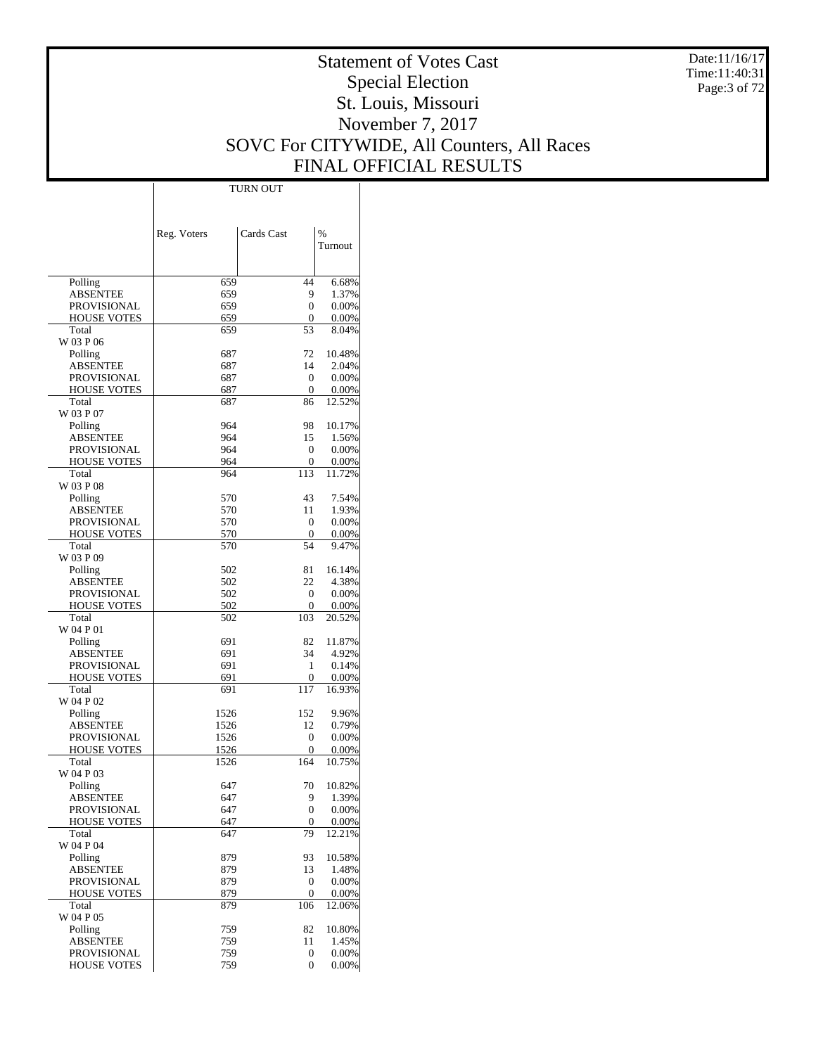Date:11/16/17 Time:11:40:31 Page:3 of 72

# Statement of Votes Cast Special Election St. Louis, Missouri November 7, 2017 SOVC For CITYWIDE, All Counters, All Races FINAL OFFICIAL RESULTS

Τ

|                      | <b>TURN OUT</b> |            |               |
|----------------------|-----------------|------------|---------------|
|                      |                 |            |               |
|                      |                 |            |               |
|                      |                 | Cards Cast | $\frac{0}{6}$ |
|                      | Reg. Voters     |            | Turnout       |
|                      |                 |            |               |
|                      |                 |            |               |
| Polling              | 659             | 44         | 6.68%         |
| <b>ABSENTEE</b>      | 659             | 9          | 1.37%         |
| PROVISIONAL          | 659             | 0          | 0.00%         |
| HOUSE VOTES          | 659             | 0          | 0.00%         |
| Total                | 659             | 53         | 8.04%         |
| W 03 P 06            |                 |            |               |
| Polling              | 687             | 72         | 10.48%        |
| <b>ABSENTEE</b>      | 687             | 14         | 2.04%         |
| <b>PROVISIONAL</b>   | 687             | 0          | 0.00%         |
| HOUSE VOTES          | 687             | 0          | 0.00%         |
| Total                | 687             | 86         | 12.52%        |
| W 03 P 07            | 964             | 98         | 10.17%        |
| Polling<br>ABSENTEE  | 964             | 15         | 1.56%         |
| PROVISIONAL          | 964             | 0          | 0.00%         |
| HOUSE VOTES          | 964             | 0          | 0.00%         |
| Total                | 964             | 113        | 11.72%        |
| W 03 P 08            |                 |            |               |
| Polling              | 570             | 43         | 7.54%         |
| ABSENTEE             | 570             | 11         | 1.93%         |
| <b>PROVISIONAL</b>   | 570             | 0          | 0.00%         |
| HOUSE VOTES          | 570             | 0          | 0.00%         |
| Total                | 570             | 54         | 9.47%         |
| W 03 P 09            |                 |            |               |
| Polling              | 502             | 81         | 16.14%        |
| ABSENTEE             | 502             | 22         | 4.38%         |
| PROVISIONAL          | 502             | 0          | 0.00%         |
| HOUSE VOTES          | 502             | 0          | 0.00%         |
| Total                | 502             | 103        | 20.52%        |
| W 04 P 01            |                 |            | 11.87%        |
| Polling<br>ABSENTEE  | 691<br>691      | 82<br>34   | 4.92%         |
| <b>PROVISIONAL</b>   | 691             | 1          | 0.14%         |
| HOUSE VOTES          | 691             | 0          | 0.00%         |
| Total                | 691             | 117        | 16.93%        |
| W 04 P 02            |                 |            |               |
| Polling              | 1526            | 152        | 9.96%         |
| ABSENTEE             | 1526            | 12         | 0.79%         |
| PROVISIONAL          | 1526            | 0          | 0.00%         |
| <b>HOUSE VOTES</b>   | 1526            | 0          | 0.00%         |
| Total                | 1526            | 164        | 10.75%        |
| W 04 P 03            |                 |            |               |
| Polling              | 647             | 70         | 10.82%        |
| <b>ABSENTEE</b>      | 647             | 9          | 1.39%         |
| PROVISIONAL          | 647             | 0          | 0.00%         |
| HOUSE VOTES<br>Total | 647<br>647      | 0<br>79    | 0.00%         |
| W 04 P 04            |                 |            | 12.21%        |
| Polling              | 879             | 93         | 10.58%        |
| <b>ABSENTEE</b>      | 879             | 13         | 1.48%         |
| PROVISIONAL          | 879             | 0          | 0.00%         |
| HOUSE VOTES          | 879             | 0          | 0.00%         |
| Total                | 879             | 106        | 12.06%        |
| W 04 P 05            |                 |            |               |
| Polling              | 759             | 82         | 10.80%        |
| <b>ABSENTEE</b>      | 759             | 11         | 1.45%         |
| PROVISIONAL          | 759             | 0          | 0.00%         |
| <b>HOUSE VOTES</b>   | 759             | 0          | 0.00%         |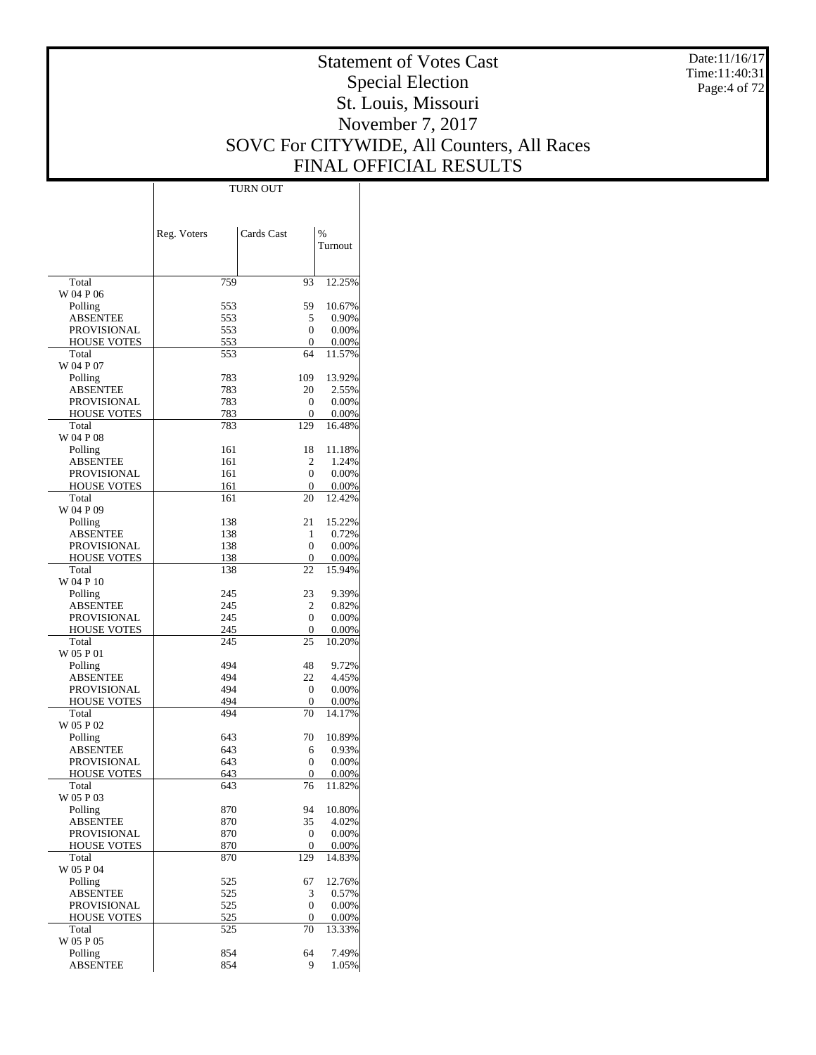Date:11/16/17 Time:11:40:31 Page:4 of 72

# Statement of Votes Cast Special Election St. Louis, Missouri November 7, 2017 SOVC For CITYWIDE, All Counters, All Races FINAL OFFICIAL RESULTS

Τ

|                             | <b>TURN OUT</b> |                |                 |
|-----------------------------|-----------------|----------------|-----------------|
|                             |                 |                |                 |
|                             |                 |                |                 |
|                             | Reg. Voters     | Cards Cast     | $\frac{0}{0}$   |
|                             |                 |                | Turnout         |
|                             |                 |                |                 |
|                             |                 |                |                 |
| Total                       | 759             | 93             | 12.25%          |
| W 04 P 06                   |                 |                |                 |
| Polling                     | 553             | 59             | 10.67%          |
| ABSENTEE                    | 553             | 5              | 0.90%           |
| <b>PROVISIONAL</b>          | 553             | 0              | 0.00%           |
| <b>HOUSE VOTES</b>          | 553             | 0              | 0.00%           |
| Total                       | 553             | 64             | 11.57%          |
| W 04 P 07                   |                 |                |                 |
| Polling                     | 783             | 109            | 13.92%          |
| ABSENTEE                    | 783             | 20             | 2.55%           |
| PROVISIONAL                 | 783             | 0              | 0.00%           |
| <b>HOUSE VOTES</b><br>Total | 783<br>783      | 0<br>129       | 0.00%           |
| W 04 P 08                   |                 |                | 16.48%          |
| Polling                     | 161             | 18             | 11.18%          |
| ABSENTEE                    | 161             | 2              | 1.24%           |
| <b>PROVISIONAL</b>          | 161             | 0              | 0.00%           |
| <b>HOUSE VOTES</b>          | 161             | 0              | 0.00%           |
| Total                       | 161             | 20             | 12.42%          |
| W 04 P 09                   |                 |                |                 |
| Polling                     | 138             | 21             | 15.22%          |
| ABSENTEE                    | 138             | 1              | 0.72%           |
| <b>PROVISIONAL</b>          | 138             | 0              | 0.00%           |
| <b>HOUSE VOTES</b>          | 138             | 0              | 0.00%           |
| Total                       | 138             | 22             | 15.94%          |
| W 04 P 10                   |                 |                |                 |
| Polling                     | 245             | 23             | 9.39%           |
| ABSENTEE                    | 245             | 2              | 0.82%           |
| PROVISIONAL                 | 245             | 0              | 0.00%           |
| <b>HOUSE VOTES</b><br>Total | 245<br>245      | 0<br>25        | 0.00%<br>10.20% |
| W 05 P 01                   |                 |                |                 |
| Polling                     | 494             | 48             | 9.72%           |
| ABSENTEE                    | 494             | 22             | 4.45%           |
| PROVISIONAL                 | 494             | 0              | 0.00%           |
| <b>HOUSE VOTES</b>          | 494             | 0              | 0.00%           |
| Total                       | 494             | 70             | 14.17%          |
| W 05 P 02                   |                 |                |                 |
| Polling                     | 643             | 70             | 10.89%          |
| ABSENTEE                    | 643             | 6              | 0.93%           |
| <b>PROVISIONAL</b>          | 643             | 0              | 0.00%           |
| <b>HOUSE VOTES</b>          | 643             | $\overline{0}$ | $0.00\%$        |
| Total                       | 643             | 76             | 11.82%          |
| W 05 P 03                   | 870             | 94             |                 |
| Polling<br><b>ABSENTEE</b>  | 870             | 35             | 10.80%<br>4.02% |
| <b>PROVISIONAL</b>          | 870             | $\mathbf{0}$   | 0.00%           |
| <b>HOUSE VOTES</b>          | 870             | 0              | 0.00%           |
| Total                       | 870             | 129            | 14.83%          |
| W 05 P 04                   |                 |                |                 |
| Polling                     | 525             | 67             | 12.76%          |
| <b>ABSENTEE</b>             | 525             | 3              | 0.57%           |
| PROVISIONAL                 | 525             | 0              | 0.00%           |
| <b>HOUSE VOTES</b>          | 525             | 0              | 0.00%           |
| Total                       | 525             | 70             | 13.33%          |
| W 05 P 05                   |                 |                |                 |
| Polling                     | 854             | 64             | 7.49%           |
| <b>ABSENTEE</b>             | 854             | 9              | 1.05%           |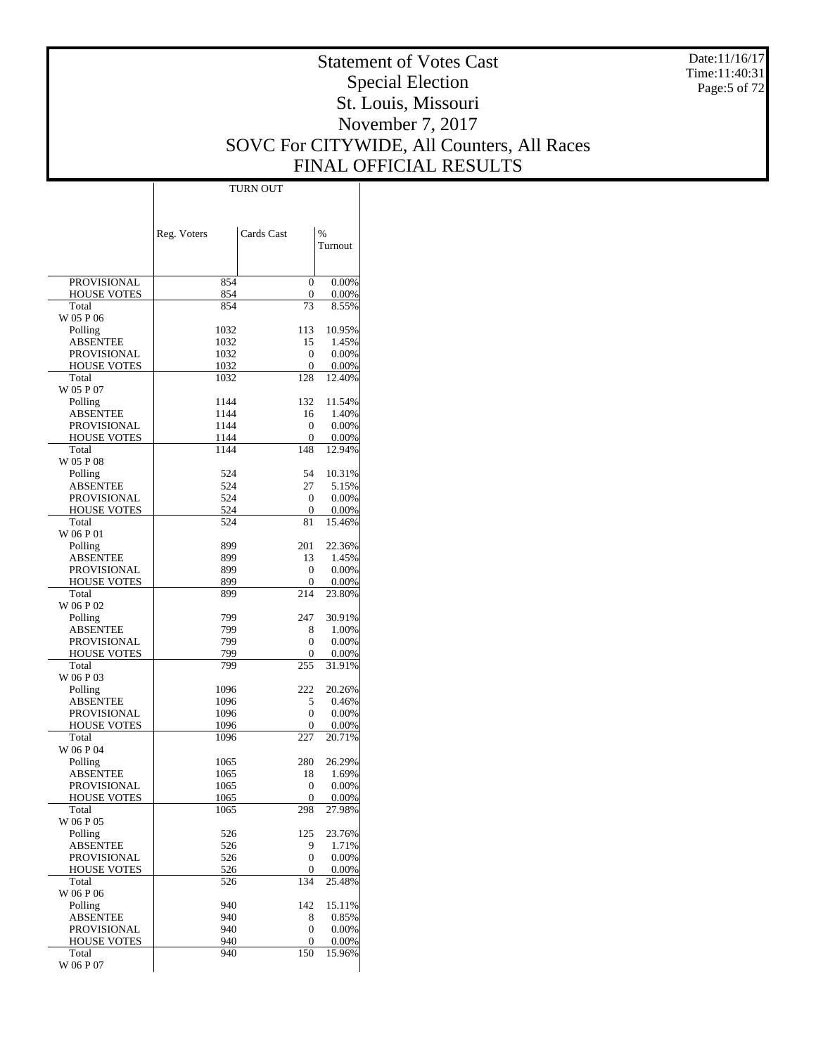Date:11/16/17 Time:11:40:31 Page:5 of 72

# Statement of Votes Cast Special Election St. Louis, Missouri November 7, 2017 SOVC For CITYWIDE, All Counters, All Races FINAL OFFICIAL RESULTS

Τ

|                                   | Reg. Voters | Cards Cast     | %               |
|-----------------------------------|-------------|----------------|-----------------|
|                                   |             |                | Turnout         |
|                                   |             |                |                 |
| <b>PROVISIONAL</b>                | 854         | $\theta$       | 0.00%           |
| <b>HOUSE VOTES</b>                | 854         | 0              | 0.00%           |
| Total                             | 854         | 73             | 8.55%           |
| W 05 P 06<br>Polling              | 1032        | 113            | 10.95%          |
| ABSENTEE                          | 1032        | 15             | 1.45%           |
| PROVISIONAL                       | 1032        | 0              | 0.00%           |
| <b>HOUSE VOTES</b>                | 1032        | 0              | 0.00%           |
| Total                             | 1032        | 128            | 12.40%          |
| W 05 P 07                         | 1144        | 132            | 11.54%          |
| Polling<br><b>ABSENTEE</b>        | 1144        | 16             | 1.40%           |
| <b>PROVISIONAL</b>                | 1144        | 0              | 0.00%           |
| <b>HOUSE VOTES</b>                | 1144        | $\Omega$       | 0.00%           |
| Total                             | 1144        | 148            | 12.94%          |
| W 05 P 08                         |             |                |                 |
| Polling                           | 524         | 54             | 10.31%          |
| ABSENTEE<br><b>PROVISIONAL</b>    | 524<br>524  | 27<br>$\Omega$ | 5.15%<br>0.00%  |
| <b>HOUSE VOTES</b>                | 524         | 0              | 0.00%           |
| Total                             | 524         | 81             | 15.46%          |
| W 06 P 01                         |             |                |                 |
| Polling                           | 899         | 201            | 22.36%          |
| <b>ABSENTEE</b>                   | 899         | 13             | 1.45%           |
| <b>PROVISIONAL</b><br>HOUSE VOTES | 899<br>899  | 0<br>0         | 0.00%<br>0.00%  |
| Total                             | 899         | 214            | 23.80%          |
| W 06 P 02                         |             |                |                 |
| Polling                           | 799         | 247            | 30.91%          |
| ABSENTEE                          | 799         | 8              | 1.00%           |
| <b>PROVISIONAL</b>                | 799         | $\theta$       | 0.00%           |
| <b>HOUSE VOTES</b><br>Total       | 799<br>799  | 0<br>255       | 0.00%<br>31.91% |
| W 06 P 03                         |             |                |                 |
| Polling                           | 1096        | 222            | 20.26%          |
| <b>ABSENTEE</b>                   | 1096        | 5              | 0.46%           |
| <b>PROVISIONAL</b>                | 1096        | $\Omega$       | 0.00%           |
| HOUSE VOTES                       | 1096        | 0<br>227       | 0.00%           |
| Total<br>W 06 P 04                | 1096        |                | 20.71%          |
| Polling                           | 1065        | 280            | 26.29%          |
| <b>ABSENTEE</b>                   | 1065        | 18             | 1.69%           |
| <b>PROVISIONAL</b>                | 1065        | 0              | 0.00%           |
| HOUSE VOTES                       | 1065        | $\mathbf 0$    | $0.00\%$        |
| Total<br>W 06 P 05                | 1065        | 298            | 27.98%          |
| Polling                           | 526         | 125            | 23.76%          |
| <b>ABSENTEE</b>                   | 526         | 9              | 1.71%           |
| PROVISIONAL                       | 526         | $\mathbf{0}$   | 0.00%           |
| <b>HOUSE VOTES</b>                | 526         | 0              | 0.00%           |
| Total                             | 526         | 134            | 25.48%          |
| W 06 P 06                         |             |                |                 |
| Polling<br><b>ABSENTEE</b>        | 940<br>940  | 142<br>8       | 15.11%<br>0.85% |
| PROVISIONAL                       | 940         | 0              | 0.00%           |
| <b>HOUSE VOTES</b>                | 940         | 0              | 0.00%           |
| Total                             | 940         | 150            | 15.96%          |
| W 06 P 07                         |             |                |                 |

TURN OUT

 $\overline{1}$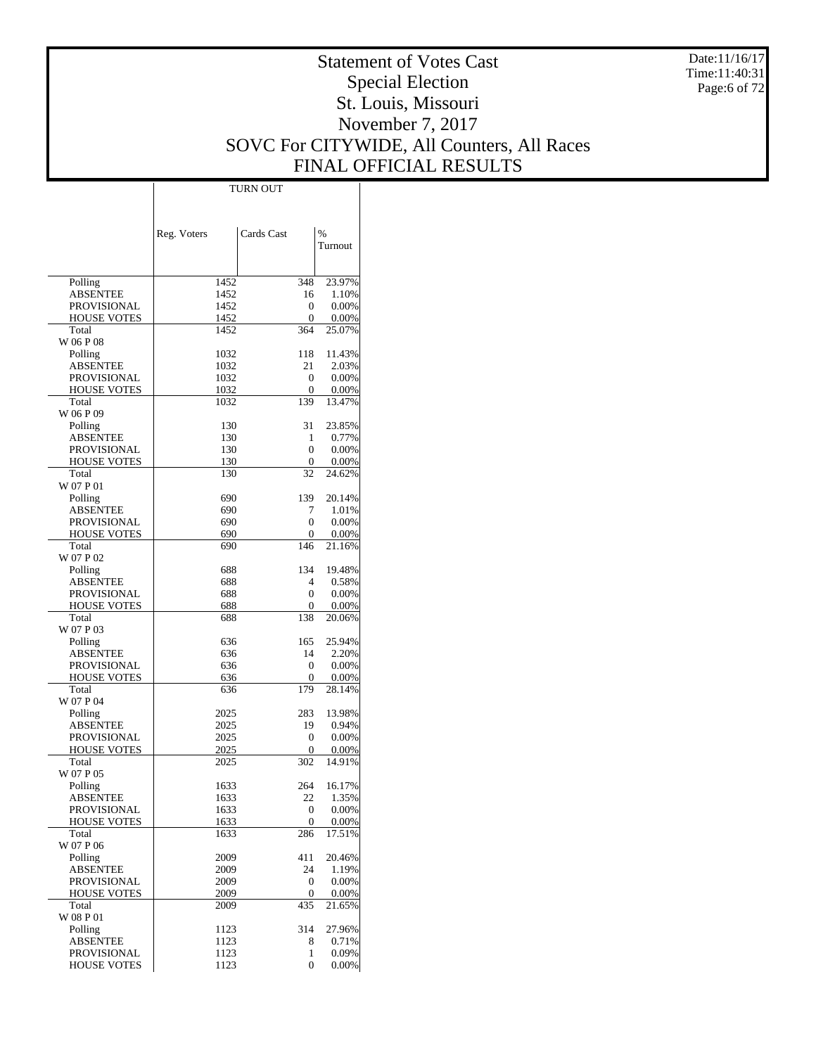Date:11/16/17 Time:11:40:31 Page:6 of 72

# Statement of Votes Cast Special Election St. Louis, Missouri November 7, 2017 SOVC For CITYWIDE, All Counters, All Races FINAL OFFICIAL RESULTS

Τ

|                                |              | <b>TURN OUT</b>  |                |
|--------------------------------|--------------|------------------|----------------|
|                                |              |                  |                |
|                                |              |                  |                |
|                                |              |                  |                |
|                                | Reg. Voters  | Cards Cast       | $\frac{0}{0}$  |
|                                |              |                  | Turnout        |
|                                |              |                  |                |
| Polling                        | 1452         | 348              | 23.97%         |
| <b>ABSENTEE</b>                | 1452         | 16               | 1.10%          |
| PROVISIONAL                    | 1452         | 0                | 0.00%          |
| <b>HOUSE VOTES</b>             | 1452         | 0                | 0.00%          |
| Total                          | 1452         | 364              | 25.07%         |
| W 06 P 08                      |              |                  |                |
| Polling                        | 1032         | 118              | 11.43%         |
| <b>ABSENTEE</b>                | 1032         | 21               | 2.03%          |
| PROVISIONAL                    | 1032         | 0                | 0.00%          |
| <b>HOUSE VOTES</b>             | 1032         | 0                | 0.00%          |
| Total                          | 1032         | 139              | 13.47%         |
| W 06 P 09                      |              |                  |                |
| Polling                        | 130          | 31               | 23.85%         |
| ABSENTEE                       | 130          | 1                | 0.77%          |
| PROVISIONAL                    | 130          | 0                | 0.00%          |
| <b>HOUSE VOTES</b>             | 130          | 0                | 0.00%          |
| Total<br>W 07 P 01             | 130          | 32               | 24.62%         |
| Polling                        | 690          | 139              | 20.14%         |
| ABSENTEE                       | 690          | 7                | 1.01%          |
| <b>PROVISIONAL</b>             | 690          | 0                | 0.00%          |
| <b>HOUSE VOTES</b>             | 690          | 0                | 0.00%          |
| Total                          | 690          | 146              | 21.16%         |
| W 07 P 02                      |              |                  |                |
| Polling                        | 688          | 134              | 19.48%         |
| ABSENTEE                       | 688          | 4                | 0.58%          |
| PROVISIONAL                    | 688          | 0                | 0.00%          |
| <b>HOUSE VOTES</b>             | 688          | 0                | 0.00%          |
| Total                          | 688          | 138              | 20.06%         |
| W 07 P 03                      |              |                  |                |
| Polling                        | 636          | 165              | 25.94%         |
| ABSENTEE                       | 636          | 14               | 2.20%          |
| <b>PROVISIONAL</b>             | 636          | 0                | 0.00%          |
| <b>HOUSE VOTES</b>             | 636          | 0                | 0.00%          |
| Total                          | 636          | 179              | 28.14%         |
| W 07 P 04                      |              |                  |                |
| Polling                        | 2025         | 283              | 13.98%         |
| ABSENTEE<br><b>PROVISIONAL</b> | 2025         | 19<br>0          | 0.94%<br>0.00% |
| <b>HOUSE VOTES</b>             | 2025<br>2025 | 0                | 0.00%          |
| Total                          | 2025         | 302              | 14.91%         |
| W 07 P 05                      |              |                  |                |
| Polling                        | 1633         | 264              | 16.17%         |
| <b>ABSENTEE</b>                | 1633         | 22               | 1.35%          |
| <b>PROVISIONAL</b>             | 1633         | 0                | 0.00%          |
| HOUSE VOTES                    | 1633         | 0                | 0.00%          |
| Total                          | 1633         | 286              | 17.51%         |
| W 07 P 06                      |              |                  |                |
| Polling                        | 2009         | 411              | 20.46%         |
| <b>ABSENTEE</b>                | 2009         | 24               | 1.19%          |
| PROVISIONAL                    | 2009         | $\boldsymbol{0}$ | 0.00%          |
| HOUSE VOTES                    | 2009         | 0                | 0.00%          |
| Total                          | 2009         | 435              | 21.65%         |
| W 08 P 01                      |              |                  |                |
| Polling                        | 1123         | 314              | 27.96%         |
| <b>ABSENTEE</b>                | 1123         | 8                | 0.71%          |
| PROVISIONAL                    | 1123         | 1                | 0.09%          |
| <b>HOUSE VOTES</b>             | 1123         | 0                | 0.00%          |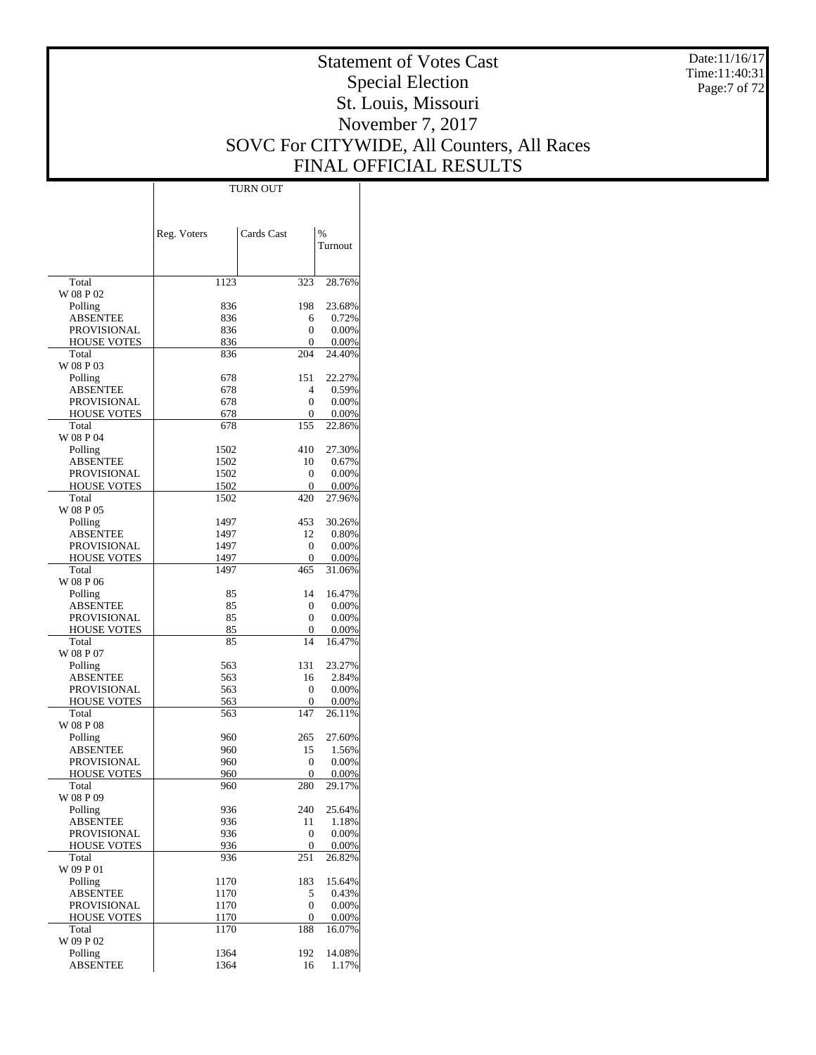Date:11/16/17 Time:11:40:31 Page:7 of 72

# Statement of Votes Cast Special Election St. Louis, Missouri November 7, 2017 SOVC For CITYWIDE, All Counters, All Races FINAL OFFICIAL RESULTS

Τ

|                                          |              | TURN OUT     |                    |
|------------------------------------------|--------------|--------------|--------------------|
|                                          |              |              |                    |
|                                          |              |              |                    |
|                                          | Reg. Voters  | Cards Cast   | $\%$               |
|                                          |              |              | Turnout            |
|                                          |              |              |                    |
|                                          |              |              |                    |
| Total                                    | 1123         | 323          | 28.76%             |
| W 08 P 02                                |              |              |                    |
| Polling                                  | 836          | 198          | 23.68%             |
| <b>ABSENTEE</b>                          | 836          | 6            | 0.72%              |
| <b>PROVISIONAL</b><br><b>HOUSE VOTES</b> | 836          | 0<br>0       | 0.00%              |
| Total                                    | 836<br>836   | 204          | 0.00%<br>24.40%    |
| W 08 P 03                                |              |              |                    |
| Polling                                  | 678          | 151          | 22.27%             |
| <b>ABSENTEE</b>                          | 678          | 4            | 0.59%              |
| PROVISIONAL                              | 678          | 0            | 0.00%              |
| <b>HOUSE VOTES</b>                       | 678          | 0            | 0.00%              |
| Total                                    | 678          | 155          | 22.86%             |
| W 08 P 04                                |              |              |                    |
| Polling                                  | 1502         | 410          | 27.30%             |
| <b>ABSENTEE</b>                          | 1502         | 10           | 0.67%              |
| <b>PROVISIONAL</b>                       | 1502         | 0            | 0.00%              |
| <b>HOUSE VOTES</b><br>Total              | 1502<br>1502 | 0<br>420     | 0.00%<br>27.96%    |
| W 08 P 05                                |              |              |                    |
| Polling                                  | 1497         | 453          | 30.26%             |
| <b>ABSENTEE</b>                          | 1497         | 12           | 0.80%              |
| PROVISIONAL                              | 1497         | 0            | 0.00%              |
| <b>HOUSE VOTES</b>                       | 1497         | 0            | 0.00%              |
| Total                                    | 1497         | 465          | 31.06%             |
| W 08 P 06                                |              |              |                    |
| Polling                                  | 85           | 14           | 16.47%             |
| <b>ABSENTEE</b>                          | 85           | 0            | 0.00%              |
| <b>PROVISIONAL</b>                       | 85           | 0            | 0.00%              |
| <b>HOUSE VOTES</b><br>Total              | 85<br>85     | 0<br>14      | 0.00%              |
| W 08 P 07                                |              |              | 16.47%             |
| Polling                                  | 563          | 131          | 23.27%             |
| <b>ABSENTEE</b>                          | 563          | 16           | 2.84%              |
| PROVISIONAL                              | 563          | 0            | 0.00%              |
| <b>HOUSE VOTES</b>                       | 563          | 0            | 0.00%              |
| Total                                    | 563          | 147          | 26.11%             |
| W 08 P 08                                |              |              |                    |
| Polling                                  | 960          | 265          | 27.60%             |
| <b>ABSENTEE</b>                          | 960          | 15           | 1.56%              |
| PROVISIONAL                              | 960          | 0            | 0.00%              |
| <b>HOUSE VOTES</b><br>Total              | 960<br>960   | 0<br>280     | $0.00\%$<br>29.17% |
| W 08 P 09                                |              |              |                    |
| Polling                                  | 936          | 240          | 25.64%             |
| <b>ABSENTEE</b>                          | 936          | 11           | 1.18%              |
| <b>PROVISIONAL</b>                       | 936          | $\mathbf{0}$ | 0.00%              |
| <b>HOUSE VOTES</b>                       | 936          | 0            | 0.00%              |
| Total                                    | 936          | 251          | 26.82%             |
| W 09 P 01                                |              |              |                    |
| Polling                                  | 1170         | 183          | 15.64%             |
| <b>ABSENTEE</b>                          | 1170         | 5            | 0.43%              |
| <b>PROVISIONAL</b><br><b>HOUSE VOTES</b> | 1170         | 0            | 0.00%              |
| Total                                    | 1170<br>1170 | 0<br>188     | 0.00%<br>16.07%    |
| W 09 P 02                                |              |              |                    |
| Polling                                  | 1364         | 192          | 14.08%             |
| <b>ABSENTEE</b>                          | 1364         | 16           | 1.17%              |
|                                          |              |              |                    |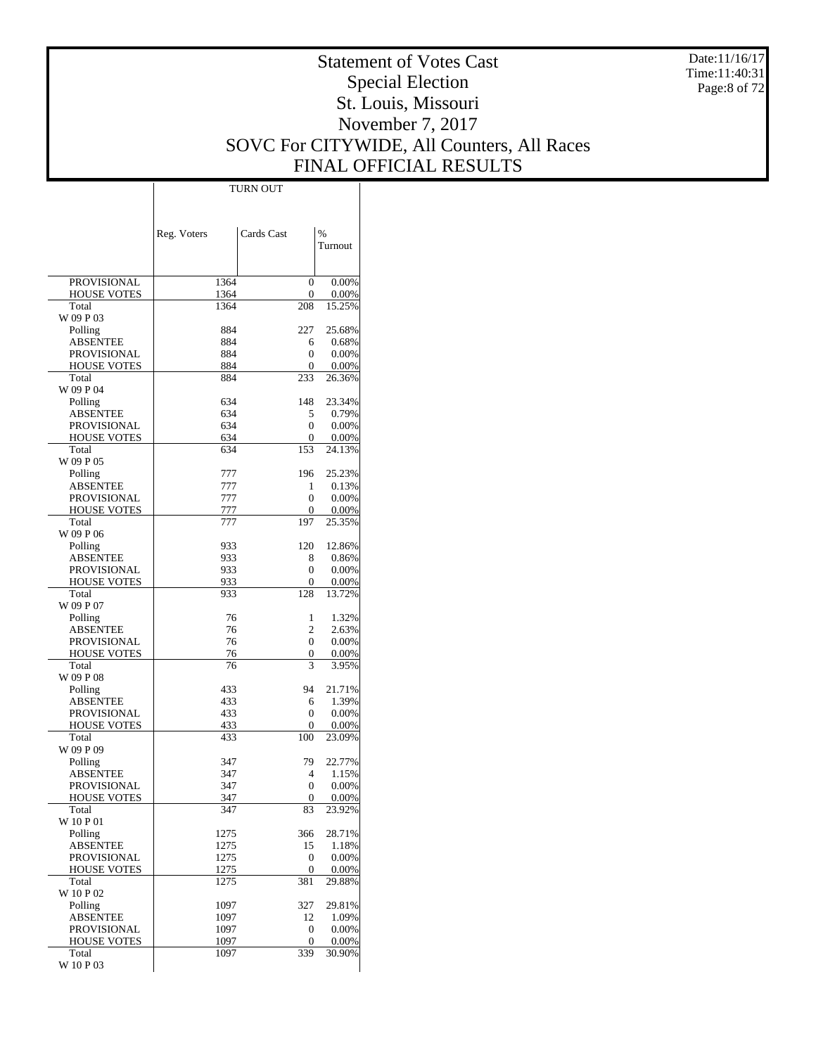Date:11/16/17 Time:11:40:31 Page:8 of 72

# Statement of Votes Cast Special Election St. Louis, Missouri November 7, 2017 SOVC For CITYWIDE, All Counters, All Races FINAL OFFICIAL RESULTS

 $\top$ 

|                                   | Reg. Voters  | Cards Cast     | %               |
|-----------------------------------|--------------|----------------|-----------------|
|                                   |              |                | Turnout         |
|                                   |              |                |                 |
| <b>PROVISIONAL</b>                | 1364         | 0              | 0.00%           |
| <b>HOUSE VOTES</b>                | 1364         | 0              | 0.00%           |
| Total                             | 1364         | 208            | 15.25%          |
| W 09 P 03<br>Polling              | 884          | 227            | 25.68%          |
| <b>ABSENTEE</b>                   | 884          | 6              | 0.68%           |
| PROVISIONAL                       | 884          | 0              | 0.00%           |
| <b>HOUSE VOTES</b>                | 884          | 0              | 0.00%           |
| Total                             | 884          | 233            | 26.36%          |
| W 09 P 04                         |              |                |                 |
| Polling<br><b>ABSENTEE</b>        | 634<br>634   | 148<br>5       | 23.34%<br>0.79% |
| <b>PROVISIONAL</b>                | 634          | 0              | 0.00%           |
| <b>HOUSE VOTES</b>                | 634          | 0              | 0.00%           |
| Total                             | 634          | 153            | 24.13%          |
| W 09 P 05                         |              |                |                 |
| Polling                           | 777          | 196            | 25.23%          |
| <b>ABSENTEE</b><br>PROVISIONAL    | 777<br>777   | 1<br>0         | 0.13%<br>0.00%  |
| <b>HOUSE VOTES</b>                | 777          | 0              | 0.00%           |
| Total                             | 777          | 197            | 25.35%          |
| W 09 P 06                         |              |                |                 |
| Polling                           | 933          | 120            | 12.86%          |
| <b>ABSENTEE</b>                   | 933          | 8              | 0.86%           |
| <b>PROVISIONAL</b>                | 933          | 0              | 0.00%           |
| <b>HOUSE VOTES</b><br>Total       | 933<br>933   | 0<br>128       | 0.00%<br>13.72% |
| W 09 P 07                         |              |                |                 |
| Polling                           | 76           | 1              | 1.32%           |
| ABSENTEE                          | 76           | $\overline{c}$ | 2.63%           |
| <b>PROVISIONAL</b>                | 76           | 0              | 0.00%           |
| <b>HOUSE VOTES</b>                | 76           | 0              | 0.00%           |
| Total<br>W 09 P 08                | 76           | 3              | 3.95%           |
| Polling                           | 433          | 94             | 21.71%          |
| <b>ABSENTEE</b>                   | 433          | 6              | 1.39%           |
| <b>PROVISIONAL</b>                | 433          | 0              | 0.00%           |
| <b>HOUSE VOTES</b>                | 433          | 0              | 0.00%           |
| Total                             | 433          | 100            | 23.09%          |
| W 09 P 09<br>Polling              | 347          | 79             | 22.77%          |
| ABSENTEE                          | 347          | 4              | 1.15%           |
| <b>PROVISIONAL</b>                | 347          | 0              | 0.00%           |
| <b>HOUSE VOTES</b>                | 347          | $\mathbf 0$    | 0.00%           |
| Total                             | 347          | 83             | 23.92%          |
| W 10 P 01                         |              |                |                 |
| Polling<br><b>ABSENTEE</b>        | 1275<br>1275 | 366<br>15      | 28.71%          |
| <b>PROVISIONAL</b>                | 1275         | 0              | 1.18%<br>0.00%  |
| <b>HOUSE VOTES</b>                | 1275         | 0              | 0.00%           |
| Total                             | 1275         | 381            | 29.88%          |
| W 10 P 02                         |              |                |                 |
| Polling                           | 1097         | 327            | 29.81%          |
| <b>ABSENTEE</b>                   | 1097         | 12             | 1.09%           |
| PROVISIONAL<br><b>HOUSE VOTES</b> | 1097<br>1097 | 0<br>0         | 0.00%<br>0.00%  |
| Total                             | 1097         | 339            | 30.90%          |
| W 10 P 03                         |              |                |                 |

TURN OUT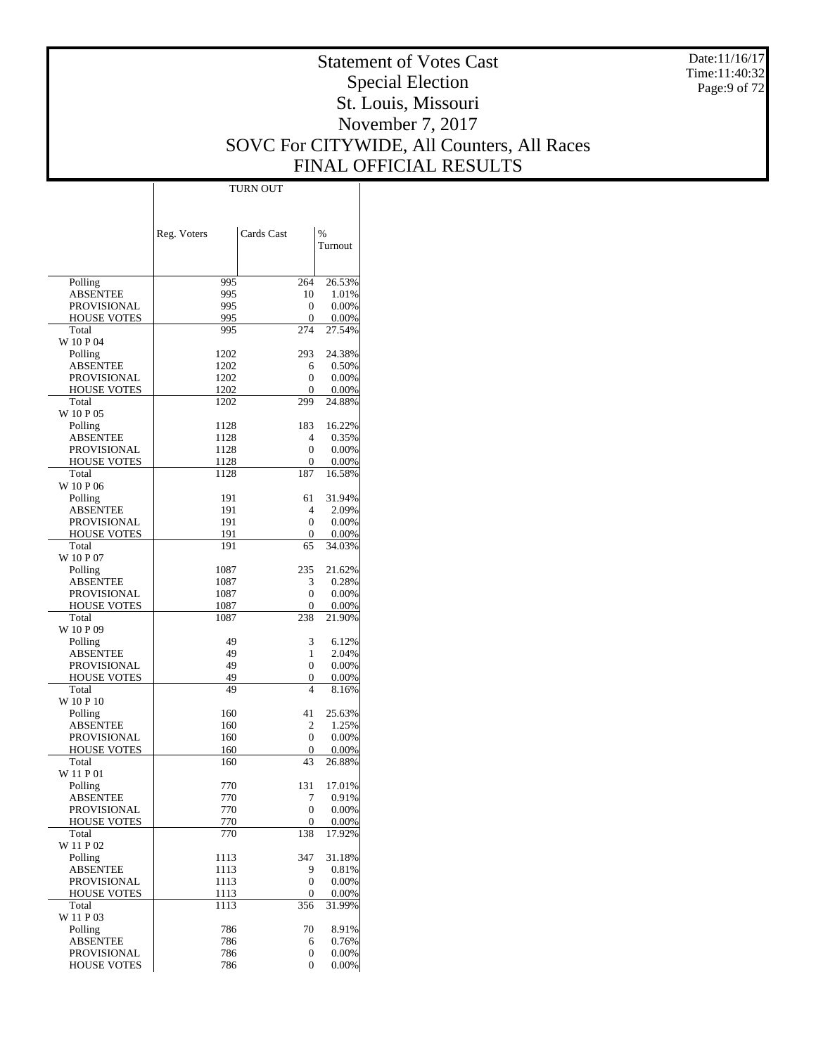Date:11/16/17 Time:11:40:32 Page:9 of 72

# Statement of Votes Cast Special Election St. Louis, Missouri November 7, 2017 SOVC For CITYWIDE, All Counters, All Races FINAL OFFICIAL RESULTS

Τ

|                                   | <b>TURN OUT</b> |              |                |
|-----------------------------------|-----------------|--------------|----------------|
|                                   |                 |              |                |
|                                   |                 |              |                |
|                                   |                 | Cards Cast   | $\frac{0}{0}$  |
|                                   | Reg. Voters     |              | Turnout        |
|                                   |                 |              |                |
|                                   |                 |              |                |
| Polling                           | 995             | 264          | 26.53%         |
| <b>ABSENTEE</b>                   | 995             | 10           | 1.01%          |
| <b>PROVISIONAL</b>                | 995             | 0            | 0.00%          |
| <b>HOUSE VOTES</b>                | 995             | 0            | 0.00%          |
| Total                             | 995             | 274          | 27.54%         |
| W 10 P 04                         |                 |              |                |
| Polling<br><b>ABSENTEE</b>        | 1202<br>1202    | 293          | 24.38%         |
| <b>PROVISIONAL</b>                | 1202            | 6<br>0       | 0.50%<br>0.00% |
| <b>HOUSE VOTES</b>                | 1202            | 0            | 0.00%          |
| Total                             | 1202            | 299          | 24.88%         |
| W 10 P 05                         |                 |              |                |
| Polling                           | 1128            | 183          | 16.22%         |
| ABSENTEE                          | 1128            | 4            | 0.35%          |
| <b>PROVISIONAL</b>                | 1128            | $\mathbf{0}$ | 0.00%          |
| <b>HOUSE VOTES</b>                | 1128            | 0            | 0.00%          |
| Total                             | 1128            | 187          | 16.58%         |
| W 10 P 06                         |                 |              |                |
| Polling                           | 191             | 61           | 31.94%         |
| <b>ABSENTEE</b>                   | 191             | 4            | 2.09%          |
| <b>PROVISIONAL</b>                | 191             | $\mathbf{0}$ | 0.00%          |
| <b>HOUSE VOTES</b>                | 191             | 0            | 0.00%          |
| Total                             | 191             | 65           | 34.03%         |
| W 10 P 07<br>Polling              | 1087            | 235          | 21.62%         |
| <b>ABSENTEE</b>                   | 1087            | 3            | 0.28%          |
| <b>PROVISIONAL</b>                | 1087            | 0            | 0.00%          |
| <b>HOUSE VOTES</b>                | 1087            | 0            | 0.00%          |
| Total                             | 1087            | 238          | 21.90%         |
| W 10 P 09                         |                 |              |                |
| Polling                           | 49              | 3            | 6.12%          |
| ABSENTEE                          | 49              | 1            | 2.04%          |
| <b>PROVISIONAL</b>                | 49              | 0            | 0.00%          |
| <b>HOUSE VOTES</b>                | 49              | 0            | 0.00%          |
| Total                             | 49              | 4            | 8.16%          |
| W 10 P 10                         |                 |              |                |
| Polling                           | 160             | 41           | 25.63%         |
| <b>ABSENTEE</b>                   | 160             | 2<br>0       | 1.25%<br>0.00% |
| PROVISIONAL<br><b>HOUSE VOTES</b> | 160<br>160      | 0            | 0.00%          |
| Total                             | 160             | 43           | 26.88%         |
| W 11 P 01                         |                 |              |                |
| Polling                           | 770             | 131          | 17.01%         |
| <b>ABSENTEE</b>                   | 770             | 7            | 0.91%          |
| <b>PROVISIONAL</b>                | 770             | $\mathbf{0}$ | 0.00%          |
| <b>HOUSE VOTES</b>                | 770             | 0            | 0.00%          |
| Total                             | 770             | 138          | 17.92%         |
| W 11 P 02                         |                 |              |                |
| Polling                           | 1113            | 347          | 31.18%         |
| <b>ABSENTEE</b>                   | 1113            | 9            | 0.81%          |
| <b>PROVISIONAL</b>                | 1113            | $\mathbf{0}$ | 0.00%          |
| HOUSE VOTES                       | 1113            | 0            | 0.00%          |
| Total<br>W 11 P 03                | 1113            | 356          | 31.99%         |
| Polling                           | 786             | 70           | 8.91%          |
| <b>ABSENTEE</b>                   | 786             | 6            | 0.76%          |
| PROVISIONAL                       | 786             | 0            | 0.00%          |
| <b>HOUSE VOTES</b>                | 786             | 0            | 0.00%          |
|                                   |                 |              |                |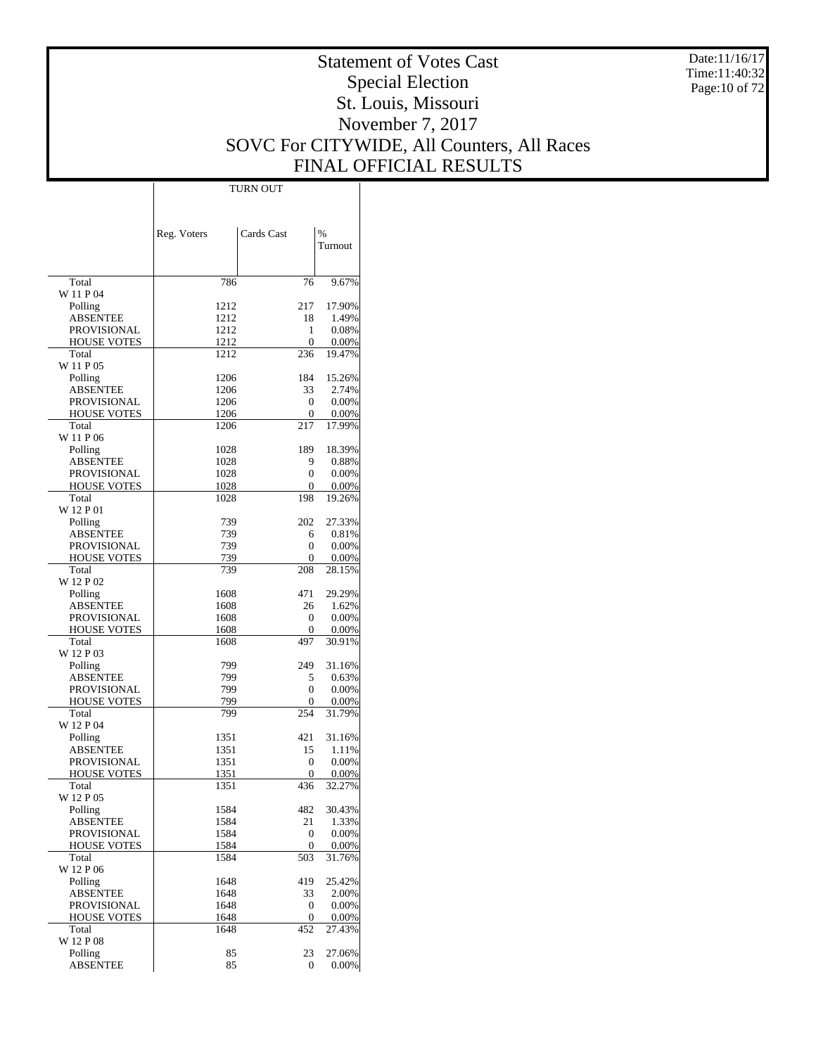Date:11/16/17 Time:11:40:32 Page:10 of 72

# Statement of Votes Cast Special Election St. Louis, Missouri November 7, 2017 SOVC For CITYWIDE, All Counters, All Races FINAL OFFICIAL RESULTS

Τ

|                                          | Reg. Voters  | Cards Cast          | %                  |
|------------------------------------------|--------------|---------------------|--------------------|
|                                          |              |                     | Turnout            |
|                                          |              |                     |                    |
| Total                                    | 786          | 76                  | 9.67%              |
| W 11 P 04<br>Polling                     | 1212         | 217                 | 17.90%             |
| <b>ABSENTEE</b>                          | 1212         | 18                  | 1.49%              |
| <b>PROVISIONAL</b>                       | 1212         | 1                   | 0.08%              |
| <b>HOUSE VOTES</b>                       | 1212         | 0                   | $0.00\%$           |
| Total                                    | 1212         | 236                 | 19.47%             |
| W 11 P 05<br>Polling                     | 1206         | 184                 | 15.26%             |
| <b>ABSENTEE</b>                          | 1206         | 33                  | 2.74%              |
| <b>PROVISIONAL</b>                       | 1206         | $\mathbf{0}$        | 0.00%              |
| <b>HOUSE VOTES</b>                       | 1206         | 0                   | 0.00%              |
| Total                                    | 1206         | 217                 | 17.99%             |
| W 11 P 06                                |              |                     |                    |
| Polling<br><b>ABSENTEE</b>               | 1028<br>1028 | 189<br>9            | 18.39%<br>0.88%    |
| <b>PROVISIONAL</b>                       | 1028         | 0                   | 0.00%              |
| <b>HOUSE VOTES</b>                       | 1028         | 0                   | $0.00\%$           |
| Total                                    | 1028         | 198                 | 19.26%             |
| W 12 P 01                                |              |                     |                    |
| Polling                                  | 739          | 202                 | 27.33%             |
| <b>ABSENTEE</b>                          | 739          | 6                   | 0.81%              |
| <b>PROVISIONAL</b><br><b>HOUSE VOTES</b> | 739<br>739   | 0<br>0              | 0.00%<br>0.00%     |
| Total                                    | 739          | 208                 | 28.15%             |
| W 12 P 02                                |              |                     |                    |
| Polling                                  | 1608         | 471                 | 29.29%             |
| <b>ABSENTEE</b>                          | 1608         | 26                  | 1.62%              |
| <b>PROVISIONAL</b>                       | 1608         | $\mathbf{0}$        | 0.00%              |
| <b>HOUSE VOTES</b><br>Total              | 1608<br>1608 | $\mathbf{0}$<br>497 | $0.00\%$<br>30.91% |
| W 12 P 03                                |              |                     |                    |
| Polling                                  | 799          | 249                 | 31.16%             |
| <b>ABSENTEE</b>                          | 799          | 5                   | 0.63%              |
| PROVISIONAL                              | 799          | 0                   | 0.00%              |
| <b>HOUSE VOTES</b>                       | 799          | 0                   | 0.00%              |
| Total<br>W 12 P 04                       | 799          | 254                 | 31.79%             |
| Polling                                  | 1351         | 421                 | 31.16%             |
| <b>ABSENTEE</b>                          | 1351         | 15                  | 1.11%              |
| <b>PROVISIONAL</b>                       | 1351         | $\mathbf{0}$        | 0.00%              |
| <b>HOUSE VOTES</b>                       | 1351         | $\mathbf{0}$        | 0.00%              |
| Total                                    | 1351         | 436                 | 32.27%             |
| W 12 P 05<br>Polling                     |              | 482                 | 30.43%             |
| <b>ABSENTEE</b>                          | 1584<br>1584 | 21                  | 1.33%              |
| <b>PROVISIONAL</b>                       | 1584         | $\mathbf{0}$        | 0.00%              |
| <b>HOUSE VOTES</b>                       | 1584         | $\mathbf{0}$        | 0.00%              |
| Total                                    | 1584         | 503                 | 31.76%             |
| W 12 P 06                                |              |                     |                    |
| Polling<br><b>ABSENTEE</b>               | 1648<br>1648 | 419<br>33           | 25.42%<br>2.00%    |
| <b>PROVISIONAL</b>                       | 1648         | $\boldsymbol{0}$    | 0.00%              |
| <b>HOUSE VOTES</b>                       | 1648         | $\boldsymbol{0}$    | 0.00%              |
| Total                                    | 1648         | 452                 | 27.43%             |
| W 12 P 08                                |              |                     |                    |
| Polling                                  | 85           | 23                  | 27.06%             |
| <b>ABSENTEE</b>                          | 85           | $\mathbf{0}$        | 0.00%              |

TURN OUT

 $\mathbb{I}$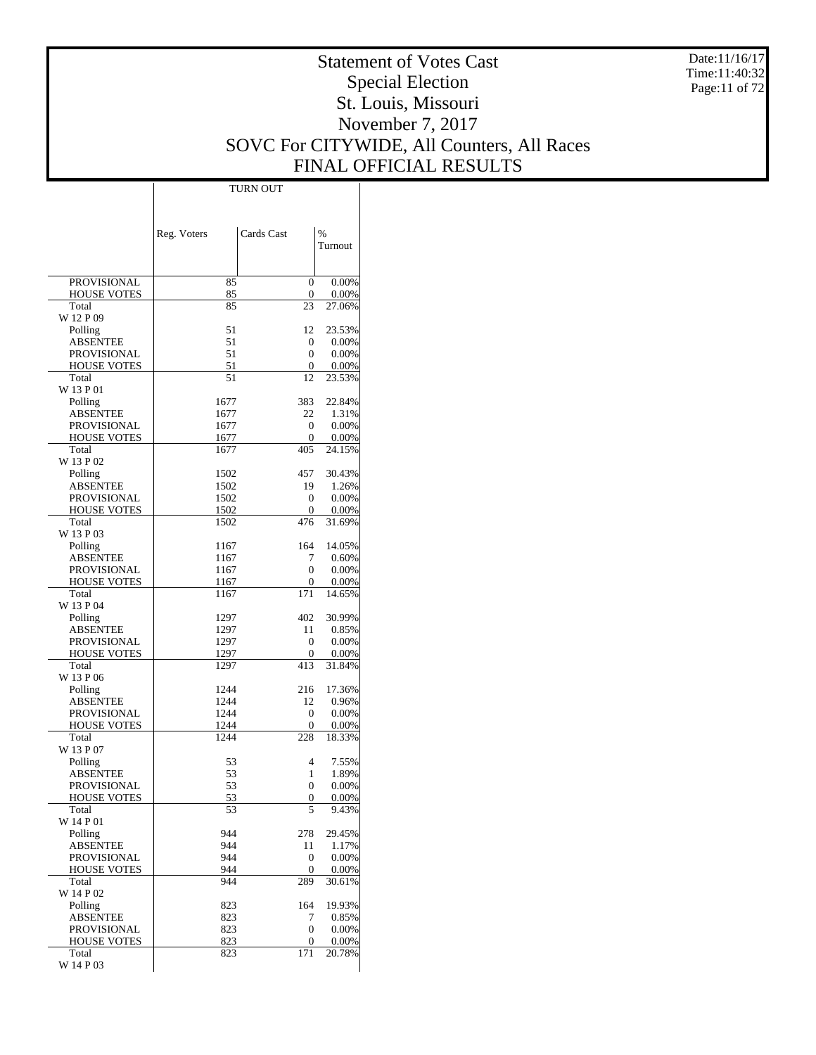Date:11/16/17 Time:11:40:32 Page:11 of 72

# Statement of Votes Cast Special Election St. Louis, Missouri November 7, 2017 SOVC For CITYWIDE, All Counters, All Races FINAL OFFICIAL RESULTS

 $\mathbf{I}$ 

|                             | Reg. Voters  | Cards Cast              | %               |
|-----------------------------|--------------|-------------------------|-----------------|
|                             |              |                         | Turnout         |
|                             |              |                         |                 |
| <b>PROVISIONAL</b>          | 85           | $\overline{0}$          | 0.00%           |
| <b>HOUSE VOTES</b>          | 85           | 0                       | 0.00%           |
| Total<br>W 12 P 09          | 85           | 23                      | 27.06%          |
| Polling                     | 51           | 12                      | 23.53%          |
| ABSENTEE                    | 51           | 0                       | $0.00\%$        |
| PROVISIONAL                 | 51           | 0                       | 0.00%           |
| <b>HOUSE VOTES</b>          | 51           | 0                       | 0.00%           |
| Total<br>W 13 P 01          | 51           | 12                      | 23.53%          |
| Polling                     | 1677         | 383                     | 22.84%          |
| ABSENTEE                    | 1677         | 22                      | 1.31%           |
| PROVISIONAL                 | 1677         | $\mathbf{0}$            | 0.00%           |
| <b>HOUSE VOTES</b><br>Total | 1677<br>1677 | $\mathbf{0}$<br>405     | 0.00%           |
| W 13 P 02                   |              |                         | 24.15%          |
| Polling                     | 1502         | 457                     | 30.43%          |
| ABSENTEE                    | 1502         | 19                      | 1.26%           |
| PROVISIONAL                 | 1502         | 0                       | 0.00%           |
| <b>HOUSE VOTES</b><br>Total | 1502<br>1502 | 0<br>476                | 0.00%           |
| W 13 P 03                   |              |                         | 31.69%          |
| Polling                     | 1167         | 164                     | 14.05%          |
| ABSENTEE                    | 1167         | 7                       | 0.60%           |
| PROVISIONAL                 | 1167         | 0                       | 0.00%           |
| <b>HOUSE VOTES</b>          | 1167         | 0<br>171                | 0.00%           |
| Total<br>W 13 P 04          | 1167         |                         | 14.65%          |
| Polling                     | 1297         | 402                     | 30.99%          |
| ABSENTEE                    | 1297         | 11                      | 0.85%           |
| PROVISIONAL                 | 1297         | $\mathbf{0}$            | $0.00\%$        |
| <b>HOUSE VOTES</b><br>Total | 1297<br>1297 | 0<br>413                | 0.00%<br>31.84% |
| W 13 P 06                   |              |                         |                 |
| Polling                     | 1244         | 216                     | 17.36%          |
| ABSENTEE                    | 1244         | 12                      | 0.96%           |
| PROVISIONAL                 | 1244         | 0                       | 0.00%           |
| <b>HOUSE VOTES</b><br>Total | 1244<br>1244 | 0<br>228                | 0.00%<br>18.33% |
| W 13 P 07                   |              |                         |                 |
| Polling                     | 53           | 4                       | 7.55%           |
| ABSENTEE                    | 53           | 1                       | 1.89%           |
| PROVISIONAL                 | 53           | 0                       | 0.00%           |
| <b>HOUSE VOTES</b><br>Total | 53<br>53     | 0<br>5                  | 0.00%<br>9.43%  |
| W 14 P 01                   |              |                         |                 |
| Polling                     | 944          | 278                     | 29.45%          |
| <b>ABSENTEE</b>             | 944          | 11                      | 1.17%           |
| PROVISIONAL                 | 944          | $\boldsymbol{0}$        | 0.00%           |
| <b>HOUSE VOTES</b><br>Total | 944<br>944   | 0<br>289                | 0.00%<br>30.61% |
| W 14 P 02                   |              |                         |                 |
| Polling                     | 823          | 164                     | 19.93%          |
| <b>ABSENTEE</b>             | 823          | 7                       | 0.85%           |
| PROVISIONAL                 | 823          | 0                       | $0.00\%$        |
| <b>HOUSE VOTES</b><br>Total | 823<br>823   | $\boldsymbol{0}$<br>171 | 0.00%<br>20.78% |
| W 14 P 03                   |              |                         |                 |

TURN OUT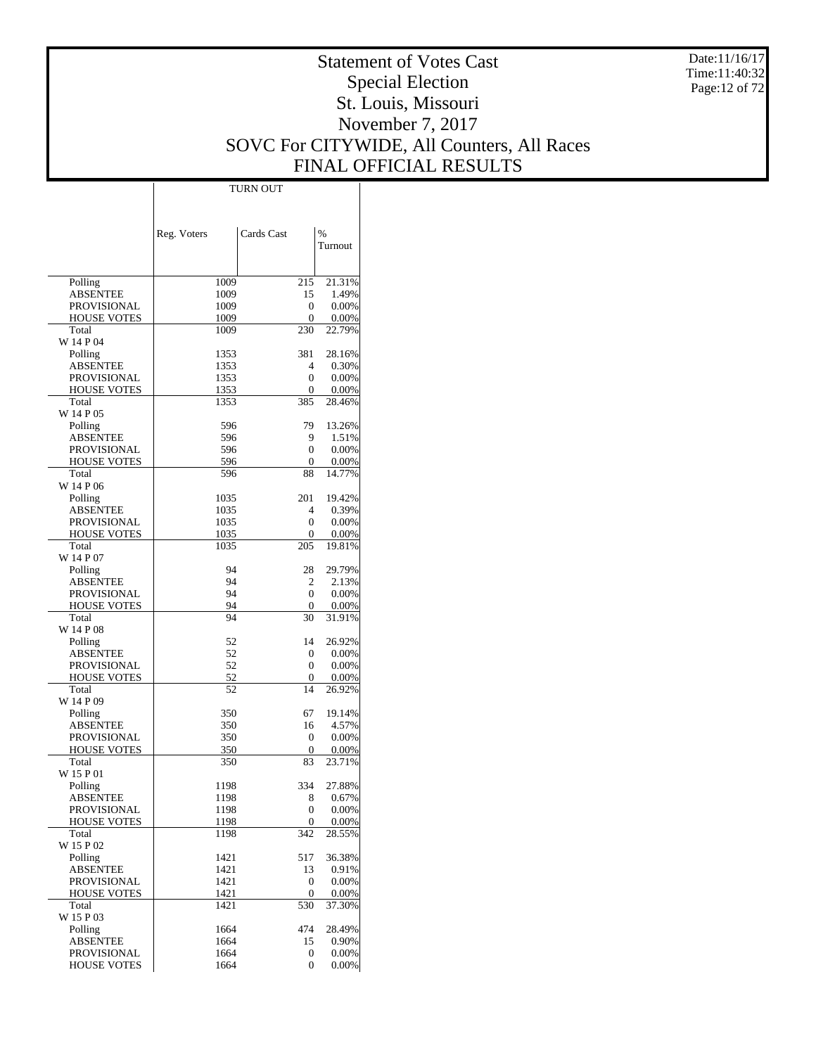Date:11/16/17 Time:11:40:32 Page:12 of 72

# Statement of Votes Cast Special Election St. Louis, Missouri November 7, 2017 SOVC For CITYWIDE, All Counters, All Races FINAL OFFICIAL RESULTS

|                             |              | TURN OUT     |                 |
|-----------------------------|--------------|--------------|-----------------|
|                             |              |              |                 |
|                             |              |              |                 |
|                             |              |              |                 |
|                             | Reg. Voters  | Cards Cast   | $\%$            |
|                             |              |              | Turnout         |
|                             |              |              |                 |
| Polling                     |              |              | 21.31%          |
| <b>ABSENTEE</b>             | 1009<br>1009 | 215<br>15    | 1.49%           |
| <b>PROVISIONAL</b>          | 1009         | 0            | 0.00%           |
| <b>HOUSE VOTES</b>          | 1009         | 0            | 0.00%           |
| Total                       | 1009         | 230          | 22.79%          |
| W 14 P 04                   |              |              |                 |
| Polling                     | 1353         | 381          | 28.16%          |
| <b>ABSENTEE</b>             | 1353         | 4            | 0.30%           |
| <b>PROVISIONAL</b>          | 1353         | 0            | 0.00%           |
| <b>HOUSE VOTES</b>          | 1353         | 0            | 0.00%           |
| Total                       | 1353         | 385          | 28.46%          |
| W 14 P 05                   |              |              |                 |
| Polling                     | 596          | 79           | 13.26%          |
| <b>ABSENTEE</b>             | 596          | 9            | 1.51%           |
| <b>PROVISIONAL</b>          | 596          | 0            | 0.00%           |
| <b>HOUSE VOTES</b>          | 596          | 0            | 0.00%           |
| Total                       | 596          | 88           | 14.77%          |
| W 14 P 06                   |              |              |                 |
| Polling                     | 1035         | 201          | 19.42%          |
| <b>ABSENTEE</b>             | 1035         | 4            | 0.39%           |
| <b>PROVISIONAL</b>          | 1035         | 0            | 0.00%           |
| <b>HOUSE VOTES</b>          | 1035         | 0            | 0.00%           |
| Total                       | 1035         | 205          | 19.81%          |
| W 14 P 07                   |              |              |                 |
| Polling                     | 94           | 28           | 29.79%          |
| <b>ABSENTEE</b>             | 94           | 2            | 2.13%           |
| <b>PROVISIONAL</b>          | 94           | 0            | 0.00%           |
| <b>HOUSE VOTES</b>          | 94           | 0            | 0.00%           |
| Total                       | 94           | 30           | 31.91%          |
| W 14 P 08                   |              |              |                 |
| Polling                     | 52           | 14           | 26.92%          |
| <b>ABSENTEE</b>             | 52           | 0            | 0.00%           |
| <b>PROVISIONAL</b>          | 52           | 0            | 0.00%           |
| <b>HOUSE VOTES</b><br>Total | 52<br>52     | 0<br>14      | 0.00%<br>26.92% |
| W 14 P 09                   |              |              |                 |
| Polling                     | 350          | 67           | 19.14%          |
| <b>ABSENTEE</b>             | 350          | 16           | 4.57%           |
| <b>PROVISIONAL</b>          | 350          | 0            | 0.00%           |
| <b>HOUSE VOTES</b>          | 350          | 0            | 0.00%           |
| Total                       | 350          | 83           | 23.71%          |
| W 15 P 01                   |              |              |                 |
| Polling                     | 1198         | 334          | 27.88%          |
| <b>ABSENTEE</b>             | 1198         | 8            | 0.67%           |
| <b>PROVISIONAL</b>          | 1198         | 0            | 0.00%           |
| <b>HOUSE VOTES</b>          | 1198         | 0            | 0.00%           |
| Total                       | 1198         | 342          | 28.55%          |
| W 15 P 02                   |              |              |                 |
| Polling                     | 1421         | 517          | 36.38%          |
| <b>ABSENTEE</b>             | 1421         | 13           | 0.91%           |
| <b>PROVISIONAL</b>          | 1421         | $\mathbf{0}$ | 0.00%           |
| <b>HOUSE VOTES</b>          | 1421         | 0            | 0.00%           |
| Total                       | 1421         | 530          | 37.30%          |
| W 15 P 03                   |              |              |                 |
| Polling                     | 1664         | 474          | 28.49%          |
| <b>ABSENTEE</b>             | 1664         | 15           | 0.90%           |
| <b>PROVISIONAL</b>          | 1664         | 0            | 0.00%           |
| <b>HOUSE VOTES</b>          | 1664         | 0            | 0.00%           |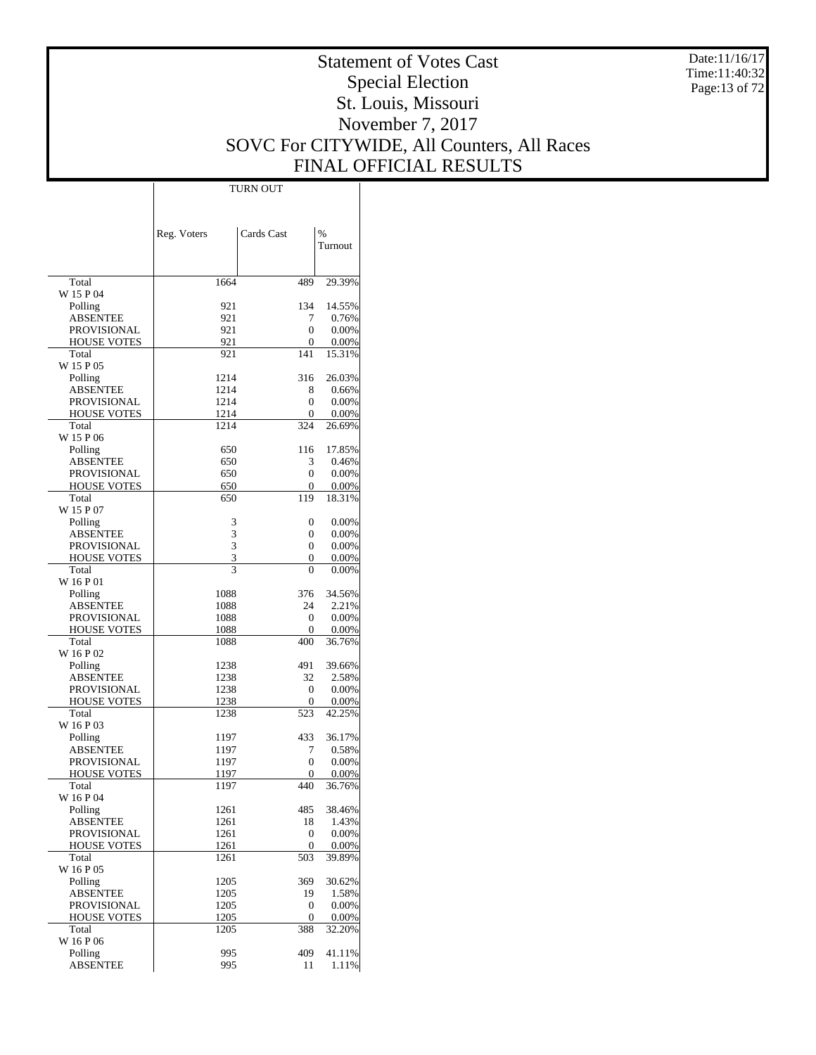Date:11/16/17 Time:11:40:32 Page:13 of 72

# Statement of Votes Cast Special Election St. Louis, Missouri November 7, 2017 SOVC For CITYWIDE, All Counters, All Races FINAL OFFICIAL RESULTS

 $\overline{\phantom{a}}$ 

|                                   | Reg. Voters  | Cards Cast | $\frac{0}{0}$      |
|-----------------------------------|--------------|------------|--------------------|
|                                   |              |            | Turnout            |
|                                   |              |            |                    |
| Total                             | 1664         | 489        | 29.39%             |
| W 15 P 04                         |              |            |                    |
| Polling<br>ABSENTEE               | 921<br>921   | 134<br>7   | 14.55%<br>0.76%    |
| PROVISIONAL                       | 921          | 0          | 0.00%              |
| <b>HOUSE VOTES</b>                | 921          | 0          | $0.00\%$           |
| Total                             | 921          | 141        | 15.31%             |
| W 15 P 05                         |              |            |                    |
| Polling                           | 1214         | 316        | 26.03%             |
| ABSENTEE                          | 1214         | 8          | 0.66%              |
| PROVISIONAL                       | 1214         | 0<br>0     | $0.00\%$           |
| <b>HOUSE VOTES</b><br>Total       | 1214<br>1214 | 324        | $0.00\%$<br>26.69% |
| W 15 P 06                         |              |            |                    |
| Polling                           | 650          | 116        | 17.85%             |
| ABSENTEE                          | 650          | 3          | 0.46%              |
| PROVISIONAL                       | 650          | 0          | 0.00%              |
| <b>HOUSE VOTES</b>                | 650          | 0          | 0.00%              |
| Total                             | 650          | 119        | 18.31%             |
| W 15 P 07                         |              |            |                    |
| Polling                           | 3            | 0          | 0.00%              |
| ABSENTEE                          | 3            | 0          | $0.00\%$           |
| PROVISIONAL<br><b>HOUSE VOTES</b> | 3<br>3       | 0<br>0     | 0.00%<br>$0.00\%$  |
| Total                             | 3            | 0          | $0.00\%$           |
| W 16 P 01                         |              |            |                    |
| Polling                           | 1088         | 376        | 34.56%             |
| ABSENTEE                          | 1088         | 24         | 2.21%              |
| PROVISIONAL                       | 1088         | 0          | $0.00\%$           |
| <b>HOUSE VOTES</b>                | 1088         | 0          | $0.00\%$           |
| Total                             | 1088         | 400        | 36.76%             |
| W 16 P 02                         |              |            |                    |
| Polling                           | 1238         | 491        | 39.66%             |
| ABSENTEE<br>PROVISIONAL           | 1238<br>1238 | 32<br>0    | 2.58%<br>$0.00\%$  |
| <b>HOUSE VOTES</b>                | 1238         | 0          | $0.00\%$           |
| Total                             | 1238         | 523        | 42.25%             |
| W 16 P 03                         |              |            |                    |
| Polling                           | 1197         | 433        | 36.17%             |
| ABSENTEE                          | 1197         | 7          | 0.58%              |
| PROVISIONAL                       | 1197         | 0          | 0.00%              |
| <b>HOUSE VOTES</b>                | 1197         | 0          | 0.00%              |
| Total                             | 1197         | 440        | 36.76%             |
| W 16 P 04<br>Polling              | 1261         |            | 38.46%             |
| <b>ABSENTEE</b>                   | 1261         | 485<br>18  | 1.43%              |
| PROVISIONAL                       | 1261         | 0          | 0.00%              |
| <b>HOUSE VOTES</b>                | 1261         | 0          | 0.00%              |
| Total                             | 1261         | 503        | 39.89%             |
| W 16 P 05                         |              |            |                    |
| Polling                           | 1205         | 369        | 30.62%             |
| ABSENTEE                          | 1205         | 19         | 1.58%              |
| PROVISIONAL                       | 1205         | 0          | 0.00%              |
| HOUSE VOTES                       | 1205         | 0          | 0.00%              |
| Total<br>W 16 P 06                | 1205         | 388        | 32.20%             |
| Polling                           | 995          | 409        | 41.11%             |
| <b>ABSENTEE</b>                   | 995          | 11         | 1.11%              |
|                                   |              |            |                    |

TURN OUT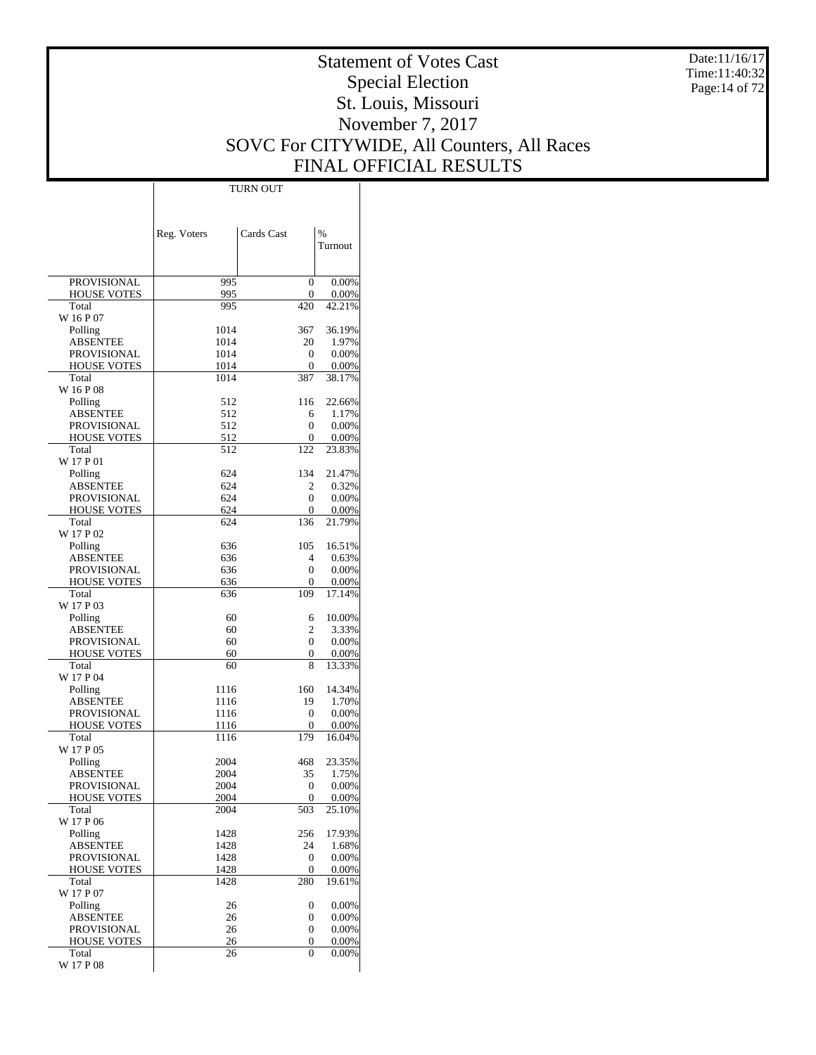Date:11/16/17 Time:11:40:32 Page:14 of 72

# Statement of Votes Cast Special Election St. Louis, Missouri November 7, 2017 SOVC For CITYWIDE, All Counters, All Races FINAL OFFICIAL RESULTS

Τ

|                                   | Reg. Voters  | Cards Cast             | %               |
|-----------------------------------|--------------|------------------------|-----------------|
|                                   |              |                        | Turnout         |
|                                   |              |                        |                 |
| <b>PROVISIONAL</b>                | 995          | 0                      | 0.00%           |
| <b>HOUSE VOTES</b>                | 995          | 0                      | 0.00%           |
| Total                             | 995          | 420                    | 42.21%          |
| W 16 P 07                         | 1014         | 367                    | 36.19%          |
| Polling<br><b>ABSENTEE</b>        | 1014         | 20                     | 1.97%           |
| PROVISIONAL                       | 1014         | 0                      | 0.00%           |
| <b>HOUSE VOTES</b>                | 1014         | 0                      | 0.00%           |
| Total                             | 1014         | 387                    | 38.17%          |
| W 16 P 08                         |              |                        |                 |
| Polling<br><b>ABSENTEE</b>        | 512<br>512   | 116                    | 22.66%          |
| <b>PROVISIONAL</b>                | 512          | 6<br>0                 | 1.17%<br>0.00%  |
| <b>HOUSE VOTES</b>                | 512          | 0                      | 0.00%           |
| Total                             | 512          | 122                    | 23.83%          |
| W 17 P 01                         |              |                        |                 |
| Polling                           | 624          | 134                    | 21.47%          |
| ABSENTEE                          | 624          | 2                      | 0.32%           |
| PROVISIONAL<br><b>HOUSE VOTES</b> | 624<br>624   | 0<br>0                 | 0.00%<br>0.00%  |
| Total                             | 624          | 136                    | 21.79%          |
| W 17 P 02                         |              |                        |                 |
| Polling                           | 636          | 105                    | 16.51%          |
| <b>ABSENTEE</b>                   | 636          | 4                      | 0.63%           |
| PROVISIONAL                       | 636          | 0                      | 0.00%           |
| <b>HOUSE VOTES</b><br>Total       | 636<br>636   | 0<br>109               | 0.00%<br>17.14% |
| W 17 P 03                         |              |                        |                 |
| Polling                           | 60           | 6                      | 10.00%          |
| ABSENTEE                          | 60           | 2                      | 3.33%           |
| PROVISIONAL                       | 60           | 0                      | 0.00%           |
| <b>HOUSE VOTES</b>                | 60           | 0                      | 0.00%           |
| Total<br>W 17 P 04                | 60           | 8                      | 13.33%          |
| Polling                           | 1116         | 160                    | 14.34%          |
| <b>ABSENTEE</b>                   | 1116         | 19                     | 1.70%           |
| PROVISIONAL                       | 1116         | 0                      | 0.00%           |
| <b>HOUSE VOTES</b>                | 1116         | 0                      | 0.00%           |
| Total                             | 1116         | 179                    | 16.04%          |
| W 17 P 05                         | 2004         | 468                    | 23.35%          |
| Polling<br>ABSENTEE               | 2004         | 35                     | 1.75%           |
| <b>PROVISIONAL</b>                | 2004         | 0                      | 0.00%           |
| <b>HOUSE VOTES</b>                | 2004         | 0                      | 0.00%           |
| Total                             | 2004         | 503                    | 25.10%          |
| W 17 P 06                         |              |                        |                 |
| Polling                           | 1428         | 256                    | 17.93%          |
| <b>ABSENTEE</b><br>PROVISIONAL    | 1428<br>1428 | 24<br>$\boldsymbol{0}$ | 1.68%<br>0.00%  |
| <b>HOUSE VOTES</b>                | 1428         | 0                      | 0.00%           |
| Total                             | 1428         | 280                    | 19.61%          |
| W 17 P 07                         |              |                        |                 |
| Polling                           | 26           | 0                      | 0.00%           |
| <b>ABSENTEE</b>                   | 26           | 0                      | 0.00%           |
| PROVISIONAL<br><b>HOUSE VOTES</b> | 26<br>26     | 0<br>0                 | 0.00%<br>0.00%  |
| Total                             | 26           | 0                      | 0.00%           |
| W 17 P 08                         |              |                        |                 |

TURN OUT

 $\overline{1}$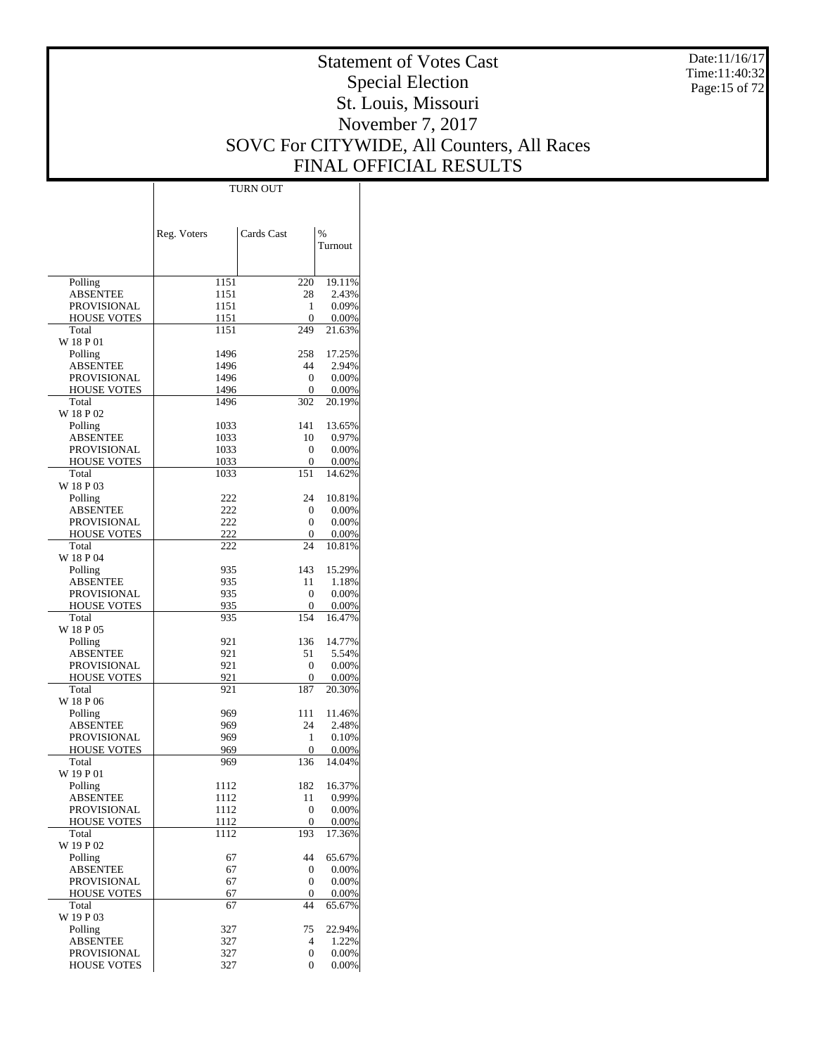Date:11/16/17 Time:11:40:32 Page:15 of 72

# Statement of Votes Cast Special Election St. Louis, Missouri November 7, 2017 SOVC For CITYWIDE, All Counters, All Races FINAL OFFICIAL RESULTS

Τ

|                             |              | <b>TURN OUT</b>      |                |
|-----------------------------|--------------|----------------------|----------------|
|                             |              |                      |                |
|                             |              |                      |                |
|                             |              | Cards Cast           | $\frac{0}{0}$  |
|                             | Reg. Voters  |                      | Turnout        |
|                             |              |                      |                |
|                             |              |                      |                |
| Polling                     | 1151         | 220                  | 19.11%         |
| <b>ABSENTEE</b>             | 1151         | 28                   | 2.43%          |
| PROVISIONAL                 | 1151         | 1                    | 0.09%          |
| <b>HOUSE VOTES</b>          | 1151         | 0                    | 0.00%          |
| Total                       | 1151         | 249                  | 21.63%         |
| W 18 P 01                   |              |                      |                |
| Polling                     | 1496         | 258                  | 17.25%         |
| <b>ABSENTEE</b>             | 1496         | 44                   | 2.94%          |
| PROVISIONAL                 | 1496         | $\mathbf{0}$         | 0.00%          |
| <b>HOUSE VOTES</b>          | 1496         | 0                    | 0.00%          |
| Total                       | 1496         | 302                  | 20.19%         |
| W 18 P 02                   |              |                      |                |
| Polling                     | 1033         | 141<br>10            | 13.65%         |
| ABSENTEE<br>PROVISIONAL     | 1033<br>1033 | 0                    | 0.97%<br>0.00% |
| <b>HOUSE VOTES</b>          | 1033         | 0                    | 0.00%          |
| Total                       | 1033         | 151                  | 14.62%         |
| W 18 P 03                   |              |                      |                |
| Polling                     | 222          | 24                   | 10.81%         |
| ABSENTEE                    | 222          | 0                    | 0.00%          |
| <b>PROVISIONAL</b>          | 222          | 0                    | 0.00%          |
| <b>HOUSE VOTES</b>          | 222          | 0                    | 0.00%          |
| Total                       | 222          | 24                   | 10.81%         |
| W 18 P 04                   |              |                      |                |
| Polling                     | 935          | 143                  | 15.29%         |
| ABSENTEE                    | 935          | 11                   | 1.18%          |
| PROVISIONAL                 | 935          | 0                    | 0.00%          |
| <b>HOUSE VOTES</b>          | 935          | 0                    | 0.00%          |
| Total                       | 935          | 154                  | 16.47%         |
| W 18 P 05                   |              |                      |                |
| Polling                     | 921          | 136                  | 14.77%         |
| ABSENTEE                    | 921          | 51                   | 5.54%          |
| PROVISIONAL                 | 921          | 0                    | 0.00%          |
| <b>HOUSE VOTES</b><br>Total | 921          | 0<br>187             | 0.00%          |
| W 18 P 06                   | 921          |                      | 20.30%         |
| Polling                     | 969          | 111                  | 11.46%         |
| ABSENTEE                    | 969          | 24                   | 2.48%          |
| PROVISIONAL                 | 969          | 1                    | 0.10%          |
| <b>HOUSE VOTES</b>          | 969          | 0                    | 0.00%          |
| Total                       | 969          | 136                  | 14.04%         |
| W 19 P 01                   |              |                      |                |
| Polling                     | 1112         | 182                  | 16.37%         |
| <b>ABSENTEE</b>             | 1112         | 11                   | 0.99%          |
| <b>PROVISIONAL</b>          | 1112         | 0                    | 0.00%          |
| HOUSE VOTES                 | 1112         | 0                    | 0.00%          |
| Total                       | 1112         | 193                  | 17.36%         |
| W 19 P 02                   |              |                      |                |
| Polling                     | 67           | 44                   | 65.67%         |
| <b>ABSENTEE</b>             | 67           | 0                    | 0.00%          |
| PROVISIONAL                 | 67           | 0                    | 0.00%          |
| <b>HOUSE VOTES</b>          | 67           | 0                    | 0.00%          |
| Total                       | 67           | 44                   | 65.67%         |
| W 19 P 03                   |              |                      | 22.94%         |
| Polling<br><b>ABSENTEE</b>  | 327<br>327   | 75<br>$\overline{4}$ | 1.22%          |
| PROVISIONAL                 | 327          | 0                    | 0.00%          |
| <b>HOUSE VOTES</b>          | 327          | 0                    | 0.00%          |
|                             |              |                      |                |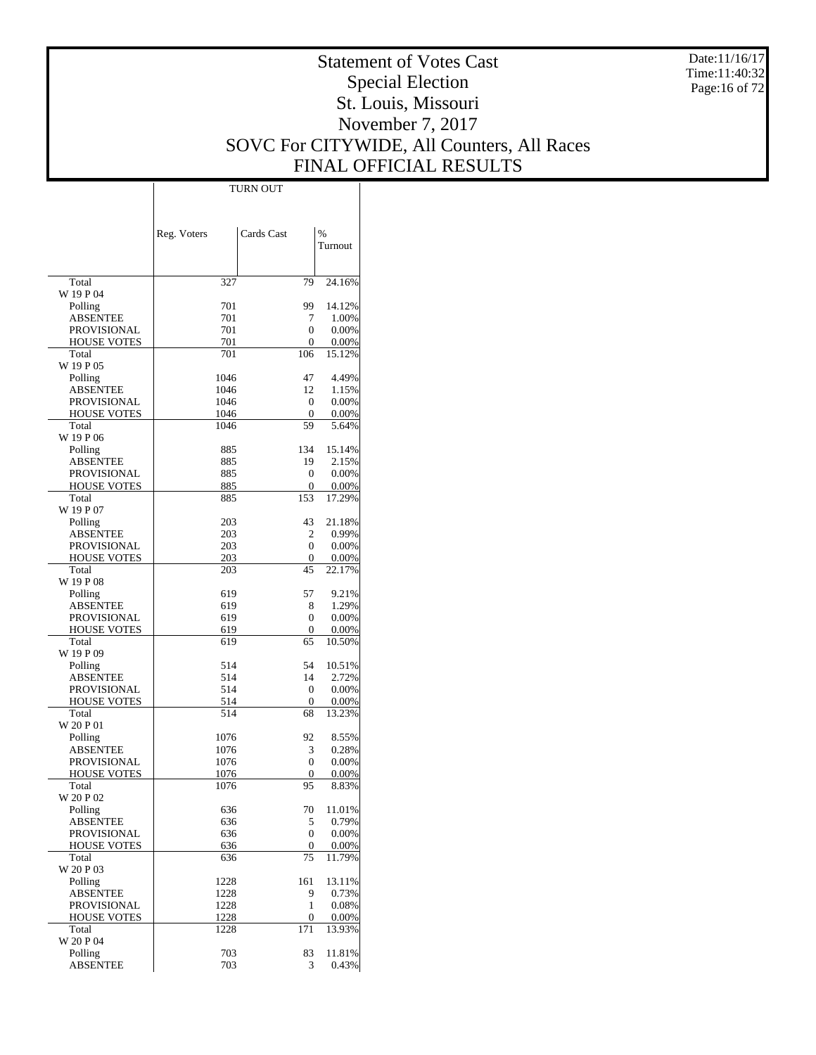Date:11/16/17 Time:11:40:32 Page:16 of 72

# Statement of Votes Cast Special Election St. Louis, Missouri November 7, 2017 SOVC For CITYWIDE, All Counters, All Races FINAL OFFICIAL RESULTS

Τ

|                                          | Reg. Voters  | Cards Cast | $\%$            |
|------------------------------------------|--------------|------------|-----------------|
|                                          |              |            | Turnout         |
| Total                                    | 327          | 79         | 24.16%          |
| W 19 P 04                                |              |            |                 |
| Polling                                  | 701          | 99         | 14.12%          |
| <b>ABSENTEE</b>                          | 701<br>701   | 7<br>0     | 1.00%           |
| <b>PROVISIONAL</b><br><b>HOUSE VOTES</b> | 701          | 0          | 0.00%<br>0.00%  |
| Total                                    | 701          | 106        | 15.12%          |
| W 19 P 05                                |              |            |                 |
| Polling                                  | 1046         | 47         | 4.49%           |
| <b>ABSENTEE</b><br>PROVISIONAL           | 1046<br>1046 | 12<br>0    | 1.15%<br>0.00%  |
| <b>HOUSE VOTES</b>                       | 1046         | 0          | 0.00%           |
| Total                                    | 1046         | 59         | 5.64%           |
| W 19 P 06                                |              |            |                 |
| Polling                                  | 885          | 134        | 15.14%          |
| <b>ABSENTEE</b><br><b>PROVISIONAL</b>    | 885<br>885   | 19<br>0    | 2.15%<br>0.00%  |
| <b>HOUSE VOTES</b>                       | 885          | 0          | 0.00%           |
| Total                                    | 885          | 153        | 17.29%          |
| W 19 P 07                                |              |            |                 |
| Polling                                  | 203          | 43         | 21.18%          |
| <b>ABSENTEE</b><br><b>PROVISIONAL</b>    | 203<br>203   | 2<br>0     | 0.99%<br>0.00%  |
| <b>HOUSE VOTES</b>                       | 203          | 0          | 0.00%           |
| Total                                    | 203          | 45         | 22.17%          |
| W 19 P 08                                |              |            |                 |
| Polling                                  | 619          | 57         | 9.21%           |
| <b>ABSENTEE</b>                          | 619          | 8          | 1.29%           |
| <b>PROVISIONAL</b><br><b>HOUSE VOTES</b> | 619<br>619   | 0<br>0     | 0.00%<br>0.00%  |
| Total                                    | 619          | 65         | 10.50%          |
| W 19 P 09                                |              |            |                 |
| Polling                                  | 514          | 54         | 10.51%          |
| <b>ABSENTEE</b>                          | 514          | 14         | 2.72%           |
| PROVISIONAL<br><b>HOUSE VOTES</b>        | 514<br>514   | 0<br>0     | 0.00%<br>0.00%  |
| Total                                    | 514          | 68         | 13.23%          |
| W 20 P 01                                |              |            |                 |
| Polling                                  | 1076         | 92         | 8.55%           |
| <b>ABSENTEE</b>                          | 1076         | 3          | 0.28%           |
| PROVISIONAL<br><b>HOUSE VOTES</b>        | 1076<br>1076 | 0          | 0.00%           |
| Total                                    | 1076         | 0<br>95    | 0.00%<br>8.83%  |
| W 20 P 02                                |              |            |                 |
| Polling                                  | 636          | 70         | 11.01%          |
| <b>ABSENTEE</b>                          | 636          | 5          | 0.79%           |
| PROVISIONAL                              | 636          | 0          | 0.00%           |
| <b>HOUSE VOTES</b><br>Total              | 636<br>636   | 0<br>75    | 0.00%<br>11.79% |
| W 20 P 03                                |              |            |                 |
| Polling                                  | 1228         | 161        | 13.11%          |
| <b>ABSENTEE</b>                          | 1228         | 9          | 0.73%           |
| <b>PROVISIONAL</b>                       | 1228         | 1          | 0.08%           |
| <b>HOUSE VOTES</b><br>Total              | 1228<br>1228 | 0<br>171   | 0.00%<br>13.93% |
| W 20 P 04                                |              |            |                 |
| Polling                                  | 703          | 83         | 11.81%          |
| <b>ABSENTEE</b>                          | 703          | 3          | 0.43%           |

TURN OUT

 $\mathbb{I}$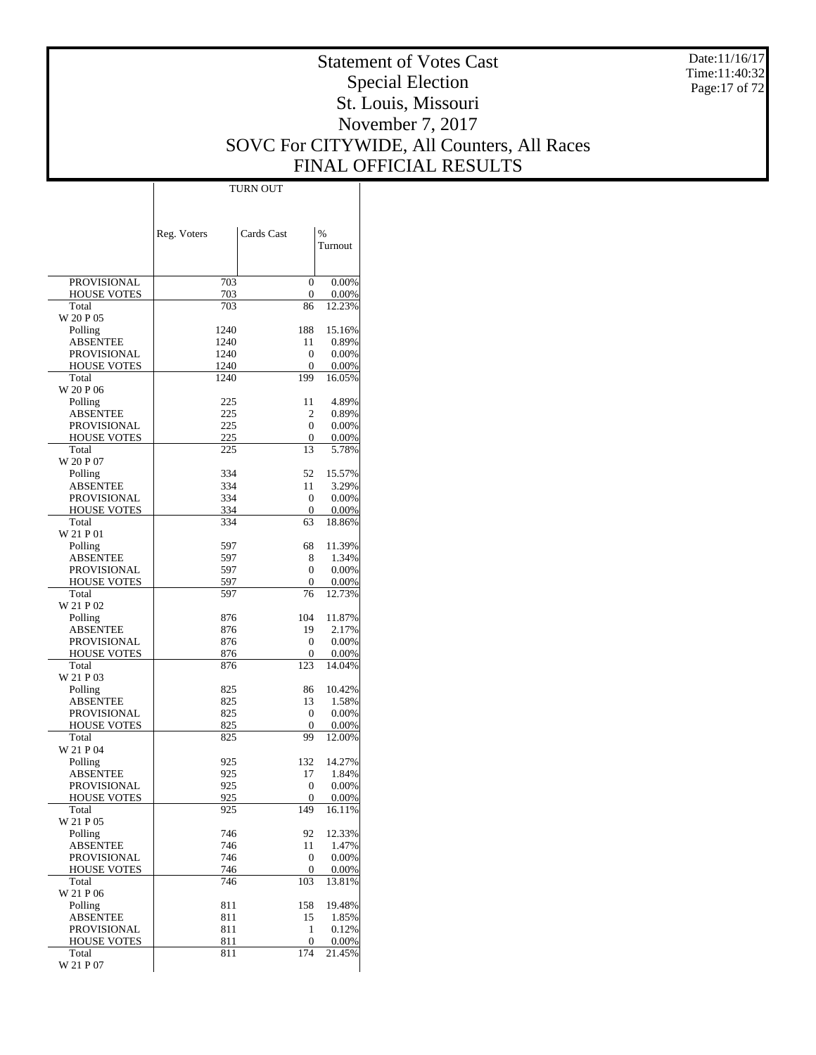Date:11/16/17 Time:11:40:32 Page:17 of 72

# Statement of Votes Cast Special Election St. Louis, Missouri November 7, 2017 SOVC For CITYWIDE, All Counters, All Races FINAL OFFICIAL RESULTS

 $\top$ 

|                                   | Reg. Voters | Cards Cast        | $\%$            |
|-----------------------------------|-------------|-------------------|-----------------|
|                                   |             |                   | Turnout         |
|                                   |             |                   |                 |
| <b>PROVISIONAL</b>                | 703         | 0                 | 0.00%           |
| <b>HOUSE VOTES</b>                | 703         | 0                 | 0.00%           |
| Total                             | 703         | 86                | 12.23%          |
| W 20 P 05<br>Polling              | 1240        | 188               | 15.16%          |
| ABSENTEE                          | 1240        | 11                | 0.89%           |
| <b>PROVISIONAL</b>                | 1240        | 0                 | 0.00%           |
| <b>HOUSE VOTES</b>                | 1240        | 0                 | 0.00%           |
| Total                             | 1240        | 199               | 16.05%          |
| W 20 P 06                         |             |                   |                 |
| Polling<br><b>ABSENTEE</b>        | 225<br>225  | 11<br>2           | 4.89%<br>0.89%  |
| PROVISIONAL                       | 225         | 0                 | 0.00%           |
| <b>HOUSE VOTES</b>                | 225         | 0                 | 0.00%           |
| Total                             | 225         | 13                | 5.78%           |
| W 20 P 07                         |             |                   |                 |
| Polling                           | 334         | 52                | 15.57%          |
| ABSENTEE                          | 334         | 11                | 3.29%           |
| PROVISIONAL<br><b>HOUSE VOTES</b> | 334<br>334  | 0<br>$\mathbf{0}$ | 0.00%<br>0.00%  |
| Total                             | 334         | 63                | 18.86%          |
| W 21 P 01                         |             |                   |                 |
| Polling                           | 597         | 68                | 11.39%          |
| ABSENTEE                          | 597         | 8                 | 1.34%           |
| PROVISIONAL                       | 597         | 0                 | 0.00%           |
| <b>HOUSE VOTES</b>                | 597         | 0                 | 0.00%           |
| Total<br>W 21 P 02                | 597         | 76                | 12.73%          |
| Polling                           | 876         | 104               | 11.87%          |
| ABSENTEE                          | 876         | 19                | 2.17%           |
| PROVISIONAL                       | 876         | 0                 | 0.00%           |
| <b>HOUSE VOTES</b>                | 876         | 0                 | 0.00%           |
| Total                             | 876         | 123               | 14.04%          |
| W 21 P 03                         |             |                   |                 |
| Polling<br>ABSENTEE               | 825<br>825  | 86<br>13          | 10.42%<br>1.58% |
| PROVISIONAL                       | 825         | $\mathbf{0}$      | 0.00%           |
| <b>HOUSE VOTES</b>                | 825         | $\mathbf{0}$      | 0.00%           |
| Total                             | 825         | 99                | 12.00%          |
| W 21 P 04                         |             |                   |                 |
| Polling                           | 925         | 132               | 14.27%          |
| ABSENTEE                          | 925         | 17                | 1.84%           |
| PROVISIONAL<br>HOUSE VOTES        | 925<br>925  | 0<br>0            | 0.00%<br>0.00%  |
| Total                             | 925         | 149               | 16.11%          |
| W 21 P 05                         |             |                   |                 |
| Polling                           | 746         | 92                | 12.33%          |
| ABSENTEE                          | 746         | 11                | 1.47%           |
| <b>PROVISIONAL</b>                | 746         | 0                 | 0.00%           |
| <b>HOUSE VOTES</b>                | 746         | 0                 | 0.00%           |
| Total<br>W 21 P 06                | 746         | 103               | 13.81%          |
| Polling                           | 811         | 158               | 19.48%          |
| <b>ABSENTEE</b>                   | 811         | 15                | 1.85%           |
| PROVISIONAL                       | 811         | 1                 | 0.12%           |
| <b>HOUSE VOTES</b>                | 811         | 0                 | 0.00%           |
| Total                             | 811         | 174               | 21.45%          |
| W 21 P 07                         |             |                   |                 |

TURN OUT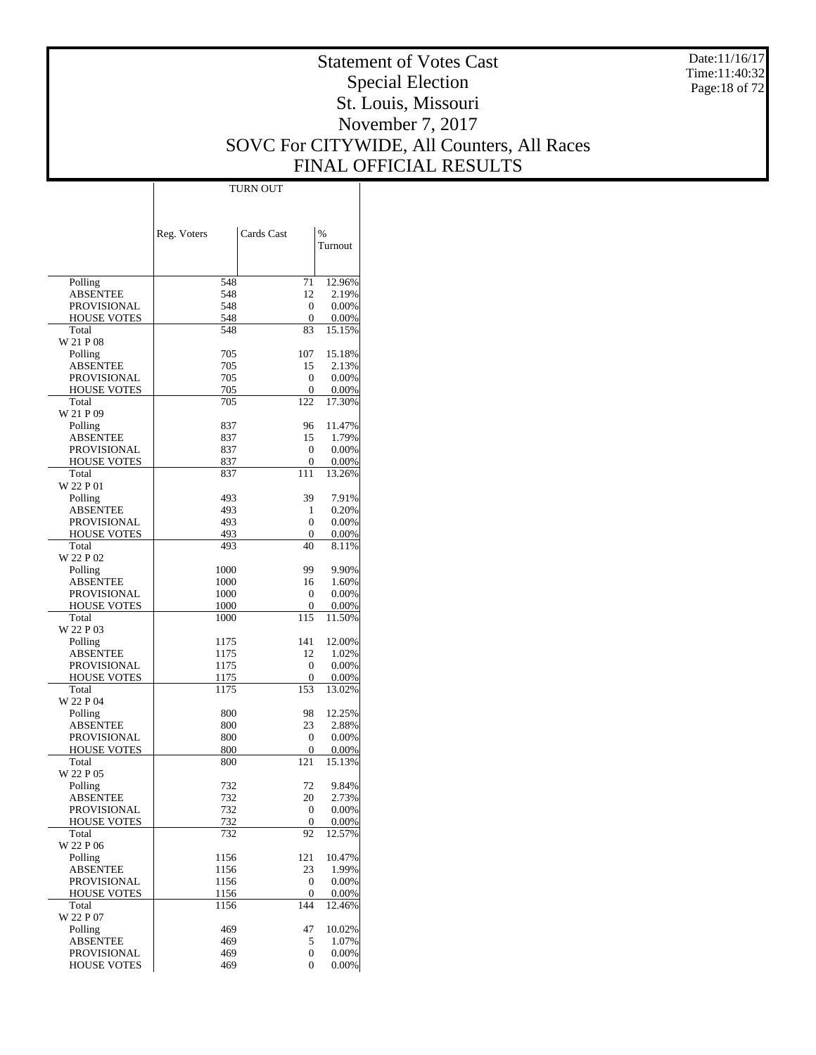Date:11/16/17 Time:11:40:32 Page:18 of 72

# Statement of Votes Cast Special Election St. Louis, Missouri November 7, 2017 SOVC For CITYWIDE, All Counters, All Races FINAL OFFICIAL RESULTS

Τ

| Cards Cast<br>$\%$<br>Reg. Voters<br>Turnout                                         |  |
|--------------------------------------------------------------------------------------|--|
|                                                                                      |  |
|                                                                                      |  |
|                                                                                      |  |
|                                                                                      |  |
|                                                                                      |  |
|                                                                                      |  |
| Polling<br>12.96%<br>548<br>71                                                       |  |
| 2.19%<br><b>ABSENTEE</b><br>548<br>12                                                |  |
| <b>PROVISIONAL</b><br>548<br>0<br>0.00%                                              |  |
| <b>HOUSE VOTES</b><br>548<br>0<br>0.00%                                              |  |
| Total<br>548<br>83<br>15.15%<br>W 21 P 08                                            |  |
| 705<br>15.18%<br>Polling<br>107                                                      |  |
| <b>ABSENTEE</b><br>705<br>15<br>2.13%                                                |  |
| <b>PROVISIONAL</b><br>705<br>0<br>0.00%                                              |  |
| <b>HOUSE VOTES</b><br>705<br>0<br>0.00%                                              |  |
| 17.30%<br>Total<br>705<br>122                                                        |  |
| W 21 P 09                                                                            |  |
| 837<br>96<br>11.47%<br>Polling                                                       |  |
| 1.79%<br><b>ABSENTEE</b><br>837<br>15                                                |  |
| <b>PROVISIONAL</b><br>837<br>0<br>0.00%                                              |  |
| <b>HOUSE VOTES</b><br>837<br>0<br>0.00%                                              |  |
| Total<br>111<br>13.26%<br>837                                                        |  |
| W 22 P 01                                                                            |  |
| 7.91%<br>493<br>39<br>Polling                                                        |  |
| <b>ABSENTEE</b><br>493<br>0.20%<br>1                                                 |  |
| 493<br><b>PROVISIONAL</b><br>0<br>0.00%                                              |  |
| <b>HOUSE VOTES</b><br>493<br>$\mathbf{0}$<br>0.00%<br>Total<br>493<br>40<br>8.11%    |  |
| W 22 P 02                                                                            |  |
| 1000<br>99<br>9.90%<br>Polling                                                       |  |
| <b>ABSENTEE</b><br>1000<br>16<br>1.60%                                               |  |
| <b>PROVISIONAL</b><br>1000<br>0<br>0.00%                                             |  |
| <b>HOUSE VOTES</b><br>1000<br>0<br>0.00%                                             |  |
| Total<br>115<br>11.50%<br>1000                                                       |  |
| W 22 P 03                                                                            |  |
| 12.00%<br>1175<br>141<br>Polling                                                     |  |
| <b>ABSENTEE</b><br>1175<br>12<br>1.02%                                               |  |
| <b>PROVISIONAL</b><br>1175<br>0<br>0.00%                                             |  |
| <b>HOUSE VOTES</b><br>1175<br>0<br>0.00%                                             |  |
| Total<br>13.02%<br>1175<br>153                                                       |  |
| W 22 P 04<br>12.25%<br>800<br>98                                                     |  |
| Polling<br><b>ABSENTEE</b><br>800<br>23<br>2.88%                                     |  |
| <b>PROVISIONAL</b><br>800<br>0<br>0.00%                                              |  |
| <b>HOUSE VOTES</b><br>800<br>0<br>0.00%                                              |  |
| 121<br>Total<br>800<br>15.13%                                                        |  |
| W 22 P 05                                                                            |  |
| Polling<br>9.84%<br>732<br>72                                                        |  |
| 20<br>2.73%<br><b>ABSENTEE</b><br>732                                                |  |
| <b>PROVISIONAL</b><br>732<br>0<br>0.00%                                              |  |
| <b>HOUSE VOTES</b><br>732<br>0<br>0.00%                                              |  |
| Total<br>732<br>92<br>12.57%                                                         |  |
| W 22 P 06                                                                            |  |
| Polling<br>1156<br>121<br>10.47%                                                     |  |
| <b>ABSENTEE</b><br>1156<br>23<br>1.99%                                               |  |
| <b>PROVISIONAL</b><br>1156<br>0<br>0.00%<br><b>HOUSE VOTES</b><br>1156<br>0.00%<br>0 |  |
| Total<br>1156<br>144<br>12.46%                                                       |  |
| W 22 P 07                                                                            |  |
| Polling<br>469<br>47<br>10.02%                                                       |  |
| <b>ABSENTEE</b><br>469<br>1.07%<br>5                                                 |  |
| <b>PROVISIONAL</b><br>469<br>0<br>0.00%                                              |  |
| <b>HOUSE VOTES</b><br>469<br>0<br>0.00%                                              |  |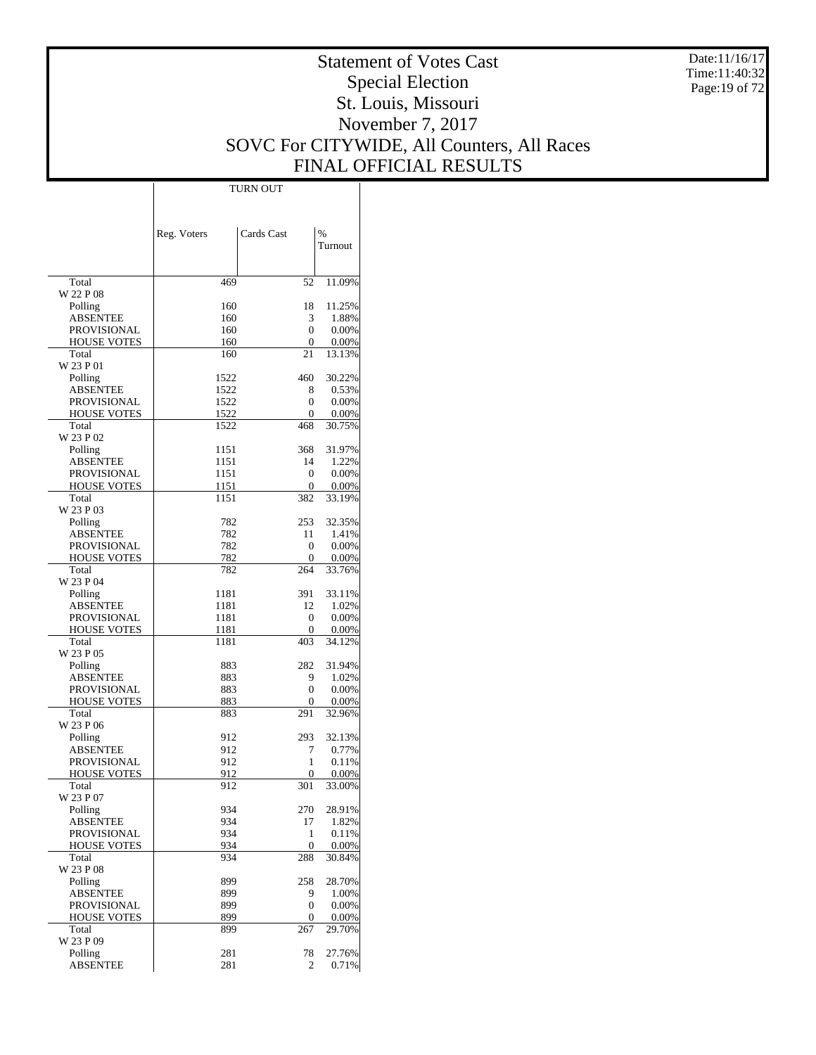Date:11/16/17 Time:11:40:32 Page:19 of 72

# Statement of Votes Cast Special Election St. Louis, Missouri November 7, 2017 SOVC For CITYWIDE, All Counters, All Races FINAL OFFICIAL RESULTS

Τ

|                                   |              | <b>TURN OUT</b>   |                 |
|-----------------------------------|--------------|-------------------|-----------------|
|                                   |              |                   |                 |
|                                   |              |                   |                 |
|                                   | Reg. Voters  | Cards Cast        | $\frac{0}{0}$   |
|                                   |              |                   | Turnout         |
|                                   |              |                   |                 |
|                                   |              |                   |                 |
| Total                             | 469          | 52                | 11.09%          |
| W 22 P 08                         |              |                   |                 |
| Polling                           | 160          | 18                | 11.25%          |
| <b>ABSENTEE</b>                   | 160          | 3                 | 1.88%           |
| PROVISIONAL                       | 160          | 0                 | 0.00%           |
| <b>HOUSE VOTES</b>                | 160          | 0                 | 0.00%           |
| Total                             | 160          | 21                | 13.13%          |
| W 23 P 01                         |              |                   |                 |
| Polling                           | 1522         | 460               | 30.22%          |
| ABSENTEE                          | 1522         | 8<br>0            | 0.53%           |
| PROVISIONAL<br><b>HOUSE VOTES</b> | 1522<br>1522 | 0                 | 0.00%<br>0.00%  |
| Total                             | 1522         | 468               | 30.75%          |
| W 23 P 02                         |              |                   |                 |
| Polling                           | 1151         | 368               | 31.97%          |
| <b>ABSENTEE</b>                   | 1151         | 14                | 1.22%           |
| PROVISIONAL                       | 1151         | 0                 | 0.00%           |
| <b>HOUSE VOTES</b>                | 1151         | 0                 | 0.00%           |
| Total                             | 1151         | 382               | 33.19%          |
| W 23 P 03                         |              |                   |                 |
| Polling                           | 782          | 253               | 32.35%          |
| ABSENTEE                          | 782          | 11                | 1.41%           |
| PROVISIONAL                       | 782          | 0                 | 0.00%           |
| <b>HOUSE VOTES</b>                | 782          | 0                 | 0.00%           |
| Total<br>W 23 P 04                | 782          | 264               | 33.76%          |
| Polling                           | 1181         | 391               | 33.11%          |
| ABSENTEE                          | 1181         | 12                | 1.02%           |
| PROVISIONAL                       | 1181         | 0                 | 0.00%           |
| <b>HOUSE VOTES</b>                | 1181         | 0                 | 0.00%           |
| Total                             | 1181         | 403               | 34.12%          |
| W 23 P 05                         |              |                   |                 |
| Polling                           | 883          | 282               | 31.94%          |
| ABSENTEE                          | 883          | 9                 | 1.02%           |
| PROVISIONAL                       | 883          | 0                 | 0.00%           |
| <b>HOUSE VOTES</b>                | 883          | 0                 | 0.00%           |
| Total                             | 883          | 291               | 32.96%          |
| W 23 P 06                         |              |                   |                 |
| Polling<br><b>ABSENTEE</b>        | 912<br>912   | 293<br>7          | 32.13%<br>0.77% |
| PROVISIONAL                       | 912          | 1                 | 0.11%           |
| <b>HOUSE VOTES</b>                | <u>912</u>   | 0                 | 0.00%           |
| Total                             | 912          | 301               | 33.00%          |
| W 23 P 07                         |              |                   |                 |
| Polling                           | 934          | 270               | 28.91%          |
| ABSENTEE                          | 934          | 17                | 1.82%           |
| <b>PROVISIONAL</b>                | 934          | 1                 | 0.11%           |
| HOUSE VOTES                       | 934          | 0                 | 0.00%           |
| Total                             | 934          | 288               | 30.84%          |
| W 23 P 08                         |              |                   |                 |
| Polling                           | 899          | 258               | 28.70%          |
| ABSENTEE                          | 899          | 9                 | 1.00%           |
| PROVISIONAL                       | 899          | $\mathbf{0}$<br>0 | 0.00%           |
| HOUSE VOTES<br>Total              | 899<br>899   | 267               | 0.00%<br>29.70% |
| W 23 P 09                         |              |                   |                 |
| Polling                           | 281          | 78                | 27.76%          |
| <b>ABSENTEE</b>                   | 281          | 2                 | 0.71%           |
|                                   |              |                   |                 |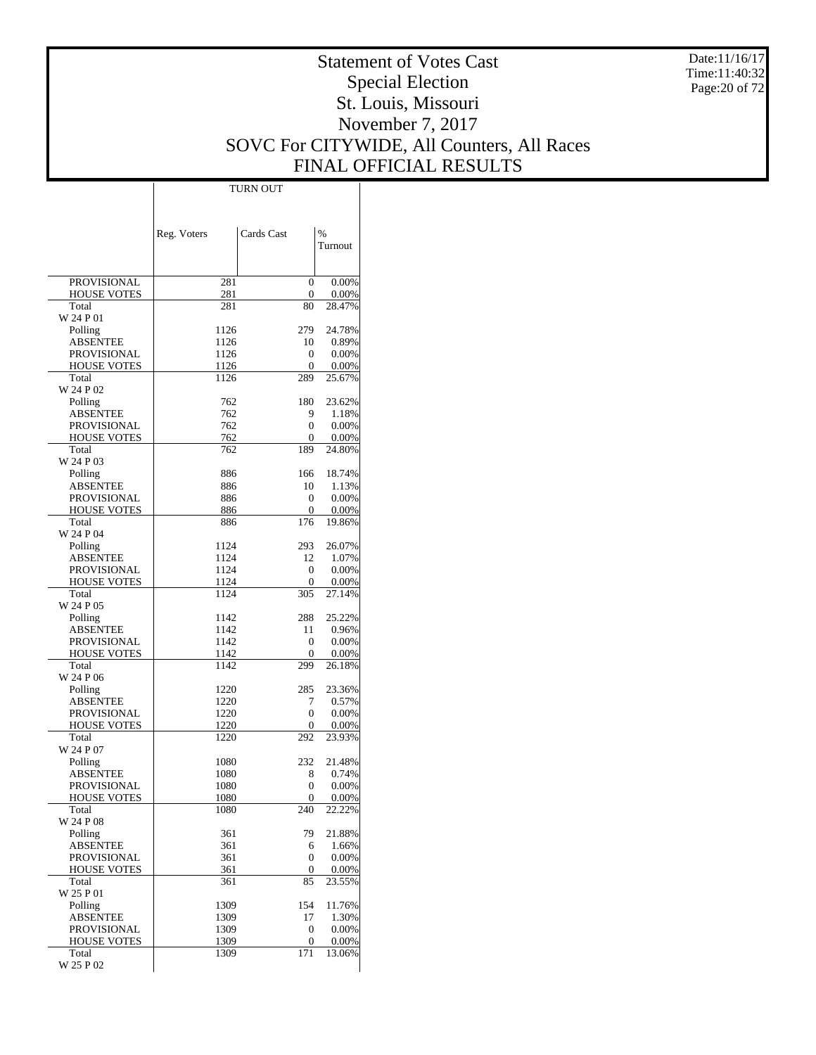Date:11/16/17 Time:11:40:32 Page:20 of 72

# Statement of Votes Cast Special Election St. Louis, Missouri November 7, 2017 SOVC For CITYWIDE, All Counters, All Races FINAL OFFICIAL RESULTS

 $\overline{\phantom{a}}$ 

|                                          | Reg. Voters  | Cards Cast       | %               |
|------------------------------------------|--------------|------------------|-----------------|
|                                          |              |                  | Turnout         |
|                                          |              |                  |                 |
| PROVISIONAL                              | 281          | 0                | 0.00%           |
| <b>HOUSE VOTES</b>                       | 281          | 0                | 0.00%           |
| Total<br>W 24 P 01                       | 281          | 80               | 28.47%          |
| Polling                                  | 1126         | 279              | 24.78%          |
| <b>ABSENTEE</b>                          | 1126         | 10               | 0.89%           |
| PROVISIONAL                              | 1126         | 0                | 0.00%           |
| <b>HOUSE VOTES</b>                       | 1126         | 0                | 0.00%           |
| Total<br>W 24 P 02                       | 1126         | 289              | 25.67%          |
| Polling                                  | 762          | 180              | 23.62%          |
| ABSENTEE                                 | 762          | 9                | 1.18%           |
| PROVISIONAL                              | 762          | 0                | 0.00%           |
| <b>HOUSE VOTES</b>                       | 762          | 0                | 0.00%           |
| Total<br>W 24 P 03                       | 762          | 189              | 24.80%          |
| Polling                                  | 886          | 166              | 18.74%          |
| ABSENTEE                                 | 886          | 10               | 1.13%           |
| PROVISIONAL                              | 886          | 0                | 0.00%           |
| <b>HOUSE VOTES</b>                       | 886          | 0                | 0.00%           |
| Total                                    | 886          | 176              | 19.86%          |
| W 24 P 04                                |              |                  |                 |
| Polling<br><b>ABSENTEE</b>               | 1124<br>1124 | 293<br>12        | 26.07%<br>1.07% |
| <b>PROVISIONAL</b>                       | 1124         | 0                | 0.00%           |
| <b>HOUSE VOTES</b>                       | 1124         | 0                | 0.00%           |
| Total                                    | 1124         | 305              | 27.14%          |
| W 24 P 05                                |              |                  |                 |
| Polling<br>ABSENTEE                      | 1142<br>1142 | 288<br>11        | 25.22%<br>0.96% |
| PROVISIONAL                              | 1142         | 0                | 0.00%           |
| <b>HOUSE VOTES</b>                       | 1142         | 0                | 0.00%           |
| Total                                    | 1142         | 299              | 26.18%          |
| W 24 P 06                                |              |                  |                 |
| Polling                                  | 1220         | 285              | 23.36%          |
| <b>ABSENTEE</b><br>PROVISIONAL           | 1220<br>1220 | 7<br>0           | 0.57%<br>0.00%  |
| <b>HOUSE VOTES</b>                       | 1220         | 0                | 0.00%           |
| Total                                    | 1220         | 292              | 23.93%          |
| W 24 P 07                                |              |                  |                 |
| Polling                                  | 1080         | 232              | 21.48%          |
| ABSENTEE<br>PROVISIONAL                  | 1080<br>1080 | 8<br>0           | 0.74%<br>0.00%  |
| <b>HOUSE VOTES</b>                       | 1080         | $\boldsymbol{0}$ | 0.00%           |
| Total                                    | 1080         | 240              | 22.22%          |
| W 24 P 08                                |              |                  |                 |
| Polling                                  | 361          | 79               | 21.88%          |
| <b>ABSENTEE</b>                          | 361          | 6                | 1.66%           |
| PROVISIONAL<br><b>HOUSE VOTES</b>        | 361<br>361   | 0<br>0           | 0.00%<br>0.00%  |
| Total                                    | 361          | 85               | 23.55%          |
| W 25 P 01                                |              |                  |                 |
| Polling                                  | 1309         | 154              | 11.76%          |
| <b>ABSENTEE</b>                          | 1309         | 17               | 1.30%           |
| <b>PROVISIONAL</b><br><b>HOUSE VOTES</b> | 1309<br>1309 | 0<br>0           | 0.00%<br>0.00%  |
| Total                                    | 1309         | 171              | 13.06%          |
| W 25 P 02                                |              |                  |                 |

TURN OUT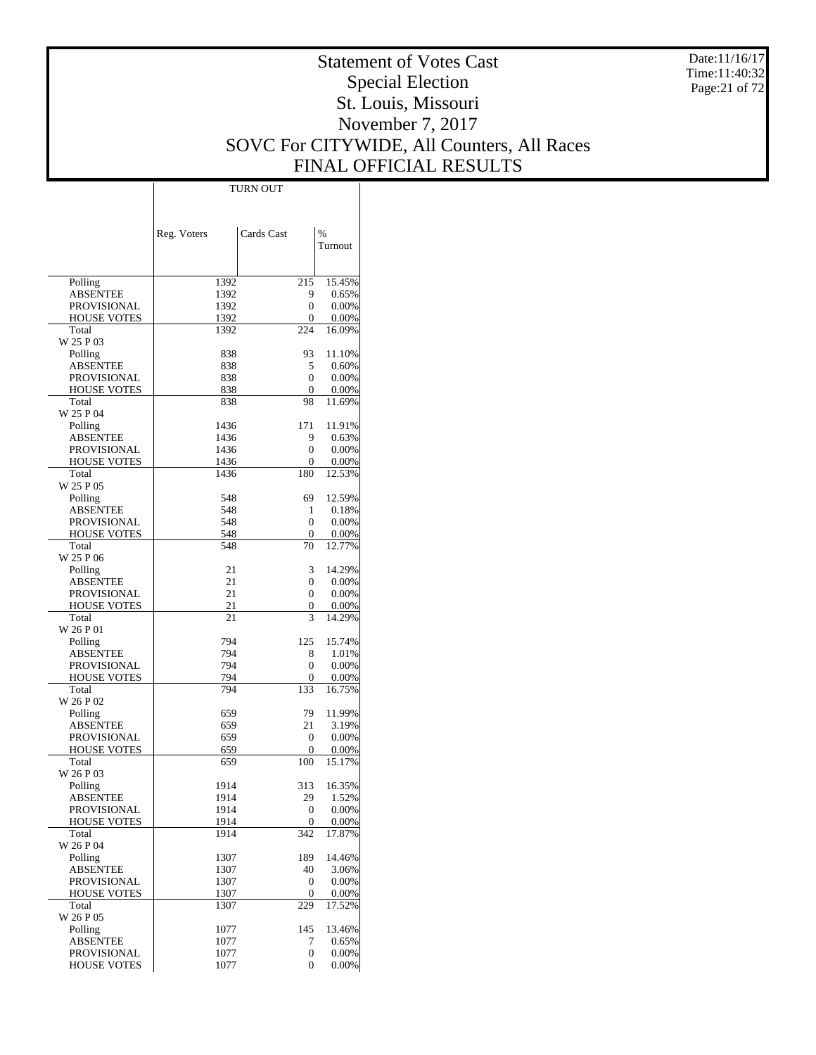Date:11/16/17 Time:11:40:32 Page:21 of 72

# Statement of Votes Cast Special Election St. Louis, Missouri November 7, 2017 SOVC For CITYWIDE, All Counters, All Races FINAL OFFICIAL RESULTS

Τ

|                                       | TURN OUT     |              |                |
|---------------------------------------|--------------|--------------|----------------|
|                                       |              |              |                |
|                                       |              |              |                |
|                                       | Reg. Voters  | Cards Cast   | $\%$           |
|                                       |              |              | Turnout        |
|                                       |              |              |                |
|                                       |              |              |                |
| Polling                               | 1392         | 215          | 15.45%         |
| <b>ABSENTEE</b>                       | 1392         | 9            | 0.65%          |
| <b>PROVISIONAL</b>                    | 1392         | 0            | 0.00%          |
| <b>HOUSE VOTES</b>                    | 1392         | 0            | 0.00%          |
| Total<br>W 25 P 03                    | 1392         | 224          | 16.09%         |
| Polling                               | 838          | 93           | 11.10%         |
| <b>ABSENTEE</b>                       | 838          | 5            | 0.60%          |
| <b>PROVISIONAL</b>                    | 838          | 0            | 0.00%          |
| <b>HOUSE VOTES</b>                    | 838          | 0            | 0.00%          |
| Total                                 | 838          | 98           | 11.69%         |
| W 25 P 04                             |              |              |                |
| Polling                               | 1436         | 171          | 11.91%         |
| <b>ABSENTEE</b>                       | 1436         | 9            | 0.63%          |
| <b>PROVISIONAL</b>                    | 1436         | 0            | 0.00%          |
| <b>HOUSE VOTES</b>                    | 1436         | 0            | 0.00%          |
| Total<br>W 25 P 05                    | 1436         | 180          | 12.53%         |
|                                       | 548          | 69           | 12.59%         |
| Polling<br><b>ABSENTEE</b>            | 548          | 1            | 0.18%          |
| <b>PROVISIONAL</b>                    | 548          | 0            | 0.00%          |
| <b>HOUSE VOTES</b>                    | 548          | 0            | 0.00%          |
| Total                                 | 548          | 70           | 12.77%         |
| W 25 P 06                             |              |              |                |
| Polling                               | 21           | 3            | 14.29%         |
| <b>ABSENTEE</b>                       | 21           | 0            | 0.00%          |
| PROVISIONAL                           | 21           | 0            | 0.00%          |
| <b>HOUSE VOTES</b>                    | 21           | 0            | 0.00%          |
| Total                                 | 21           | 3            | 14.29%         |
| W 26 P 01                             |              |              |                |
| Polling                               | 794          | 125          | 15.74%         |
| <b>ABSENTEE</b><br><b>PROVISIONAL</b> | 794<br>794   | 8<br>0       | 1.01%<br>0.00% |
| <b>HOUSE VOTES</b>                    | 794          | 0            | 0.00%          |
| Total                                 | 794          | 133          | 16.75%         |
| W 26 P 02                             |              |              |                |
| Polling                               | 659          | 79           | 11.99%         |
| <b>ABSENTEE</b>                       | 659          | 21           | 3.19%          |
| PROVISIONAL                           | 659          | 0            | 0.00%          |
| <b>HOUSE VOTES</b>                    | 659          | 0            | 0.00%          |
| Total                                 | 659          | 100          | 15.17%         |
| W 26 P 03                             |              |              |                |
| Polling                               | 1914         | 313          | 16.35%         |
| <b>ABSENTEE</b><br>PROVISIONAL        | 1914<br>1914 | 29<br>0      | 1.52%<br>0.00% |
| <b>HOUSE VOTES</b>                    | 1914         | 0            | 0.00%          |
| Total                                 | 1914         | 342          | 17.87%         |
| W 26 P 04                             |              |              |                |
| Polling                               | 1307         | 189          | 14.46%         |
| <b>ABSENTEE</b>                       | 1307         | 40           | 3.06%          |
| <b>PROVISIONAL</b>                    | 1307         | $\mathbf{0}$ | 0.00%          |
| <b>HOUSE VOTES</b>                    | 1307         | 0            | 0.00%          |
| Total                                 | 1307         | 229          | 17.52%         |
| W 26 P 05                             |              |              |                |
| Polling                               | 1077         | 145          | 13.46%         |
| <b>ABSENTEE</b>                       | 1077         | 7            | 0.65%          |
| PROVISIONAL                           | 1077         | 0<br>0       | 0.00%<br>0.00% |
| <b>HOUSE VOTES</b>                    | 1077         |              |                |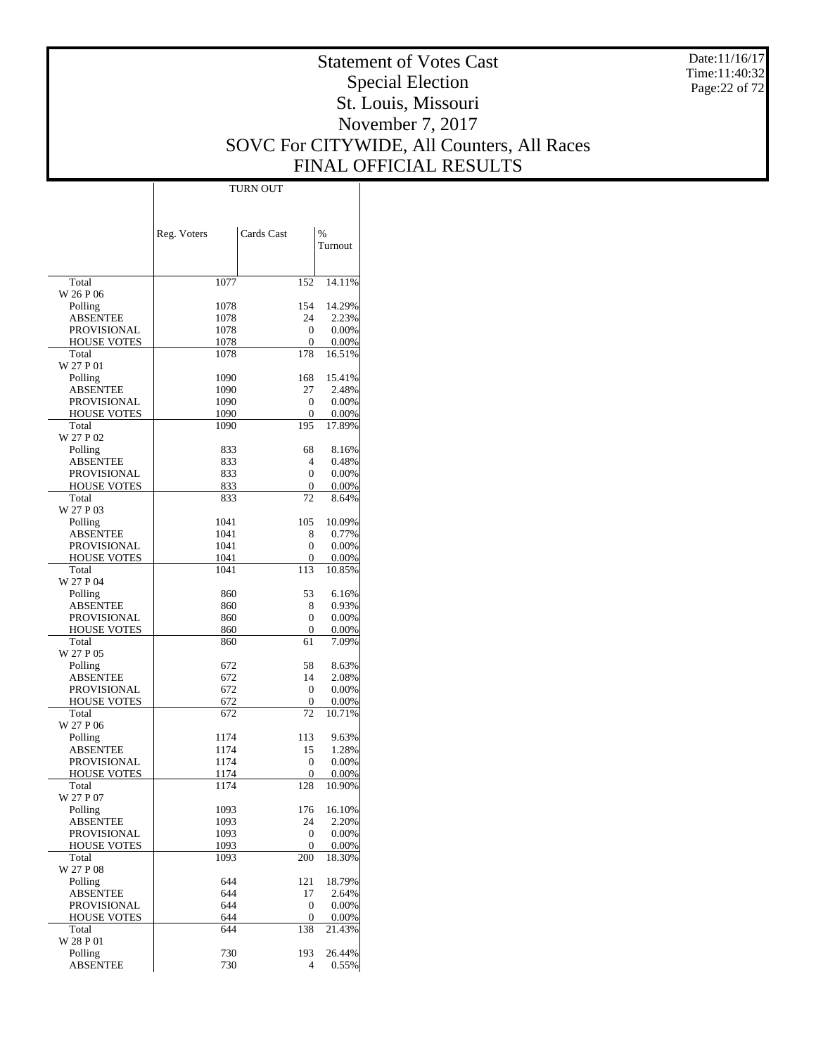Date:11/16/17 Time:11:40:32 Page:22 of 72

# Statement of Votes Cast Special Election St. Louis, Missouri November 7, 2017 SOVC For CITYWIDE, All Counters, All Races FINAL OFFICIAL RESULTS

Τ

|                                   |              | <b>TURN OUT</b>       |                 |
|-----------------------------------|--------------|-----------------------|-----------------|
|                                   |              |                       |                 |
|                                   |              |                       |                 |
|                                   | Reg. Voters  | Cards Cast            | $\frac{0}{0}$   |
|                                   |              |                       | Turnout         |
|                                   |              |                       |                 |
|                                   |              |                       |                 |
| Total                             | 1077         | 152                   | 14.11%          |
| W 26 P 06                         |              |                       |                 |
| Polling                           | 1078         | 154                   | 14.29%          |
| <b>ABSENTEE</b>                   | 1078         | 24                    | 2.23%           |
| <b>PROVISIONAL</b>                | 1078         | 0                     | 0.00%           |
| <b>HOUSE VOTES</b><br>Total       | 1078<br>1078 | 0<br>178              | 0.00%<br>16.51% |
| W 27 P 01                         |              |                       |                 |
| Polling                           | 1090         | 168                   | 15.41%          |
| ABSENTEE                          | 1090         | 27                    | 2.48%           |
| PROVISIONAL                       | 1090         | 0                     | 0.00%           |
| <b>HOUSE VOTES</b>                | 1090         | 0                     | 0.00%           |
| Total                             | 1090         | 195                   | 17.89%          |
| W 27 P 02                         |              |                       |                 |
| Polling                           | 833          | 68                    | 8.16%           |
| ABSENTEE                          | 833<br>833   | $\overline{4}$<br>0   | 0.48%           |
| PROVISIONAL<br><b>HOUSE VOTES</b> | 833          | 0                     | 0.00%<br>0.00%  |
| Total                             | 833          | 72                    | 8.64%           |
| W 27 P 03                         |              |                       |                 |
| Polling                           | 1041         | 105                   | 10.09%          |
| ABSENTEE                          | 1041         | 8                     | 0.77%           |
| PROVISIONAL                       | 1041         | 0                     | 0.00%           |
| <b>HOUSE VOTES</b>                | 1041         | 0                     | 0.00%           |
| Total                             | 1041         | 113                   | 10.85%          |
| W 27 P 04                         |              |                       |                 |
| Polling                           | 860          | 53                    | 6.16%           |
| ABSENTEE                          | 860          | 8<br>0                | 0.93%           |
| PROVISIONAL<br><b>HOUSE VOTES</b> | 860<br>860   | 0                     | 0.00%<br>0.00%  |
| Total                             | 860          | 61                    | 7.09%           |
| W 27 P 05                         |              |                       |                 |
| Polling                           | 672          | 58                    | 8.63%           |
| ABSENTEE                          | 672          | 14                    | 2.08%           |
| PROVISIONAL                       | 672          | 0                     | 0.00%           |
| <b>HOUSE VOTES</b>                | 672          | 0                     | 0.00%           |
| Total                             | 672          | 72                    | 10.71%          |
| W 27 P 06<br>Polling              | 1174         | 113                   | 9.63%           |
| ABSENTEE                          | 1174         | 15                    | 1.28%           |
| <b>PROVISIONAL</b>                | 1174         | 0                     | 0.00%           |
| <b>HOUSE VOTES</b>                | 1174         | $\overline{0}$        | 0.00%           |
| Total                             | 1174         | 128                   | 10.90%          |
| W 27 P 07                         |              |                       |                 |
| Polling                           | 1093         | 176                   | 16.10%          |
| <b>ABSENTEE</b>                   | 1093         | 24                    | 2.20%           |
| <b>PROVISIONAL</b>                | 1093         | $\boldsymbol{0}$      | 0.00%           |
| <b>HOUSE VOTES</b>                | 1093         | 0                     | 0.00%           |
| Total<br>W 27 P 08                | 1093         | 200                   | 18.30%          |
| Polling                           | 644          | 121                   | 18.79%          |
| ABSENTEE                          | 644          | 17                    | 2.64%           |
| PROVISIONAL                       | 644          | $\boldsymbol{0}$      | 0.00%           |
| <b>HOUSE VOTES</b>                | 644          | 0                     | 0.00%           |
| Total                             | 644          | 138                   | 21.43%          |
| W 28 P 01                         |              |                       |                 |
| Polling<br><b>ABSENTEE</b>        | 730<br>730   | 193<br>$\overline{4}$ | 26.44%<br>0.55% |
|                                   |              |                       |                 |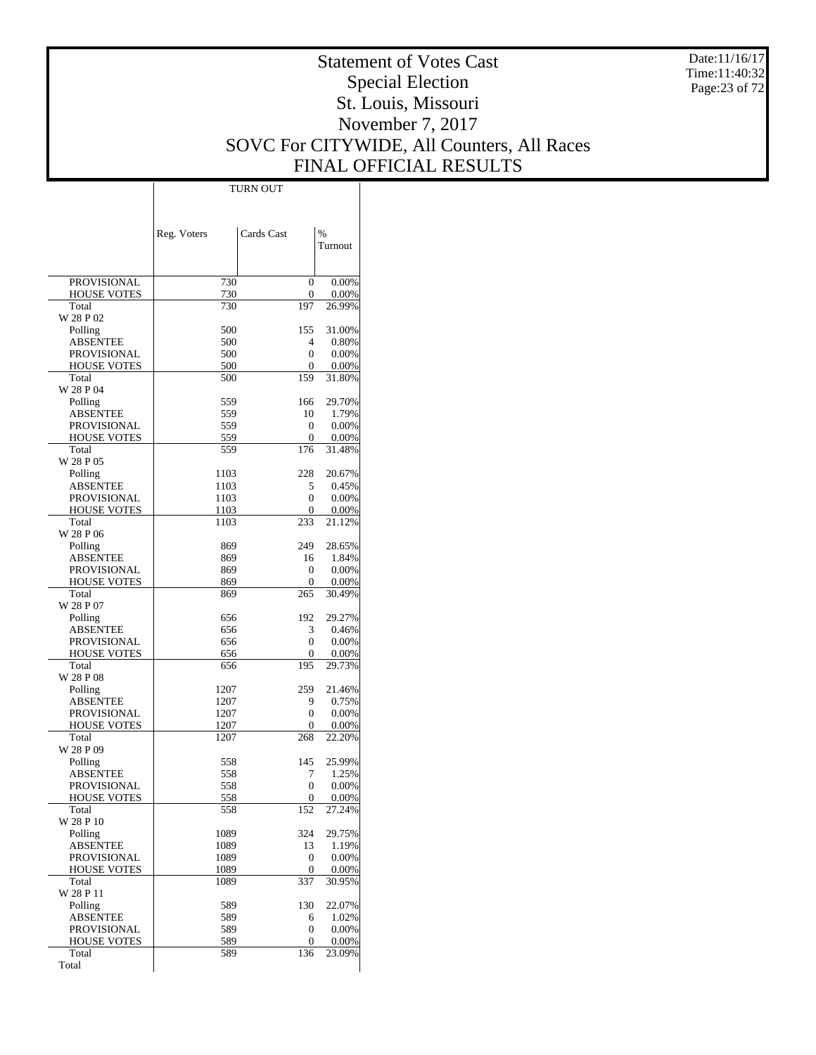Date:11/16/17 Time:11:40:32 Page:23 of 72

# Statement of Votes Cast Special Election St. Louis, Missouri November 7, 2017 SOVC For CITYWIDE, All Counters, All Races FINAL OFFICIAL RESULTS

 $\overline{\phantom{a}}$ 

|                                       | Reg. Voters  | Cards Cast     | %                 |
|---------------------------------------|--------------|----------------|-------------------|
|                                       |              |                | Turnout           |
|                                       |              |                |                   |
| PROVISIONAL                           | 730          | 0              | 0.00%             |
| <b>HOUSE VOTES</b>                    | 730          | 0              | 0.00%             |
| Total                                 | 730          | 197            | 26.99%            |
| W 28 P 02                             | 500          | 155            | 31.00%            |
| Polling<br><b>ABSENTEE</b>            | 500          | 4              | 0.80%             |
| <b>PROVISIONAL</b>                    | 500          | $\theta$       | 0.00%             |
| <b>HOUSE VOTES</b>                    | 500          | 0              | 0.00%             |
| Total                                 | 500          | 159            | 31.80%            |
| W 28 P 04                             |              |                |                   |
| Polling                               | 559          | 166            | 29.70%            |
| ABSENTEE<br>PROVISIONAL               | 559<br>559   | 10<br>0        | 1.79%<br>0.00%    |
| <b>HOUSE VOTES</b>                    | 559          | 0              | 0.00%             |
| Total                                 | 559          | 176            | 31.48%            |
| W 28 P 05                             |              |                |                   |
| Polling                               | 1103         | 228            | 20.67%            |
| ABSENTEE                              | 1103         | 5              | 0.45%             |
| <b>PROVISIONAL</b>                    | 1103         | $\theta$       | 0.00%             |
| <b>HOUSE VOTES</b><br>Total           | 1103         | 0<br>233       | 0.00%<br>21.12%   |
| W 28 P 06                             | 1103         |                |                   |
| Polling                               | 869          | 249            | 28.65%            |
| <b>ABSENTEE</b>                       | 869          | 16             | 1.84%             |
| PROVISIONAL                           | 869          | 0              | 0.00%             |
| <b>HOUSE VOTES</b>                    | 869          | 0              | 0.00%             |
| Total                                 | 869          | 265            | 30.49%            |
| W 28 P 07                             |              |                |                   |
| Polling<br>ABSENTEE                   | 656<br>656   | 192<br>3       | 29.27%<br>0.46%   |
| PROVISIONAL                           | 656          | 0              | 0.00%             |
| <b>HOUSE VOTES</b>                    | 656          | 0              | 0.00%             |
| Total                                 | 656          | 195            | 29.73%            |
| W 28 P 08                             |              |                |                   |
| Polling                               | 1207         | 259            | 21.46%            |
| ABSENTEE                              | 1207         | 9              | 0.75%             |
| PROVISIONAL<br><b>HOUSE VOTES</b>     | 1207<br>1207 | 0<br>0         | 0.00%<br>0.00%    |
| Total                                 | 1207         | 268            | 22.20%            |
| W 28 P 09                             |              |                |                   |
| Polling                               | 558          | 145            | 25.99%            |
| ABSENTEE                              | 558          | 7              | 1.25%             |
| PROVISIONAL                           | 558          | 0              | 0.00%             |
| <b>HOUSE VOTES</b>                    | 558          | $\overline{0}$ | 0.00%             |
| Total<br>W 28 P 10                    | 558          | 152            | 27.24%            |
| Polling                               | 1089         | 324            | 29.75%            |
| <b>ABSENTEE</b>                       | 1089         | 13             | 1.19%             |
| PROVISIONAL                           | 1089         | 0              | 0.00%             |
| <b>HOUSE VOTES</b>                    | 1089         | 0              | 0.00%             |
| Total                                 | 1089         | 337            | 30.95%            |
| W 28 P 11                             |              |                |                   |
| Polling                               | 589          | 130            | 22.07%            |
| <b>ABSENTEE</b><br><b>PROVISIONAL</b> | 589<br>589   | 6<br>0         | 1.02%<br>$0.00\%$ |
| <b>HOUSE VOTES</b>                    | 589          | 0              | 0.00%             |
| Total                                 | 589          | 136            | 23.09%            |
| Total                                 |              |                |                   |

TURN OUT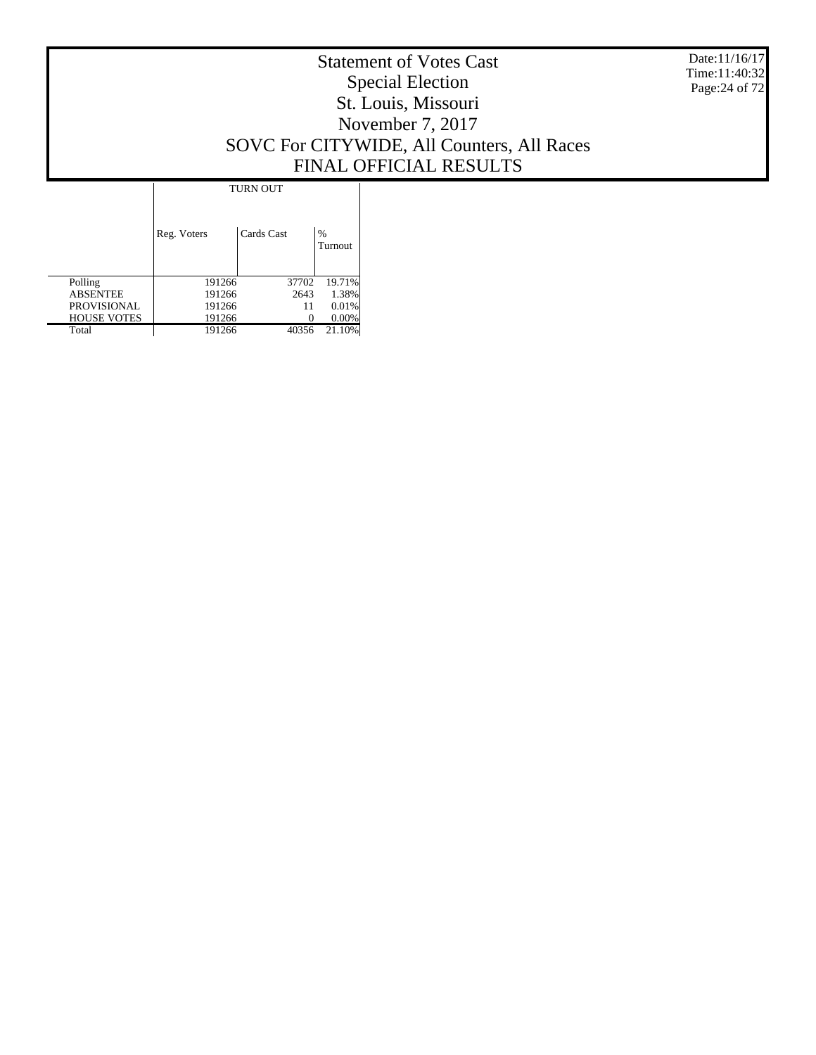Date:11/16/17 Time:11:40:32 Page:24 of 72

# Statement of Votes Cast Special Election St. Louis, Missouri November 7, 2017 SOVC For CITYWIDE, All Counters, All Races FINAL OFFICIAL RESULTS

|                    | <b>TURN OUT</b> |            |              |
|--------------------|-----------------|------------|--------------|
|                    | Reg. Voters     | Cards Cast | %<br>Turnout |
| Polling            | 191266          | 37702      | 19.71%       |
| <b>ABSENTEE</b>    | 191266          | 2643       | 1.38%        |
| <b>PROVISIONAL</b> | 191266          | 11         | 0.01%        |
| <b>HOUSE VOTES</b> | 191266          |            | 0.00%        |
| Total              | 191266          | 40356      | 21.10%       |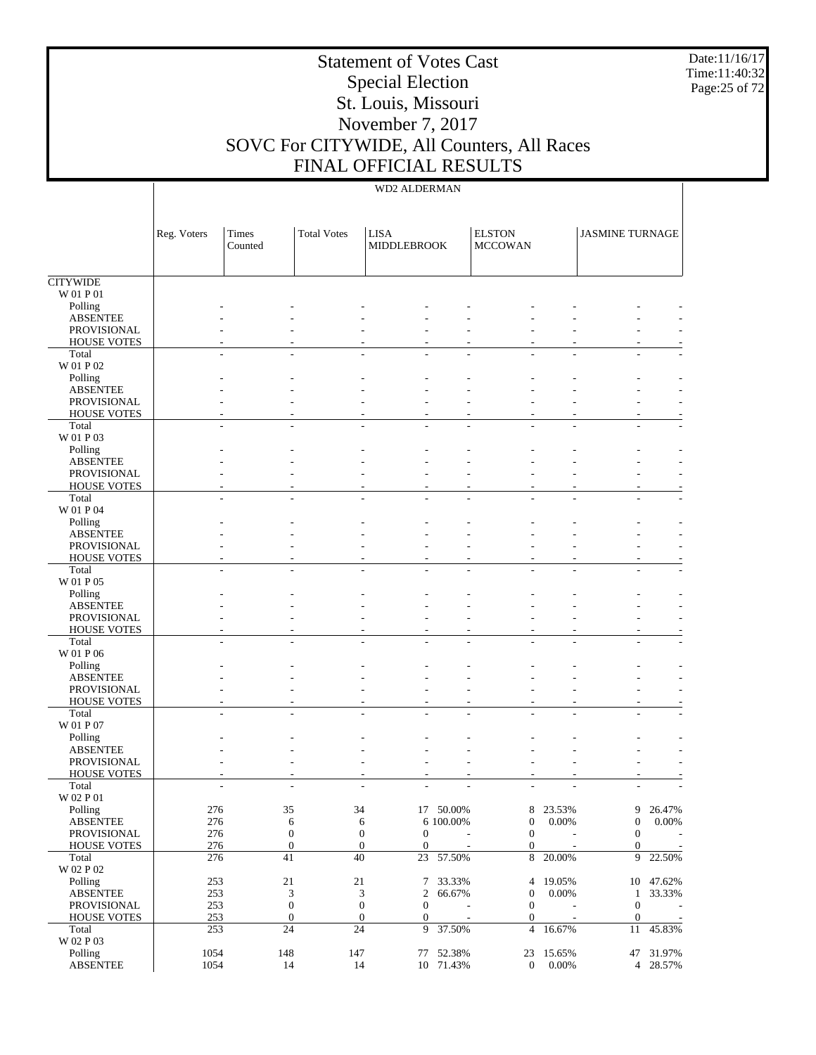Date:11/16/17 Time:11:40:32 Page:25 of 72

# Statement of Votes Cast Special Election St. Louis, Missouri November 7, 2017 SOVC For CITYWIDE, All Counters, All Races FINAL OFFICIAL RESULTS

|                                       | Reg. Voters | Times   | <b>Total Votes</b> | <b>LISA</b>                          |                          | <b>ELSTON</b>                      |           | <b>JASMINE TURNAGE</b> |                     |
|---------------------------------------|-------------|---------|--------------------|--------------------------------------|--------------------------|------------------------------------|-----------|------------------------|---------------------|
|                                       |             | Counted |                    | <b>MIDDLEBROOK</b>                   |                          | <b>MCCOWAN</b>                     |           |                        |                     |
|                                       |             |         |                    |                                      |                          |                                    |           |                        |                     |
| <b>CITYWIDE</b>                       |             |         |                    |                                      |                          |                                    |           |                        |                     |
| W 01 P 01                             |             |         |                    |                                      |                          |                                    |           |                        |                     |
| Polling                               |             |         |                    |                                      |                          |                                    |           |                        |                     |
| <b>ABSENTEE</b><br>PROVISIONAL        |             |         |                    |                                      |                          |                                    |           |                        |                     |
| <b>HOUSE VOTES</b>                    |             |         |                    |                                      |                          |                                    |           |                        |                     |
| Total                                 |             |         |                    |                                      |                          |                                    |           |                        |                     |
| W 01 P 02                             |             |         |                    |                                      |                          |                                    |           |                        |                     |
| Polling                               |             |         |                    |                                      |                          |                                    |           |                        |                     |
| <b>ABSENTEE</b>                       |             |         |                    |                                      |                          |                                    |           |                        |                     |
| <b>PROVISIONAL</b>                    |             |         |                    |                                      |                          |                                    |           |                        |                     |
| <b>HOUSE VOTES</b><br>Total           |             |         |                    |                                      |                          |                                    |           |                        |                     |
| W 01 P 03                             |             |         |                    |                                      |                          |                                    |           |                        |                     |
| Polling                               |             |         |                    |                                      |                          |                                    |           |                        |                     |
| <b>ABSENTEE</b>                       |             |         |                    |                                      |                          |                                    |           |                        |                     |
| PROVISIONAL                           |             |         |                    |                                      |                          |                                    |           |                        |                     |
| <b>HOUSE VOTES</b>                    |             |         |                    |                                      |                          |                                    |           |                        |                     |
| Total                                 |             |         |                    |                                      |                          |                                    |           |                        |                     |
| W 01 P 04                             |             |         |                    |                                      |                          |                                    |           |                        |                     |
| Polling                               |             |         |                    |                                      |                          |                                    |           |                        |                     |
| <b>ABSENTEE</b><br><b>PROVISIONAL</b> |             |         |                    |                                      |                          |                                    |           |                        |                     |
| <b>HOUSE VOTES</b>                    |             |         |                    |                                      |                          |                                    |           |                        |                     |
| Total                                 |             |         |                    |                                      |                          |                                    |           |                        |                     |
| W 01 P 05                             |             |         |                    |                                      |                          |                                    |           |                        |                     |
| Polling                               |             |         |                    |                                      |                          |                                    |           |                        |                     |
| <b>ABSENTEE</b>                       |             |         |                    |                                      |                          |                                    |           |                        |                     |
| PROVISIONAL                           |             |         |                    |                                      |                          |                                    |           |                        |                     |
| <b>HOUSE VOTES</b>                    |             |         |                    |                                      |                          |                                    |           |                        |                     |
| Total<br>W 01 P 06                    |             |         |                    |                                      |                          |                                    |           |                        |                     |
| Polling                               |             |         |                    |                                      |                          |                                    |           |                        |                     |
| <b>ABSENTEE</b>                       |             |         |                    |                                      |                          |                                    |           |                        |                     |
| <b>PROVISIONAL</b>                    |             |         |                    |                                      |                          |                                    |           |                        |                     |
| <b>HOUSE VOTES</b>                    |             |         |                    |                                      |                          |                                    |           |                        |                     |
| Total                                 |             |         |                    |                                      |                          |                                    |           |                        |                     |
| W 01 P 07                             |             |         |                    |                                      |                          |                                    |           |                        |                     |
| Polling                               |             |         |                    |                                      |                          |                                    |           |                        |                     |
| <b>ABSENTEE</b><br>PROVISIONAL        |             |         |                    |                                      |                          |                                    |           |                        |                     |
| <b>HOUSE VOTES</b>                    |             |         |                    |                                      |                          |                                    |           |                        |                     |
| Total                                 |             |         |                    |                                      |                          |                                    |           |                        |                     |
| W 02 P 01                             |             |         |                    |                                      |                          |                                    |           |                        |                     |
| Polling                               | 276         |         | 35                 | 34                                   | 17 50.00%                | 8                                  | 23.53%    | 9                      | 26.47%              |
| <b>ABSENTEE</b>                       | 276         |         | 6                  | 6                                    | 6 100.00%                | $\boldsymbol{0}$                   | 0.00%     | $\boldsymbol{0}$       | 0.00%               |
| PROVISIONAL                           | 276         |         | $\boldsymbol{0}$   | $\boldsymbol{0}$<br>$\boldsymbol{0}$ |                          | $\mathbf{0}$                       |           | $\mathbf{0}$           |                     |
| <b>HOUSE VOTES</b>                    | 276         |         | $\boldsymbol{0}$   | $\mathbf{0}$<br>$\mathbf{0}$         | $\overline{\phantom{a}}$ | $\mathbf{0}$                       | $\sim$    | $\mathbf{0}$           | $\sim$              |
| Total                                 | 276         |         | 41                 | $40\,$<br>23                         | 57.50%                   | $\,8\,$                            | 20.00%    | 9                      | 22.50%              |
| W 02 P 02                             | 253         |         | $21\,$<br>21       | $\tau$                               |                          |                                    | 19.05%    |                        |                     |
| Polling<br><b>ABSENTEE</b>            | 253         |         | 3                  | 3<br>2                               | 33.33%<br>66.67%         | $\overline{4}$<br>$\boldsymbol{0}$ | 0.00%     | $\mathbf{1}$           | 10 47.62%<br>33.33% |
| PROVISIONAL                           | 253         |         | $\boldsymbol{0}$   | $\boldsymbol{0}$<br>$\boldsymbol{0}$ |                          | $\mathbf{0}$                       | ÷         | $\boldsymbol{0}$       | $\sim$              |
| <b>HOUSE VOTES</b>                    | 253         |         | $\boldsymbol{0}$   | $\mathbf{0}$<br>$\mathbf{0}$         | $\sim$                   | $\mathbf{0}$                       | $\sim$    | $\boldsymbol{0}$       | $\sim$              |
| Total                                 | 253         |         | 24                 | 24<br>9                              | 37.50%                   | $\overline{4}$                     | 16.67%    | 11                     | 45.83%              |
| $\rm W$ 02 P 03                       |             |         |                    |                                      |                          |                                    |           |                        |                     |
| Polling                               | 1054        | 148     | 147                |                                      | 77 52.38%                |                                    | 23 15.65% |                        | 47 31.97%           |
| <b>ABSENTEE</b>                       | 1054        |         | 14                 | 14                                   | 10 71.43%                | $\overline{0}$                     | $0.00\%$  |                        | 4 28.57%            |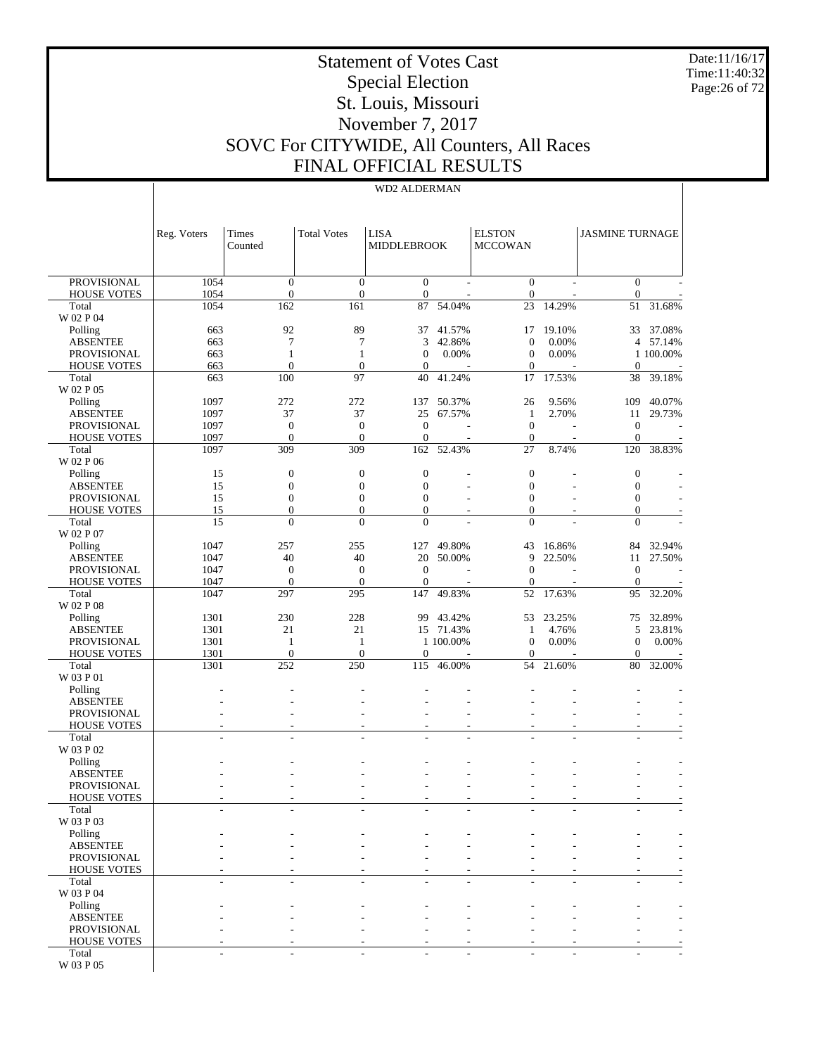Date:11/16/17 Time:11:40:32 Page:26 of 72

# Statement of Votes Cast Special Election St. Louis, Missouri November 7, 2017 SOVC For CITYWIDE, All Counters, All Races FINAL OFFICIAL RESULTS

|                                          | Reg. Voters              | Times<br>Counted                     | <b>Total Votes</b>             | <b>LISA</b><br><b>MIDDLEBROOK</b> |           | <b>ELSTON</b><br><b>MCCOWAN</b> |        | <b>JASMINE TURNAGE</b>           |                          |
|------------------------------------------|--------------------------|--------------------------------------|--------------------------------|-----------------------------------|-----------|---------------------------------|--------|----------------------------------|--------------------------|
| <b>PROVISIONAL</b>                       | 1054                     | $\boldsymbol{0}$                     | $\mathbf{0}$                   | $\mathbf{0}$                      |           | $\boldsymbol{0}$                |        | $\mathbf{0}$                     |                          |
| <b>HOUSE VOTES</b>                       | 1054                     | $\boldsymbol{0}$                     | $\mathbf{0}$                   | $\boldsymbol{0}$                  |           | $\mathbf{0}$                    |        | $\boldsymbol{0}$                 |                          |
| Total<br>W 02 P 04                       | 1054                     | 162                                  | 161                            | 87                                | 54.04%    | 23                              | 14.29% | 51                               | 31.68%                   |
| Polling                                  | 663                      | 92                                   | 89                             | 37                                | 41.57%    | 17                              | 19.10% | 33                               | 37.08%                   |
| <b>ABSENTEE</b>                          | 663                      | $\tau$                               | 7                              | 3                                 | 42.86%    | $\mathbf{0}$                    | 0.00%  | 4                                | 57.14%                   |
| PROVISIONAL                              | 663                      | $\mathbf{1}$                         | $\mathbf{1}$                   | $\boldsymbol{0}$                  | 0.00%     | $\mathbf{0}$                    | 0.00%  |                                  | 1 100.00%                |
| <b>HOUSE VOTES</b>                       | 663                      | $\mathbf{0}$                         | $\mathbf{0}$                   | $\mathbf{0}$                      |           | $\theta$                        |        | $\boldsymbol{0}$                 |                          |
| Total<br>W 02 P 05                       | 663                      | 100                                  | 97                             | 40                                | 41.24%    | 17                              | 17.53% | 38                               | 39.18%                   |
| Polling                                  | 1097                     | 272                                  | 272                            | 137                               | 50.37%    | 26                              | 9.56%  | 109                              | 40.07%                   |
| <b>ABSENTEE</b>                          | 1097                     | 37                                   | 37                             | 25                                | 67.57%    | $\mathbf{1}$                    | 2.70%  | 11                               | 29.73%                   |
| <b>PROVISIONAL</b>                       | 1097                     | $\boldsymbol{0}$                     | $\boldsymbol{0}$               | $\mathbf{0}$                      |           | $\mathbf{0}$                    |        | $\boldsymbol{0}$                 |                          |
| <b>HOUSE VOTES</b>                       | 1097                     | $\mathbf{0}$                         | $\Omega$                       | $\boldsymbol{0}$                  |           | $\mathbf{0}$                    |        | $\boldsymbol{0}$                 | $\overline{\phantom{a}}$ |
| Total<br>W 02 P 06                       | 1097                     | 309                                  | 309                            | 162                               | 52.43%    | 27                              | 8.74%  | 120                              | 38.83%                   |
| Polling                                  | 15                       | $\boldsymbol{0}$                     | $\boldsymbol{0}$               | $\boldsymbol{0}$                  |           | $\mathbf{0}$                    |        | $\boldsymbol{0}$                 |                          |
| <b>ABSENTEE</b>                          | 15                       | $\boldsymbol{0}$                     | $\boldsymbol{0}$               | $\boldsymbol{0}$                  |           | $\mathbf{0}$                    |        | $\boldsymbol{0}$                 |                          |
| <b>PROVISIONAL</b>                       | 15                       | $\boldsymbol{0}$                     | $\boldsymbol{0}$               | $\boldsymbol{0}$                  |           | $\theta$                        |        | $\boldsymbol{0}$                 |                          |
| <b>HOUSE VOTES</b><br>Total              | 15<br>15                 | $\boldsymbol{0}$<br>$\boldsymbol{0}$ | $\mathbf{0}$<br>$\overline{0}$ | $\mathbf{0}$<br>$\boldsymbol{0}$  |           | $\mathbf{0}$<br>$\overline{0}$  |        | $\boldsymbol{0}$<br>$\mathbf{0}$ |                          |
| W 02 P 07                                |                          |                                      |                                |                                   |           |                                 |        |                                  |                          |
| Polling                                  | 1047                     | 257                                  | 255                            | 127                               | 49.80%    | 43                              | 16.86% | 84                               | 32.94%                   |
| <b>ABSENTEE</b>                          | 1047                     | 40                                   | 40                             | 20                                | 50.00%    | 9                               | 22.50% | 11                               | 27.50%                   |
| <b>PROVISIONAL</b>                       | 1047                     | $\mathbf{0}$                         | $\boldsymbol{0}$               | $\boldsymbol{0}$                  |           | $\mathbf{0}$                    |        | $\boldsymbol{0}$                 |                          |
| <b>HOUSE VOTES</b>                       | 1047                     | $\boldsymbol{0}$                     | $\mathbf{0}$                   | $\boldsymbol{0}$                  |           | $\theta$                        |        | $\boldsymbol{0}$                 |                          |
| Total<br>W 02 P 08                       | 1047                     | 297                                  | 295                            | 147                               | 49.83%    | 52                              | 17.63% | 95                               | 32.20%                   |
| Polling                                  | 1301                     | 230                                  | 228                            | 99                                | 43.42%    | 53                              | 23.25% | 75                               | 32.89%                   |
| <b>ABSENTEE</b>                          | 1301                     | 21                                   | 21                             | 15                                | 71.43%    | -1                              | 4.76%  | 5                                | 23.81%                   |
| <b>PROVISIONAL</b>                       | 1301                     | 1                                    | $\mathbf{1}$                   |                                   | 1 100.00% | $\mathbf{0}$                    | 0.00%  | $\boldsymbol{0}$                 | 0.00%                    |
| <b>HOUSE VOTES</b><br>Total              | 1301<br>1301             | $\mathbf{0}$<br>252                  | $\mathbf{0}$<br>250            | $\boldsymbol{0}$<br>115           | 46.00%    | $\theta$<br>54                  | 21.60% | $\boldsymbol{0}$<br>80           | 32.00%                   |
| W 03 P 01                                |                          |                                      |                                |                                   |           |                                 |        |                                  |                          |
| Polling                                  |                          |                                      |                                |                                   |           |                                 |        |                                  |                          |
| <b>ABSENTEE</b><br><b>PROVISIONAL</b>    |                          |                                      |                                |                                   |           |                                 |        |                                  |                          |
| <b>HOUSE VOTES</b>                       |                          |                                      |                                |                                   |           |                                 |        |                                  |                          |
| Total                                    |                          |                                      |                                |                                   |           |                                 |        |                                  |                          |
| W 03 P 02                                |                          |                                      |                                |                                   |           |                                 |        |                                  |                          |
| Polling                                  |                          |                                      |                                |                                   |           |                                 |        |                                  |                          |
| <b>ABSENTEE</b>                          |                          |                                      |                                |                                   |           |                                 |        |                                  |                          |
| <b>PROVISIONAL</b><br><b>HOUSE VOTES</b> |                          |                                      |                                |                                   |           |                                 |        |                                  |                          |
| Total                                    | $\overline{\phantom{a}}$ | $\overline{\phantom{a}}$             | $\overline{\phantom{a}}$       | ٠                                 | ٠         |                                 |        |                                  |                          |
| W 03 P 03                                |                          |                                      |                                |                                   |           |                                 |        |                                  |                          |
| Polling                                  |                          |                                      |                                |                                   |           |                                 |        |                                  |                          |
| <b>ABSENTEE</b>                          |                          |                                      |                                |                                   |           |                                 |        |                                  |                          |
| PROVISIONAL                              |                          |                                      |                                |                                   |           |                                 |        |                                  |                          |
| <b>HOUSE VOTES</b><br>Total              | ä,                       | ٠                                    | ٠                              | ٠                                 | ۰         |                                 |        |                                  |                          |
| W 03 P 04                                |                          |                                      |                                |                                   |           |                                 |        |                                  |                          |
| Polling                                  |                          |                                      |                                |                                   |           |                                 |        |                                  |                          |
| <b>ABSENTEE</b>                          |                          |                                      |                                |                                   |           |                                 |        |                                  |                          |
| <b>PROVISIONAL</b>                       |                          |                                      |                                |                                   |           |                                 |        |                                  |                          |
| <b>HOUSE VOTES</b><br>Total              | L,                       | ٠                                    |                                | ٠                                 |           |                                 |        |                                  |                          |
| W 03 P 05                                |                          |                                      |                                |                                   |           |                                 |        |                                  |                          |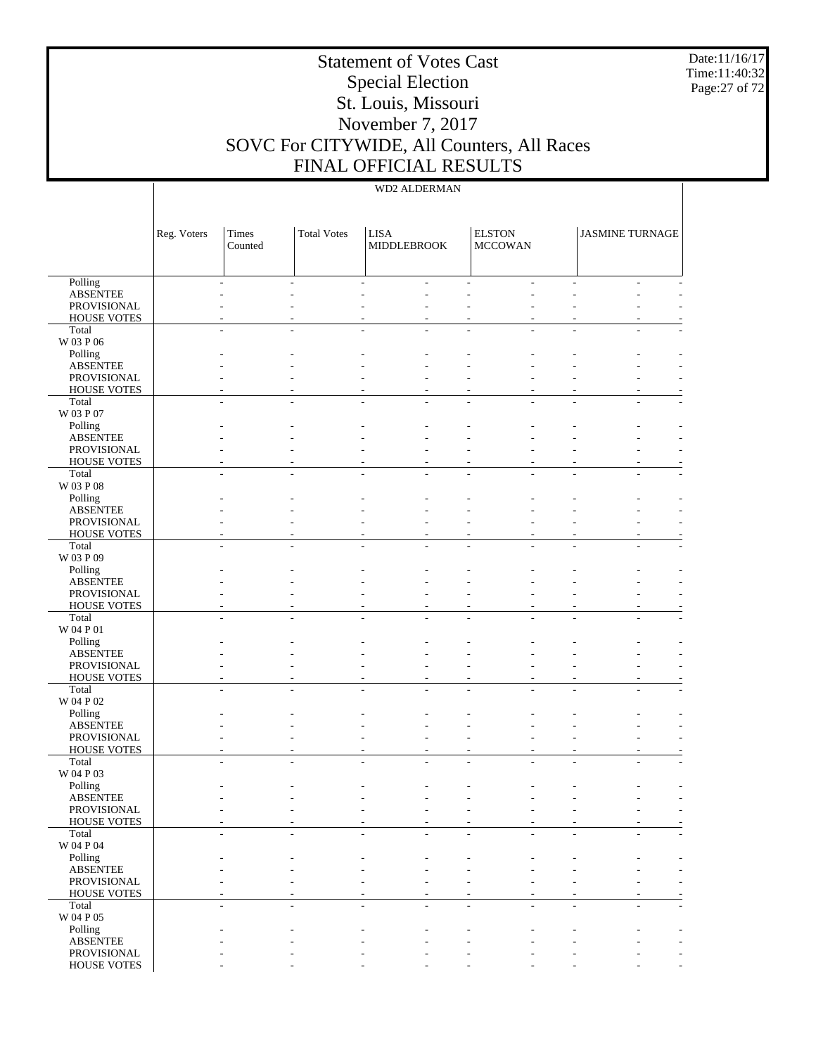Date:11/16/17 Time:11:40:32 Page:27 of 72

# Statement of Votes Cast Special Election St. Louis, Missouri November 7, 2017 SOVC For CITYWIDE, All Counters, All Races FINAL OFFICIAL RESULTS

| Polling<br><b>ABSENTEE</b><br>PROVISIONAL<br><b>HOUSE VOTES</b><br>Total<br>W 03 P 06<br>Polling<br><b>ABSENTEE</b><br>PROVISIONAL<br><b>HOUSE VOTES</b><br>Total<br>W 03 P 07<br>Polling<br><b>ABSENTEE</b><br>PROVISIONAL<br><b>HOUSE VOTES</b><br>Total<br>W 03 P 08<br>Polling<br><b>ABSENTEE</b><br>PROVISIONAL<br><b>HOUSE VOTES</b><br>Total<br>W 03 P 09<br>Polling<br><b>ABSENTEE</b><br>PROVISIONAL<br><b>HOUSE VOTES</b><br>Total<br>W 04 P 01<br>Polling<br><b>ABSENTEE</b><br>PROVISIONAL<br><b>HOUSE VOTES</b><br>Total<br>W 04 P 02<br>Polling<br><b>ABSENTEE</b><br>PROVISIONAL<br><b>HOUSE VOTES</b><br>Total<br>W 04 P 03<br>Polling<br><b>ABSENTEE</b><br>PROVISIONAL<br>HOUSE VOTES<br>Total<br>W 04 P 04<br>Polling<br><b>ABSENTEE</b><br>PROVISIONAL<br><b>HOUSE VOTES</b><br>Total<br>W 04 P 05<br>Polling<br><b>ABSENTEE</b><br>PROVISIONAL |             | Reg. Voters | Times<br>Counted | <b>Total Votes</b> | <b>LISA</b><br>MIDDLEBROOK | <b>ELSTON</b><br><b>MCCOWAN</b> | <b>JASMINE TURNAGE</b> |
|---------------------------------------------------------------------------------------------------------------------------------------------------------------------------------------------------------------------------------------------------------------------------------------------------------------------------------------------------------------------------------------------------------------------------------------------------------------------------------------------------------------------------------------------------------------------------------------------------------------------------------------------------------------------------------------------------------------------------------------------------------------------------------------------------------------------------------------------------------------------|-------------|-------------|------------------|--------------------|----------------------------|---------------------------------|------------------------|
|                                                                                                                                                                                                                                                                                                                                                                                                                                                                                                                                                                                                                                                                                                                                                                                                                                                                     |             |             |                  |                    |                            |                                 |                        |
|                                                                                                                                                                                                                                                                                                                                                                                                                                                                                                                                                                                                                                                                                                                                                                                                                                                                     |             |             |                  |                    |                            |                                 |                        |
|                                                                                                                                                                                                                                                                                                                                                                                                                                                                                                                                                                                                                                                                                                                                                                                                                                                                     |             |             |                  |                    |                            |                                 |                        |
|                                                                                                                                                                                                                                                                                                                                                                                                                                                                                                                                                                                                                                                                                                                                                                                                                                                                     |             |             |                  |                    |                            |                                 |                        |
|                                                                                                                                                                                                                                                                                                                                                                                                                                                                                                                                                                                                                                                                                                                                                                                                                                                                     |             |             |                  |                    |                            |                                 |                        |
|                                                                                                                                                                                                                                                                                                                                                                                                                                                                                                                                                                                                                                                                                                                                                                                                                                                                     |             |             |                  |                    |                            |                                 |                        |
|                                                                                                                                                                                                                                                                                                                                                                                                                                                                                                                                                                                                                                                                                                                                                                                                                                                                     |             |             |                  |                    |                            |                                 |                        |
|                                                                                                                                                                                                                                                                                                                                                                                                                                                                                                                                                                                                                                                                                                                                                                                                                                                                     |             |             |                  |                    |                            |                                 |                        |
|                                                                                                                                                                                                                                                                                                                                                                                                                                                                                                                                                                                                                                                                                                                                                                                                                                                                     |             |             |                  |                    |                            |                                 |                        |
|                                                                                                                                                                                                                                                                                                                                                                                                                                                                                                                                                                                                                                                                                                                                                                                                                                                                     |             |             |                  |                    |                            |                                 |                        |
|                                                                                                                                                                                                                                                                                                                                                                                                                                                                                                                                                                                                                                                                                                                                                                                                                                                                     |             |             |                  |                    |                            |                                 |                        |
|                                                                                                                                                                                                                                                                                                                                                                                                                                                                                                                                                                                                                                                                                                                                                                                                                                                                     |             |             |                  |                    |                            |                                 |                        |
|                                                                                                                                                                                                                                                                                                                                                                                                                                                                                                                                                                                                                                                                                                                                                                                                                                                                     |             |             |                  |                    |                            |                                 |                        |
|                                                                                                                                                                                                                                                                                                                                                                                                                                                                                                                                                                                                                                                                                                                                                                                                                                                                     |             |             |                  |                    |                            |                                 |                        |
|                                                                                                                                                                                                                                                                                                                                                                                                                                                                                                                                                                                                                                                                                                                                                                                                                                                                     |             |             |                  |                    |                            |                                 |                        |
|                                                                                                                                                                                                                                                                                                                                                                                                                                                                                                                                                                                                                                                                                                                                                                                                                                                                     |             |             |                  |                    |                            |                                 |                        |
|                                                                                                                                                                                                                                                                                                                                                                                                                                                                                                                                                                                                                                                                                                                                                                                                                                                                     |             |             |                  |                    |                            |                                 |                        |
|                                                                                                                                                                                                                                                                                                                                                                                                                                                                                                                                                                                                                                                                                                                                                                                                                                                                     |             |             |                  |                    |                            |                                 |                        |
|                                                                                                                                                                                                                                                                                                                                                                                                                                                                                                                                                                                                                                                                                                                                                                                                                                                                     |             |             |                  |                    |                            |                                 |                        |
|                                                                                                                                                                                                                                                                                                                                                                                                                                                                                                                                                                                                                                                                                                                                                                                                                                                                     |             |             |                  |                    |                            |                                 |                        |
|                                                                                                                                                                                                                                                                                                                                                                                                                                                                                                                                                                                                                                                                                                                                                                                                                                                                     |             |             |                  |                    |                            |                                 |                        |
|                                                                                                                                                                                                                                                                                                                                                                                                                                                                                                                                                                                                                                                                                                                                                                                                                                                                     |             |             |                  |                    |                            |                                 |                        |
|                                                                                                                                                                                                                                                                                                                                                                                                                                                                                                                                                                                                                                                                                                                                                                                                                                                                     |             |             |                  |                    |                            |                                 |                        |
|                                                                                                                                                                                                                                                                                                                                                                                                                                                                                                                                                                                                                                                                                                                                                                                                                                                                     |             |             |                  |                    |                            |                                 |                        |
|                                                                                                                                                                                                                                                                                                                                                                                                                                                                                                                                                                                                                                                                                                                                                                                                                                                                     |             |             |                  |                    |                            |                                 |                        |
|                                                                                                                                                                                                                                                                                                                                                                                                                                                                                                                                                                                                                                                                                                                                                                                                                                                                     |             |             |                  |                    |                            |                                 |                        |
|                                                                                                                                                                                                                                                                                                                                                                                                                                                                                                                                                                                                                                                                                                                                                                                                                                                                     |             |             |                  |                    |                            |                                 |                        |
|                                                                                                                                                                                                                                                                                                                                                                                                                                                                                                                                                                                                                                                                                                                                                                                                                                                                     |             |             |                  |                    |                            |                                 |                        |
|                                                                                                                                                                                                                                                                                                                                                                                                                                                                                                                                                                                                                                                                                                                                                                                                                                                                     |             |             |                  |                    |                            |                                 |                        |
|                                                                                                                                                                                                                                                                                                                                                                                                                                                                                                                                                                                                                                                                                                                                                                                                                                                                     |             |             |                  |                    |                            |                                 |                        |
|                                                                                                                                                                                                                                                                                                                                                                                                                                                                                                                                                                                                                                                                                                                                                                                                                                                                     |             |             |                  |                    |                            |                                 |                        |
|                                                                                                                                                                                                                                                                                                                                                                                                                                                                                                                                                                                                                                                                                                                                                                                                                                                                     |             |             |                  |                    |                            |                                 |                        |
|                                                                                                                                                                                                                                                                                                                                                                                                                                                                                                                                                                                                                                                                                                                                                                                                                                                                     |             |             |                  |                    |                            |                                 |                        |
|                                                                                                                                                                                                                                                                                                                                                                                                                                                                                                                                                                                                                                                                                                                                                                                                                                                                     |             |             |                  |                    |                            |                                 |                        |
|                                                                                                                                                                                                                                                                                                                                                                                                                                                                                                                                                                                                                                                                                                                                                                                                                                                                     |             |             |                  |                    |                            |                                 |                        |
|                                                                                                                                                                                                                                                                                                                                                                                                                                                                                                                                                                                                                                                                                                                                                                                                                                                                     |             |             |                  |                    |                            |                                 |                        |
|                                                                                                                                                                                                                                                                                                                                                                                                                                                                                                                                                                                                                                                                                                                                                                                                                                                                     |             |             |                  |                    |                            |                                 |                        |
|                                                                                                                                                                                                                                                                                                                                                                                                                                                                                                                                                                                                                                                                                                                                                                                                                                                                     |             |             |                  |                    |                            |                                 |                        |
|                                                                                                                                                                                                                                                                                                                                                                                                                                                                                                                                                                                                                                                                                                                                                                                                                                                                     |             |             |                  |                    |                            |                                 |                        |
|                                                                                                                                                                                                                                                                                                                                                                                                                                                                                                                                                                                                                                                                                                                                                                                                                                                                     |             |             |                  |                    |                            |                                 |                        |
|                                                                                                                                                                                                                                                                                                                                                                                                                                                                                                                                                                                                                                                                                                                                                                                                                                                                     |             |             |                  |                    |                            |                                 |                        |
|                                                                                                                                                                                                                                                                                                                                                                                                                                                                                                                                                                                                                                                                                                                                                                                                                                                                     |             |             |                  |                    |                            |                                 |                        |
|                                                                                                                                                                                                                                                                                                                                                                                                                                                                                                                                                                                                                                                                                                                                                                                                                                                                     |             |             |                  |                    |                            |                                 |                        |
|                                                                                                                                                                                                                                                                                                                                                                                                                                                                                                                                                                                                                                                                                                                                                                                                                                                                     |             |             |                  |                    |                            |                                 |                        |
|                                                                                                                                                                                                                                                                                                                                                                                                                                                                                                                                                                                                                                                                                                                                                                                                                                                                     |             |             |                  |                    |                            |                                 |                        |
|                                                                                                                                                                                                                                                                                                                                                                                                                                                                                                                                                                                                                                                                                                                                                                                                                                                                     |             |             |                  |                    |                            |                                 |                        |
|                                                                                                                                                                                                                                                                                                                                                                                                                                                                                                                                                                                                                                                                                                                                                                                                                                                                     |             |             |                  |                    |                            |                                 |                        |
|                                                                                                                                                                                                                                                                                                                                                                                                                                                                                                                                                                                                                                                                                                                                                                                                                                                                     |             |             |                  |                    |                            |                                 |                        |
|                                                                                                                                                                                                                                                                                                                                                                                                                                                                                                                                                                                                                                                                                                                                                                                                                                                                     |             |             |                  |                    |                            |                                 |                        |
|                                                                                                                                                                                                                                                                                                                                                                                                                                                                                                                                                                                                                                                                                                                                                                                                                                                                     | HOUSE VOTES |             |                  |                    |                            |                                 |                        |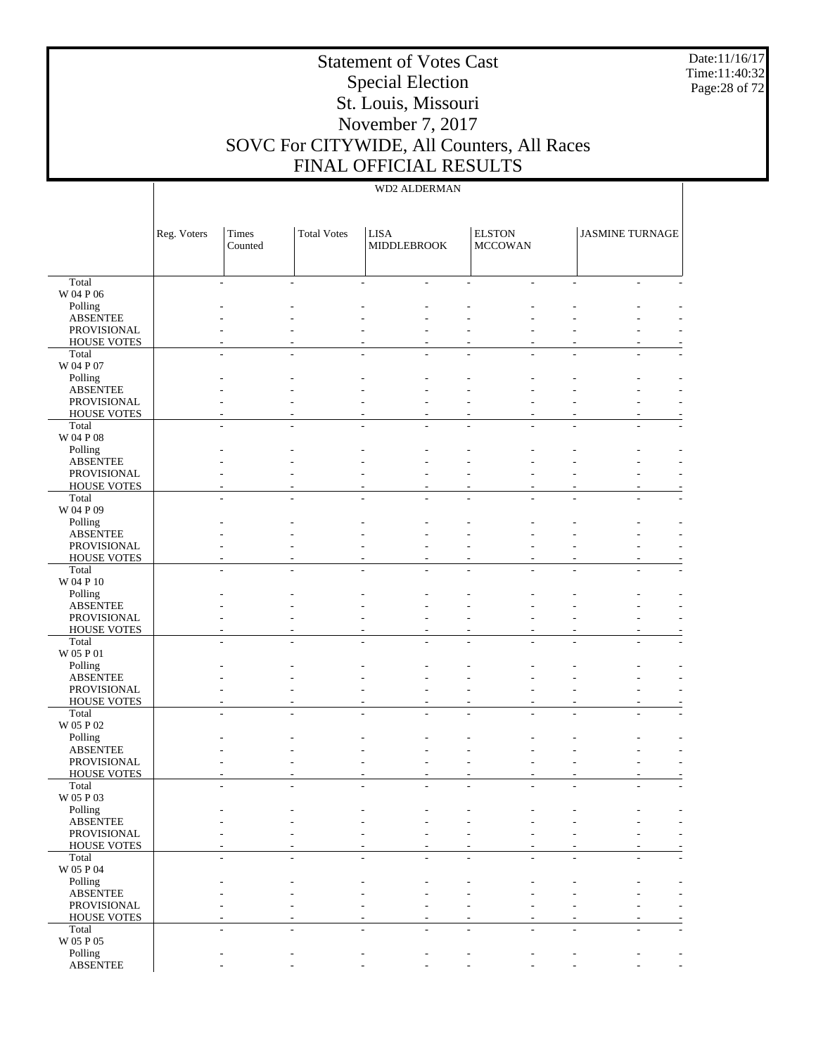Date:11/16/17 Time:11:40:32 Page:28 of 72

# Statement of Votes Cast Special Election St. Louis, Missouri November 7, 2017 SOVC For CITYWIDE, All Counters, All Races FINAL OFFICIAL RESULTS

|                                   | Reg. Voters | Times<br>Counted | <b>Total Votes</b> | <b>LISA</b><br><b>MIDDLEBROOK</b> | <b>ELSTON</b><br><b>MCCOWAN</b> | <b>JASMINE TURNAGE</b> |                          |
|-----------------------------------|-------------|------------------|--------------------|-----------------------------------|---------------------------------|------------------------|--------------------------|
| Total                             |             |                  |                    |                                   |                                 |                        |                          |
| W 04 P 06                         |             |                  |                    |                                   |                                 |                        |                          |
| Polling<br><b>ABSENTEE</b>        |             |                  |                    |                                   |                                 |                        |                          |
| PROVISIONAL                       |             |                  |                    |                                   |                                 |                        |                          |
| <b>HOUSE VOTES</b>                |             |                  |                    |                                   |                                 |                        |                          |
| Total                             |             |                  |                    |                                   |                                 |                        |                          |
| W 04 P 07                         |             |                  |                    |                                   |                                 |                        |                          |
| Polling                           |             |                  |                    |                                   |                                 |                        |                          |
| <b>ABSENTEE</b><br>PROVISIONAL    |             |                  |                    |                                   |                                 |                        |                          |
| <b>HOUSE VOTES</b>                |             |                  |                    |                                   |                                 |                        |                          |
| Total                             |             |                  |                    |                                   |                                 |                        |                          |
| W 04 P 08                         |             |                  |                    |                                   |                                 |                        |                          |
| Polling                           |             |                  |                    |                                   |                                 |                        |                          |
| <b>ABSENTEE</b>                   |             |                  |                    |                                   |                                 |                        |                          |
| PROVISIONAL<br><b>HOUSE VOTES</b> |             |                  |                    |                                   |                                 |                        |                          |
| Total                             |             |                  |                    |                                   |                                 |                        |                          |
| W 04 P 09                         |             |                  |                    |                                   |                                 |                        |                          |
| Polling                           |             |                  |                    |                                   |                                 |                        |                          |
| <b>ABSENTEE</b>                   |             |                  |                    |                                   |                                 |                        |                          |
| PROVISIONAL                       |             |                  |                    |                                   |                                 |                        |                          |
| <b>HOUSE VOTES</b>                |             |                  |                    |                                   |                                 |                        |                          |
| Total<br>W 04 P 10                |             |                  |                    |                                   |                                 |                        |                          |
| Polling                           |             |                  |                    |                                   |                                 |                        |                          |
| <b>ABSENTEE</b>                   |             |                  |                    |                                   |                                 |                        |                          |
| PROVISIONAL                       |             |                  |                    |                                   |                                 |                        |                          |
| <b>HOUSE VOTES</b>                |             |                  |                    |                                   |                                 |                        |                          |
| Total                             |             |                  |                    |                                   |                                 |                        |                          |
| W 05 P 01<br>Polling              |             |                  |                    |                                   |                                 |                        |                          |
| <b>ABSENTEE</b>                   |             |                  |                    |                                   |                                 |                        |                          |
| PROVISIONAL                       |             |                  |                    |                                   |                                 |                        |                          |
| <b>HOUSE VOTES</b>                |             |                  |                    |                                   | $\overline{a}$                  |                        |                          |
| Total                             |             |                  |                    |                                   |                                 |                        |                          |
| W 05 P 02                         |             |                  |                    |                                   |                                 |                        |                          |
| Polling<br><b>ABSENTEE</b>        |             |                  |                    |                                   |                                 |                        |                          |
| PROVISIONAL                       |             |                  |                    |                                   |                                 |                        |                          |
| <b>HOUSE VOTES</b>                |             |                  |                    |                                   |                                 |                        |                          |
| Total                             |             |                  |                    |                                   |                                 |                        |                          |
| W 05 P 03                         |             |                  |                    |                                   |                                 |                        |                          |
| Polling                           |             |                  |                    |                                   |                                 |                        |                          |
| <b>ABSENTEE</b><br>PROVISIONAL    |             |                  |                    |                                   |                                 |                        | $\overline{\phantom{a}}$ |
| <b>HOUSE VOTES</b>                |             |                  |                    |                                   |                                 |                        |                          |
| Total                             |             |                  |                    |                                   |                                 |                        |                          |
| W 05 P 04                         |             |                  |                    |                                   |                                 |                        |                          |
| Polling                           |             |                  |                    |                                   |                                 |                        |                          |
| <b>ABSENTEE</b>                   |             |                  |                    |                                   |                                 |                        |                          |
| PROVISIONAL<br><b>HOUSE VOTES</b> |             |                  |                    |                                   |                                 |                        |                          |
| Total                             |             |                  |                    |                                   |                                 |                        |                          |
| $\rm W$ 05 P 05                   |             |                  |                    |                                   |                                 |                        |                          |
| Polling                           |             |                  |                    |                                   |                                 |                        |                          |
| <b>ABSENTEE</b>                   |             |                  |                    |                                   |                                 |                        | $\overline{\phantom{a}}$ |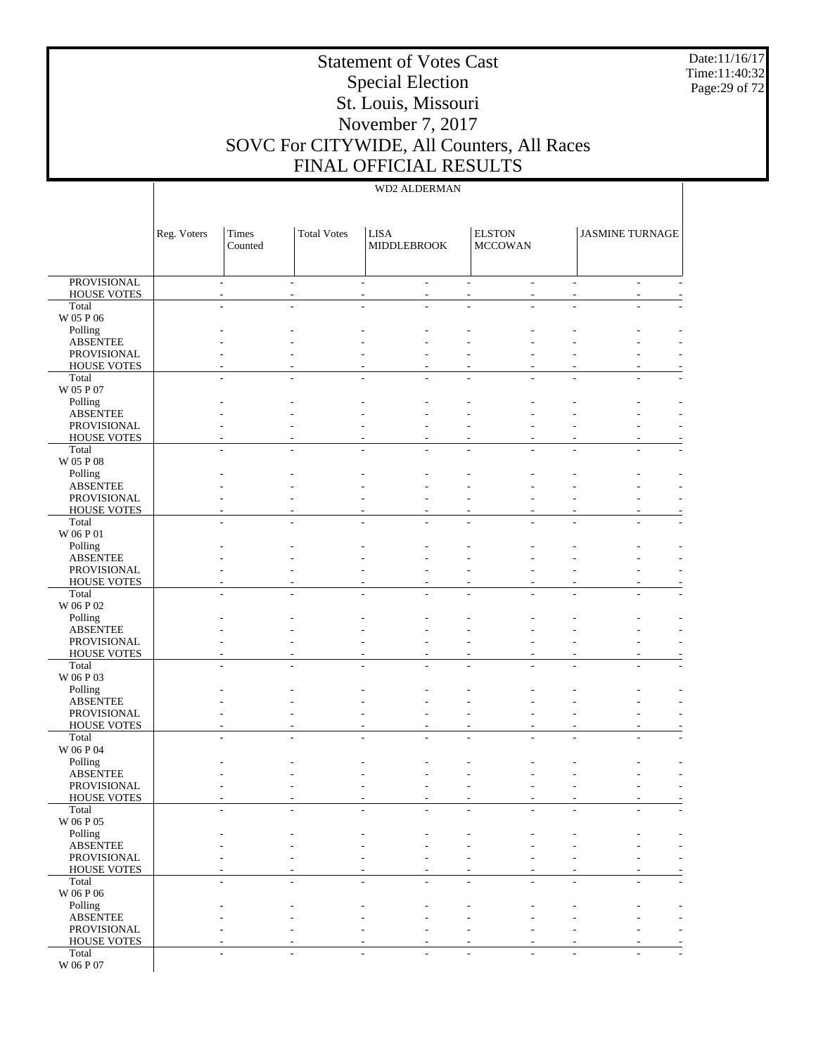Date:11/16/17 Time:11:40:32 Page:29 of 72

# Statement of Votes Cast Special Election St. Louis, Missouri November 7, 2017 SOVC For CITYWIDE, All Counters, All Races FINAL OFFICIAL RESULTS

|                                          | Reg. Voters | Times<br>Counted         | <b>Total Votes</b> | <b>LISA</b><br>MIDDLEBROOK         |   | <b>ELSTON</b><br><b>MCCOWAN</b> |                             | <b>JASMINE TURNAGE</b> |             |
|------------------------------------------|-------------|--------------------------|--------------------|------------------------------------|---|---------------------------------|-----------------------------|------------------------|-------------|
| <b>PROVISIONAL</b><br><b>HOUSE VOTES</b> |             | $\overline{a}$<br>$\sim$ |                    | $\overline{\phantom{a}}$<br>$\sim$ | ÷ |                                 | $\mathcal{L}_{\mathcal{A}}$ |                        | $\sim$<br>٠ |
| Total                                    |             |                          |                    |                                    |   |                                 |                             |                        |             |
| W 05 P 06                                |             |                          |                    |                                    |   |                                 |                             |                        |             |
| Polling<br><b>ABSENTEE</b>               |             |                          |                    |                                    |   |                                 |                             |                        |             |
| PROVISIONAL                              |             |                          |                    |                                    |   |                                 |                             |                        |             |
| <b>HOUSE VOTES</b><br>Total              |             |                          |                    |                                    |   |                                 |                             |                        |             |
| W 05 P 07                                |             |                          |                    |                                    |   |                                 |                             |                        |             |
| Polling                                  |             |                          |                    |                                    |   |                                 |                             |                        |             |
| <b>ABSENTEE</b><br>PROVISIONAL           |             |                          |                    |                                    |   |                                 |                             |                        |             |
| <b>HOUSE VOTES</b>                       |             |                          |                    |                                    |   |                                 |                             |                        |             |
| Total<br>W 05 P 08                       |             |                          |                    |                                    |   |                                 |                             |                        |             |
| Polling                                  |             |                          |                    |                                    |   |                                 |                             |                        |             |
| <b>ABSENTEE</b>                          |             |                          |                    |                                    |   |                                 |                             |                        |             |
| PROVISIONAL<br><b>HOUSE VOTES</b>        |             |                          |                    |                                    |   |                                 |                             |                        |             |
| Total                                    |             |                          |                    |                                    |   |                                 |                             |                        |             |
| W 06 P 01                                |             |                          |                    |                                    |   |                                 |                             |                        |             |
| Polling<br><b>ABSENTEE</b>               |             |                          |                    |                                    |   |                                 |                             |                        |             |
| PROVISIONAL                              |             |                          |                    |                                    |   |                                 |                             |                        |             |
| <b>HOUSE VOTES</b><br>Total              |             |                          |                    |                                    |   |                                 |                             |                        |             |
| W 06 P 02                                |             |                          |                    |                                    |   |                                 |                             |                        |             |
| Polling                                  |             |                          |                    |                                    |   |                                 |                             |                        |             |
| <b>ABSENTEE</b><br>PROVISIONAL           |             |                          |                    |                                    |   |                                 |                             |                        |             |
| <b>HOUSE VOTES</b>                       |             |                          |                    |                                    |   |                                 |                             |                        |             |
| Total<br>W 06 P 03                       |             |                          |                    |                                    |   |                                 |                             |                        |             |
| Polling                                  |             |                          |                    |                                    |   |                                 |                             |                        |             |
| <b>ABSENTEE</b>                          |             |                          |                    |                                    |   |                                 |                             |                        |             |
| PROVISIONAL<br><b>HOUSE VOTES</b>        |             |                          |                    |                                    |   |                                 |                             |                        |             |
| Total                                    |             |                          |                    |                                    |   |                                 |                             |                        |             |
| W 06 P 04<br>Polling                     |             |                          |                    |                                    |   |                                 |                             |                        |             |
| <b>ABSENTEE</b>                          |             |                          |                    |                                    |   |                                 |                             |                        |             |
| PROVISIONAL                              |             |                          |                    |                                    |   |                                 |                             |                        |             |
| <b>HOUSE VOTES</b><br>Total              |             |                          |                    |                                    |   |                                 |                             |                        |             |
| W 06 P 05                                |             |                          |                    |                                    |   |                                 |                             |                        |             |
| Polling<br><b>ABSENTEE</b>               |             |                          |                    |                                    |   |                                 |                             |                        |             |
| PROVISIONAL                              |             |                          |                    |                                    |   |                                 |                             |                        |             |
| <b>HOUSE VOTES</b>                       |             |                          |                    |                                    |   |                                 |                             |                        |             |
| Total<br>W 06 P 06                       |             | L.                       |                    | ÷                                  |   |                                 |                             |                        | ÷           |
| Polling                                  |             |                          |                    |                                    |   |                                 |                             |                        |             |
| <b>ABSENTEE</b>                          |             |                          |                    |                                    |   |                                 |                             |                        |             |
| PROVISIONAL<br><b>HOUSE VOTES</b>        |             |                          |                    |                                    |   |                                 |                             |                        |             |
| Total                                    |             |                          |                    |                                    |   |                                 |                             |                        |             |
| W 06 P 07                                |             |                          |                    |                                    |   |                                 |                             |                        |             |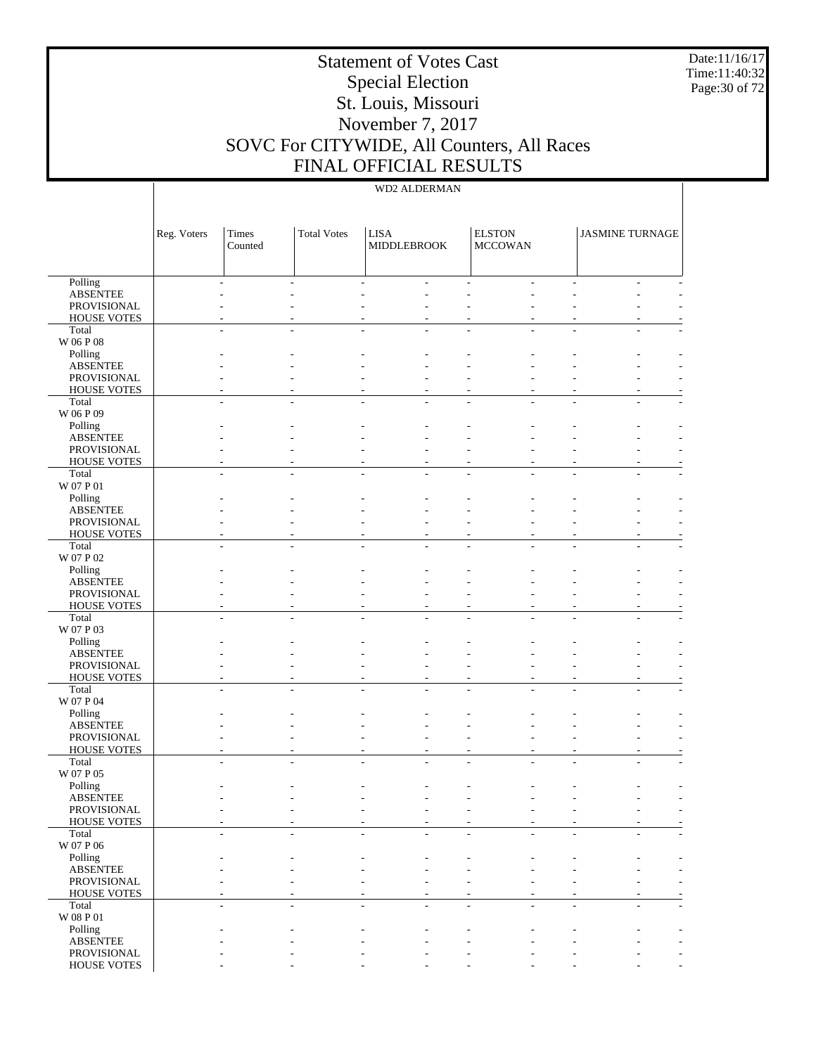Date:11/16/17 Time:11:40:32 Page:30 of 72

# Statement of Votes Cast Special Election St. Louis, Missouri November 7, 2017 SOVC For CITYWIDE, All Counters, All Races FINAL OFFICIAL RESULTS

|                                | Reg. Voters | Times<br>Counted | <b>Total Votes</b> | <b>LISA</b><br><b>MIDDLEBROOK</b> | <b>ELSTON</b><br><b>MCCOWAN</b> | <b>JASMINE TURNAGE</b> |  |
|--------------------------------|-------------|------------------|--------------------|-----------------------------------|---------------------------------|------------------------|--|
| Polling                        |             |                  |                    |                                   |                                 |                        |  |
| <b>ABSENTEE</b>                |             |                  |                    |                                   |                                 |                        |  |
| PROVISIONAL                    |             |                  |                    |                                   |                                 |                        |  |
| <b>HOUSE VOTES</b>             |             |                  |                    |                                   |                                 |                        |  |
| Total<br>W 06 P 08             |             |                  |                    |                                   |                                 |                        |  |
| Polling                        |             |                  |                    |                                   |                                 |                        |  |
| <b>ABSENTEE</b>                |             |                  |                    |                                   |                                 |                        |  |
| PROVISIONAL                    |             |                  |                    |                                   |                                 |                        |  |
| <b>HOUSE VOTES</b>             |             |                  |                    |                                   |                                 |                        |  |
| Total                          |             |                  |                    |                                   |                                 |                        |  |
| W 06 P 09                      |             |                  |                    |                                   |                                 |                        |  |
| Polling                        |             |                  |                    |                                   |                                 |                        |  |
| <b>ABSENTEE</b><br>PROVISIONAL |             |                  |                    |                                   |                                 |                        |  |
| <b>HOUSE VOTES</b>             |             |                  |                    |                                   |                                 |                        |  |
| Total                          |             |                  |                    |                                   |                                 |                        |  |
| W 07 P 01                      |             |                  |                    |                                   |                                 |                        |  |
| Polling                        |             |                  |                    |                                   |                                 |                        |  |
| <b>ABSENTEE</b>                |             |                  |                    |                                   |                                 |                        |  |
| PROVISIONAL                    |             |                  |                    |                                   |                                 |                        |  |
| <b>HOUSE VOTES</b>             |             |                  |                    |                                   |                                 |                        |  |
| Total                          |             |                  |                    |                                   |                                 |                        |  |
| $\rm W$ 07 P $02$<br>Polling   |             |                  |                    |                                   |                                 |                        |  |
| <b>ABSENTEE</b>                |             |                  |                    |                                   |                                 |                        |  |
| PROVISIONAL                    |             |                  |                    |                                   |                                 |                        |  |
| <b>HOUSE VOTES</b>             |             |                  |                    |                                   |                                 |                        |  |
| Total                          |             |                  |                    |                                   |                                 |                        |  |
| W 07 P 03                      |             |                  |                    |                                   |                                 |                        |  |
| Polling                        |             |                  |                    |                                   |                                 |                        |  |
| <b>ABSENTEE</b>                |             |                  |                    |                                   |                                 |                        |  |
| PROVISIONAL                    |             |                  |                    |                                   |                                 |                        |  |
| <b>HOUSE VOTES</b><br>Total    |             |                  |                    |                                   |                                 |                        |  |
| W 07 P 04                      |             |                  |                    |                                   |                                 |                        |  |
| Polling                        |             |                  |                    |                                   |                                 |                        |  |
| <b>ABSENTEE</b>                |             |                  |                    |                                   |                                 |                        |  |
| PROVISIONAL                    |             |                  |                    |                                   |                                 |                        |  |
| HOUSE VOTES                    |             |                  |                    |                                   |                                 |                        |  |
| Total                          |             |                  |                    |                                   |                                 |                        |  |
| W 07 P 05                      |             |                  |                    |                                   |                                 |                        |  |
| Polling<br><b>ABSENTEE</b>     |             |                  |                    |                                   |                                 |                        |  |
| PROVISIONAL                    |             |                  |                    |                                   |                                 |                        |  |
| HOUSE VOTES                    |             |                  |                    |                                   |                                 |                        |  |
| Total                          |             |                  |                    |                                   |                                 |                        |  |
| W 07 P 06                      |             |                  |                    |                                   |                                 |                        |  |
| Polling                        |             |                  |                    |                                   |                                 |                        |  |
| <b>ABSENTEE</b>                |             |                  |                    |                                   |                                 |                        |  |
| PROVISIONAL                    |             |                  |                    |                                   |                                 |                        |  |
| HOUSE VOTES                    |             |                  |                    |                                   |                                 |                        |  |
| Total<br>$\rm W$ 08 P $01$     |             |                  |                    |                                   |                                 |                        |  |
| Polling                        |             |                  |                    |                                   |                                 |                        |  |
| <b>ABSENTEE</b>                |             |                  |                    |                                   |                                 |                        |  |
| PROVISIONAL                    |             |                  |                    |                                   |                                 |                        |  |
| HOUSE VOTES                    |             |                  |                    |                                   |                                 |                        |  |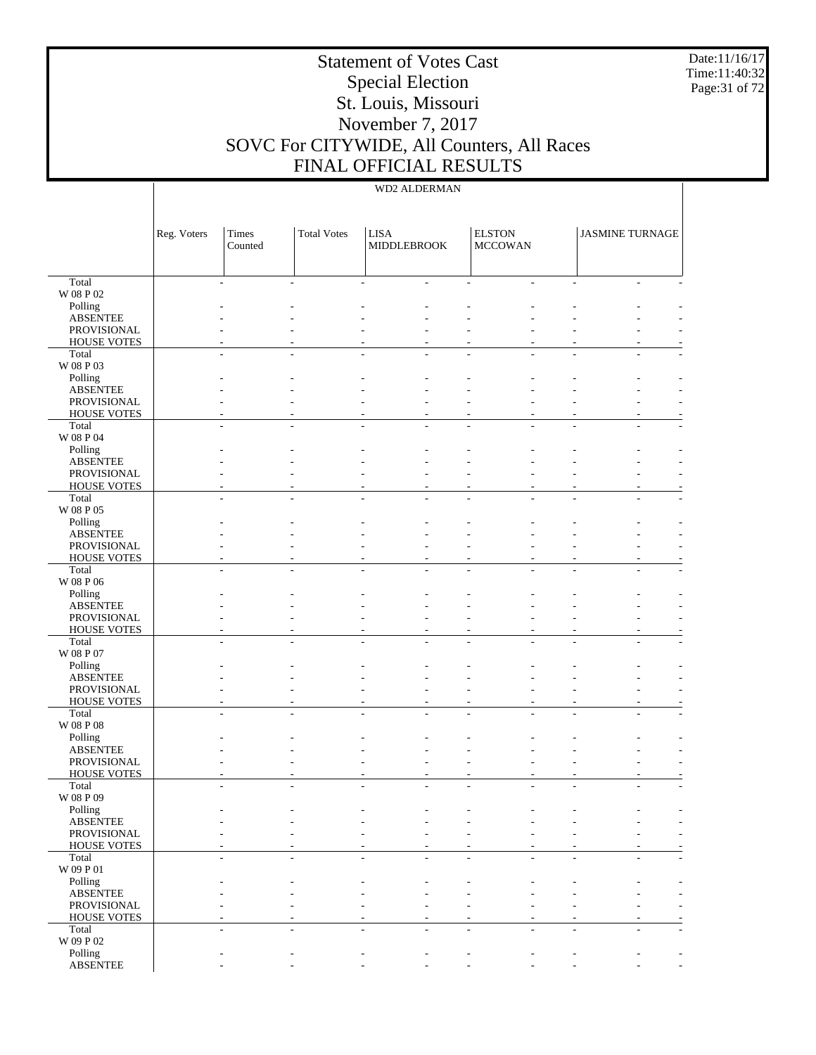Date:11/16/17 Time:11:40:32 Page:31 of 72

# Statement of Votes Cast Special Election St. Louis, Missouri November 7, 2017 SOVC For CITYWIDE, All Counters, All Races FINAL OFFICIAL RESULTS

|                                   | Reg. Voters | Times<br>Counted | <b>Total Votes</b> | <b>LISA</b><br><b>MIDDLEBROOK</b> | <b>ELSTON</b><br><b>MCCOWAN</b> | <b>JASMINE TURNAGE</b> |                          |
|-----------------------------------|-------------|------------------|--------------------|-----------------------------------|---------------------------------|------------------------|--------------------------|
| Total                             |             |                  |                    |                                   |                                 |                        |                          |
| W 08 P 02                         |             |                  |                    |                                   |                                 |                        |                          |
| Polling<br><b>ABSENTEE</b>        |             |                  |                    |                                   |                                 |                        |                          |
| PROVISIONAL                       |             |                  |                    |                                   |                                 |                        |                          |
| <b>HOUSE VOTES</b>                |             |                  |                    |                                   |                                 |                        |                          |
| Total                             |             |                  |                    |                                   |                                 |                        |                          |
| W 08 P 03                         |             |                  |                    |                                   |                                 |                        |                          |
| Polling                           |             |                  |                    |                                   |                                 |                        |                          |
| <b>ABSENTEE</b><br>PROVISIONAL    |             |                  |                    |                                   |                                 |                        |                          |
| <b>HOUSE VOTES</b>                |             |                  |                    |                                   |                                 |                        |                          |
| Total                             |             |                  |                    |                                   |                                 |                        |                          |
| W 08 P 04                         |             |                  |                    |                                   |                                 |                        |                          |
| Polling                           |             |                  |                    |                                   |                                 |                        |                          |
| <b>ABSENTEE</b>                   |             |                  |                    |                                   |                                 |                        |                          |
| PROVISIONAL<br><b>HOUSE VOTES</b> |             |                  |                    |                                   |                                 |                        |                          |
| Total                             |             |                  |                    |                                   |                                 |                        |                          |
| W 08 P 05                         |             |                  |                    |                                   |                                 |                        |                          |
| Polling                           |             |                  |                    |                                   |                                 |                        |                          |
| <b>ABSENTEE</b>                   |             |                  |                    |                                   |                                 |                        |                          |
| PROVISIONAL<br><b>HOUSE VOTES</b> |             |                  |                    |                                   |                                 |                        |                          |
| Total                             |             |                  |                    |                                   |                                 |                        |                          |
| W 08 P 06                         |             |                  |                    |                                   |                                 |                        |                          |
| Polling                           |             |                  |                    |                                   |                                 |                        |                          |
| <b>ABSENTEE</b>                   |             |                  |                    |                                   |                                 |                        |                          |
| PROVISIONAL                       |             |                  |                    |                                   |                                 |                        |                          |
| <b>HOUSE VOTES</b><br>Total       |             |                  |                    |                                   |                                 |                        |                          |
| W 08 P 07                         |             |                  |                    |                                   |                                 |                        |                          |
| Polling                           |             |                  |                    |                                   |                                 |                        |                          |
| <b>ABSENTEE</b>                   |             |                  |                    |                                   |                                 |                        |                          |
| PROVISIONAL                       |             |                  |                    |                                   |                                 |                        |                          |
| <b>HOUSE VOTES</b>                |             |                  |                    |                                   | $\overline{a}$                  |                        |                          |
| Total<br>$\rm W$ 08 P $08$        |             |                  |                    |                                   |                                 |                        |                          |
| Polling                           |             |                  |                    |                                   |                                 |                        |                          |
| <b>ABSENTEE</b>                   |             |                  |                    |                                   |                                 |                        |                          |
| PROVISIONAL                       |             |                  |                    |                                   |                                 |                        |                          |
| <b>HOUSE VOTES</b>                |             |                  |                    |                                   |                                 |                        |                          |
| Total<br>W 08 P 09                |             |                  |                    |                                   |                                 |                        |                          |
| Polling                           |             |                  |                    |                                   |                                 |                        |                          |
| <b>ABSENTEE</b>                   |             |                  |                    |                                   |                                 |                        | $\overline{\phantom{a}}$ |
| PROVISIONAL                       |             |                  |                    |                                   |                                 |                        |                          |
| <b>HOUSE VOTES</b>                |             |                  |                    |                                   |                                 |                        |                          |
| Total                             |             |                  |                    |                                   |                                 |                        |                          |
| W 09 P 01<br>Polling              |             |                  |                    |                                   |                                 |                        |                          |
| <b>ABSENTEE</b>                   |             |                  |                    |                                   |                                 |                        |                          |
| PROVISIONAL                       |             |                  |                    |                                   |                                 |                        |                          |
| <b>HOUSE VOTES</b>                |             |                  |                    |                                   |                                 |                        |                          |
| Total                             |             |                  |                    |                                   |                                 |                        |                          |
| W 09 P 02                         |             |                  |                    |                                   |                                 |                        |                          |
| Polling<br><b>ABSENTEE</b>        |             |                  |                    |                                   |                                 |                        | $\overline{\phantom{a}}$ |
|                                   |             |                  |                    |                                   |                                 |                        |                          |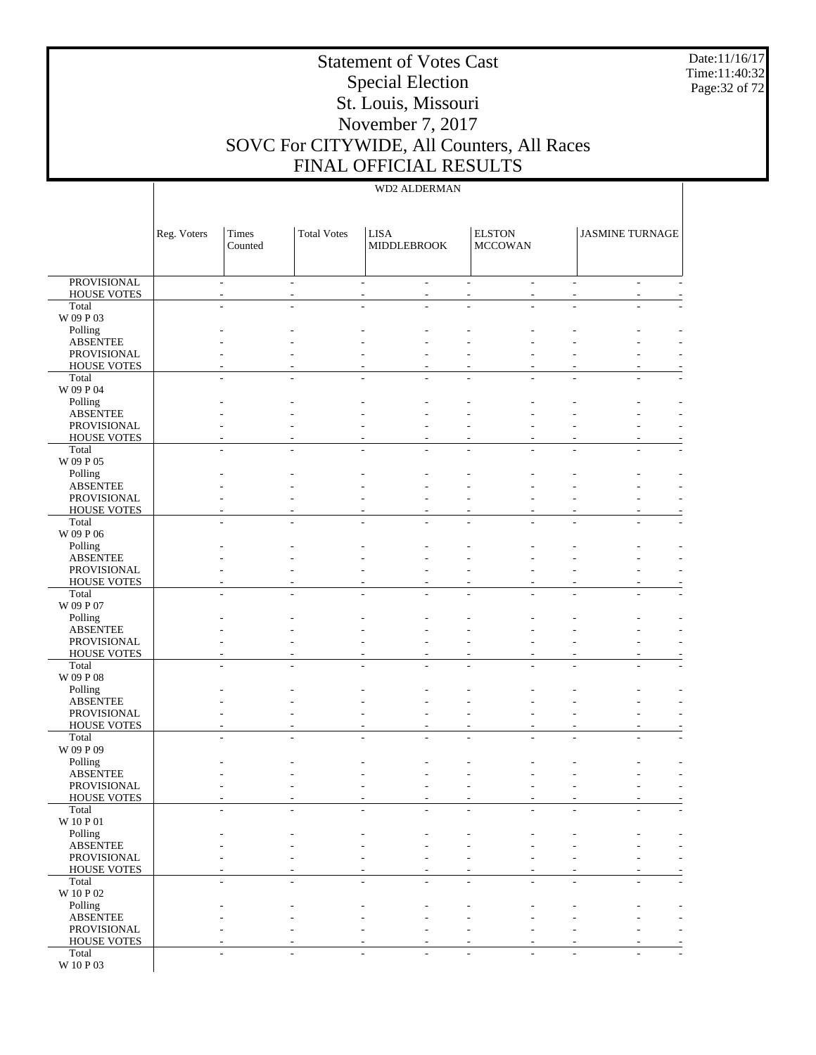Date:11/16/17 Time:11:40:32 Page:32 of 72

# Statement of Votes Cast Special Election St. Louis, Missouri November 7, 2017 SOVC For CITYWIDE, All Counters, All Races FINAL OFFICIAL RESULTS

|                                          | Reg. Voters | Times<br>Counted                 | <b>Total Votes</b>            | <b>LISA</b><br>MIDDLEBROOK |                | <b>ELSTON</b><br><b>MCCOWAN</b> |                          | <b>JASMINE TURNAGE</b> |                          |
|------------------------------------------|-------------|----------------------------------|-------------------------------|----------------------------|----------------|---------------------------------|--------------------------|------------------------|--------------------------|
| <b>PROVISIONAL</b><br><b>HOUSE VOTES</b> |             | $\overline{a}$<br>$\overline{a}$ | $\overline{\phantom{a}}$<br>٠ | $\overline{\phantom{a}}$   | $\overline{a}$ | $\overline{\phantom{0}}$        | ÷.<br>÷.                 |                        | $\sim$<br>$\overline{a}$ |
| Total                                    |             |                                  |                               |                            |                |                                 |                          |                        |                          |
| W 09 P 03                                |             |                                  |                               |                            |                |                                 |                          |                        |                          |
| Polling                                  |             |                                  |                               |                            |                |                                 |                          |                        |                          |
| <b>ABSENTEE</b><br>PROVISIONAL           |             |                                  |                               |                            |                |                                 |                          |                        |                          |
| <b>HOUSE VOTES</b>                       |             |                                  |                               |                            |                |                                 |                          |                        |                          |
| Total                                    |             |                                  | $\overline{a}$                |                            |                |                                 |                          |                        |                          |
| W 09 P 04                                |             |                                  |                               |                            |                |                                 |                          |                        |                          |
| Polling<br><b>ABSENTEE</b>               |             |                                  |                               |                            |                |                                 |                          |                        |                          |
| PROVISIONAL                              |             |                                  |                               |                            |                |                                 |                          |                        |                          |
| <b>HOUSE VOTES</b>                       |             |                                  |                               |                            |                |                                 |                          |                        |                          |
| Total                                    |             |                                  |                               |                            |                |                                 |                          |                        |                          |
| W 09 P 05<br>Polling                     |             |                                  |                               |                            |                |                                 |                          |                        |                          |
| <b>ABSENTEE</b>                          |             |                                  |                               |                            |                |                                 |                          |                        |                          |
| PROVISIONAL                              |             |                                  |                               |                            |                |                                 |                          |                        |                          |
| <b>HOUSE VOTES</b>                       |             |                                  |                               |                            |                |                                 |                          |                        |                          |
| Total<br>W 09 P 06                       |             |                                  | $\overline{\phantom{a}}$      |                            | L,             | ÷                               |                          |                        | ٠                        |
| Polling                                  |             |                                  |                               |                            |                |                                 |                          |                        |                          |
| <b>ABSENTEE</b>                          |             |                                  |                               |                            |                |                                 |                          |                        |                          |
| PROVISIONAL                              |             |                                  |                               |                            |                |                                 |                          |                        |                          |
| <b>HOUSE VOTES</b><br>Total              |             |                                  |                               |                            |                |                                 |                          |                        |                          |
| W 09 P 07                                |             |                                  |                               |                            |                |                                 |                          |                        |                          |
| Polling                                  |             |                                  |                               |                            |                |                                 |                          |                        |                          |
| <b>ABSENTEE</b>                          |             |                                  |                               |                            |                |                                 |                          |                        |                          |
| PROVISIONAL                              |             |                                  |                               |                            |                |                                 |                          |                        |                          |
| <b>HOUSE VOTES</b><br>Total              |             |                                  |                               |                            |                |                                 |                          |                        |                          |
| W 09 P 08                                |             |                                  |                               |                            |                |                                 |                          |                        |                          |
| Polling                                  |             |                                  |                               |                            |                |                                 |                          |                        |                          |
| <b>ABSENTEE</b><br>PROVISIONAL           |             |                                  |                               |                            |                |                                 |                          |                        |                          |
| <b>HOUSE VOTES</b>                       |             |                                  |                               |                            |                | ٠                               |                          |                        |                          |
| Total                                    |             |                                  |                               |                            |                |                                 |                          |                        |                          |
| W 09 P 09                                |             |                                  |                               |                            |                |                                 |                          |                        |                          |
| Polling<br><b>ABSENTEE</b>               |             |                                  |                               |                            |                |                                 |                          |                        |                          |
| PROVISIONAL                              |             |                                  |                               |                            |                |                                 |                          |                        |                          |
| <b>HOUSE VOTES</b>                       |             |                                  |                               |                            |                |                                 |                          |                        |                          |
| Total                                    |             |                                  |                               |                            |                |                                 |                          |                        |                          |
| W 10 P 01                                |             |                                  |                               |                            |                |                                 |                          |                        |                          |
| Polling<br><b>ABSENTEE</b>               |             |                                  |                               |                            |                |                                 |                          |                        |                          |
| PROVISIONAL                              |             |                                  | ٠                             |                            |                | ۰                               |                          |                        | $\overline{\phantom{a}}$ |
| <b>HOUSE VOTES</b>                       |             |                                  |                               |                            |                | ٠                               |                          |                        | ٠                        |
| Total                                    |             | ä,<br>٠                          | $\overline{a}$                | $\overline{a}$             | L,             | ÷                               | ÷                        |                        | $\overline{a}$<br>۰      |
| W 10 P 02<br>Polling                     |             |                                  |                               |                            |                |                                 |                          |                        |                          |
| <b>ABSENTEE</b>                          |             |                                  |                               |                            |                |                                 |                          |                        |                          |
| PROVISIONAL                              |             |                                  |                               |                            |                | ۰                               |                          |                        | ٠                        |
| <b>HOUSE VOTES</b>                       |             |                                  |                               |                            |                | ٠                               |                          |                        |                          |
| Total<br>W 10 P 03                       |             | $\overline{a}$                   | ÷                             |                            | ٠              | ÷                               | $\overline{\phantom{a}}$ |                        | $\overline{a}$           |
|                                          |             |                                  |                               |                            |                |                                 |                          |                        |                          |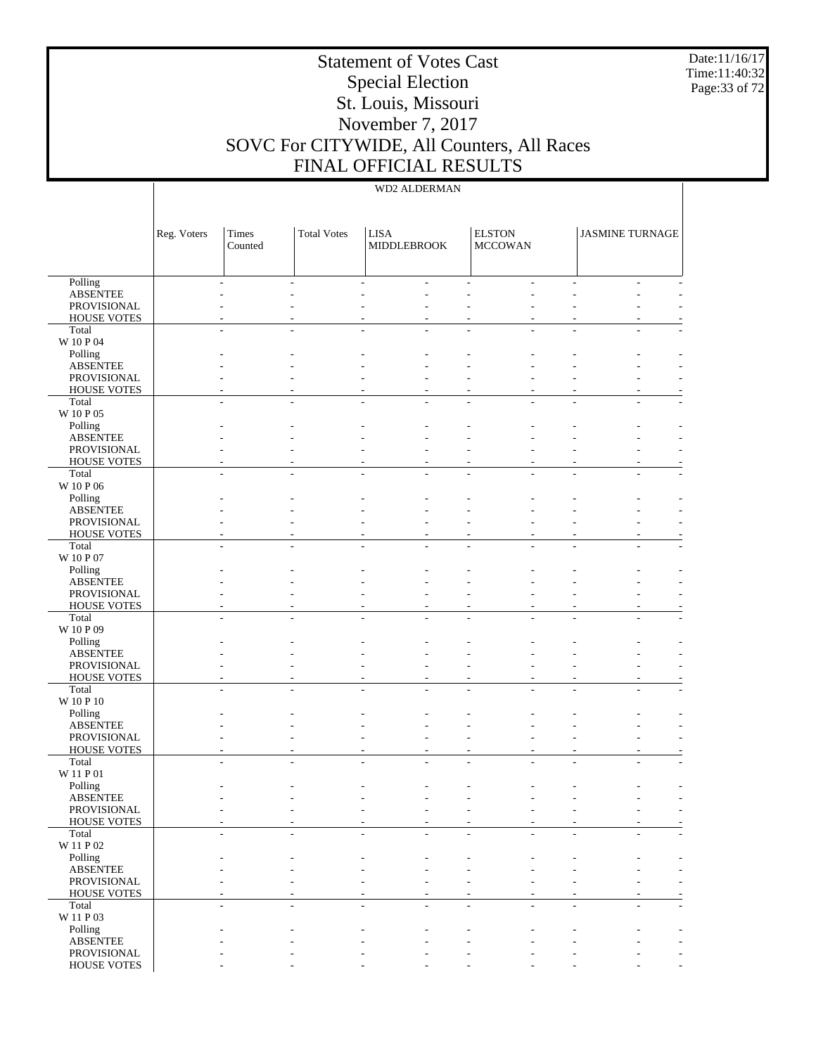Date:11/16/17 Time:11:40:32 Page:33 of 72

# Statement of Votes Cast Special Election St. Louis, Missouri November 7, 2017 SOVC For CITYWIDE, All Counters, All Races FINAL OFFICIAL RESULTS

|                                | Reg. Voters | Times<br>Counted | <b>Total Votes</b> | <b>LISA</b><br><b>MIDDLEBROOK</b> | <b>ELSTON</b><br><b>MCCOWAN</b> | <b>JASMINE TURNAGE</b> |  |
|--------------------------------|-------------|------------------|--------------------|-----------------------------------|---------------------------------|------------------------|--|
| Polling                        |             |                  |                    |                                   |                                 |                        |  |
| <b>ABSENTEE</b>                |             |                  |                    |                                   |                                 |                        |  |
| PROVISIONAL                    |             |                  |                    |                                   |                                 |                        |  |
| <b>HOUSE VOTES</b>             |             |                  |                    |                                   |                                 |                        |  |
| Total<br>W 10 P 04             |             |                  |                    |                                   |                                 |                        |  |
| Polling                        |             |                  |                    |                                   |                                 |                        |  |
| <b>ABSENTEE</b>                |             |                  |                    |                                   |                                 |                        |  |
| PROVISIONAL                    |             |                  |                    |                                   |                                 |                        |  |
| <b>HOUSE VOTES</b>             |             |                  |                    |                                   |                                 |                        |  |
| Total                          |             |                  |                    |                                   |                                 |                        |  |
| W 10 P 05                      |             |                  |                    |                                   |                                 |                        |  |
| Polling                        |             |                  |                    |                                   |                                 |                        |  |
| <b>ABSENTEE</b><br>PROVISIONAL |             |                  |                    |                                   |                                 |                        |  |
| <b>HOUSE VOTES</b>             |             |                  |                    |                                   |                                 |                        |  |
| Total                          |             |                  |                    |                                   |                                 |                        |  |
| W 10 P 06                      |             |                  |                    |                                   |                                 |                        |  |
| Polling                        |             |                  |                    |                                   |                                 |                        |  |
| <b>ABSENTEE</b>                |             |                  |                    |                                   |                                 |                        |  |
| PROVISIONAL                    |             |                  |                    |                                   |                                 |                        |  |
| <b>HOUSE VOTES</b>             |             |                  |                    |                                   |                                 |                        |  |
| Total                          |             |                  |                    |                                   |                                 |                        |  |
| W 10 P 07<br>Polling           |             |                  |                    |                                   |                                 |                        |  |
| <b>ABSENTEE</b>                |             |                  |                    |                                   |                                 |                        |  |
| PROVISIONAL                    |             |                  |                    |                                   |                                 |                        |  |
| <b>HOUSE VOTES</b>             |             |                  |                    |                                   |                                 |                        |  |
| Total                          |             |                  |                    |                                   |                                 |                        |  |
| W 10 P 09                      |             |                  |                    |                                   |                                 |                        |  |
| Polling                        |             |                  |                    |                                   |                                 |                        |  |
| <b>ABSENTEE</b>                |             |                  |                    |                                   |                                 |                        |  |
| PROVISIONAL                    |             |                  |                    |                                   |                                 |                        |  |
| <b>HOUSE VOTES</b><br>Total    |             |                  |                    |                                   |                                 |                        |  |
| $\rm W$ 10 P 10                |             |                  |                    |                                   |                                 |                        |  |
| Polling                        |             |                  |                    |                                   |                                 |                        |  |
| <b>ABSENTEE</b>                |             |                  |                    |                                   |                                 |                        |  |
| PROVISIONAL                    |             |                  |                    |                                   |                                 |                        |  |
| HOUSE VOTES                    |             |                  |                    |                                   |                                 |                        |  |
| Total                          |             |                  |                    |                                   |                                 |                        |  |
| W 11 P 01                      |             |                  |                    |                                   |                                 |                        |  |
| Polling<br><b>ABSENTEE</b>     |             |                  |                    |                                   |                                 |                        |  |
| PROVISIONAL                    |             |                  |                    |                                   |                                 |                        |  |
| <b>HOUSE VOTES</b>             |             |                  |                    |                                   |                                 |                        |  |
| Total                          |             |                  |                    |                                   |                                 |                        |  |
| W 11 P 02                      |             |                  |                    |                                   |                                 |                        |  |
| Polling                        |             |                  |                    |                                   |                                 |                        |  |
| <b>ABSENTEE</b>                |             |                  |                    |                                   |                                 |                        |  |
| PROVISIONAL                    |             |                  |                    |                                   |                                 |                        |  |
| HOUSE VOTES                    |             |                  |                    |                                   |                                 |                        |  |
| Total<br>W 11 P 03             |             |                  |                    |                                   |                                 |                        |  |
| Polling                        |             |                  |                    |                                   |                                 |                        |  |
| <b>ABSENTEE</b>                |             |                  |                    |                                   |                                 |                        |  |
| PROVISIONAL                    |             |                  |                    |                                   |                                 |                        |  |
| HOUSE VOTES                    |             |                  |                    |                                   |                                 |                        |  |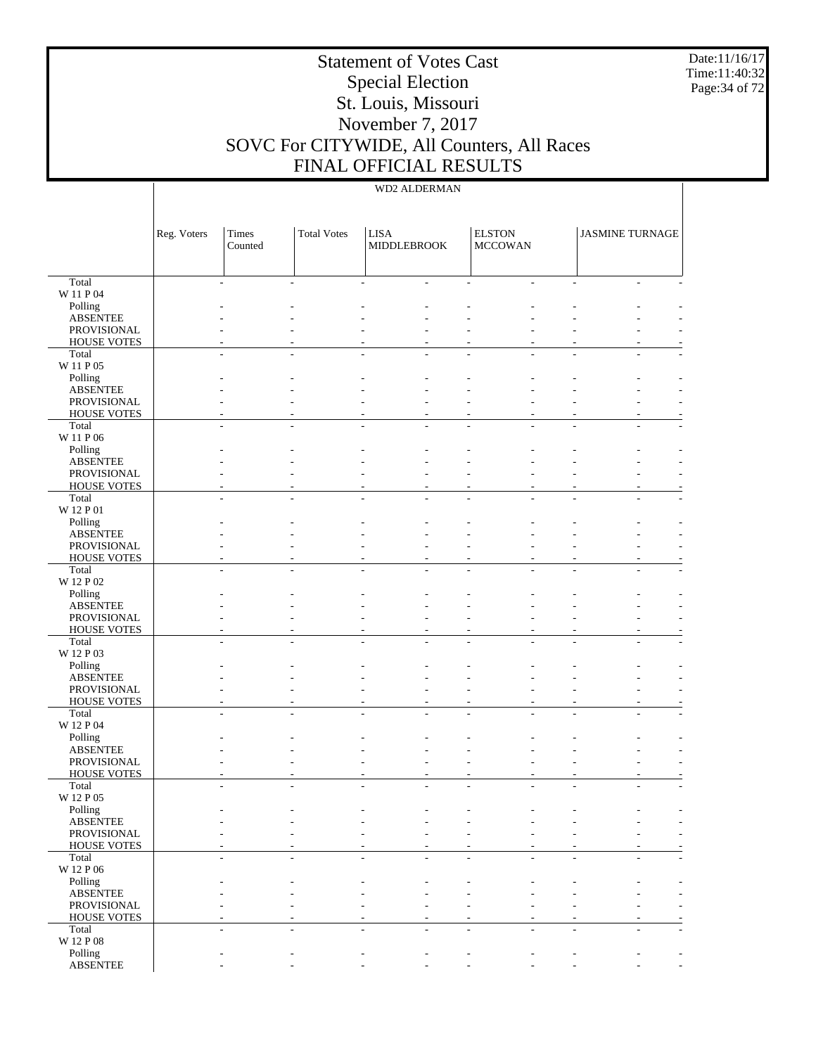Date:11/16/17 Time:11:40:32 Page:34 of 72

# Statement of Votes Cast Special Election St. Louis, Missouri November 7, 2017 SOVC For CITYWIDE, All Counters, All Races FINAL OFFICIAL RESULTS

|                                   | Reg. Voters | Times<br>Counted | <b>Total Votes</b> | <b>LISA</b><br><b>MIDDLEBROOK</b> |    | <b>ELSTON</b><br><b>MCCOWAN</b> | <b>JASMINE TURNAGE</b>   |   |
|-----------------------------------|-------------|------------------|--------------------|-----------------------------------|----|---------------------------------|--------------------------|---|
| Total                             |             |                  |                    |                                   |    |                                 |                          |   |
| W 11 P 04                         |             |                  |                    |                                   |    |                                 |                          |   |
| Polling                           |             |                  |                    |                                   |    |                                 |                          |   |
| <b>ABSENTEE</b>                   |             |                  |                    |                                   |    |                                 |                          |   |
| PROVISIONAL<br><b>HOUSE VOTES</b> |             |                  |                    |                                   |    |                                 |                          |   |
| Total                             |             |                  |                    |                                   |    |                                 |                          |   |
| W 11 P 05                         |             |                  |                    |                                   |    |                                 |                          |   |
| Polling                           |             |                  |                    |                                   |    |                                 |                          |   |
| <b>ABSENTEE</b>                   |             |                  |                    |                                   |    |                                 |                          |   |
| PROVISIONAL                       |             |                  |                    |                                   |    |                                 |                          |   |
| <b>HOUSE VOTES</b>                |             |                  |                    |                                   |    |                                 |                          |   |
| Total<br>W 11 P 06                |             |                  |                    |                                   |    |                                 |                          |   |
| Polling                           |             |                  |                    |                                   |    |                                 |                          |   |
| <b>ABSENTEE</b>                   |             |                  |                    |                                   |    |                                 |                          |   |
| PROVISIONAL                       |             |                  |                    |                                   |    |                                 |                          |   |
| <b>HOUSE VOTES</b>                |             |                  |                    |                                   |    |                                 |                          |   |
| Total                             |             |                  |                    |                                   |    |                                 |                          |   |
| W 12 P 01                         |             |                  |                    |                                   |    |                                 |                          |   |
| Polling                           |             |                  |                    |                                   |    |                                 |                          |   |
| <b>ABSENTEE</b><br>PROVISIONAL    |             |                  |                    |                                   |    |                                 |                          |   |
| <b>HOUSE VOTES</b>                |             |                  |                    |                                   | ۰  | ۰                               |                          |   |
| Total                             |             |                  |                    |                                   |    |                                 |                          |   |
| W 12 P 02                         |             |                  |                    |                                   |    |                                 |                          |   |
| Polling                           |             |                  |                    |                                   |    |                                 |                          |   |
| <b>ABSENTEE</b>                   |             |                  |                    |                                   |    |                                 |                          |   |
| PROVISIONAL                       |             |                  |                    |                                   |    |                                 |                          |   |
| <b>HOUSE VOTES</b><br>Total       |             |                  |                    |                                   | L, |                                 |                          |   |
| W 12 P 03                         |             |                  |                    |                                   |    |                                 |                          |   |
| Polling                           |             |                  |                    |                                   |    |                                 |                          |   |
| <b>ABSENTEE</b>                   |             |                  |                    |                                   |    |                                 |                          |   |
| PROVISIONAL                       |             |                  |                    |                                   |    |                                 |                          |   |
| <b>HOUSE VOTES</b>                |             |                  |                    | $\overline{\phantom{a}}$<br>٠     | ۰  | ٠                               | $\overline{\phantom{a}}$ |   |
| Total                             |             |                  |                    |                                   |    |                                 |                          |   |
| W 12 P 04<br>Polling              |             |                  |                    |                                   |    |                                 |                          |   |
| <b>ABSENTEE</b>                   |             |                  |                    |                                   |    |                                 |                          |   |
| PROVISIONAL                       |             |                  |                    |                                   |    |                                 |                          |   |
| <b>HOUSE VOTES</b>                |             |                  |                    |                                   |    |                                 |                          |   |
| Total                             |             |                  |                    |                                   |    |                                 |                          |   |
| W 12 P 05                         |             |                  |                    |                                   |    |                                 |                          |   |
| Polling                           |             |                  |                    |                                   |    |                                 |                          |   |
| <b>ABSENTEE</b><br>PROVISIONAL    |             |                  |                    |                                   |    |                                 |                          | ۰ |
| <b>HOUSE VOTES</b>                |             |                  |                    |                                   |    |                                 |                          |   |
| Total                             |             |                  |                    |                                   |    |                                 |                          |   |
| W 12 P 06                         |             |                  |                    |                                   |    |                                 |                          |   |
| Polling                           |             |                  |                    |                                   |    |                                 |                          |   |
| <b>ABSENTEE</b>                   |             |                  |                    |                                   |    |                                 |                          |   |
| PROVISIONAL                       |             |                  |                    |                                   |    |                                 |                          |   |
| <b>HOUSE VOTES</b>                |             |                  |                    |                                   |    |                                 |                          |   |
| Total<br>W 12 P 08                |             |                  |                    |                                   |    |                                 |                          |   |
| Polling                           |             |                  |                    |                                   |    |                                 |                          |   |
| <b>ABSENTEE</b>                   |             |                  |                    |                                   |    |                                 |                          |   |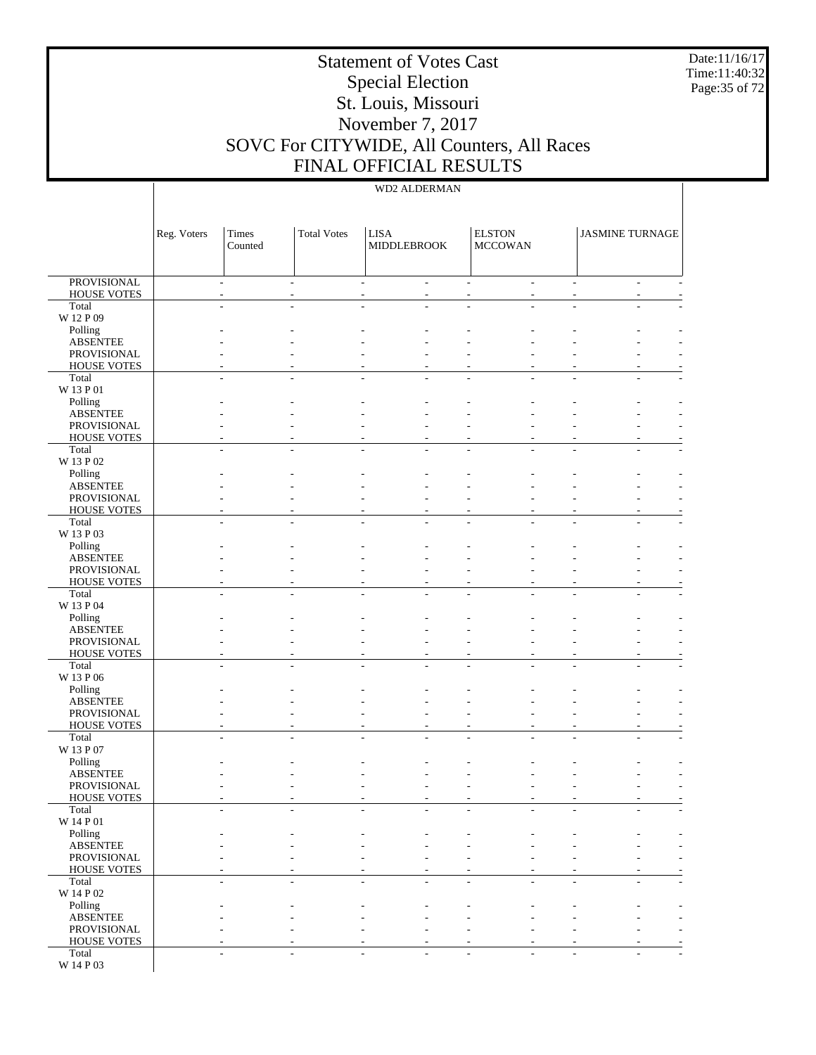Date:11/16/17 Time:11:40:32 Page:35 of 72

# Statement of Votes Cast Special Election St. Louis, Missouri November 7, 2017 SOVC For CITYWIDE, All Counters, All Races FINAL OFFICIAL RESULTS

|                                          | Reg. Voters | Times<br>Counted         | <b>Total Votes</b> | <b>LISA</b><br>MIDDLEBROOK         |    | <b>ELSTON</b><br><b>MCCOWAN</b> |                             | <b>JASMINE TURNAGE</b> |        |
|------------------------------------------|-------------|--------------------------|--------------------|------------------------------------|----|---------------------------------|-----------------------------|------------------------|--------|
| <b>PROVISIONAL</b><br><b>HOUSE VOTES</b> |             | $\overline{a}$<br>$\sim$ |                    | $\overline{\phantom{a}}$<br>$\sim$ | ÷  |                                 | $\mathcal{L}_{\mathcal{A}}$ |                        | $\sim$ |
| Total                                    |             |                          |                    |                                    |    |                                 |                             |                        |        |
| W 12 P 09                                |             |                          |                    |                                    |    |                                 |                             |                        |        |
| Polling<br><b>ABSENTEE</b>               |             |                          |                    |                                    |    |                                 |                             |                        |        |
| PROVISIONAL                              |             |                          |                    |                                    |    |                                 |                             |                        |        |
| <b>HOUSE VOTES</b>                       |             |                          |                    |                                    |    |                                 |                             |                        |        |
| Total<br>W 13 P 01                       |             |                          |                    |                                    |    |                                 |                             |                        |        |
| Polling                                  |             |                          |                    |                                    |    |                                 |                             |                        |        |
| <b>ABSENTEE</b><br>PROVISIONAL           |             |                          |                    |                                    |    |                                 |                             |                        |        |
| <b>HOUSE VOTES</b>                       |             |                          |                    |                                    |    |                                 |                             |                        |        |
| Total                                    |             |                          |                    |                                    |    |                                 |                             |                        |        |
| W 13 P 02<br>Polling                     |             |                          |                    |                                    |    |                                 |                             |                        |        |
| <b>ABSENTEE</b>                          |             |                          |                    |                                    |    |                                 |                             |                        |        |
| PROVISIONAL                              |             |                          |                    |                                    |    |                                 |                             |                        |        |
| <b>HOUSE VOTES</b><br>Total              |             |                          |                    |                                    |    |                                 |                             |                        |        |
| W 13 P 03                                |             |                          |                    |                                    |    |                                 |                             |                        |        |
| Polling                                  |             |                          |                    |                                    |    |                                 |                             |                        |        |
| <b>ABSENTEE</b><br>PROVISIONAL           |             |                          |                    |                                    |    |                                 |                             |                        |        |
| <b>HOUSE VOTES</b>                       |             |                          |                    |                                    |    |                                 |                             |                        |        |
| Total<br>W 13 P 04                       |             |                          |                    |                                    |    |                                 |                             |                        |        |
| Polling                                  |             |                          |                    |                                    |    |                                 |                             |                        |        |
| <b>ABSENTEE</b>                          |             |                          |                    |                                    |    |                                 |                             |                        |        |
| PROVISIONAL<br><b>HOUSE VOTES</b>        |             |                          |                    |                                    |    |                                 |                             |                        |        |
| Total                                    |             |                          |                    |                                    |    |                                 |                             |                        |        |
| W 13 P 06                                |             |                          |                    |                                    |    |                                 |                             |                        |        |
| Polling<br><b>ABSENTEE</b>               |             |                          |                    |                                    |    |                                 |                             |                        |        |
| PROVISIONAL                              |             |                          |                    |                                    |    |                                 |                             |                        |        |
| <b>HOUSE VOTES</b>                       |             |                          |                    |                                    |    |                                 |                             |                        |        |
| Total<br>W 13 P 07                       |             |                          |                    |                                    |    |                                 |                             |                        |        |
| Polling                                  |             |                          |                    |                                    |    |                                 |                             |                        |        |
| <b>ABSENTEE</b><br>PROVISIONAL           |             |                          |                    |                                    |    |                                 |                             |                        |        |
| <b>HOUSE VOTES</b>                       |             |                          |                    |                                    |    |                                 |                             |                        |        |
| Total                                    |             |                          |                    |                                    |    |                                 |                             |                        |        |
| W 14 P 01<br>Polling                     |             |                          |                    |                                    |    |                                 |                             |                        |        |
| <b>ABSENTEE</b>                          |             |                          |                    |                                    |    |                                 |                             |                        |        |
| PROVISIONAL                              |             |                          |                    |                                    |    |                                 |                             |                        |        |
| <b>HOUSE VOTES</b><br>Total              |             | L.<br>$\overline{a}$     |                    | ÷                                  | L. |                                 | ÷.                          |                        | ÷      |
| W 14 P 02                                |             |                          |                    |                                    |    |                                 |                             |                        |        |
| Polling                                  |             |                          |                    |                                    |    |                                 |                             |                        |        |
| <b>ABSENTEE</b><br>PROVISIONAL           |             |                          |                    |                                    |    |                                 |                             |                        |        |
| <b>HOUSE VOTES</b>                       |             |                          |                    |                                    |    |                                 |                             |                        |        |
| Total                                    |             |                          |                    |                                    |    |                                 |                             |                        |        |
| W 14 P 03                                |             |                          |                    |                                    |    |                                 |                             |                        |        |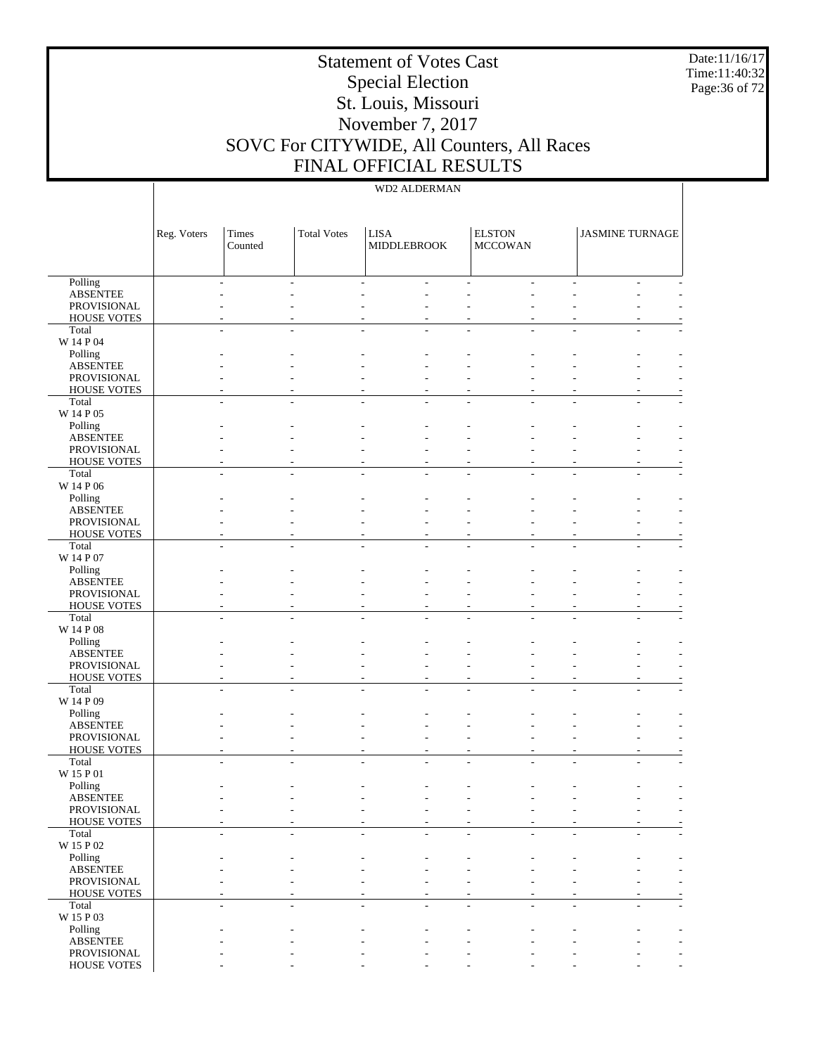Date:11/16/17 Time:11:40:32 Page:36 of 72

# Statement of Votes Cast Special Election St. Louis, Missouri November 7, 2017 SOVC For CITYWIDE, All Counters, All Races FINAL OFFICIAL RESULTS

|                                   | Reg. Voters | Times<br>Counted | <b>Total Votes</b> | <b>LISA</b><br><b>MIDDLEBROOK</b> | <b>ELSTON</b><br><b>MCCOWAN</b> | <b>JASMINE TURNAGE</b> |  |
|-----------------------------------|-------------|------------------|--------------------|-----------------------------------|---------------------------------|------------------------|--|
| Polling                           |             |                  |                    |                                   |                                 |                        |  |
| <b>ABSENTEE</b>                   |             |                  |                    |                                   |                                 |                        |  |
| PROVISIONAL                       |             |                  |                    |                                   |                                 |                        |  |
| <b>HOUSE VOTES</b>                |             |                  |                    |                                   |                                 |                        |  |
| Total<br>W 14 P 04                |             |                  |                    |                                   |                                 |                        |  |
| Polling                           |             |                  |                    |                                   |                                 |                        |  |
| <b>ABSENTEE</b>                   |             |                  |                    |                                   |                                 |                        |  |
| PROVISIONAL                       |             |                  |                    |                                   |                                 |                        |  |
| <b>HOUSE VOTES</b>                |             |                  |                    |                                   |                                 |                        |  |
| Total                             |             |                  |                    |                                   |                                 |                        |  |
| W 14 P 05                         |             |                  |                    |                                   |                                 |                        |  |
| Polling                           |             |                  |                    |                                   |                                 |                        |  |
| <b>ABSENTEE</b>                   |             |                  |                    |                                   |                                 |                        |  |
| PROVISIONAL                       |             |                  |                    |                                   |                                 |                        |  |
| <b>HOUSE VOTES</b><br>Total       |             |                  |                    |                                   |                                 |                        |  |
| W 14 P 06                         |             |                  |                    |                                   |                                 |                        |  |
| Polling                           |             |                  |                    |                                   |                                 |                        |  |
| <b>ABSENTEE</b>                   |             |                  |                    |                                   |                                 |                        |  |
| PROVISIONAL                       |             |                  |                    |                                   |                                 |                        |  |
| <b>HOUSE VOTES</b>                |             |                  |                    |                                   |                                 |                        |  |
| Total                             |             |                  |                    |                                   |                                 |                        |  |
| W 14 P 07                         |             |                  |                    |                                   |                                 |                        |  |
| Polling                           |             |                  |                    |                                   |                                 |                        |  |
| <b>ABSENTEE</b>                   |             |                  |                    |                                   |                                 |                        |  |
| PROVISIONAL<br><b>HOUSE VOTES</b> |             |                  |                    |                                   |                                 |                        |  |
| Total                             |             |                  |                    |                                   |                                 |                        |  |
| W 14 P 08                         |             |                  |                    |                                   |                                 |                        |  |
| Polling                           |             |                  |                    |                                   |                                 |                        |  |
| <b>ABSENTEE</b>                   |             |                  |                    |                                   |                                 |                        |  |
| PROVISIONAL                       |             |                  |                    |                                   |                                 |                        |  |
| <b>HOUSE VOTES</b>                |             |                  |                    |                                   |                                 |                        |  |
| Total                             |             |                  |                    |                                   |                                 |                        |  |
| W 14 P 09                         |             |                  |                    |                                   |                                 |                        |  |
| Polling<br><b>ABSENTEE</b>        |             |                  |                    |                                   |                                 |                        |  |
| PROVISIONAL                       |             |                  |                    |                                   |                                 |                        |  |
| HOUSE VOTES                       |             |                  |                    |                                   |                                 |                        |  |
| Total                             |             |                  |                    |                                   |                                 |                        |  |
| W 15 P 01                         |             |                  |                    |                                   |                                 |                        |  |
| Polling                           |             |                  |                    |                                   |                                 |                        |  |
| <b>ABSENTEE</b>                   |             |                  |                    |                                   |                                 |                        |  |
| PROVISIONAL                       |             |                  |                    |                                   |                                 |                        |  |
| <b>HOUSE VOTES</b>                |             |                  |                    |                                   |                                 |                        |  |
| Total                             |             |                  |                    |                                   |                                 |                        |  |
| W 15 P 02                         |             |                  |                    |                                   |                                 |                        |  |
| Polling<br><b>ABSENTEE</b>        |             |                  |                    |                                   |                                 |                        |  |
| PROVISIONAL                       |             |                  |                    |                                   |                                 |                        |  |
| HOUSE VOTES                       |             |                  |                    |                                   |                                 |                        |  |
| Total                             |             |                  |                    |                                   |                                 |                        |  |
| W 15 P 03                         |             |                  |                    |                                   |                                 |                        |  |
| Polling                           |             |                  |                    |                                   |                                 |                        |  |
| <b>ABSENTEE</b>                   |             |                  |                    |                                   |                                 |                        |  |
| PROVISIONAL                       |             |                  |                    |                                   |                                 |                        |  |
| HOUSE VOTES                       |             |                  |                    |                                   |                                 |                        |  |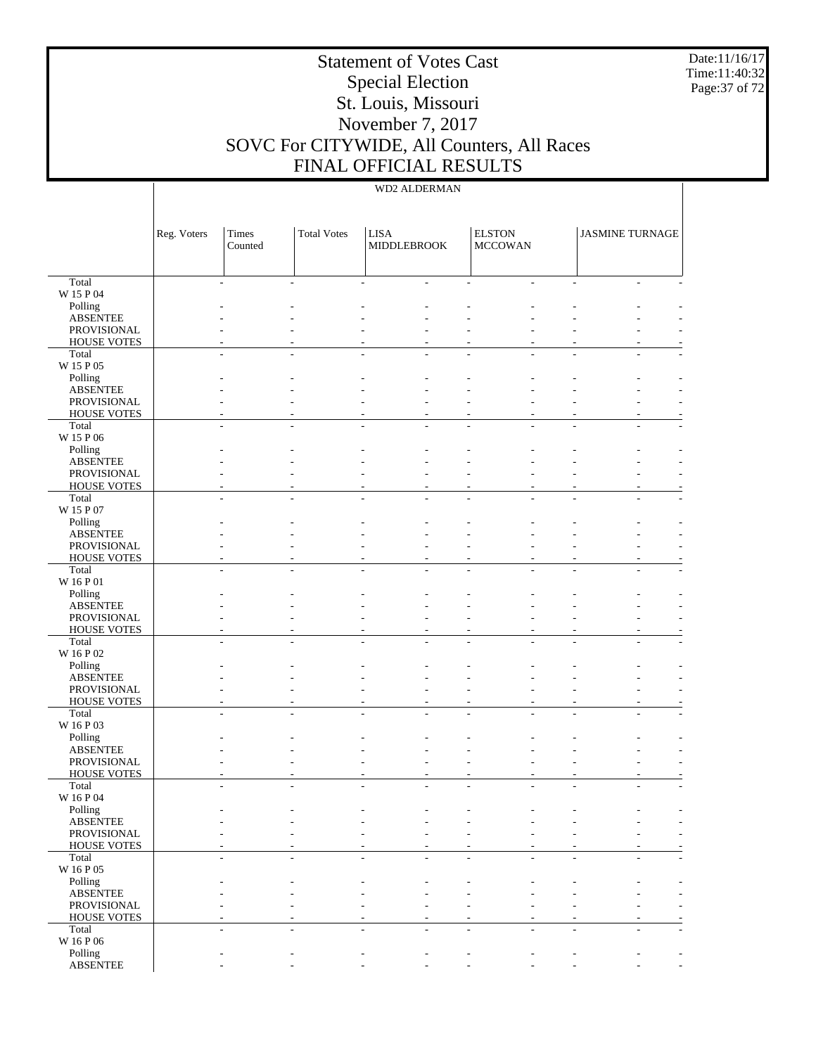Date:11/16/17 Time:11:40:32 Page:37 of 72

# Statement of Votes Cast Special Election St. Louis, Missouri November 7, 2017 SOVC For CITYWIDE, All Counters, All Races FINAL OFFICIAL RESULTS

|                                   | Reg. Voters | Times<br>Counted | <b>Total Votes</b> | <b>LISA</b><br><b>MIDDLEBROOK</b> | <b>ELSTON</b><br><b>MCCOWAN</b> | <b>JASMINE TURNAGE</b> |                          |
|-----------------------------------|-------------|------------------|--------------------|-----------------------------------|---------------------------------|------------------------|--------------------------|
| Total                             |             |                  |                    |                                   |                                 |                        |                          |
| W 15 P 04                         |             |                  |                    |                                   |                                 |                        |                          |
| Polling<br><b>ABSENTEE</b>        |             |                  |                    |                                   |                                 |                        |                          |
| PROVISIONAL                       |             |                  |                    |                                   |                                 |                        |                          |
| <b>HOUSE VOTES</b>                |             |                  |                    |                                   |                                 |                        |                          |
| Total                             |             |                  |                    |                                   |                                 |                        |                          |
| W 15 P 05                         |             |                  |                    |                                   |                                 |                        |                          |
| Polling                           |             |                  |                    |                                   |                                 |                        |                          |
| <b>ABSENTEE</b>                   |             |                  |                    |                                   |                                 |                        |                          |
| PROVISIONAL<br><b>HOUSE VOTES</b> |             |                  |                    |                                   |                                 |                        |                          |
| Total                             |             |                  |                    |                                   |                                 |                        |                          |
| W 15 P 06                         |             |                  |                    |                                   |                                 |                        |                          |
| Polling                           |             |                  |                    |                                   |                                 |                        |                          |
| <b>ABSENTEE</b>                   |             |                  |                    |                                   |                                 |                        |                          |
| PROVISIONAL                       |             |                  |                    |                                   |                                 |                        |                          |
| <b>HOUSE VOTES</b>                |             |                  |                    |                                   |                                 |                        |                          |
| Total<br>W 15 P 07                |             |                  |                    |                                   |                                 |                        |                          |
| Polling                           |             |                  |                    |                                   |                                 |                        |                          |
| <b>ABSENTEE</b>                   |             |                  |                    |                                   |                                 |                        |                          |
| PROVISIONAL                       |             |                  |                    |                                   |                                 |                        |                          |
| <b>HOUSE VOTES</b>                |             |                  |                    |                                   |                                 |                        |                          |
| Total                             |             |                  |                    |                                   |                                 |                        |                          |
| W 16 P 01                         |             |                  |                    |                                   |                                 |                        |                          |
| Polling<br><b>ABSENTEE</b>        |             |                  |                    |                                   |                                 |                        |                          |
| PROVISIONAL                       |             |                  |                    |                                   |                                 |                        |                          |
| <b>HOUSE VOTES</b>                |             |                  |                    |                                   |                                 |                        |                          |
| Total                             |             |                  |                    |                                   |                                 |                        |                          |
| W 16 P 02                         |             |                  |                    |                                   |                                 |                        |                          |
| Polling                           |             |                  |                    |                                   |                                 |                        |                          |
| <b>ABSENTEE</b><br>PROVISIONAL    |             |                  |                    |                                   |                                 |                        |                          |
| <b>HOUSE VOTES</b>                |             |                  |                    |                                   |                                 |                        |                          |
| Total                             |             |                  |                    |                                   |                                 |                        |                          |
| W 16 P 03                         |             |                  |                    |                                   |                                 |                        |                          |
| Polling                           |             |                  |                    |                                   |                                 |                        |                          |
| <b>ABSENTEE</b>                   |             |                  |                    |                                   |                                 |                        |                          |
| PROVISIONAL                       |             |                  |                    |                                   |                                 |                        |                          |
| <b>HOUSE VOTES</b><br>Total       |             |                  |                    |                                   |                                 |                        |                          |
| W 16 P 04                         |             |                  |                    |                                   |                                 |                        |                          |
| Polling                           |             |                  |                    |                                   |                                 |                        |                          |
| <b>ABSENTEE</b>                   |             |                  |                    |                                   |                                 |                        | $\overline{\phantom{a}}$ |
| PROVISIONAL                       |             |                  |                    |                                   |                                 |                        |                          |
| <b>HOUSE VOTES</b>                |             |                  |                    |                                   |                                 |                        |                          |
| Total<br>W 16 P 05                |             |                  |                    |                                   |                                 |                        |                          |
| Polling                           |             |                  |                    |                                   |                                 |                        |                          |
| <b>ABSENTEE</b>                   |             |                  |                    |                                   |                                 |                        |                          |
| PROVISIONAL                       |             |                  |                    |                                   |                                 |                        |                          |
| <b>HOUSE VOTES</b>                |             |                  |                    |                                   |                                 |                        |                          |
| Total                             |             |                  |                    |                                   |                                 |                        |                          |
| W 16 P 06                         |             |                  |                    |                                   |                                 |                        |                          |
| Polling<br><b>ABSENTEE</b>        |             |                  |                    |                                   |                                 |                        | $\overline{\phantom{a}}$ |
|                                   |             |                  |                    |                                   |                                 |                        |                          |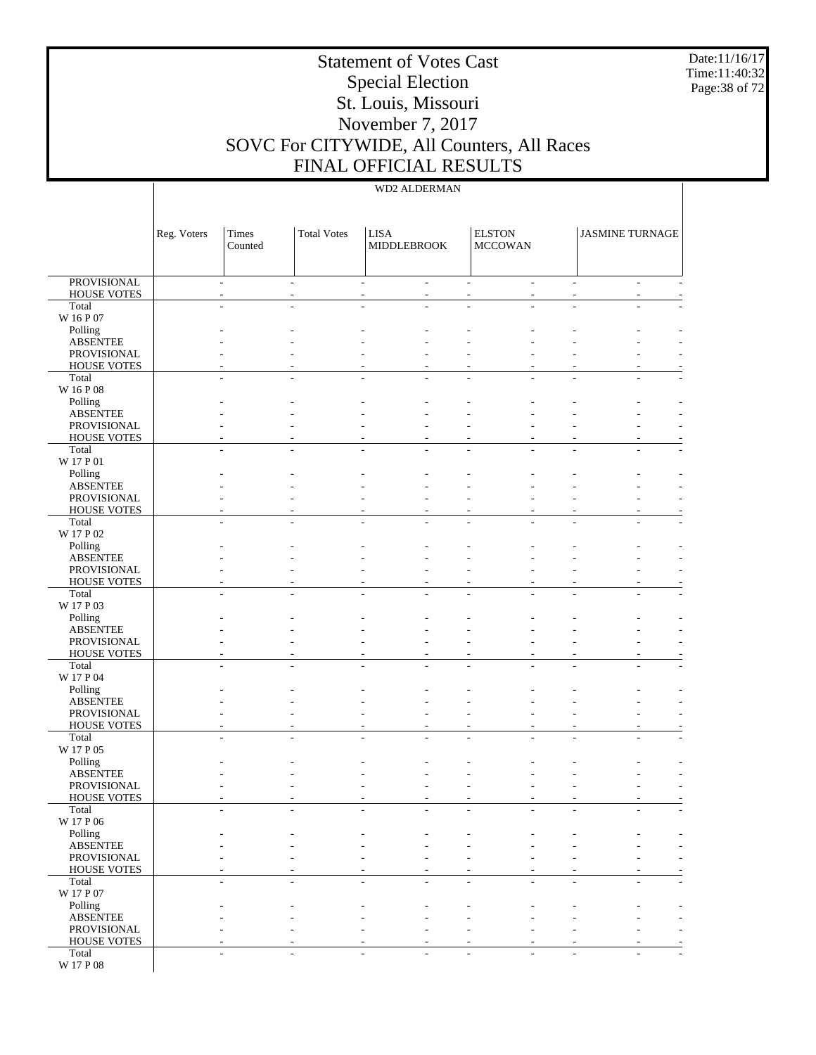Date:11/16/17 Time:11:40:32 Page:38 of 72

# Statement of Votes Cast Special Election St. Louis, Missouri November 7, 2017 SOVC For CITYWIDE, All Counters, All Races FINAL OFFICIAL RESULTS

|                                          | Reg. Voters    | Times<br>Counted | <b>Total Votes</b>            | <b>LISA</b><br>MIDDLEBROOK |                | <b>ELSTON</b><br><b>MCCOWAN</b> |    | <b>JASMINE TURNAGE</b> |                               |
|------------------------------------------|----------------|------------------|-------------------------------|----------------------------|----------------|---------------------------------|----|------------------------|-------------------------------|
| <b>PROVISIONAL</b><br><b>HOUSE VOTES</b> | $\overline{a}$ | $\overline{a}$   | $\overline{\phantom{a}}$<br>٠ | $\overline{a}$             | $\overline{a}$ | ÷.<br>$\overline{\phantom{0}}$  | ÷. |                        | $\sim$<br>$\overline{a}$      |
| Total                                    |                |                  |                               |                            |                |                                 |    |                        |                               |
| W 16 P 07                                |                |                  |                               |                            |                |                                 |    |                        |                               |
| Polling<br><b>ABSENTEE</b>               |                |                  |                               |                            |                |                                 |    |                        |                               |
| PROVISIONAL                              |                |                  |                               |                            |                |                                 |    |                        |                               |
| <b>HOUSE VOTES</b>                       |                |                  |                               |                            |                |                                 |    |                        |                               |
| Total                                    |                |                  | $\overline{a}$                |                            |                |                                 |    |                        |                               |
| W 16 P 08<br>Polling                     |                |                  |                               |                            |                |                                 |    |                        |                               |
| <b>ABSENTEE</b>                          |                |                  |                               |                            |                |                                 |    |                        |                               |
| PROVISIONAL                              |                |                  |                               |                            |                |                                 |    |                        |                               |
| <b>HOUSE VOTES</b>                       |                |                  |                               |                            |                |                                 |    |                        |                               |
| Total<br>W 17 P 01                       |                |                  |                               |                            |                |                                 |    |                        |                               |
| Polling                                  |                |                  |                               |                            |                |                                 |    |                        |                               |
| <b>ABSENTEE</b>                          |                |                  |                               |                            |                |                                 |    |                        |                               |
| PROVISIONAL                              |                |                  |                               |                            |                |                                 |    |                        |                               |
| <b>HOUSE VOTES</b><br>Total              |                |                  | $\overline{\phantom{a}}$      |                            | L.             | ÷                               |    |                        | ۰                             |
| W 17 P 02                                |                |                  |                               |                            |                |                                 |    |                        |                               |
| Polling                                  |                |                  |                               |                            |                |                                 |    |                        |                               |
| <b>ABSENTEE</b>                          |                |                  |                               |                            |                |                                 |    |                        |                               |
| PROVISIONAL<br><b>HOUSE VOTES</b>        |                |                  |                               |                            |                |                                 |    |                        |                               |
| Total                                    |                |                  |                               |                            |                |                                 |    |                        |                               |
| W 17 P 03                                |                |                  |                               |                            |                |                                 |    |                        |                               |
| Polling                                  |                |                  |                               |                            |                |                                 |    |                        |                               |
| <b>ABSENTEE</b><br>PROVISIONAL           |                |                  |                               |                            |                |                                 |    |                        |                               |
| <b>HOUSE VOTES</b>                       |                |                  |                               |                            |                |                                 |    |                        |                               |
| Total                                    |                |                  |                               |                            |                |                                 |    |                        |                               |
| W 17 P 04                                |                |                  |                               |                            |                |                                 |    |                        |                               |
| Polling<br><b>ABSENTEE</b>               |                |                  |                               |                            |                |                                 |    |                        |                               |
| PROVISIONAL                              |                |                  |                               |                            |                |                                 |    |                        |                               |
| <b>HOUSE VOTES</b>                       |                |                  |                               |                            |                | ۰                               |    |                        |                               |
| Total<br>W 17 P 05                       |                |                  |                               |                            |                |                                 |    |                        |                               |
| Polling                                  |                |                  |                               |                            |                |                                 |    |                        |                               |
| <b>ABSENTEE</b>                          |                |                  |                               |                            |                |                                 |    |                        |                               |
| PROVISIONAL                              |                |                  |                               |                            |                |                                 |    |                        |                               |
| <b>HOUSE VOTES</b><br>Total              |                |                  |                               |                            |                |                                 |    |                        |                               |
| W 17 P 06                                |                |                  |                               |                            |                |                                 |    |                        |                               |
| Polling                                  |                |                  |                               |                            |                |                                 |    |                        |                               |
| <b>ABSENTEE</b>                          |                |                  |                               |                            |                |                                 |    |                        |                               |
| PROVISIONAL<br><b>HOUSE VOTES</b>        |                |                  | ٠                             |                            |                | ۰<br>٠                          |    |                        | $\overline{\phantom{a}}$<br>٠ |
| Total                                    | ä,             | ٠                | $\overline{a}$                | $\overline{a}$             | L,             | ÷                               | ÷  |                        | $\overline{a}$<br>٠           |
| W 17 P 07                                |                |                  |                               |                            |                |                                 |    |                        |                               |
| Polling                                  |                |                  |                               |                            |                |                                 |    |                        |                               |
| <b>ABSENTEE</b><br>PROVISIONAL           |                |                  |                               |                            |                | ۰                               |    |                        | ٠                             |
| <b>HOUSE VOTES</b>                       |                |                  |                               |                            |                | ٠                               |    |                        |                               |
| Total                                    | $\overline{a}$ |                  | ÷                             |                            | ٠              | ÷                               | ÷. |                        | $\overline{a}$                |
| W 17 P 08                                |                |                  |                               |                            |                |                                 |    |                        |                               |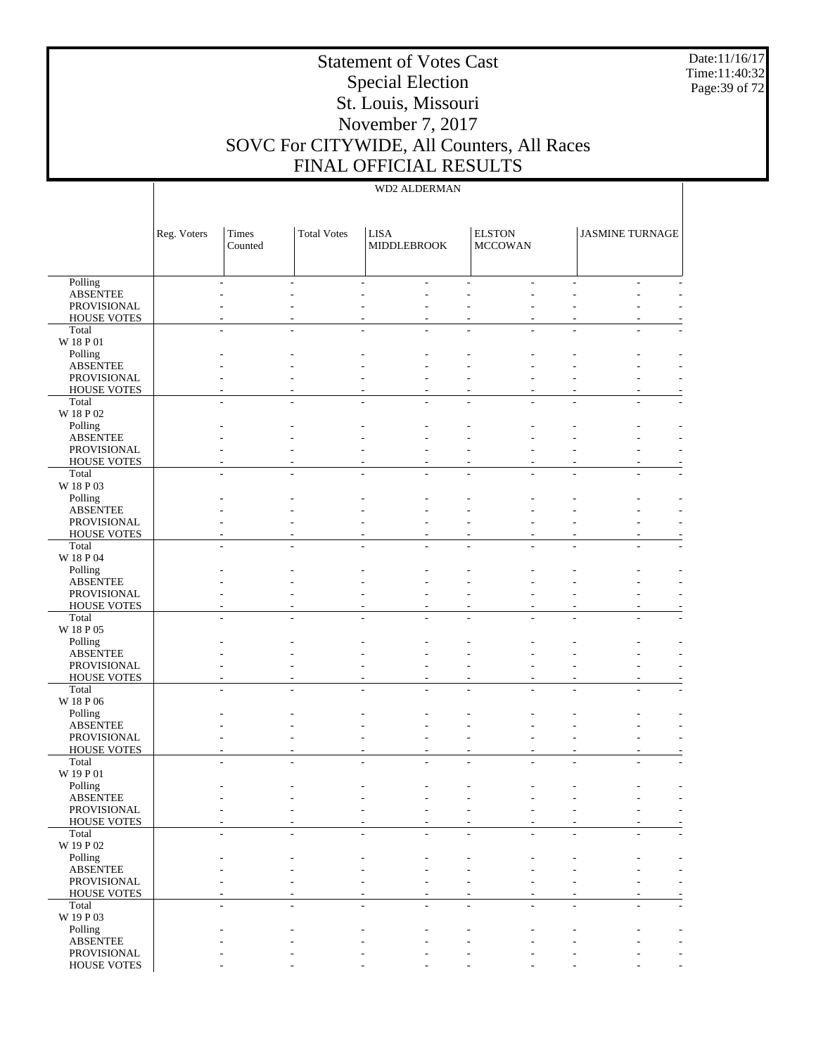Date:11/16/17 Time:11:40:32 Page:39 of 72

# Statement of Votes Cast Special Election St. Louis, Missouri November 7, 2017 SOVC For CITYWIDE, All Counters, All Races FINAL OFFICIAL RESULTS

|                                | Reg. Voters | Times<br>Counted | <b>Total Votes</b> | <b>LISA</b><br><b>MIDDLEBROOK</b> | <b>ELSTON</b><br><b>MCCOWAN</b> | <b>JASMINE TURNAGE</b> |  |
|--------------------------------|-------------|------------------|--------------------|-----------------------------------|---------------------------------|------------------------|--|
| Polling                        |             |                  |                    |                                   |                                 |                        |  |
| <b>ABSENTEE</b>                |             |                  |                    |                                   |                                 |                        |  |
| PROVISIONAL                    |             |                  |                    |                                   |                                 |                        |  |
| <b>HOUSE VOTES</b>             |             |                  |                    |                                   |                                 |                        |  |
| Total<br>W 18 P 01             |             |                  |                    |                                   |                                 |                        |  |
| Polling                        |             |                  |                    |                                   |                                 |                        |  |
| <b>ABSENTEE</b>                |             |                  |                    |                                   |                                 |                        |  |
| PROVISIONAL                    |             |                  |                    |                                   |                                 |                        |  |
| <b>HOUSE VOTES</b>             |             |                  |                    |                                   |                                 |                        |  |
| Total                          |             |                  |                    |                                   |                                 |                        |  |
| $\rm W$ 18 P 02                |             |                  |                    |                                   |                                 |                        |  |
| Polling                        |             |                  |                    |                                   |                                 |                        |  |
| <b>ABSENTEE</b>                |             |                  |                    |                                   |                                 |                        |  |
| PROVISIONAL                    |             |                  |                    |                                   |                                 |                        |  |
| <b>HOUSE VOTES</b><br>Total    |             |                  |                    |                                   |                                 |                        |  |
| W 18 P 03                      |             |                  |                    |                                   |                                 |                        |  |
| Polling                        |             |                  |                    |                                   |                                 |                        |  |
| <b>ABSENTEE</b>                |             |                  |                    |                                   |                                 |                        |  |
| PROVISIONAL                    |             |                  |                    |                                   |                                 |                        |  |
| <b>HOUSE VOTES</b>             |             |                  |                    |                                   |                                 |                        |  |
| Total                          |             |                  |                    |                                   |                                 |                        |  |
| W 18 P 04                      |             |                  |                    |                                   |                                 |                        |  |
| Polling                        |             |                  |                    |                                   |                                 |                        |  |
| <b>ABSENTEE</b><br>PROVISIONAL |             |                  |                    |                                   |                                 |                        |  |
| <b>HOUSE VOTES</b>             |             |                  |                    |                                   |                                 |                        |  |
| Total                          |             |                  |                    |                                   |                                 |                        |  |
| W 18 P 05                      |             |                  |                    |                                   |                                 |                        |  |
| Polling                        |             |                  |                    |                                   |                                 |                        |  |
| <b>ABSENTEE</b>                |             |                  |                    |                                   |                                 |                        |  |
| PROVISIONAL                    |             |                  |                    |                                   |                                 |                        |  |
| <b>HOUSE VOTES</b>             |             |                  |                    |                                   |                                 |                        |  |
| Total                          |             |                  |                    |                                   |                                 |                        |  |
| W 18 P 06<br>Polling           |             |                  |                    |                                   |                                 |                        |  |
| <b>ABSENTEE</b>                |             |                  |                    |                                   |                                 |                        |  |
| PROVISIONAL                    |             |                  |                    |                                   |                                 |                        |  |
| HOUSE VOTES                    |             |                  |                    |                                   |                                 |                        |  |
| Total                          |             |                  |                    |                                   |                                 |                        |  |
| W 19 P 01                      |             |                  |                    |                                   |                                 |                        |  |
| Polling                        |             |                  |                    |                                   |                                 |                        |  |
| <b>ABSENTEE</b>                |             |                  |                    |                                   |                                 |                        |  |
| PROVISIONAL                    |             |                  |                    |                                   |                                 |                        |  |
| <b>HOUSE VOTES</b>             |             |                  |                    |                                   |                                 |                        |  |
| Total<br>W 19 P 02             |             |                  |                    |                                   |                                 |                        |  |
| Polling                        |             |                  |                    |                                   |                                 |                        |  |
| <b>ABSENTEE</b>                |             |                  |                    |                                   |                                 |                        |  |
| PROVISIONAL                    |             |                  |                    |                                   |                                 |                        |  |
| HOUSE VOTES                    |             |                  |                    |                                   |                                 |                        |  |
| Total                          |             |                  |                    |                                   |                                 |                        |  |
| W 19 P 03                      |             |                  |                    |                                   |                                 |                        |  |
| Polling                        |             |                  |                    |                                   |                                 |                        |  |
| <b>ABSENTEE</b>                |             |                  |                    |                                   |                                 |                        |  |
| PROVISIONAL                    |             |                  |                    |                                   |                                 |                        |  |
| HOUSE VOTES                    |             |                  |                    |                                   |                                 |                        |  |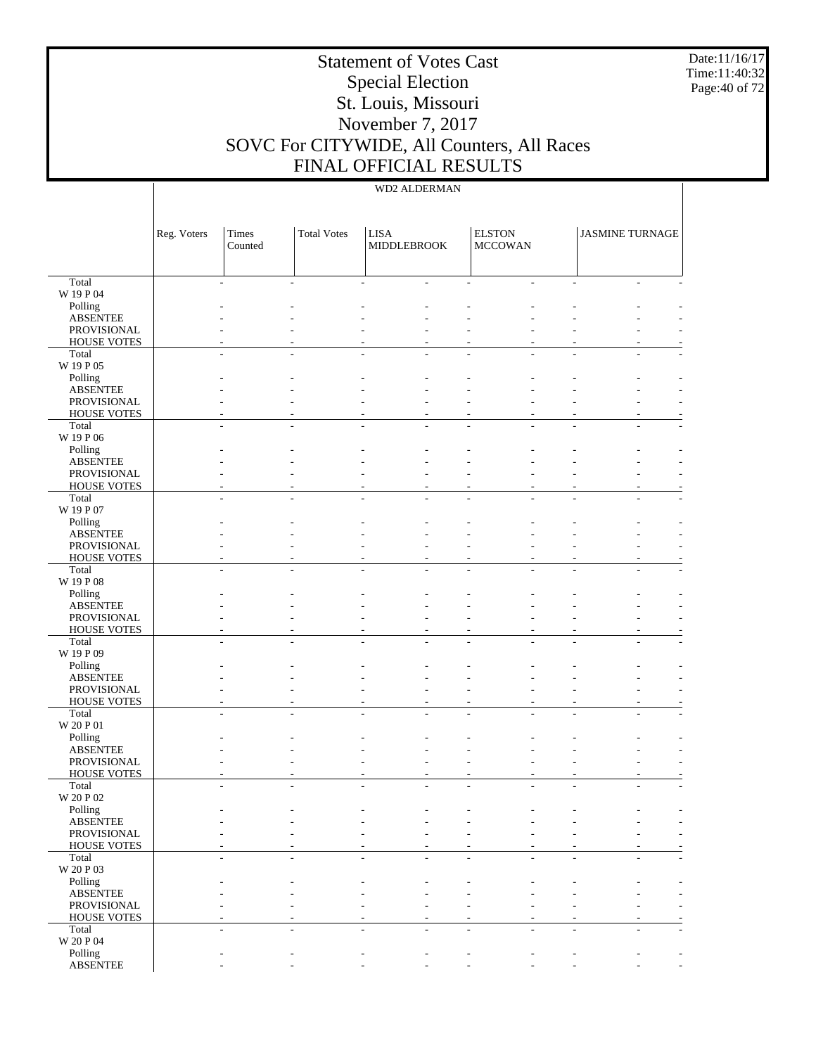Date:11/16/17 Time:11:40:32 Page:40 of 72

# Statement of Votes Cast Special Election St. Louis, Missouri November 7, 2017 SOVC For CITYWIDE, All Counters, All Races FINAL OFFICIAL RESULTS

| Total<br>W 19 P 04<br>Polling<br><b>ABSENTEE</b><br>PROVISIONAL<br><b>HOUSE VOTES</b><br>Total<br>W 19 P 05<br>Polling |                          |
|------------------------------------------------------------------------------------------------------------------------|--------------------------|
|                                                                                                                        |                          |
|                                                                                                                        |                          |
|                                                                                                                        |                          |
|                                                                                                                        |                          |
|                                                                                                                        |                          |
|                                                                                                                        |                          |
|                                                                                                                        |                          |
| <b>ABSENTEE</b>                                                                                                        |                          |
| PROVISIONAL                                                                                                            |                          |
| <b>HOUSE VOTES</b>                                                                                                     |                          |
| Total                                                                                                                  |                          |
| W 19 P 06                                                                                                              |                          |
| Polling<br><b>ABSENTEE</b>                                                                                             |                          |
| PROVISIONAL                                                                                                            |                          |
| <b>HOUSE VOTES</b>                                                                                                     |                          |
| Total                                                                                                                  |                          |
| W 19 P 07                                                                                                              |                          |
| Polling<br><b>ABSENTEE</b>                                                                                             |                          |
| PROVISIONAL                                                                                                            |                          |
| <b>HOUSE VOTES</b>                                                                                                     |                          |
| Total                                                                                                                  |                          |
| W 19 P 08                                                                                                              |                          |
| Polling<br><b>ABSENTEE</b>                                                                                             |                          |
| PROVISIONAL                                                                                                            |                          |
| <b>HOUSE VOTES</b>                                                                                                     |                          |
| Total                                                                                                                  |                          |
| W 19 P 09                                                                                                              |                          |
| Polling<br><b>ABSENTEE</b>                                                                                             |                          |
| PROVISIONAL                                                                                                            |                          |
| <b>HOUSE VOTES</b><br>$\overline{a}$                                                                                   |                          |
| Total                                                                                                                  |                          |
| W 20 P 01                                                                                                              |                          |
| Polling<br><b>ABSENTEE</b>                                                                                             |                          |
| PROVISIONAL                                                                                                            |                          |
| <b>HOUSE VOTES</b>                                                                                                     |                          |
| Total                                                                                                                  |                          |
| W 20 P 02<br>Polling                                                                                                   |                          |
| <b>ABSENTEE</b>                                                                                                        | $\overline{\phantom{a}}$ |
| PROVISIONAL                                                                                                            |                          |
| <b>HOUSE VOTES</b>                                                                                                     |                          |
| Total                                                                                                                  |                          |
| W 20 P 03<br>Polling                                                                                                   |                          |
| <b>ABSENTEE</b>                                                                                                        |                          |
| PROVISIONAL                                                                                                            |                          |
| <b>HOUSE VOTES</b>                                                                                                     |                          |
| Total                                                                                                                  |                          |
| W 20 P 04                                                                                                              |                          |
| Polling<br><b>ABSENTEE</b>                                                                                             |                          |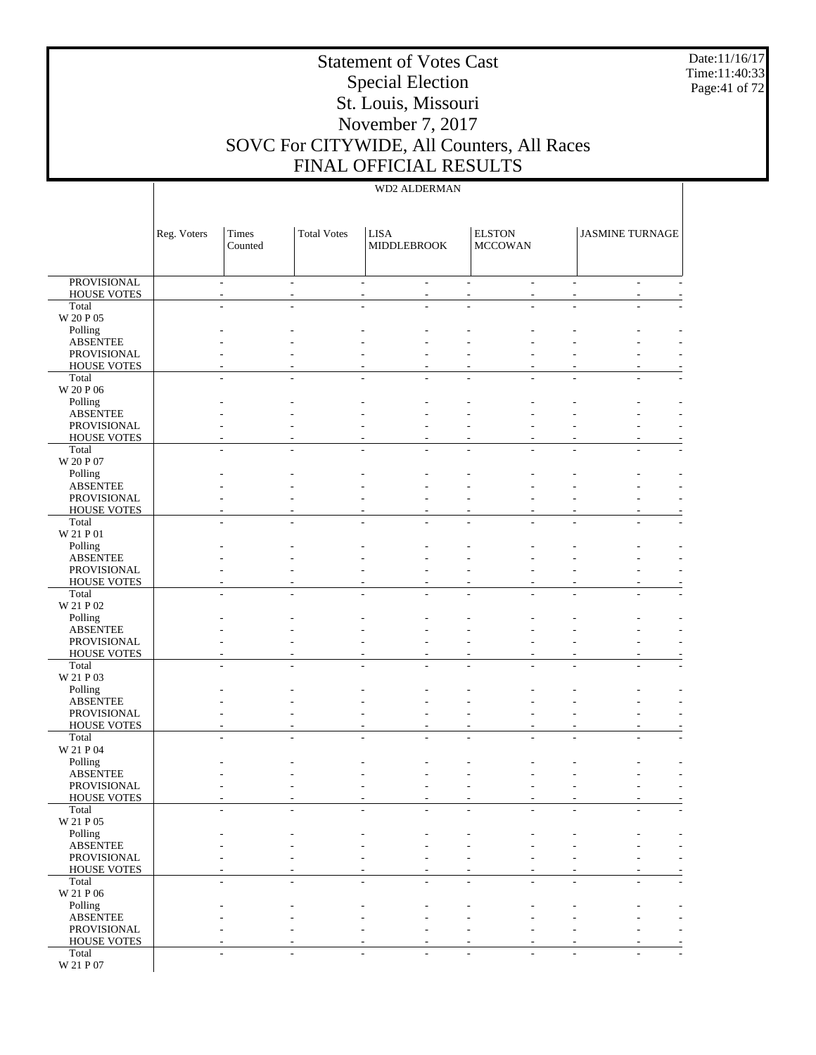Date:11/16/17 Time:11:40:33 Page:41 of 72

# Statement of Votes Cast Special Election St. Louis, Missouri November 7, 2017 SOVC For CITYWIDE, All Counters, All Races FINAL OFFICIAL RESULTS

|                                   | Reg. Voters | Times<br>Counted                           | <b>Total Votes</b>       | <b>LISA</b><br>MIDDLEBROOK                      |                | <b>ELSTON</b><br><b>MCCOWAN</b> |                                      | <b>JASMINE TURNAGE</b> |                          |
|-----------------------------------|-------------|--------------------------------------------|--------------------------|-------------------------------------------------|----------------|---------------------------------|--------------------------------------|------------------------|--------------------------|
| <b>PROVISIONAL</b><br>HOUSE VOTES |             | $\overline{a}$<br>$\overline{\phantom{a}}$ | ٠                        | $\overline{\phantom{a}}$<br>$\overline{a}$<br>٠ | $\overline{a}$ |                                 | ÷.<br>÷.<br>$\overline{\phantom{0}}$ |                        | $\sim$<br>$\overline{a}$ |
| Total                             |             |                                            |                          |                                                 |                |                                 |                                      |                        |                          |
| W 20 P 05                         |             |                                            |                          |                                                 |                |                                 |                                      |                        |                          |
| Polling                           |             |                                            |                          |                                                 |                |                                 |                                      |                        |                          |
| <b>ABSENTEE</b><br>PROVISIONAL    |             |                                            |                          |                                                 |                |                                 |                                      |                        |                          |
| <b>HOUSE VOTES</b>                |             |                                            |                          |                                                 |                |                                 |                                      |                        |                          |
| Total                             |             |                                            | $\overline{a}$           |                                                 |                |                                 |                                      |                        |                          |
| W 20 P 06                         |             |                                            |                          |                                                 |                |                                 |                                      |                        |                          |
| Polling<br><b>ABSENTEE</b>        |             |                                            |                          |                                                 |                |                                 |                                      |                        |                          |
| PROVISIONAL                       |             |                                            |                          |                                                 |                |                                 |                                      |                        |                          |
| <b>HOUSE VOTES</b>                |             |                                            |                          |                                                 |                |                                 |                                      |                        |                          |
| Total                             |             |                                            |                          |                                                 |                |                                 |                                      |                        |                          |
| W 20 P 07<br>Polling              |             |                                            |                          |                                                 |                |                                 |                                      |                        |                          |
| <b>ABSENTEE</b>                   |             |                                            |                          |                                                 |                |                                 |                                      |                        |                          |
| PROVISIONAL                       |             |                                            |                          |                                                 |                |                                 |                                      |                        |                          |
| <b>HOUSE VOTES</b>                |             |                                            |                          |                                                 |                |                                 |                                      |                        |                          |
| Total<br>W 21 P 01                |             |                                            | $\overline{\phantom{a}}$ |                                                 | L.             |                                 | ÷                                    |                        | ٠                        |
| Polling                           |             |                                            |                          |                                                 |                |                                 |                                      |                        |                          |
| <b>ABSENTEE</b>                   |             |                                            |                          |                                                 |                |                                 |                                      |                        |                          |
| PROVISIONAL                       |             |                                            |                          |                                                 |                |                                 |                                      |                        |                          |
| <b>HOUSE VOTES</b><br>Total       |             |                                            |                          |                                                 |                |                                 |                                      |                        |                          |
| W 21 P 02                         |             |                                            |                          |                                                 |                |                                 |                                      |                        |                          |
| Polling                           |             |                                            |                          |                                                 |                |                                 |                                      |                        |                          |
| <b>ABSENTEE</b>                   |             |                                            |                          |                                                 |                |                                 |                                      |                        |                          |
| PROVISIONAL<br><b>HOUSE VOTES</b> |             |                                            |                          |                                                 |                |                                 |                                      |                        |                          |
| Total                             |             |                                            | ٠                        |                                                 |                |                                 |                                      |                        |                          |
| W 21 P 03                         |             |                                            |                          |                                                 |                |                                 |                                      |                        |                          |
| Polling                           |             |                                            |                          |                                                 |                |                                 |                                      |                        |                          |
| <b>ABSENTEE</b><br>PROVISIONAL    |             |                                            |                          |                                                 |                |                                 |                                      |                        |                          |
| <b>HOUSE VOTES</b>                |             |                                            |                          |                                                 |                | ٠                               |                                      |                        |                          |
| Total                             |             |                                            |                          |                                                 |                |                                 |                                      |                        |                          |
| W 21 P 04                         |             |                                            |                          |                                                 |                |                                 |                                      |                        |                          |
| Polling<br><b>ABSENTEE</b>        |             |                                            |                          |                                                 |                |                                 |                                      |                        |                          |
| PROVISIONAL                       |             |                                            |                          |                                                 |                |                                 |                                      |                        |                          |
| <b>HOUSE VOTES</b>                |             |                                            |                          |                                                 |                |                                 |                                      |                        |                          |
| Total                             |             |                                            |                          |                                                 |                |                                 |                                      |                        |                          |
| W 21 P 05                         |             |                                            |                          |                                                 |                |                                 |                                      |                        |                          |
| Polling<br><b>ABSENTEE</b>        |             |                                            |                          |                                                 |                |                                 |                                      |                        |                          |
| PROVISIONAL                       |             |                                            |                          |                                                 |                |                                 |                                      |                        | $\overline{\phantom{a}}$ |
| <b>HOUSE VOTES</b>                |             |                                            |                          |                                                 |                |                                 | ٠                                    |                        | ٠                        |
| Total                             |             | ä,<br>٠                                    | $\overline{a}$           |                                                 | L,             |                                 | ÷<br>÷                               |                        | $\overline{a}$<br>٠      |
| W 21 P 06<br>Polling              |             |                                            |                          |                                                 |                |                                 |                                      |                        |                          |
| <b>ABSENTEE</b>                   |             |                                            |                          |                                                 |                |                                 |                                      |                        |                          |
| PROVISIONAL                       |             |                                            |                          |                                                 |                |                                 | ۰                                    |                        | ٠                        |
| <b>HOUSE VOTES</b>                |             |                                            |                          |                                                 |                |                                 | ٠                                    |                        |                          |
| Total<br>W 21 P 07                |             | $\overline{a}$                             | $\overline{a}$           |                                                 | ٠              |                                 | ÷<br>÷                               |                        | $\overline{a}$           |
|                                   |             |                                            |                          |                                                 |                |                                 |                                      |                        |                          |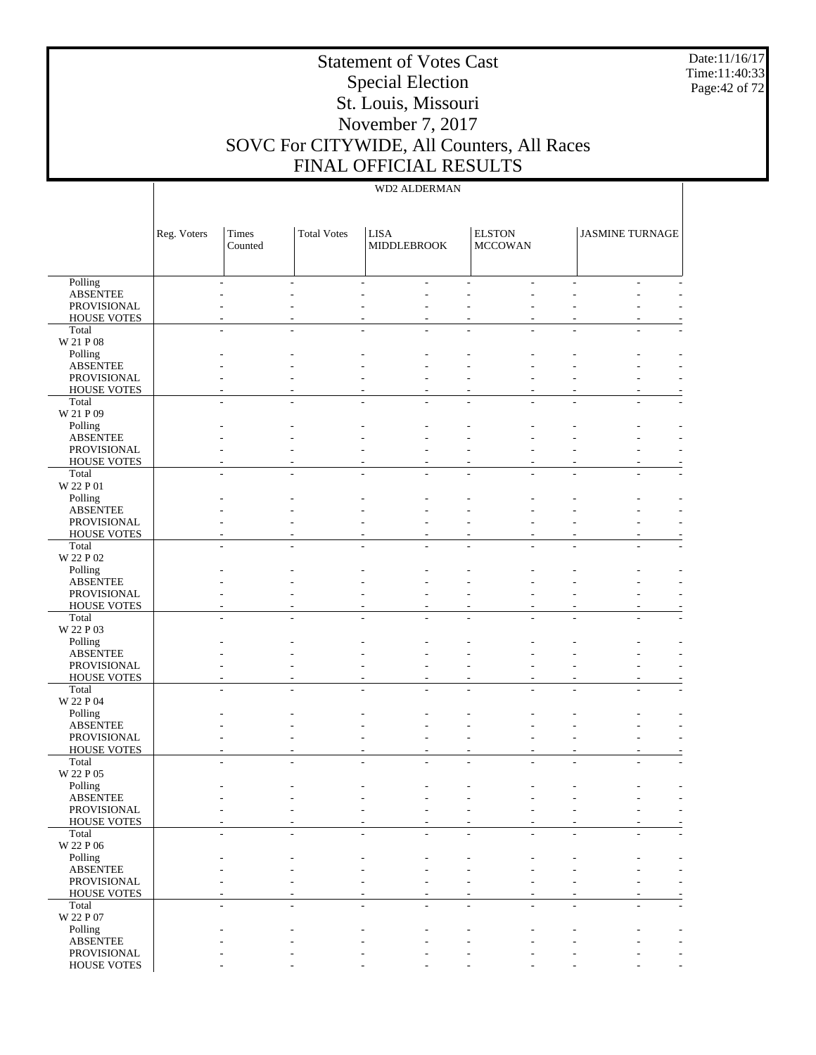Date:11/16/17 Time:11:40:33 Page:42 of 72

# Statement of Votes Cast Special Election St. Louis, Missouri November 7, 2017 SOVC For CITYWIDE, All Counters, All Races FINAL OFFICIAL RESULTS

|                                   | Reg. Voters | Times<br>Counted | <b>Total Votes</b> | <b>LISA</b><br>MIDDLEBROOK | <b>ELSTON</b><br><b>MCCOWAN</b> | <b>JASMINE TURNAGE</b> |  |
|-----------------------------------|-------------|------------------|--------------------|----------------------------|---------------------------------|------------------------|--|
| Polling                           |             |                  |                    |                            |                                 |                        |  |
| <b>ABSENTEE</b>                   |             |                  |                    |                            |                                 |                        |  |
| PROVISIONAL<br><b>HOUSE VOTES</b> |             |                  |                    |                            |                                 |                        |  |
| Total                             |             |                  |                    |                            |                                 |                        |  |
| W 21 P 08                         |             |                  |                    |                            |                                 |                        |  |
| Polling                           |             |                  |                    |                            |                                 |                        |  |
| <b>ABSENTEE</b>                   |             |                  |                    |                            |                                 |                        |  |
| PROVISIONAL<br><b>HOUSE VOTES</b> |             |                  |                    |                            |                                 |                        |  |
| Total                             |             |                  |                    |                            |                                 |                        |  |
| W 21 P 09                         |             |                  |                    |                            |                                 |                        |  |
| Polling                           |             |                  |                    |                            |                                 |                        |  |
| <b>ABSENTEE</b>                   |             |                  |                    |                            |                                 |                        |  |
| PROVISIONAL                       |             |                  |                    |                            |                                 |                        |  |
| <b>HOUSE VOTES</b><br>Total       |             |                  |                    |                            |                                 |                        |  |
| W 22 P 01                         |             |                  |                    |                            |                                 |                        |  |
| Polling                           |             |                  |                    |                            |                                 |                        |  |
| <b>ABSENTEE</b>                   |             |                  |                    |                            |                                 |                        |  |
| PROVISIONAL                       |             |                  |                    |                            |                                 |                        |  |
| <b>HOUSE VOTES</b><br>Total       |             |                  |                    |                            |                                 |                        |  |
| W 22 P 02                         |             |                  |                    |                            |                                 |                        |  |
| Polling                           |             |                  |                    |                            |                                 |                        |  |
| <b>ABSENTEE</b>                   |             |                  |                    |                            |                                 |                        |  |
| PROVISIONAL                       |             |                  |                    |                            |                                 |                        |  |
| <b>HOUSE VOTES</b>                |             |                  |                    |                            |                                 |                        |  |
| Total<br>W 22 P 03                |             |                  |                    |                            |                                 |                        |  |
| Polling                           |             |                  |                    |                            |                                 |                        |  |
| <b>ABSENTEE</b>                   |             |                  |                    |                            |                                 |                        |  |
| PROVISIONAL                       |             |                  |                    |                            |                                 |                        |  |
| <b>HOUSE VOTES</b>                |             |                  |                    |                            |                                 |                        |  |
| Total<br>W 22 P 04                |             |                  |                    |                            |                                 |                        |  |
| Polling                           |             |                  |                    |                            |                                 |                        |  |
| <b>ABSENTEE</b>                   |             |                  |                    |                            |                                 |                        |  |
| PROVISIONAL                       |             |                  |                    |                            |                                 |                        |  |
| <b>HOUSE VOTES</b>                |             |                  |                    |                            |                                 |                        |  |
| Total                             |             |                  |                    |                            |                                 |                        |  |
| W 22 P 05<br>Polling              |             |                  |                    |                            |                                 |                        |  |
| <b>ABSENTEE</b>                   |             |                  |                    |                            |                                 |                        |  |
| PROVISIONAL                       |             |                  |                    |                            |                                 |                        |  |
| HOUSE VOTES                       |             |                  |                    |                            |                                 |                        |  |
| Total                             |             |                  |                    |                            |                                 |                        |  |
| W 22 P 06                         |             |                  |                    |                            |                                 |                        |  |
| Polling<br><b>ABSENTEE</b>        |             |                  |                    |                            |                                 |                        |  |
| PROVISIONAL                       |             |                  |                    |                            |                                 |                        |  |
| <b>HOUSE VOTES</b>                |             |                  |                    |                            |                                 |                        |  |
| Total                             |             |                  |                    |                            |                                 |                        |  |
| W 22 P 07                         |             |                  |                    |                            |                                 |                        |  |
| Polling                           |             |                  |                    |                            |                                 |                        |  |
| <b>ABSENTEE</b><br>PROVISIONAL    |             |                  |                    |                            |                                 |                        |  |
| HOUSE VOTES                       |             |                  |                    |                            |                                 |                        |  |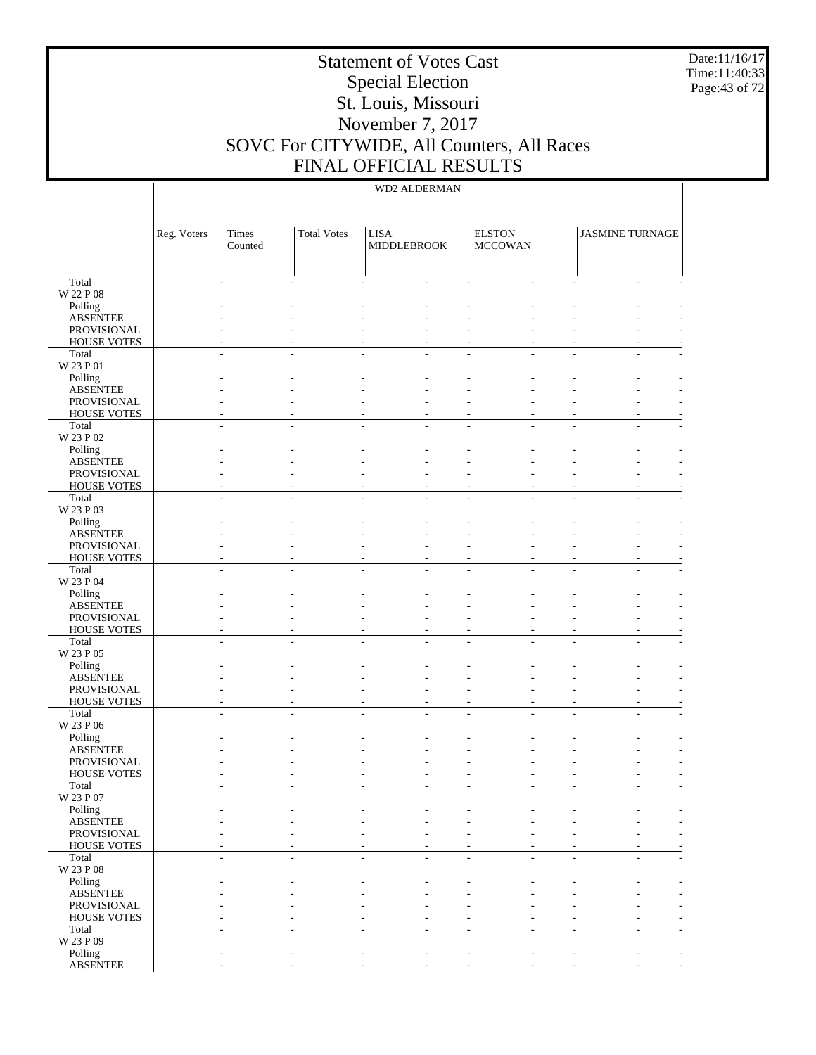Date:11/16/17 Time:11:40:33 Page:43 of 72

# Statement of Votes Cast Special Election St. Louis, Missouri November 7, 2017 SOVC For CITYWIDE, All Counters, All Races FINAL OFFICIAL RESULTS

|                                   | Reg. Voters | Times<br>Counted | <b>Total Votes</b> | <b>LISA</b><br><b>MIDDLEBROOK</b> |                | <b>ELSTON</b><br><b>MCCOWAN</b> | <b>JASMINE TURNAGE</b> |                          |
|-----------------------------------|-------------|------------------|--------------------|-----------------------------------|----------------|---------------------------------|------------------------|--------------------------|
| Total                             |             |                  |                    |                                   |                |                                 |                        |                          |
| W 22 P 08                         |             |                  |                    |                                   |                |                                 |                        |                          |
| Polling<br><b>ABSENTEE</b>        |             |                  |                    |                                   |                |                                 |                        |                          |
| PROVISIONAL                       |             |                  |                    |                                   |                |                                 |                        |                          |
| <b>HOUSE VOTES</b>                |             |                  |                    |                                   |                |                                 |                        |                          |
| Total                             |             |                  |                    |                                   |                |                                 |                        |                          |
| W 23 P 01<br>Polling              |             |                  |                    |                                   |                |                                 |                        |                          |
| <b>ABSENTEE</b>                   |             |                  |                    |                                   |                |                                 |                        |                          |
| PROVISIONAL                       |             |                  |                    |                                   |                |                                 |                        |                          |
| <b>HOUSE VOTES</b>                |             |                  |                    |                                   |                |                                 |                        |                          |
| Total<br>W 23 P 02                |             |                  |                    |                                   |                |                                 |                        |                          |
| Polling                           |             |                  |                    |                                   |                |                                 |                        |                          |
| <b>ABSENTEE</b>                   |             |                  |                    |                                   |                |                                 |                        |                          |
| PROVISIONAL                       |             |                  |                    |                                   |                |                                 |                        |                          |
| <b>HOUSE VOTES</b>                |             |                  |                    |                                   |                |                                 |                        |                          |
| Total<br>W 23 P 03                |             |                  |                    |                                   |                |                                 |                        |                          |
| Polling                           |             |                  |                    |                                   |                |                                 |                        |                          |
| <b>ABSENTEE</b>                   |             |                  |                    |                                   |                |                                 |                        |                          |
| PROVISIONAL                       |             |                  |                    |                                   |                |                                 |                        |                          |
| <b>HOUSE VOTES</b><br>Total       |             |                  |                    |                                   |                |                                 |                        |                          |
| W 23 P 04                         |             |                  |                    |                                   |                |                                 |                        |                          |
| Polling                           |             |                  |                    |                                   |                |                                 |                        |                          |
| <b>ABSENTEE</b>                   |             |                  |                    |                                   |                |                                 |                        |                          |
| PROVISIONAL                       |             |                  |                    |                                   |                |                                 |                        |                          |
| <b>HOUSE VOTES</b><br>Total       |             |                  |                    |                                   |                |                                 |                        |                          |
| W 23 P 05                         |             |                  |                    |                                   |                |                                 |                        |                          |
| Polling                           |             |                  |                    |                                   |                |                                 |                        |                          |
| <b>ABSENTEE</b>                   |             |                  |                    |                                   |                |                                 |                        |                          |
| PROVISIONAL<br><b>HOUSE VOTES</b> |             |                  |                    |                                   | $\overline{a}$ |                                 |                        |                          |
| Total                             |             |                  |                    |                                   |                |                                 |                        |                          |
| W 23 P 06                         |             |                  |                    |                                   |                |                                 |                        |                          |
| Polling                           |             |                  |                    |                                   |                |                                 |                        |                          |
| <b>ABSENTEE</b><br>PROVISIONAL    |             |                  |                    |                                   |                |                                 |                        |                          |
| <b>HOUSE VOTES</b>                |             |                  |                    |                                   |                |                                 |                        |                          |
| Total                             |             |                  |                    |                                   |                |                                 |                        |                          |
| W 23 P 07                         |             |                  |                    |                                   |                |                                 |                        |                          |
| Polling<br><b>ABSENTEE</b>        |             |                  |                    |                                   |                |                                 |                        |                          |
| PROVISIONAL                       |             |                  |                    |                                   |                |                                 |                        | $\overline{\phantom{a}}$ |
| <b>HOUSE VOTES</b>                |             |                  |                    |                                   |                |                                 |                        |                          |
| Total                             |             |                  |                    |                                   |                |                                 |                        |                          |
| W 23 P 08                         |             |                  |                    |                                   |                |                                 |                        |                          |
| Polling<br><b>ABSENTEE</b>        |             |                  |                    |                                   |                |                                 |                        |                          |
| PROVISIONAL                       |             |                  |                    |                                   |                |                                 |                        |                          |
| <b>HOUSE VOTES</b>                |             |                  |                    |                                   |                |                                 |                        |                          |
| Total                             |             |                  |                    |                                   |                |                                 |                        |                          |
| W 23 P 09<br>Polling              |             |                  |                    |                                   |                |                                 |                        |                          |
| <b>ABSENTEE</b>                   |             |                  |                    |                                   |                |                                 |                        | $\overline{\phantom{a}}$ |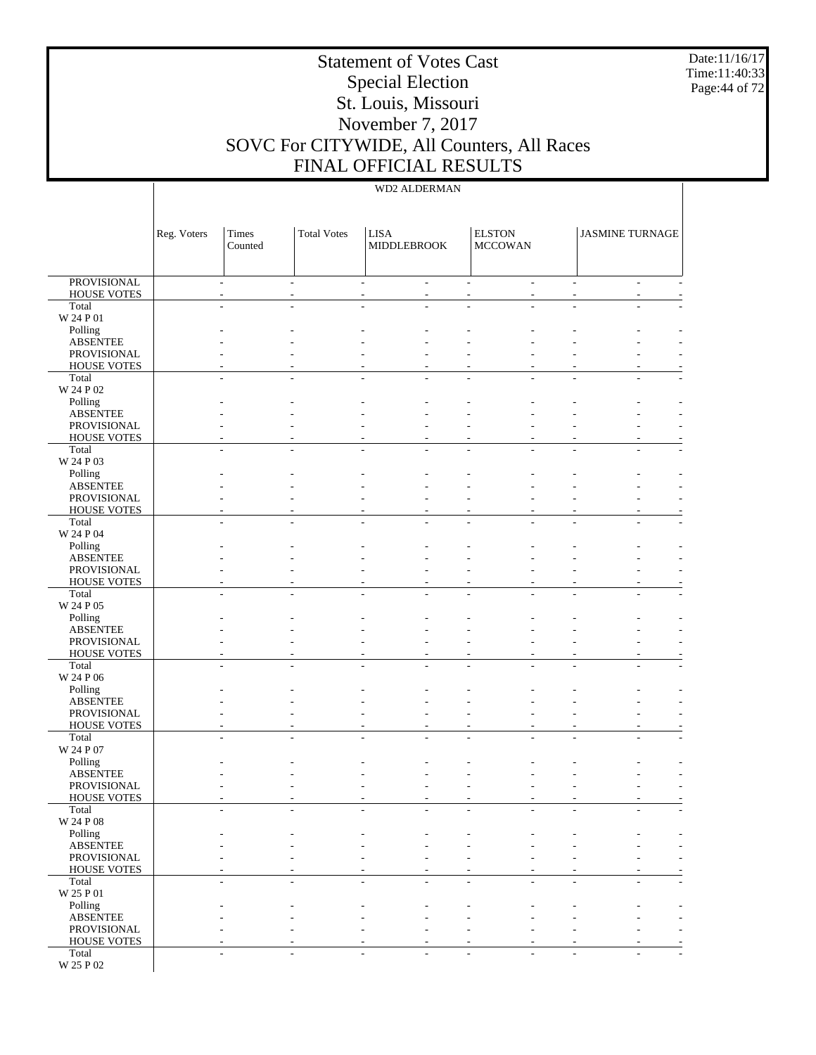Date:11/16/17 Time:11:40:33 Page:44 of 72

## Statement of Votes Cast Special Election St. Louis, Missouri November 7, 2017 SOVC For CITYWIDE, All Counters, All Races FINAL OFFICIAL RESULTS

### WD2 ALDERMAN

|                                          | Reg. Voters | Times<br>Counted                           | <b>Total Votes</b> | <b>LISA</b><br>MIDDLEBROOK                           |        | <b>ELSTON</b><br><b>MCCOWAN</b> |                    | <b>JASMINE TURNAGE</b> |                          |
|------------------------------------------|-------------|--------------------------------------------|--------------------|------------------------------------------------------|--------|---------------------------------|--------------------|------------------------|--------------------------|
| <b>PROVISIONAL</b><br><b>HOUSE VOTES</b> |             | $\overline{\phantom{a}}$<br>$\overline{a}$ |                    | $\overline{\phantom{a}}$<br>$\overline{\phantom{a}}$ | $\sim$ |                                 | $\mathcal{L}$<br>÷ | ٠                      | $\overline{\phantom{a}}$ |
| Total<br>W 24 P 01                       |             |                                            |                    |                                                      |        |                                 |                    |                        |                          |
| Polling<br><b>ABSENTEE</b>               |             |                                            |                    |                                                      |        |                                 |                    |                        |                          |
| PROVISIONAL<br><b>HOUSE VOTES</b>        |             |                                            |                    |                                                      |        |                                 |                    |                        |                          |
| Total<br>W 24 P 02                       |             | ÷.<br>ä,                                   |                    | ÷.                                                   | ÷.     |                                 | ÷.                 | ÷                      |                          |
| Polling<br><b>ABSENTEE</b>               |             |                                            |                    |                                                      |        |                                 |                    |                        |                          |
| PROVISIONAL                              |             |                                            |                    |                                                      |        |                                 |                    |                        |                          |
| <b>HOUSE VOTES</b><br>Total              |             |                                            |                    |                                                      |        |                                 |                    |                        |                          |
| W 24 P 03<br>Polling                     |             |                                            |                    |                                                      |        |                                 |                    |                        |                          |
| <b>ABSENTEE</b><br>PROVISIONAL           |             |                                            |                    |                                                      |        |                                 |                    |                        |                          |
| <b>HOUSE VOTES</b><br>Total              |             | ÷.<br>ä,                                   |                    | ÷.                                                   | L.     |                                 | ÷.                 | ÷.                     |                          |
| W 24 P 04<br>Polling                     |             |                                            |                    |                                                      |        |                                 |                    |                        |                          |
| <b>ABSENTEE</b><br>PROVISIONAL           |             |                                            |                    |                                                      |        |                                 |                    |                        |                          |
| <b>HOUSE VOTES</b><br>Total              |             |                                            |                    |                                                      |        |                                 |                    |                        |                          |
| W 24 P 05<br>Polling                     |             |                                            |                    |                                                      |        |                                 |                    |                        |                          |
| <b>ABSENTEE</b>                          |             |                                            |                    |                                                      |        |                                 |                    |                        |                          |
| PROVISIONAL<br><b>HOUSE VOTES</b>        |             |                                            |                    |                                                      |        |                                 |                    |                        |                          |
| Total<br>W 24 P 06                       |             | ÷.                                         |                    |                                                      |        |                                 |                    |                        |                          |
| Polling<br><b>ABSENTEE</b>               |             |                                            |                    |                                                      |        |                                 |                    |                        |                          |
| PROVISIONAL<br><b>HOUSE VOTES</b>        |             |                                            |                    |                                                      |        |                                 |                    |                        |                          |
| Total<br>W 24 P 07                       |             |                                            |                    |                                                      |        |                                 |                    |                        |                          |
| Polling<br><b>ABSENTEE</b>               |             |                                            |                    |                                                      |        |                                 |                    |                        |                          |
| PROVISIONAL<br><b>HOUSE VOTES</b>        |             |                                            |                    |                                                      |        |                                 |                    |                        |                          |
| Total<br>W 24 P 08                       |             |                                            |                    |                                                      |        |                                 |                    |                        |                          |
| Polling                                  |             |                                            |                    |                                                      |        |                                 |                    |                        |                          |
| ABSENTEE<br>PROVISIONAL                  |             |                                            |                    |                                                      |        |                                 |                    |                        |                          |
| <b>HOUSE VOTES</b><br>Total              |             | $\overline{a}$<br>÷                        |                    | ÷.<br>÷                                              | ÷.     |                                 | ÷.<br>٠            | ÷                      |                          |
| W 25 P 01<br>Polling                     |             |                                            |                    |                                                      |        |                                 |                    |                        |                          |
| ABSENTEE<br>PROVISIONAL                  |             |                                            |                    |                                                      | ÷      |                                 |                    |                        |                          |
| <b>HOUSE VOTES</b><br>Total              |             | ÷                                          |                    |                                                      |        |                                 | ÷.                 | ÷                      |                          |
| W 25 P 02                                |             |                                            |                    |                                                      |        |                                 |                    |                        |                          |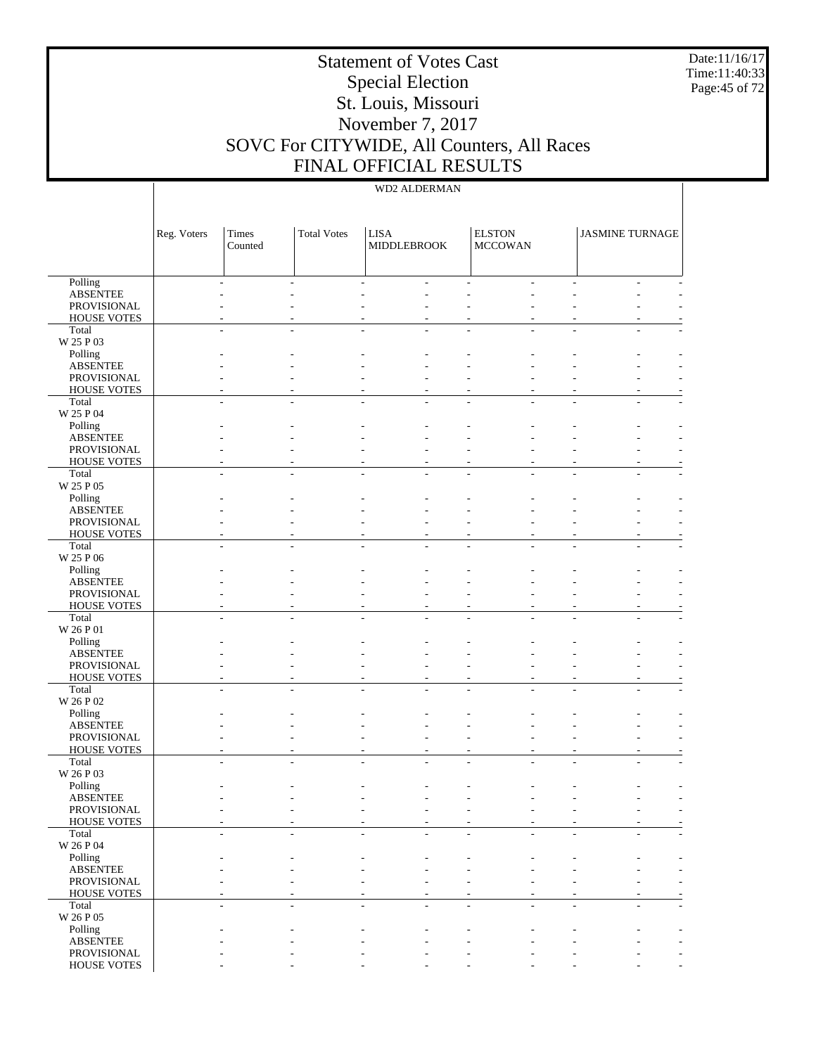Date:11/16/17 Time:11:40:33 Page:45 of 72

# Statement of Votes Cast Special Election St. Louis, Missouri November 7, 2017 SOVC For CITYWIDE, All Counters, All Races FINAL OFFICIAL RESULTS

|                                   | Reg. Voters | Times<br>Counted | <b>Total Votes</b> | <b>LISA</b><br><b>MIDDLEBROOK</b> | <b>ELSTON</b><br><b>MCCOWAN</b> | <b>JASMINE TURNAGE</b> |  |
|-----------------------------------|-------------|------------------|--------------------|-----------------------------------|---------------------------------|------------------------|--|
| Polling                           |             |                  |                    |                                   |                                 |                        |  |
| <b>ABSENTEE</b>                   |             |                  |                    |                                   |                                 |                        |  |
| PROVISIONAL                       |             |                  |                    |                                   |                                 |                        |  |
| <b>HOUSE VOTES</b>                |             |                  |                    |                                   |                                 |                        |  |
| Total<br>W 25 P 03                |             |                  |                    |                                   |                                 |                        |  |
| Polling                           |             |                  |                    |                                   |                                 |                        |  |
| <b>ABSENTEE</b>                   |             |                  |                    |                                   |                                 |                        |  |
| PROVISIONAL                       |             |                  |                    |                                   |                                 |                        |  |
| <b>HOUSE VOTES</b>                |             |                  |                    |                                   |                                 |                        |  |
| Total                             |             |                  |                    |                                   |                                 |                        |  |
| W 25 P 04                         |             |                  |                    |                                   |                                 |                        |  |
| Polling                           |             |                  |                    |                                   |                                 |                        |  |
| <b>ABSENTEE</b><br>PROVISIONAL    |             |                  |                    |                                   |                                 |                        |  |
| <b>HOUSE VOTES</b>                |             |                  |                    |                                   |                                 |                        |  |
| Total                             |             |                  |                    |                                   |                                 |                        |  |
| W 25 P 05                         |             |                  |                    |                                   |                                 |                        |  |
| Polling                           |             |                  |                    |                                   |                                 |                        |  |
| <b>ABSENTEE</b>                   |             |                  |                    |                                   |                                 |                        |  |
| PROVISIONAL                       |             |                  |                    |                                   |                                 |                        |  |
| <b>HOUSE VOTES</b>                |             |                  |                    |                                   |                                 |                        |  |
| Total                             |             |                  |                    |                                   |                                 |                        |  |
| W 25 P 06<br>Polling              |             |                  |                    |                                   |                                 |                        |  |
| <b>ABSENTEE</b>                   |             |                  |                    |                                   |                                 |                        |  |
| PROVISIONAL                       |             |                  |                    |                                   |                                 |                        |  |
| <b>HOUSE VOTES</b>                |             |                  |                    |                                   |                                 |                        |  |
| Total                             |             |                  |                    |                                   |                                 |                        |  |
| W 26 P 01                         |             |                  |                    |                                   |                                 |                        |  |
| Polling                           |             |                  |                    |                                   |                                 |                        |  |
| <b>ABSENTEE</b>                   |             |                  |                    |                                   |                                 |                        |  |
| PROVISIONAL<br><b>HOUSE VOTES</b> |             |                  |                    |                                   |                                 |                        |  |
| Total                             |             |                  |                    |                                   |                                 |                        |  |
| W 26 P 02                         |             |                  |                    |                                   |                                 |                        |  |
| Polling                           |             |                  |                    |                                   |                                 |                        |  |
| <b>ABSENTEE</b>                   |             |                  |                    |                                   |                                 |                        |  |
| PROVISIONAL                       |             |                  |                    |                                   |                                 |                        |  |
| <b>HOUSE VOTES</b>                |             |                  |                    |                                   |                                 |                        |  |
| Total                             |             |                  |                    |                                   |                                 |                        |  |
| W 26 P 03<br>Polling              |             |                  |                    |                                   |                                 |                        |  |
| <b>ABSENTEE</b>                   |             |                  |                    |                                   |                                 |                        |  |
| PROVISIONAL                       |             |                  |                    |                                   |                                 |                        |  |
| HOUSE VOTES                       |             |                  |                    |                                   |                                 |                        |  |
| Total                             |             |                  |                    |                                   |                                 |                        |  |
| W 26 P 04                         |             |                  |                    |                                   |                                 |                        |  |
| Polling                           |             |                  |                    |                                   |                                 |                        |  |
| <b>ABSENTEE</b>                   |             |                  |                    |                                   |                                 |                        |  |
| PROVISIONAL<br><b>HOUSE VOTES</b> |             |                  |                    |                                   |                                 |                        |  |
| Total                             |             |                  |                    |                                   |                                 |                        |  |
| W 26 P 05                         |             |                  |                    |                                   |                                 |                        |  |
| Polling                           |             |                  |                    |                                   |                                 |                        |  |
| <b>ABSENTEE</b>                   |             |                  |                    |                                   |                                 |                        |  |
| PROVISIONAL                       |             |                  |                    |                                   |                                 |                        |  |
| HOUSE VOTES                       |             |                  |                    |                                   |                                 |                        |  |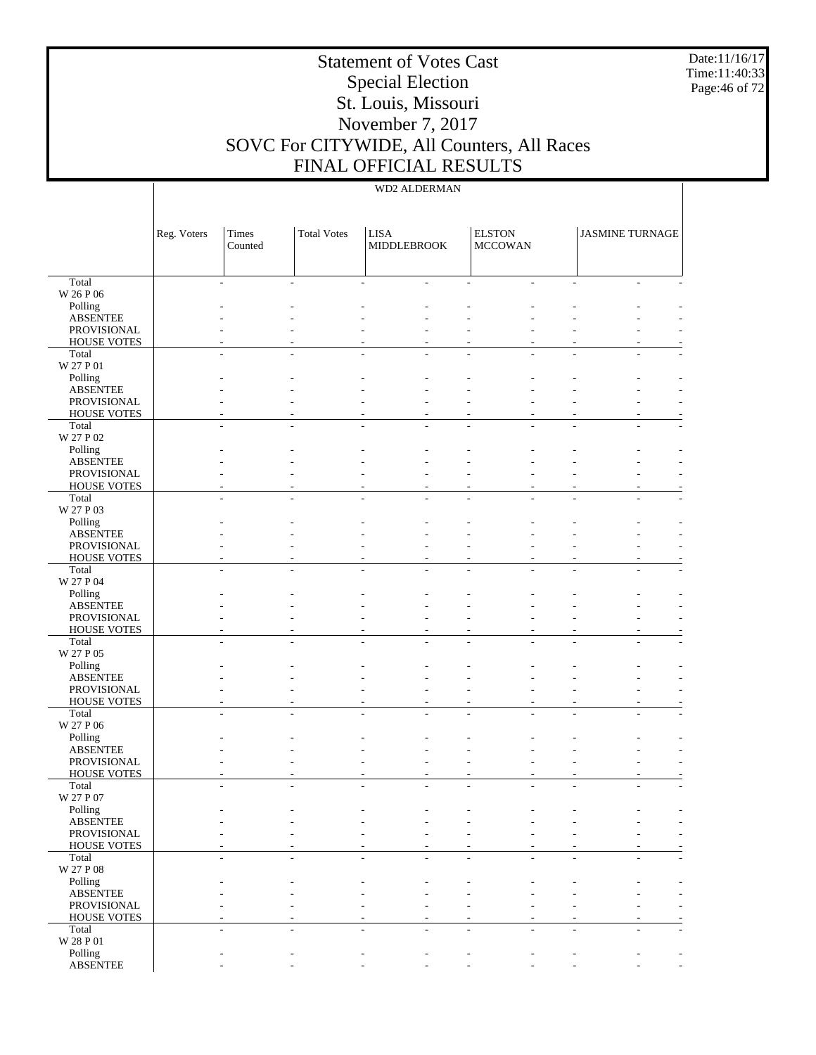Date:11/16/17 Time:11:40:33 Page:46 of 72

# Statement of Votes Cast Special Election St. Louis, Missouri November 7, 2017 SOVC For CITYWIDE, All Counters, All Races FINAL OFFICIAL RESULTS

|                             | Reg. Voters | Times<br>Counted | <b>Total Votes</b> | <b>LISA</b><br><b>MIDDLEBROOK</b> | <b>ELSTON</b><br><b>MCCOWAN</b> | <b>JASMINE TURNAGE</b> |                          |
|-----------------------------|-------------|------------------|--------------------|-----------------------------------|---------------------------------|------------------------|--------------------------|
| Total                       |             |                  |                    |                                   |                                 |                        |                          |
| W 26 P 06                   |             |                  |                    |                                   |                                 |                        |                          |
| Polling<br><b>ABSENTEE</b>  |             |                  |                    |                                   |                                 |                        |                          |
| PROVISIONAL                 |             |                  |                    |                                   |                                 |                        |                          |
| <b>HOUSE VOTES</b>          |             |                  |                    |                                   |                                 |                        |                          |
| Total                       |             |                  |                    |                                   |                                 |                        |                          |
| W 27 P 01                   |             |                  |                    |                                   |                                 |                        |                          |
| Polling<br><b>ABSENTEE</b>  |             |                  |                    |                                   |                                 |                        |                          |
| PROVISIONAL                 |             |                  |                    |                                   |                                 |                        |                          |
| <b>HOUSE VOTES</b>          |             |                  |                    |                                   |                                 |                        |                          |
| Total                       |             |                  |                    |                                   |                                 |                        |                          |
| W 27 P 02<br>Polling        |             |                  |                    |                                   |                                 |                        |                          |
| <b>ABSENTEE</b>             |             |                  |                    |                                   |                                 |                        |                          |
| PROVISIONAL                 |             |                  |                    |                                   |                                 |                        |                          |
| <b>HOUSE VOTES</b>          |             |                  |                    |                                   |                                 |                        |                          |
| Total<br>W 27 P 03          |             |                  |                    |                                   |                                 |                        |                          |
| Polling                     |             |                  |                    |                                   |                                 |                        |                          |
| <b>ABSENTEE</b>             |             |                  |                    |                                   |                                 |                        |                          |
| PROVISIONAL                 |             |                  |                    |                                   |                                 |                        |                          |
| <b>HOUSE VOTES</b>          |             |                  |                    |                                   |                                 |                        |                          |
| Total                       |             |                  |                    |                                   |                                 |                        |                          |
| W 27 P 04<br>Polling        |             |                  |                    |                                   |                                 |                        |                          |
| <b>ABSENTEE</b>             |             |                  |                    |                                   |                                 |                        |                          |
| PROVISIONAL                 |             |                  |                    |                                   |                                 |                        |                          |
| <b>HOUSE VOTES</b>          |             |                  |                    |                                   |                                 |                        |                          |
| Total<br>W 27 P 05          |             |                  |                    |                                   |                                 |                        |                          |
| Polling                     |             |                  |                    |                                   |                                 |                        |                          |
| <b>ABSENTEE</b>             |             |                  |                    |                                   |                                 |                        |                          |
| PROVISIONAL                 |             |                  |                    |                                   |                                 |                        |                          |
| <b>HOUSE VOTES</b>          |             |                  |                    |                                   |                                 |                        |                          |
| Total<br>W 27 P 06          |             |                  |                    |                                   |                                 |                        |                          |
| Polling                     |             |                  |                    |                                   |                                 |                        |                          |
| <b>ABSENTEE</b>             |             |                  |                    |                                   |                                 |                        |                          |
| PROVISIONAL                 |             |                  |                    |                                   |                                 |                        |                          |
| <b>HOUSE VOTES</b><br>Total |             |                  |                    |                                   |                                 |                        |                          |
| W 27 P 07                   |             |                  |                    |                                   |                                 |                        |                          |
| Polling                     |             |                  |                    |                                   |                                 |                        |                          |
| <b>ABSENTEE</b>             |             |                  |                    |                                   |                                 |                        | $\overline{\phantom{a}}$ |
| PROVISIONAL                 |             |                  |                    |                                   |                                 |                        |                          |
| <b>HOUSE VOTES</b><br>Total |             |                  |                    |                                   |                                 |                        |                          |
| W 27 P 08                   |             |                  |                    |                                   |                                 |                        |                          |
| Polling                     |             |                  |                    |                                   |                                 |                        |                          |
| <b>ABSENTEE</b>             |             |                  |                    |                                   |                                 |                        |                          |
| PROVISIONAL                 |             |                  |                    |                                   |                                 |                        |                          |
| <b>HOUSE VOTES</b><br>Total |             |                  |                    |                                   |                                 |                        |                          |
| $\rm W$ 28 P 01             |             |                  |                    |                                   |                                 |                        |                          |
| Polling                     |             |                  |                    |                                   |                                 |                        |                          |
| <b>ABSENTEE</b>             |             |                  |                    |                                   |                                 |                        | $\overline{\phantom{a}}$ |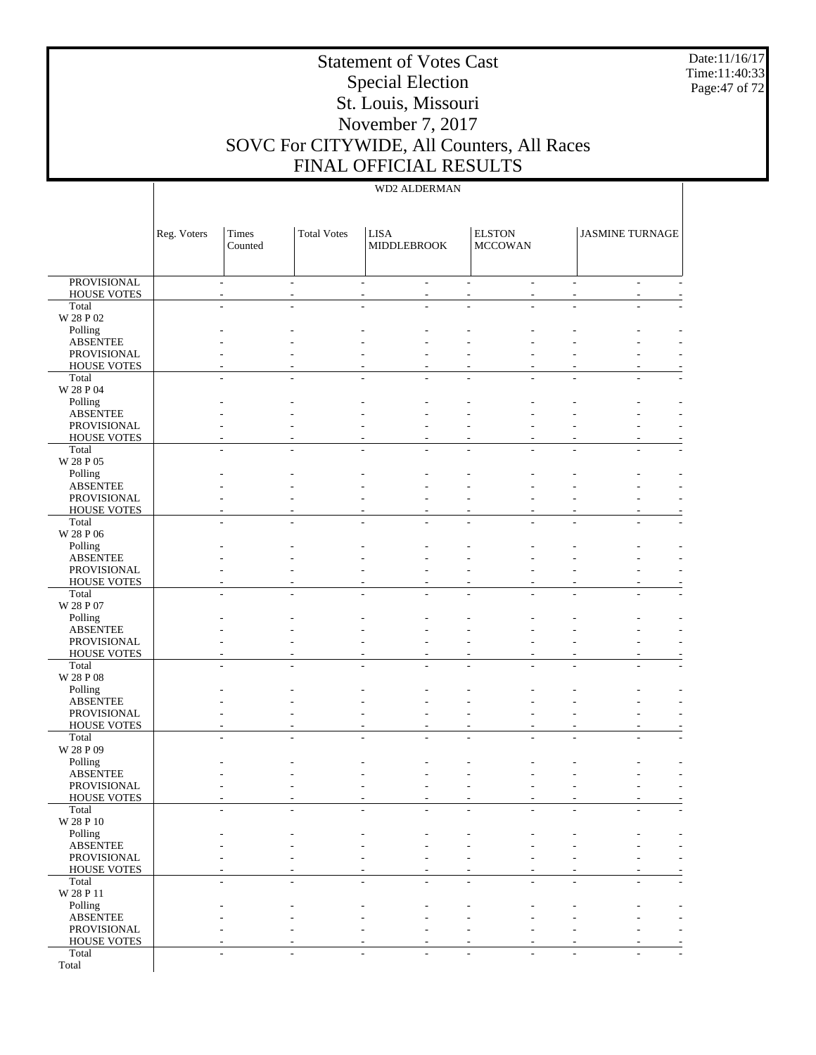Date:11/16/17 Time:11:40:33 Page:47 of 72

# Statement of Votes Cast Special Election St. Louis, Missouri November 7, 2017 SOVC For CITYWIDE, All Counters, All Races FINAL OFFICIAL RESULTS

|                                          | Reg. Voters | Times<br>Counted         | <b>Total Votes</b> | <b>LISA</b><br>MIDDLEBROOK         |    | <b>ELSTON</b><br><b>MCCOWAN</b> |                             | <b>JASMINE TURNAGE</b> |             |
|------------------------------------------|-------------|--------------------------|--------------------|------------------------------------|----|---------------------------------|-----------------------------|------------------------|-------------|
| <b>PROVISIONAL</b><br><b>HOUSE VOTES</b> |             | $\overline{a}$<br>$\sim$ |                    | $\overline{\phantom{a}}$<br>$\sim$ | ÷  |                                 | $\mathcal{L}_{\mathcal{A}}$ |                        | $\sim$<br>٠ |
| Total                                    |             |                          |                    |                                    |    |                                 |                             |                        |             |
| W 28 P 02                                |             |                          |                    |                                    |    |                                 |                             |                        |             |
| Polling<br><b>ABSENTEE</b>               |             |                          |                    |                                    |    |                                 |                             |                        |             |
| PROVISIONAL                              |             |                          |                    |                                    |    |                                 |                             |                        |             |
| <b>HOUSE VOTES</b><br>Total              |             |                          |                    |                                    |    |                                 |                             |                        |             |
| W 28 P 04                                |             |                          |                    |                                    |    |                                 |                             |                        |             |
| Polling                                  |             |                          |                    |                                    |    |                                 |                             |                        |             |
| <b>ABSENTEE</b><br>PROVISIONAL           |             |                          |                    |                                    |    |                                 |                             |                        |             |
| <b>HOUSE VOTES</b>                       |             |                          |                    |                                    |    |                                 |                             |                        |             |
| Total                                    |             |                          |                    |                                    |    |                                 |                             |                        |             |
| W 28 P 05<br>Polling                     |             |                          |                    |                                    |    |                                 |                             |                        |             |
| <b>ABSENTEE</b>                          |             |                          |                    |                                    |    |                                 |                             |                        |             |
| PROVISIONAL<br><b>HOUSE VOTES</b>        |             |                          |                    |                                    |    |                                 |                             |                        |             |
| Total                                    |             |                          |                    |                                    |    |                                 |                             |                        |             |
| W 28 P 06                                |             |                          |                    |                                    |    |                                 |                             |                        |             |
| Polling<br><b>ABSENTEE</b>               |             |                          |                    |                                    |    |                                 |                             |                        |             |
| PROVISIONAL                              |             |                          |                    |                                    |    |                                 |                             |                        |             |
| <b>HOUSE VOTES</b>                       |             |                          |                    |                                    |    |                                 |                             |                        |             |
| Total<br>W 28 P 07                       |             |                          |                    |                                    |    |                                 |                             |                        |             |
| Polling                                  |             |                          |                    |                                    |    |                                 |                             |                        |             |
| <b>ABSENTEE</b><br>PROVISIONAL           |             |                          |                    |                                    |    |                                 |                             |                        |             |
| <b>HOUSE VOTES</b>                       |             |                          |                    |                                    |    |                                 |                             |                        |             |
| Total                                    |             |                          |                    |                                    |    |                                 |                             |                        |             |
| W 28 P 08<br>Polling                     |             |                          |                    |                                    |    |                                 |                             |                        |             |
| <b>ABSENTEE</b>                          |             |                          |                    |                                    |    |                                 |                             |                        |             |
| PROVISIONAL                              |             |                          |                    |                                    |    |                                 |                             |                        |             |
| <b>HOUSE VOTES</b><br>Total              |             |                          |                    |                                    |    |                                 |                             |                        |             |
| W 28 P 09                                |             |                          |                    |                                    |    |                                 |                             |                        |             |
| Polling                                  |             |                          |                    |                                    |    |                                 |                             |                        |             |
| <b>ABSENTEE</b><br>PROVISIONAL           |             |                          |                    |                                    |    |                                 |                             |                        |             |
| <b>HOUSE VOTES</b>                       |             |                          |                    |                                    |    |                                 |                             |                        |             |
| Total<br>W 28 P 10                       |             |                          |                    |                                    |    |                                 |                             |                        |             |
| Polling                                  |             |                          |                    |                                    |    |                                 |                             |                        |             |
| <b>ABSENTEE</b>                          |             |                          |                    |                                    |    |                                 |                             |                        |             |
| PROVISIONAL<br><b>HOUSE VOTES</b>        |             |                          |                    |                                    |    |                                 |                             |                        |             |
| Total                                    |             | L.                       |                    | ÷                                  | L. |                                 |                             |                        | ÷           |
| W 28 P 11                                |             |                          |                    |                                    |    |                                 |                             |                        |             |
| Polling<br><b>ABSENTEE</b>               |             |                          |                    |                                    |    |                                 |                             |                        |             |
| PROVISIONAL                              |             |                          |                    |                                    | ٠  |                                 |                             |                        |             |
| <b>HOUSE VOTES</b><br>Total              |             |                          |                    |                                    |    |                                 |                             |                        |             |
| Total                                    |             |                          |                    |                                    |    |                                 |                             |                        |             |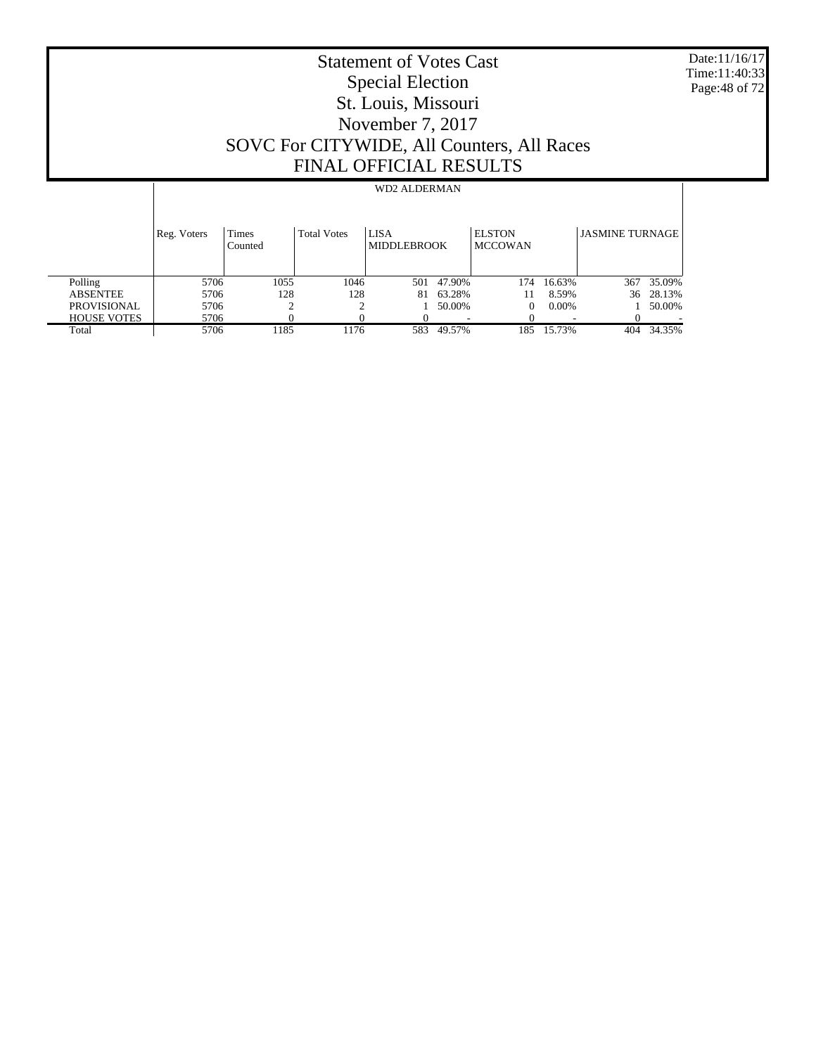Date:11/16/17 Time:11:40:33 Page:48 of 72

# Statement of Votes Cast Special Election St. Louis, Missouri November 7, 2017 SOVC For CITYWIDE, All Counters, All Races FINAL OFFICIAL RESULTS

|                    | Reg. Voters | Times<br>Counted | <b>Total Votes</b> | <b>LISA</b><br><b>MIDDLEBROOK</b> |        | <b>ELSTON</b><br><b>MCCOWAN</b> |          | <b>JASMINE TURNAGE</b> |        |
|--------------------|-------------|------------------|--------------------|-----------------------------------|--------|---------------------------------|----------|------------------------|--------|
| Polling            | 5706        | 1055             | 1046               | 501                               | 47.90% | 174                             | 16.63%   | 367                    | 35.09% |
| <b>ABSENTEE</b>    | 5706        | 128              | 128                | 81                                | 63.28% |                                 | 8.59%    | 36                     | 28.13% |
| <b>PROVISIONAL</b> | 5706        |                  |                    |                                   | 50.00% |                                 | $0.00\%$ |                        | 50.00% |
| <b>HOUSE VOTES</b> | 5706        |                  |                    |                                   |        |                                 |          |                        |        |
| Total              | 5706        | 1185             | 1176               | 583                               | 49.57% | 185                             | 15.73%   | 404                    | 34.35% |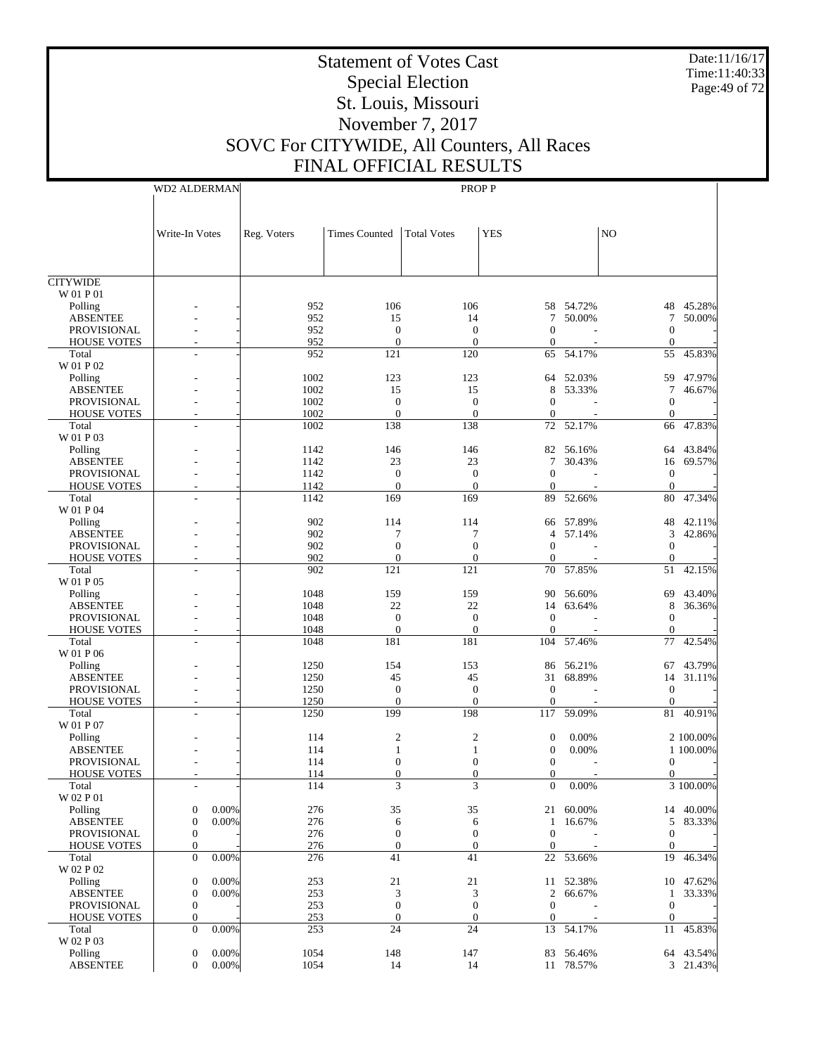Date:11/16/17 Time:11:40:33 Page:49 of 72

# Statement of Votes Cast Special Election St. Louis, Missouri November 7, 2017 SOVC For CITYWIDE, All Counters, All Races FINAL OFFICIAL RESULTS

|                                          | <b>WD2 ALDERMAN</b>        |              |                                |                                  | PROP P                               |                     |                                  |                  |
|------------------------------------------|----------------------------|--------------|--------------------------------|----------------------------------|--------------------------------------|---------------------|----------------------------------|------------------|
|                                          |                            |              |                                |                                  |                                      |                     |                                  |                  |
|                                          | Write-In Votes             | Reg. Voters  | <b>Times Counted</b>           | <b>Total Votes</b>               | <b>YES</b>                           |                     | NO                               |                  |
|                                          |                            |              |                                |                                  |                                      |                     |                                  |                  |
|                                          |                            |              |                                |                                  |                                      |                     |                                  |                  |
| <b>CITYWIDE</b>                          |                            |              |                                |                                  |                                      |                     |                                  |                  |
| W 01 P 01                                |                            | 952          | 106                            | 106                              |                                      | 58 54.72%           |                                  |                  |
| Polling<br><b>ABSENTEE</b>               |                            | 952          | 15                             | 14                               | 7                                    | 50.00%              | 48<br>7                          | 45.28%<br>50.00% |
| <b>PROVISIONAL</b>                       |                            | 952          | $\mathbf{0}$                   | $\mathbf{0}$                     | $\mathbf{0}$                         |                     | $\boldsymbol{0}$                 |                  |
| <b>HOUSE VOTES</b>                       |                            | 952          | $\mathbf{0}$                   | $\overline{0}$                   | $\mathbf{0}$                         |                     | $\mathbf{0}$                     |                  |
| Total                                    |                            | 952          | 121                            | 120                              | 65                                   | 54.17%              | 55                               | 45.83%           |
| W 01 P 02                                |                            |              |                                |                                  |                                      |                     |                                  |                  |
| Polling                                  |                            | 1002         | 123                            | 123                              | 64                                   | 52.03%              | 59                               | 47.97%           |
| <b>ABSENTEE</b>                          |                            | 1002         | 15                             | 15                               | 8                                    | 53.33%              | 7                                | 46.67%           |
| PROVISIONAL<br><b>HOUSE VOTES</b>        |                            | 1002<br>1002 | $\mathbf{0}$<br>$\overline{0}$ | $\boldsymbol{0}$<br>$\mathbf{0}$ | $\mathbf{0}$<br>$\boldsymbol{0}$     |                     | $\boldsymbol{0}$<br>$\mathbf{0}$ |                  |
| Total                                    |                            | 1002         | 138                            | 138                              | 72                                   | 52.17%              | 66                               | 47.83%           |
| W 01 P 03                                |                            |              |                                |                                  |                                      |                     |                                  |                  |
| Polling                                  |                            | 1142         | 146                            | 146                              | 82                                   | 56.16%              | 64                               | 43.84%           |
| <b>ABSENTEE</b>                          |                            | 1142         | 23                             | 23                               | 7                                    | 30.43%              | 16                               | 69.57%           |
| <b>PROVISIONAL</b>                       |                            | 1142         | $\mathbf{0}$                   | $\mathbf{0}$                     | $\overline{0}$                       |                     | $\boldsymbol{0}$                 |                  |
| <b>HOUSE VOTES</b>                       |                            | 1142         | $\mathbf{0}$                   | $\overline{0}$                   | $\theta$                             |                     | $\theta$                         |                  |
| Total                                    |                            | 1142         | 169                            | 169                              | 89                                   | 52.66%              | 80                               | 47.34%           |
| W 01 P 04                                |                            |              |                                |                                  |                                      |                     |                                  |                  |
| Polling                                  |                            | 902<br>902   | 114<br>7                       | 114<br>7                         | $\overline{4}$                       | 66 57.89%<br>57.14% | 48<br>3                          | 42.11%<br>42.86% |
| <b>ABSENTEE</b><br><b>PROVISIONAL</b>    |                            | 902          | $\boldsymbol{0}$               | $\boldsymbol{0}$                 | $\mathbf{0}$                         |                     | $\mathbf{0}$                     |                  |
| <b>HOUSE VOTES</b>                       |                            | 902          | $\mathbf{0}$                   | $\overline{0}$                   | $\mathbf{0}$                         |                     | $\boldsymbol{0}$                 |                  |
| Total                                    |                            | 902          | 121                            | 121                              | 70                                   | 57.85%              | 51                               | 42.15%           |
| W 01 P 05                                |                            |              |                                |                                  |                                      |                     |                                  |                  |
| Polling                                  |                            | 1048         | 159                            | 159                              | 90                                   | 56.60%              | 69                               | 43.40%           |
| <b>ABSENTEE</b>                          |                            | 1048         | $22\,$                         | $22\,$                           | 14                                   | 63.64%              | 8                                | 36.36%           |
| <b>PROVISIONAL</b>                       |                            | 1048         | $\mathbf{0}$                   | $\mathbf{0}$                     | $\boldsymbol{0}$                     |                     | $\boldsymbol{0}$                 |                  |
| <b>HOUSE VOTES</b>                       |                            | 1048         | $\overline{0}$                 | $\overline{0}$                   | $\theta$                             |                     | $\mathbf{0}$                     |                  |
| Total<br>W 01 P 06                       |                            | 1048         | 181                            | 181                              | 104                                  | 57.46%              | 77                               | 42.54%           |
| Polling                                  |                            | 1250         | 154                            | 153                              | 86                                   | 56.21%              | 67                               | 43.79%           |
| <b>ABSENTEE</b>                          |                            | 1250         | 45                             | 45                               | 31                                   | 68.89%              | 14                               | 31.11%           |
| <b>PROVISIONAL</b>                       |                            | 1250         | $\mathbf{0}$                   | $\boldsymbol{0}$                 | $\boldsymbol{0}$                     |                     | $\boldsymbol{0}$                 |                  |
| <b>HOUSE VOTES</b>                       |                            | 1250         | $\mathbf{0}$                   | $\mathbf{0}$                     | $\boldsymbol{0}$                     |                     | $\mathbf{0}$                     |                  |
| Total                                    |                            | 1250         | 199                            | 198                              | 117                                  | 59.09%              | 81                               | 40.91%           |
| W 01 P 07                                |                            |              |                                |                                  |                                      |                     |                                  |                  |
| Polling                                  |                            | 114          | 2                              | $\boldsymbol{2}$                 | $\boldsymbol{0}$                     | 0.00%               |                                  | 2 100.00%        |
| <b>ABSENTEE</b>                          |                            | 114          | 1                              | 1                                | $\boldsymbol{0}$<br>$\boldsymbol{0}$ | 0.00%               |                                  | 1 100.00%        |
| <b>PROVISIONAL</b><br><b>HOUSE VOTES</b> |                            | 114<br>114   | $\mathbf{0}$<br>$\theta$       | $\boldsymbol{0}$<br>$\theta$     | $\mathbf{0}$                         |                     | $\boldsymbol{0}$<br>$\mathbf{0}$ |                  |
| Total                                    |                            | 114          | 3                              | 3                                | $\mathbf{0}$                         | 0.00%               |                                  | 3 100.00%        |
| W 02 P 01                                |                            |              |                                |                                  |                                      |                     |                                  |                  |
| Polling                                  | 0.00%<br>$\mathbf{0}$      | 276          | 35                             | 35                               | 21                                   | 60.00%              | 14                               | 40.00%           |
| <b>ABSENTEE</b>                          | $\mathbf{0}$<br>$0.00\%$   | 276          | 6                              | 6                                | $\mathbf{1}$                         | 16.67%              | 5                                | 83.33%           |
| PROVISIONAL                              | $\boldsymbol{0}$           | 276          | $\boldsymbol{0}$               | $\boldsymbol{0}$                 | $\boldsymbol{0}$                     |                     | $\boldsymbol{0}$                 |                  |
| <b>HOUSE VOTES</b>                       | $\boldsymbol{0}$           | 276          | $\mathbf{0}$                   | $\theta$                         | $\boldsymbol{0}$                     |                     | $\mathbf{0}$                     |                  |
| Total<br>W 02 P 02                       | $\overline{0}$<br>$0.00\%$ | 276          | 41                             | 41                               | 22                                   | 53.66%              | 19                               | 46.34%           |
| Polling                                  | $\mathbf{0}$<br>0.00%      | 253          | 21                             | 21                               |                                      | 11 52.38%           | 10                               | 47.62%           |
| <b>ABSENTEE</b>                          | $\mathbf{0}$<br>0.00%      | 253          | 3                              | 3                                | $\overline{2}$                       | 66.67%              | 1                                | 33.33%           |
| PROVISIONAL                              | $\boldsymbol{0}$           | 253          | $\mathbf{0}$                   | $\boldsymbol{0}$                 | $\boldsymbol{0}$                     |                     | $\boldsymbol{0}$                 |                  |
| <b>HOUSE VOTES</b>                       | $\boldsymbol{0}$           | 253          | $\boldsymbol{0}$               | $\boldsymbol{0}$                 | $\boldsymbol{0}$                     |                     | $\mathbf{0}$                     |                  |
| Total                                    | $\overline{0}$<br>$0.00\%$ | 253          | 24                             | 24                               | 13                                   | 54.17%              | 11                               | 45.83%           |
| W 02 P 03                                |                            |              |                                |                                  |                                      |                     |                                  |                  |
| Polling                                  | $\mathbf{0}$<br>$0.00\%$   | 1054         | 148                            | 147                              |                                      | 83 56.46%           |                                  | 64 43.54%        |
| <b>ABSENTEE</b>                          | $\overline{0}$<br>$0.00\%$ | 1054         | 14                             | 14                               |                                      | 11 78.57%           |                                  | 3 21.43%         |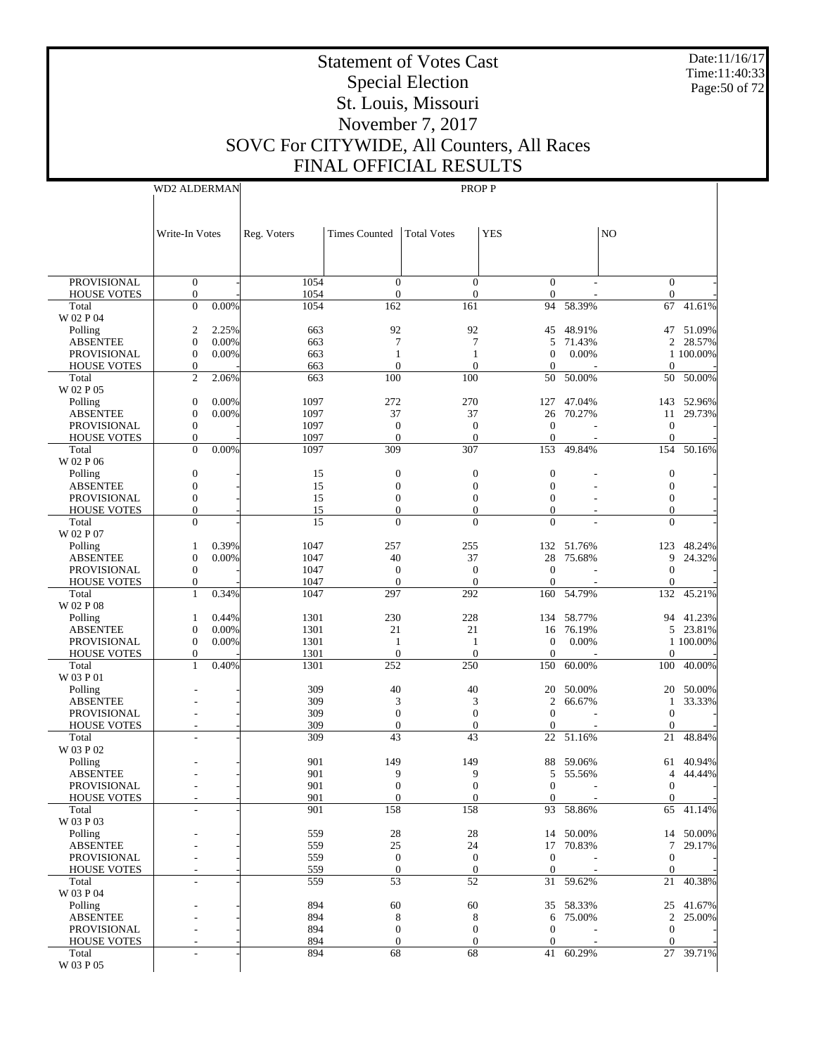Date:11/16/17 Time:11:40:33 Page:50 of 72

# Statement of Votes Cast Special Election St. Louis, Missouri November 7, 2017 SOVC For CITYWIDE, All Counters, All Races FINAL OFFICIAL RESULTS

WD2 ALDERMAN

|                                          | Write-In Votes                       |                | Reg. Voters  | <b>Times Counted</b>         | <b>Total Votes</b>           | <b>YES</b>                   |                       | N <sub>O</sub>                   |                       |
|------------------------------------------|--------------------------------------|----------------|--------------|------------------------------|------------------------------|------------------------------|-----------------------|----------------------------------|-----------------------|
|                                          |                                      |                |              |                              |                              |                              |                       |                                  |                       |
|                                          |                                      |                |              |                              |                              |                              |                       |                                  |                       |
| <b>PROVISIONAL</b><br><b>HOUSE VOTES</b> | $\boldsymbol{0}$<br>$\boldsymbol{0}$ |                | 1054<br>1054 | $\mathbf{0}$<br>$\mathbf{0}$ | $\theta$<br>$\boldsymbol{0}$ | $\mathbf{0}$<br>$\mathbf{0}$ | ٠                     | $\overline{0}$<br>$\overline{0}$ |                       |
| Total                                    | $\overline{0}$                       | 0.00%          | 1054         | 162                          | 161                          | 94                           | 58.39%                | 67                               | 41.61%                |
| W 02 P 04                                |                                      |                |              |                              |                              |                              |                       |                                  |                       |
| Polling                                  | $\overline{2}$                       | 2.25%          | 663          | 92                           | 92                           | 45                           | 48.91%                | 47                               | 51.09%                |
| <b>ABSENTEE</b>                          | $\boldsymbol{0}$                     | 0.00%          | 663          | 7                            | 7                            | 5                            | 71.43%                | $\mathfrak{2}$                   | 28.57%                |
| <b>PROVISIONAL</b><br><b>HOUSE VOTES</b> | $\boldsymbol{0}$<br>$\boldsymbol{0}$ | 0.00%          | 663<br>663   | 1<br>$\mathbf{0}$            | 1<br>$\theta$                | $\mathbf{0}$<br>$\mathbf{0}$ | 0.00%                 | $\mathbf{0}$                     | 1 100.00%             |
| Total                                    | $\overline{2}$                       | 2.06%          | 663          | 100                          | 100                          | 50                           | 50.00%                | 50                               | 50.00%                |
| W 02 P 05                                |                                      |                |              |                              |                              |                              |                       |                                  |                       |
| Polling                                  | $\boldsymbol{0}$                     | 0.00%          | 1097         | 272                          | 270                          | 127                          | 47.04%                | 143                              | 52.96%                |
| <b>ABSENTEE</b>                          | $\boldsymbol{0}$                     | 0.00%          | 1097         | 37                           | 37                           | 26                           | 70.27%                | 11                               | 29.73%                |
| <b>PROVISIONAL</b>                       | $\boldsymbol{0}$                     |                | 1097         | $\mathbf{0}$                 | $\overline{0}$               | $\overline{0}$               |                       | $\boldsymbol{0}$                 |                       |
| <b>HOUSE VOTES</b><br>Total              | $\boldsymbol{0}$<br>$\mathbf{0}$     | 0.00%          | 1097<br>1097 | $\mathbf{0}$<br>309          | $\theta$<br>307              | $\mathbf{0}$<br>153          | 49.84%                | $\mathbf{0}$<br>154              | 50.16%                |
| W 02 P 06                                |                                      |                |              |                              |                              |                              |                       |                                  |                       |
| Polling                                  | $\boldsymbol{0}$                     |                | 15           | $\mathbf{0}$                 | $\mathbf{0}$                 | $\overline{0}$               |                       | $\boldsymbol{0}$                 |                       |
| <b>ABSENTEE</b>                          | $\boldsymbol{0}$                     |                | 15           | $\mathbf{0}$                 | $\boldsymbol{0}$             | $\overline{0}$               |                       | $\mathbf{0}$                     |                       |
| <b>PROVISIONAL</b>                       | $\boldsymbol{0}$                     |                | 15           | $\mathbf{0}$                 | $\theta$                     | $\overline{0}$               |                       | $\mathbf{0}$                     |                       |
| <b>HOUSE VOTES</b>                       | $\boldsymbol{0}$                     |                | 15           | $\mathbf{0}$                 | $\boldsymbol{0}$             | $\mathbf{0}$                 |                       | $\mathbf{0}$                     |                       |
| Total                                    | $\overline{0}$                       |                | 15           | $\Omega$                     | $\Omega$                     | $\overline{0}$               |                       | $\Omega$                         |                       |
| W 02 P 07                                |                                      |                |              |                              |                              |                              |                       |                                  |                       |
| Polling<br><b>ABSENTEE</b>               | $\mathbf{1}$<br>$\boldsymbol{0}$     | 0.39%<br>0.00% | 1047<br>1047 | 257<br>40                    | 255<br>37                    | 28                           | 132 51.76%<br>75.68%  | 123<br>9                         | 48.24%<br>24.32%      |
| <b>PROVISIONAL</b>                       | $\boldsymbol{0}$                     |                | 1047         | $\boldsymbol{0}$             | $\mathbf{0}$                 | $\overline{0}$               |                       | $\overline{0}$                   |                       |
| <b>HOUSE VOTES</b>                       | $\boldsymbol{0}$                     |                | 1047         | $\mathbf{0}$                 | $\overline{0}$               | $\mathbf{0}$                 |                       | $\overline{0}$                   |                       |
| Total                                    | $\mathbf{1}$                         | 0.34%          | 1047         | 297                          | 292                          | 160                          | 54.79%                | 132                              | 45.21%                |
| W 02 P 08                                |                                      |                |              |                              |                              |                              |                       |                                  |                       |
| Polling                                  | $\mathbf{1}$                         | 0.44%          | 1301         | 230                          | 228                          | 134                          | 58.77%                | 94                               | 41.23%                |
| <b>ABSENTEE</b><br><b>PROVISIONAL</b>    | $\boldsymbol{0}$<br>$\boldsymbol{0}$ | 0.00%<br>0.00% | 1301<br>1301 | 21<br>1                      | 21<br>1                      | 16<br>$\overline{0}$         | 76.19%<br>0.00%       | 5                                | 23.81%<br>1 100.00%   |
| <b>HOUSE VOTES</b>                       | $\boldsymbol{0}$                     |                | 1301         | $\theta$                     | $\theta$                     | $\mathbf{0}$                 |                       | $\boldsymbol{0}$                 |                       |
| Total                                    | $\mathbf{1}$                         | 0.40%          | 1301         | 252                          | 250                          | 150                          | 60.00%                | 100                              | 40.00%                |
| W 03 P 01                                |                                      |                |              |                              |                              |                              |                       |                                  |                       |
| Polling                                  |                                      |                | 309          | 40                           | 40                           | 20                           | 50.00%                | 20                               | 50.00%                |
| <b>ABSENTEE</b>                          |                                      |                | 309          | 3                            | 3                            | $\mathfrak{2}$               | 66.67%                | $\mathbf{1}$                     | 33.33%                |
| <b>PROVISIONAL</b>                       |                                      |                | 309          | $\mathbf{0}$                 | $\theta$                     | $\overline{0}$               |                       | $\mathbf{0}$                     |                       |
| <b>HOUSE VOTES</b><br>Total              |                                      |                | 309<br>309   | $\mathbf{0}$<br>43           | $\overline{0}$<br>43         | 0<br>22                      | 51.16%                | $\overline{0}$<br>21             | 48.84%                |
| W 03 P 02                                |                                      |                |              |                              |                              |                              |                       |                                  |                       |
| Polling                                  |                                      |                | 901          | 149                          | 149                          | 88                           | 59.06%                | 61                               | 40.94%                |
| <b>ABSENTEE</b>                          |                                      |                | 901          | 9                            | 9                            | 5                            | 55.56%                | 4                                | 44.44%                |
| <b>PROVISIONAL</b>                       |                                      |                | 901          | $\mathbf{0}$                 | $\overline{0}$               | $\overline{0}$               |                       | $\boldsymbol{0}$                 |                       |
| <b>HOUSE VOTES</b>                       |                                      |                | 901          | 0                            | $\mathbf{0}$                 | $\mathbf{0}$                 |                       | $\overline{0}$                   |                       |
| Total<br>W 03 P 03                       |                                      |                | 901          | 158                          | 158                          |                              | 93 58.86%             |                                  | 65 41.14%             |
| Polling                                  |                                      |                | 559          | $28\,$                       | 28                           |                              | 14 50.00%             |                                  | 14 50.00%             |
| <b>ABSENTEE</b>                          |                                      |                | 559          | $25\,$                       | 24                           |                              | 17 70.83%             | $7\overline{ }$                  | 29.17%                |
| PROVISIONAL                              |                                      |                | 559          | $\boldsymbol{0}$             | $\mathbf{0}$                 | $\boldsymbol{0}$             |                       | $\mathbf{0}$                     |                       |
| <b>HOUSE VOTES</b>                       |                                      |                | 559          | $\mathbf{0}$                 | $\overline{0}$               | $\mathbf{0}$                 |                       | $\overline{0}$                   |                       |
| Total                                    |                                      |                | 559          | 53                           | 52                           |                              | 31 59.62%             | 21                               | 40.38%                |
| W 03 P 04                                |                                      |                |              |                              |                              |                              |                       |                                  |                       |
| Polling<br><b>ABSENTEE</b>               |                                      |                | 894<br>894   | 60                           | 60                           |                              | 35 58.33%<br>6 75.00% |                                  | 25 41.67%<br>2 25.00% |
| PROVISIONAL                              |                                      |                | 894          | 8<br>$\boldsymbol{0}$        | 8<br>$\boldsymbol{0}$        | $\boldsymbol{0}$             |                       | $\overline{0}$                   |                       |
| <b>HOUSE VOTES</b>                       |                                      |                | 894          | $\mathbf{0}$                 | $\overline{0}$               | $\mathbf{0}$                 |                       | $\overline{0}$                   |                       |
| Total                                    |                                      |                | 894          | 68                           | 68                           |                              | 41 60.29%             |                                  | 27 39.71%             |
| W 03 P 05                                |                                      |                |              |                              |                              |                              |                       |                                  |                       |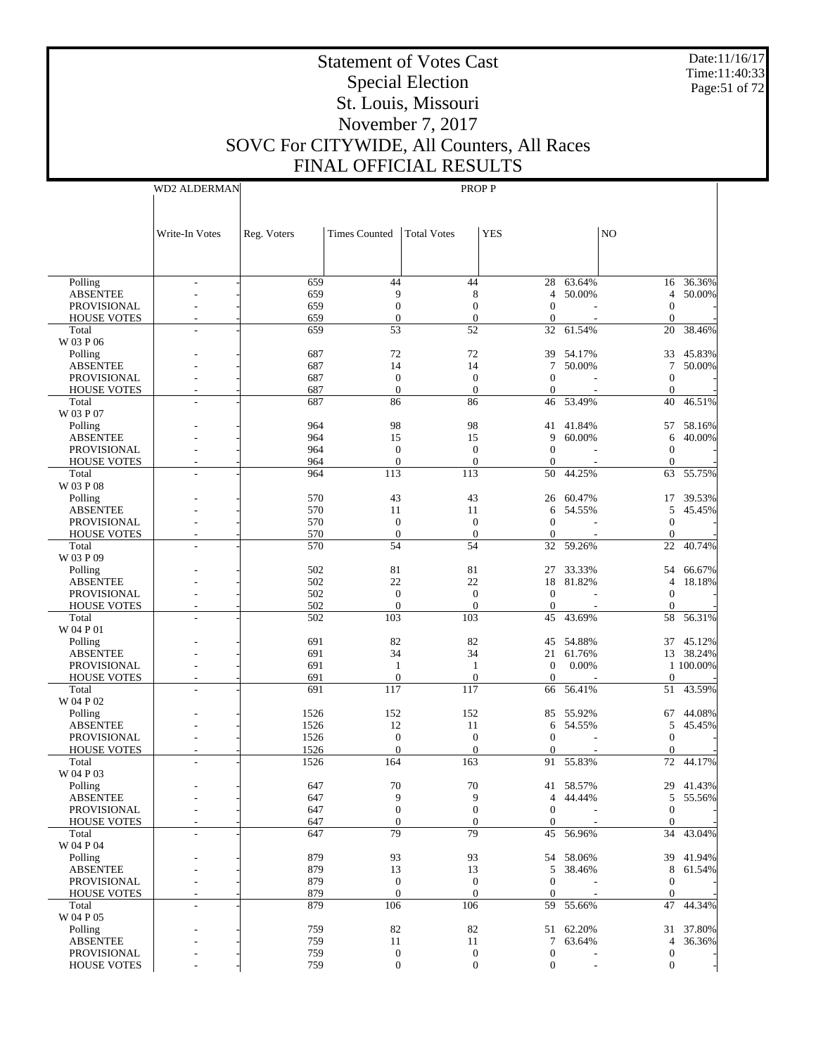Date:11/16/17 Time:11:40:33 Page:51 of 72

# Statement of Votes Cast Special Election St. Louis, Missouri November 7, 2017 SOVC For CITYWIDE, All Counters, All Races FINAL OFFICIAL RESULTS

| TUJAL KESULT. |              |  |
|---------------|--------------|--|
|               | <b>PROPP</b> |  |

|                                | Write-In Votes           | Reg. Voters | Times Counted      | <b>Total Votes</b> | <b>YES</b>         |                      | N <sub>O</sub>    |                        |
|--------------------------------|--------------------------|-------------|--------------------|--------------------|--------------------|----------------------|-------------------|------------------------|
|                                |                          |             |                    |                    |                    |                      |                   |                        |
|                                |                          |             |                    |                    |                    |                      |                   |                        |
| Polling                        |                          | 659         | 44                 | 44                 | 28                 | 63.64%               | 16                | 36.36%                 |
| <b>ABSENTEE</b>                |                          | 659         | 9                  | 8                  | 4                  | 50.00%               | 4                 | 50.00%                 |
| PROVISIONAL                    |                          | 659         | $\mathbf{0}$       | $\boldsymbol{0}$   | $\mathbf{0}$       |                      | $\mathbf{0}$      |                        |
| <b>HOUSE VOTES</b>             | ÷,                       | 659         | $\overline{0}$     | $\mathbf{0}$       | $\mathbf{0}$       |                      | $\mathbf{0}$      |                        |
| Total                          |                          | 659         | 53                 | 52                 | 32                 | $61.\overline{54\%}$ | 20                | 38.46%                 |
| W 03 P 06                      |                          |             |                    |                    |                    |                      |                   |                        |
| Polling                        |                          | 687         | 72<br>14           | 72<br>14           | 39                 | 54.17%               | 33                | 45.83%                 |
| <b>ABSENTEE</b><br>PROVISIONAL |                          | 687<br>687  | $\theta$           | $\theta$           | 7<br>$\Omega$      | 50.00%               | 7<br>$\mathbf{0}$ | 50.00%                 |
| <b>HOUSE VOTES</b>             |                          | 687         | $\overline{0}$     | $\mathbf{0}$       | $\boldsymbol{0}$   |                      | $\mathbf{0}$      |                        |
| Total                          |                          | 687         | 86                 | 86                 | 46                 | 53.49%               | 40                | 46.51%                 |
| W 03 P 07                      |                          |             |                    |                    |                    |                      |                   |                        |
| Polling                        |                          | 964         | 98                 | 98                 | 41                 | 41.84%               | 57                | 58.16%                 |
| <b>ABSENTEE</b>                |                          | 964         | 15                 | 15                 | 9                  | 60.00%               | 6                 | 40.00%                 |
| PROVISIONAL                    |                          | 964         | $\theta$           | $\theta$           | $\mathbf{0}$       |                      | $\mathbf{0}$      |                        |
| <b>HOUSE VOTES</b>             | $\overline{a}$           | 964         | $\theta$           | $\mathbf{0}$       | $\mathbf{0}$       |                      | $\mathbf{0}$      |                        |
| Total                          |                          | 964         | 113                | 113                | 50                 | 44.25%               | 63                | 55.75%                 |
| W 03 P 08                      |                          |             |                    |                    |                    |                      |                   |                        |
| Polling<br><b>ABSENTEE</b>     |                          | 570<br>570  | 43<br>11           | 43<br>11           | 26<br>6            | 60.47%<br>54.55%     | 17<br>5           | 39.53%<br>45.45%       |
| PROVISIONAL                    |                          | 570         | $\theta$           | $\theta$           | $\Omega$           |                      | $\mathbf{0}$      |                        |
| <b>HOUSE VOTES</b>             |                          | 570         | $\mathbf{0}$       | $\theta$           | $\mathbf{0}$       |                      | $\mathbf{0}$      |                        |
| Total                          |                          | 570         | 54                 | 54                 | 32                 | 59.26%               | 22                | 40.74%                 |
| W 03 P 09                      |                          |             |                    |                    |                    |                      |                   |                        |
| Polling                        |                          | 502         | 81                 | 81                 | 27                 | 33.33%               | 54                | 66.67%                 |
| <b>ABSENTEE</b>                |                          | 502         | 22                 | 22                 |                    | 18 81.82%            | 4                 | 18.18%                 |
| PROVISIONAL                    |                          | 502         | $\theta$           | $\theta$           | $\Omega$           |                      | $\mathbf{0}$      |                        |
| <b>HOUSE VOTES</b>             | $\overline{a}$           | 502         | $\mathbf{0}$       | $\Omega$           | $\mathbf{0}$       |                      | $\mathbf{0}$      |                        |
| Total                          |                          | 502         | 103                | 103                | 45                 | 43.69%               | 58                | 56.31%                 |
| W 04 P 01                      |                          |             |                    |                    |                    |                      |                   |                        |
| Polling                        |                          | 691         | 82                 | 82                 | 45                 | 54.88%               |                   | 37 45.12%              |
| <b>ABSENTEE</b><br>PROVISIONAL |                          | 691<br>691  | 34<br>$\mathbf{1}$ | 34<br>1            | 21<br>$\mathbf{0}$ | 61.76%<br>0.00%      |                   | 13 38.24%<br>1 100.00% |
| <b>HOUSE VOTES</b>             |                          | 691         | $\mathbf{0}$       | $\boldsymbol{0}$   | $\mathbf{0}$       |                      | $\mathbf{0}$      |                        |
| Total                          |                          | 691         | 117                | 117                | 66                 | 56.41%               | 51                | 43.59%                 |
| W 04 P 02                      |                          |             |                    |                    |                    |                      |                   |                        |
| Polling                        |                          | 1526        | 152                | 152                | 85                 | 55.92%               | 67                | 44.08%                 |
| <b>ABSENTEE</b>                |                          | 1526        | 12                 | 11                 | 6                  | 54.55%               | 5                 | 45.45%                 |
| PROVISIONAL                    |                          | 1526        | $\theta$           | $\theta$           | $\Omega$           |                      | $\mathbf{0}$      |                        |
| <b>HOUSE VOTES</b>             | $\overline{a}$           | 1526        | $\mathbf{0}$       | $\mathbf{0}$       | $\mathbf{0}$       |                      | $\mathbf{0}$      |                        |
| Total                          |                          | 1526        | 164                | 163                | 91                 | 55.83%               | 72                | 44.17%                 |
| W 04 P 03                      |                          |             |                    |                    |                    |                      |                   |                        |
| Polling<br><b>ABSENTEE</b>     |                          | 647<br>647  | 70<br>9            | 70<br>9            | 41<br>4            | 58.57%<br>44.44%     | 29                | 41.43%<br>5 55.56%     |
| PROVISIONAL                    | $\overline{\phantom{a}}$ | 647         | $\boldsymbol{0}$   | $\boldsymbol{0}$   | $\boldsymbol{0}$   |                      | $\boldsymbol{0}$  |                        |
| <b>HOUSE VOTES</b>             | L,                       | 647         | $\mathbf{0}$       | $\mathbf{0}$       | $\mathbf{0}$       |                      | $\theta$          |                        |
| Total                          |                          | 647         | 79                 | 79                 | 45                 | 56.96%               | 34                | 43.04%                 |
| W 04 P 04                      |                          |             |                    |                    |                    |                      |                   |                        |
| Polling                        |                          | 879         | 93                 | 93                 |                    | 54 58.06%            | 39                | 41.94%                 |
| <b>ABSENTEE</b>                |                          | 879         | 13                 | 13                 | 5                  | 38.46%               | 8                 | 61.54%                 |
| PROVISIONAL                    |                          | 879         | $\mathbf{0}$       | $\mathbf{0}$       | $\mathbf{0}$       |                      | $\mathbf{0}$      |                        |
| <b>HOUSE VOTES</b>             | $\overline{a}$           | 879         | $\mathbf{0}$       | $\theta$           | $\boldsymbol{0}$   |                      | $\mathbf{0}$      |                        |
| Total                          | L,                       | 879         | 106                | 106                |                    | 59 55.66%            | 47                | 44.34%                 |
| W 04 P 05<br>Polling           |                          | 759         | 82                 | 82                 |                    | 51 62.20%            | 31                | 37.80%                 |
| <b>ABSENTEE</b>                |                          | 759         | 11                 | 11                 | 7                  | 63.64%               | 4                 | 36.36%                 |
| PROVISIONAL                    |                          | 759         | $\boldsymbol{0}$   | $\boldsymbol{0}$   | $\boldsymbol{0}$   |                      | $\boldsymbol{0}$  |                        |
| <b>HOUSE VOTES</b>             |                          | 759         | $\boldsymbol{0}$   | $\boldsymbol{0}$   | $\boldsymbol{0}$   |                      | $\boldsymbol{0}$  |                        |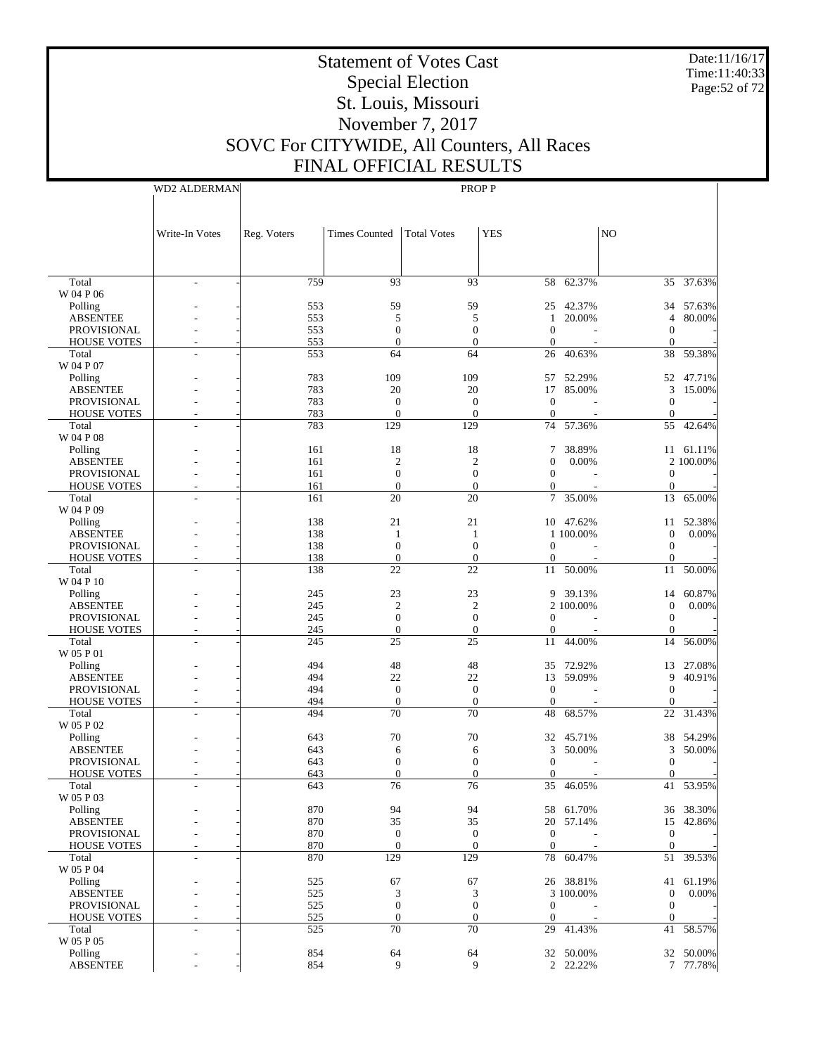Date:11/16/17 Time:11:40:33 Page:52 of 72

# Statement of Votes Cast Special Election St. Louis, Missouri November 7, 2017 SOVC For CITYWIDE, All Counters, All Races FINAL OFFICIAL RESULTS

WD2 ALDERMAN

|                            | Write-In Votes           | Reg. Voters | <b>Times Counted</b> | <b>Total Votes</b>    | <b>YES</b>       |                     | NO                    |           |
|----------------------------|--------------------------|-------------|----------------------|-----------------------|------------------|---------------------|-----------------------|-----------|
|                            |                          |             |                      |                       |                  |                     |                       |           |
|                            |                          |             |                      |                       |                  |                     |                       |           |
| Total                      | $\overline{\phantom{a}}$ | 759         | 93                   | 93                    |                  | 58 62.37%           |                       | 35 37.63% |
| W 04 P 06                  |                          | 553         | 59                   | 59                    |                  | 25 42.37%           | 34                    | 57.63%    |
| Polling<br><b>ABSENTEE</b> |                          | 553         | 5                    | 5                     | 1                | 20.00%              | 4                     | 80.00%    |
| <b>PROVISIONAL</b>         |                          | 553         | $\mathbf{0}$         | $\boldsymbol{0}$      | $\theta$         |                     | $\boldsymbol{0}$      |           |
| <b>HOUSE VOTES</b>         |                          | 553         | $\mathbf{0}$         | $\boldsymbol{0}$      | $\boldsymbol{0}$ | L,                  | $\boldsymbol{0}$      |           |
| Total                      |                          | 553         | 64                   | 64                    | 26               | 40.63%              | 38                    | 59.38%    |
| W 04 P 07                  |                          |             |                      |                       |                  |                     |                       |           |
| Polling                    |                          | 783         | 109                  | 109                   | 57               | 52.29%              | 52                    | 47.71%    |
| <b>ABSENTEE</b>            |                          | 783         | 20                   | 20                    | 17               | 85.00%              | 3                     | 15.00%    |
| <b>PROVISIONAL</b>         |                          | 783         | $\mathbf{0}$         | $\boldsymbol{0}$      | $\theta$         |                     | $\boldsymbol{0}$      |           |
| <b>HOUSE VOTES</b>         | ÷                        | 783         | $\mathbf{0}$         | $\boldsymbol{0}$      | $\mathbf{0}$     |                     | $\boldsymbol{0}$      |           |
| Total                      | $\overline{a}$           | 783         | 129                  | 129                   | 74               | 57.36%              | 55                    | 42.64%    |
| W 04 P 08                  |                          |             |                      |                       |                  |                     |                       |           |
| Polling                    |                          | 161         | 18                   | 18                    | 7                | 38.89%              |                       | 11 61.11% |
| <b>ABSENTEE</b>            |                          | 161         | $\mathfrak{2}$       | $\mathfrak{2}$        | $\theta$         | 0.00%               |                       | 2 100.00% |
| <b>PROVISIONAL</b>         |                          | 161         | $\mathbf{0}$         | $\boldsymbol{0}$      | $\mathbf{0}$     |                     | $\boldsymbol{0}$      |           |
| <b>HOUSE VOTES</b>         | ٠                        | 161         | $\boldsymbol{0}$     | $\boldsymbol{0}$      | $\mathbf{0}$     |                     | $\boldsymbol{0}$      |           |
| Total                      |                          | 161         | 20                   | 20                    | 7                | 35.00%              | 13                    | 65.00%    |
| W 04 P 09                  |                          |             |                      |                       |                  |                     |                       |           |
| Polling                    |                          | 138         | 21                   | 21                    |                  | 10 47.62%           | 11                    | 52.38%    |
| <b>ABSENTEE</b>            |                          | 138         | 1                    | 1                     |                  | 1 100.00%           | $\boldsymbol{0}$      | 0.00%     |
| <b>PROVISIONAL</b>         |                          | 138         | $\mathbf{0}$         | $\boldsymbol{0}$      | $\mathbf{0}$     |                     | $\mathbf{0}$          |           |
| <b>HOUSE VOTES</b>         | $\overline{a}$           | 138         | $\boldsymbol{0}$     | $\boldsymbol{0}$      | $\boldsymbol{0}$ |                     | $\mathbf{0}$          |           |
| Total<br>W 04 P 10         |                          | 138         | 22                   | 22                    | 11               | 50.00%              | 11                    | 50.00%    |
| Polling                    |                          | 245         | 23                   | 23                    |                  | 9 39.13%            | 14                    | 60.87%    |
| <b>ABSENTEE</b>            |                          | 245         | $\overline{c}$       | $\mathfrak{2}$        |                  | 2 100.00%           | $\boldsymbol{0}$      | 0.00%     |
| <b>PROVISIONAL</b>         |                          | 245         | $\mathbf{0}$         | $\boldsymbol{0}$      | $\theta$         |                     | $\mathbf{0}$          |           |
| <b>HOUSE VOTES</b>         | ٠                        | 245         | $\boldsymbol{0}$     | $\boldsymbol{0}$      | $\boldsymbol{0}$ |                     | $\boldsymbol{0}$      |           |
| Total                      |                          | 245         | 25                   | 25                    | 11               | 44.00%              | 14                    | 56.00%    |
| W 05 P 01                  |                          |             |                      |                       |                  |                     |                       |           |
| Polling                    |                          | 494         | 48                   | 48                    | 35               | 72.92%              | 13                    | 27.08%    |
| <b>ABSENTEE</b>            |                          | 494         | 22                   | 22                    | 13               | 59.09%              | 9                     | 40.91%    |
| <b>PROVISIONAL</b>         |                          | 494         | $\mathbf{0}$         | $\boldsymbol{0}$      | $\theta$         |                     | $\mathbf{0}$          |           |
| <b>HOUSE VOTES</b>         | $\overline{a}$           | 494         | $\mathbf{0}$         | $\boldsymbol{0}$      | $\mathbf{0}$     | $\overline{a}$      | $\mathbf 0$           |           |
| Total                      |                          | 494         | 70                   | 70                    | 48               | 68.57%              | 22                    | 31.43%    |
| W 05 P 02                  |                          |             |                      |                       |                  |                     |                       |           |
| Polling<br><b>ABSENTEE</b> |                          | 643         | 70                   | 70                    |                  | 32 45.71%<br>50.00% | 38                    | 54.29%    |
| <b>PROVISIONAL</b>         |                          | 643<br>643  | 6<br>$\mathbf{0}$    | 6<br>$\boldsymbol{0}$ | 3<br>$\theta$    |                     | 3<br>$\boldsymbol{0}$ | 50.00%    |
| <b>HOUSE VOTES</b>         |                          | 643         | $\overline{0}$       | $\mathbf{0}$          | $\theta$         |                     | $\mathbf{0}$          |           |
| Total                      |                          | 643         | 76                   | 76                    | 35               | 46.05%              | 41                    | 53.95%    |
| W 05 P 03                  |                          |             |                      |                       |                  |                     |                       |           |
| Polling                    |                          | 870         | 94                   | 94                    |                  | 58 61.70%           |                       | 36 38.30% |
| <b>ABSENTEE</b>            |                          | 870         | 35                   | 35                    |                  | 20 57.14%           | 15                    | 42.86%    |
| PROVISIONAL                |                          | 870         | $\mathbf{0}$         | $\boldsymbol{0}$      | $\mathbf{0}$     |                     | $\boldsymbol{0}$      |           |
| <b>HOUSE VOTES</b>         | $\overline{a}$           | 870         | $\boldsymbol{0}$     | $\boldsymbol{0}$      | $\mathbf{0}$     |                     | $\mathbf{0}$          |           |
| Total                      | ÷                        | 870         | 129                  | 129                   | 78               | 60.47%              | 51                    | 39.53%    |
| W 05 P 04                  |                          |             |                      |                       |                  |                     |                       |           |
| Polling                    |                          | 525         | 67                   | 67                    |                  | 26 38.81%           | 41                    | 61.19%    |
| <b>ABSENTEE</b>            |                          | 525         | 3                    | 3                     |                  | 3 100.00%           | $\mathbf{0}$          | 0.00%     |
| PROVISIONAL                |                          | 525         | $\boldsymbol{0}$     | $\boldsymbol{0}$      | $\boldsymbol{0}$ |                     | $\mathbf{0}$          |           |
| <b>HOUSE VOTES</b>         | $\overline{a}$           | 525         | $\boldsymbol{0}$     | $\boldsymbol{0}$      | $\mathbf{0}$     |                     | $\overline{0}$        |           |
| Total                      | ٠                        | 525         | 70                   | $70\,$                | 29               | 41.43%              | 41                    | 58.57%    |
| W 05 P 05                  |                          |             |                      |                       |                  |                     |                       |           |
| Polling                    |                          | 854         | 64                   | 64                    |                  | 32 50.00%           |                       | 32 50.00% |
| <b>ABSENTEE</b>            |                          | 854         | 9                    | 9                     |                  | 2 22.22%            |                       | 7 77.78%  |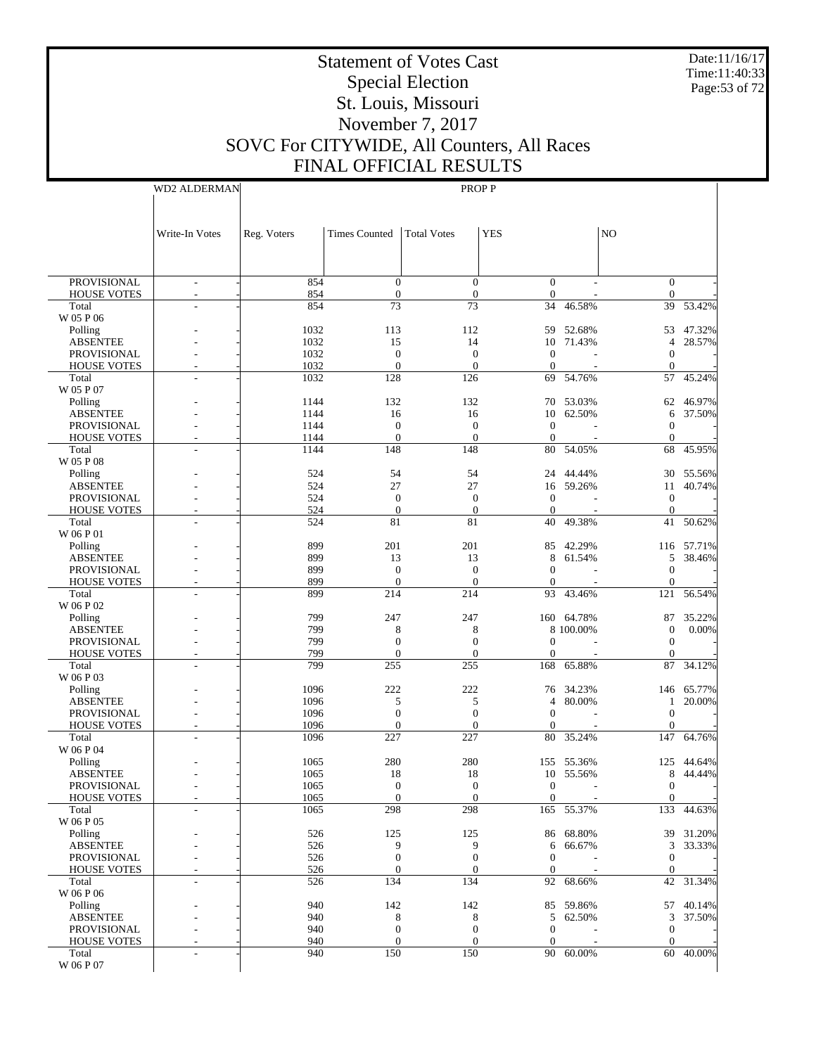Date:11/16/17 Time:11:40:33 Page:53 of 72

# Statement of Votes Cast Special Election St. Louis, Missouri November 7, 2017 SOVC For CITYWIDE, All Counters, All Races FINAL OFFICIAL RESULTS

|                             | <b>WD2 ALDERMAN</b>      |              | <b>PROPP</b>          |                       |                    |            |                    |            |  |
|-----------------------------|--------------------------|--------------|-----------------------|-----------------------|--------------------|------------|--------------------|------------|--|
|                             |                          |              |                       |                       |                    |            |                    |            |  |
|                             |                          |              |                       |                       |                    |            |                    |            |  |
|                             |                          |              |                       |                       |                    |            |                    |            |  |
|                             | Write-In Votes           | Reg. Voters  | <b>Times Counted</b>  | <b>Total Votes</b>    | <b>YES</b>         |            | NO.                |            |  |
|                             |                          |              |                       |                       |                    |            |                    |            |  |
|                             |                          |              |                       |                       |                    |            |                    |            |  |
| <b>PROVISIONAL</b>          | $\overline{\phantom{a}}$ | 854          | $\overline{0}$        | $\theta$              | $\Omega$           |            | $\overline{0}$     |            |  |
| <b>HOUSE VOTES</b>          |                          | 854          | $\mathbf{0}$          | $\overline{0}$        | $\boldsymbol{0}$   |            | $\mathbf{0}$       |            |  |
| Total                       |                          | 854          | 73                    | 73                    | 34                 | 46.58%     | 39                 | 53.42%     |  |
| W 05 P 06                   |                          |              |                       |                       |                    |            |                    |            |  |
| Polling                     |                          | 1032         | 113                   | 112                   | 59                 | 52.68%     | 53                 | 47.32%     |  |
| <b>ABSENTEE</b>             |                          | 1032         | 15                    | 14                    |                    | 10 71.43%  | 4                  | 28.57%     |  |
| <b>PROVISIONAL</b>          |                          | 1032         | $\overline{0}$        | $\theta$              | $\Omega$           |            | $\mathbf{0}$       |            |  |
| <b>HOUSE VOTES</b>          |                          | 1032         | $\overline{0}$        | $\overline{0}$        | $\mathbf{0}$       |            | $\mathbf{0}$       |            |  |
| Total                       |                          | 1032         | 128                   | 126                   | 69                 | 54.76%     | 57                 | 45.24%     |  |
| W 05 P 07                   |                          |              |                       |                       |                    |            |                    |            |  |
| Polling                     |                          | 1144         | 132                   | 132                   | 70                 | 53.03%     | 62                 | 46.97%     |  |
| <b>ABSENTEE</b>             |                          | 1144         | 16                    | 16                    |                    | 10 62.50%  | 6                  | 37.50%     |  |
| <b>PROVISIONAL</b>          |                          | 1144         | $\mathbf{0}$          | $\mathbf{0}$          | $\mathbf{0}$       |            | $\mathbf{0}$       |            |  |
| <b>HOUSE VOTES</b><br>Total |                          | 1144<br>1144 | $\overline{0}$<br>148 | $\overline{0}$<br>148 | $\mathbf{0}$<br>80 | 54.05%     | $\mathbf{0}$<br>68 | 45.95%     |  |
| W 05 P 08                   |                          |              |                       |                       |                    |            |                    |            |  |
| Polling                     |                          | 524          | 54                    | 54                    | 24                 | 44.44%     | 30                 | 55.56%     |  |
| <b>ABSENTEE</b>             |                          | 524          | 27                    | 27                    |                    | 16 59.26%  | 11                 | 40.74%     |  |
| <b>PROVISIONAL</b>          |                          | 524          | $\overline{0}$        | $\mathbf{0}$          | $\mathbf{0}$       |            | $\mathbf{0}$       |            |  |
| <b>HOUSE VOTES</b>          |                          | 524          | $\overline{0}$        | $\mathbf{0}$          | $\mathbf{0}$       |            | $\mathbf{0}$       |            |  |
| Total                       |                          | 524          | 81                    | 81                    | 40                 | 49.38%     | 41                 | 50.62%     |  |
| W 06 P 01                   |                          |              |                       |                       |                    |            |                    |            |  |
| Polling                     |                          | 899          | 201                   | 201                   | 85                 | 42.29%     |                    | 116 57.71% |  |
| <b>ABSENTEE</b>             |                          | 899          | 13                    | 13                    | 8                  | 61.54%     | 5                  | 38.46%     |  |
| <b>PROVISIONAL</b>          |                          | 899          | $\overline{0}$        | $\mathbf{0}$          | $\Omega$           |            | $\mathbf{0}$       |            |  |
| <b>HOUSE VOTES</b>          |                          | 899          | $\overline{0}$        | $\overline{0}$        | $\mathbf{0}$       |            | $\mathbf{0}$       |            |  |
| Total                       |                          | 899          | 214                   | 214                   | 93                 | 43.46%     | 121                | 56.54%     |  |
| W 06 P 02                   |                          |              |                       |                       |                    |            |                    |            |  |
| Polling                     |                          | 799          | 247                   | 247                   |                    | 160 64.78% | 87                 | 35.22%     |  |
| <b>ABSENTEE</b>             |                          | 799          | 8                     | 8                     |                    | 8 100.00%  | $\boldsymbol{0}$   | 0.00%      |  |
| <b>PROVISIONAL</b>          |                          | 799          | $\mathbf{0}$          | $\boldsymbol{0}$      | $\Omega$           |            | $\mathbf{0}$       |            |  |
| <b>HOUSE VOTES</b>          |                          | 799          | $\mathbf{0}$          | $\boldsymbol{0}$      | $\boldsymbol{0}$   |            | $\boldsymbol{0}$   |            |  |
| Total<br>W 06 P 03          |                          | 799          | 255                   | 255                   | 168                | 65.88%     | 87                 | 34.12%     |  |
| Polling                     |                          | 1096         | 222                   | 222                   | 76                 | 34.23%     | 146                | 65.77%     |  |
| <b>ABSENTEE</b>             |                          | 1096         | 5                     | 5                     | $\overline{4}$     | 80.00%     | $\mathbf{1}$       | 20.00%     |  |
| <b>PROVISIONAL</b>          |                          | 1096         | $\mathbf{0}$          | $\overline{0}$        | $\mathbf{0}$       |            | $\mathbf{0}$       |            |  |
| <b>HOUSE VOTES</b>          |                          | 1096         | $\theta$              | $\theta$              | 0                  |            | $\mathbf{0}$       |            |  |
| Total                       |                          | 1096         | 227                   | 227                   | 80                 | 35.24%     | 147                | 64.76%     |  |
| W 06 P 04                   |                          |              |                       |                       |                    |            |                    |            |  |
| Polling                     |                          | 1065         | 280                   | 280                   |                    | 155 55.36% |                    | 125 44.64% |  |
| <b>ABSENTEE</b>             |                          | 1065         | 18                    | 18                    |                    | 10 55.56%  |                    | 8 44.44%   |  |
| PROVISIONAL                 |                          | 1065         | $\boldsymbol{0}$      | $\boldsymbol{0}$      | $\boldsymbol{0}$   |            | $\boldsymbol{0}$   |            |  |
| <b>HOUSE VOTES</b>          |                          | 1065         | $\overline{0}$        | $\theta$              | $\Omega$           |            | $\Omega$           |            |  |
| Total                       |                          | 1065         | 298                   | 298                   | 165                | 55.37%     | 133                | 44.63%     |  |
| W 06 P 05                   |                          |              |                       |                       |                    |            |                    |            |  |
| Polling                     |                          | 526          | 125                   | 125                   |                    | 86 68.80%  | 39                 | 31.20%     |  |
| <b>ABSENTEE</b>             |                          | 526          | 9                     | 9                     | 6                  | 66.67%     | 3                  | 33.33%     |  |
| PROVISIONAL                 |                          | 526          | $\mathbf{0}$          | $\boldsymbol{0}$      | $\mathbf{0}$       |            | $\mathbf{0}$       |            |  |
| <b>HOUSE VOTES</b>          |                          | 526          | $\mathbf{0}$          | $\boldsymbol{0}$      | $\boldsymbol{0}$   |            | $\boldsymbol{0}$   |            |  |
| Total                       |                          | 526          | 134                   | 134                   | 92                 | 68.66%     | 42                 | 31.34%     |  |
| W 06 P 06<br>Polling        |                          | 940          | 142                   | 142                   | 85                 | 59.86%     | 57                 | 40.14%     |  |
| <b>ABSENTEE</b>             |                          | 940          | 8                     | 8                     |                    | 5 62.50%   | 3                  | 37.50%     |  |
| PROVISIONAL                 |                          | 940          | $\mathbf{0}$          | $\mathbf{0}$          | $\mathbf{0}$       |            | $\boldsymbol{0}$   |            |  |
| <b>HOUSE VOTES</b>          |                          | 940          | $\mathbf{0}$          | $\theta$              | 0                  |            | $\mathbf{0}$       |            |  |
| Total                       |                          | 940          | 150                   | 150                   | 90                 | 60.00%     | 60                 | 40.00%     |  |
| W 06 P 07                   |                          |              |                       |                       |                    |            |                    |            |  |
|                             |                          |              |                       |                       |                    |            |                    |            |  |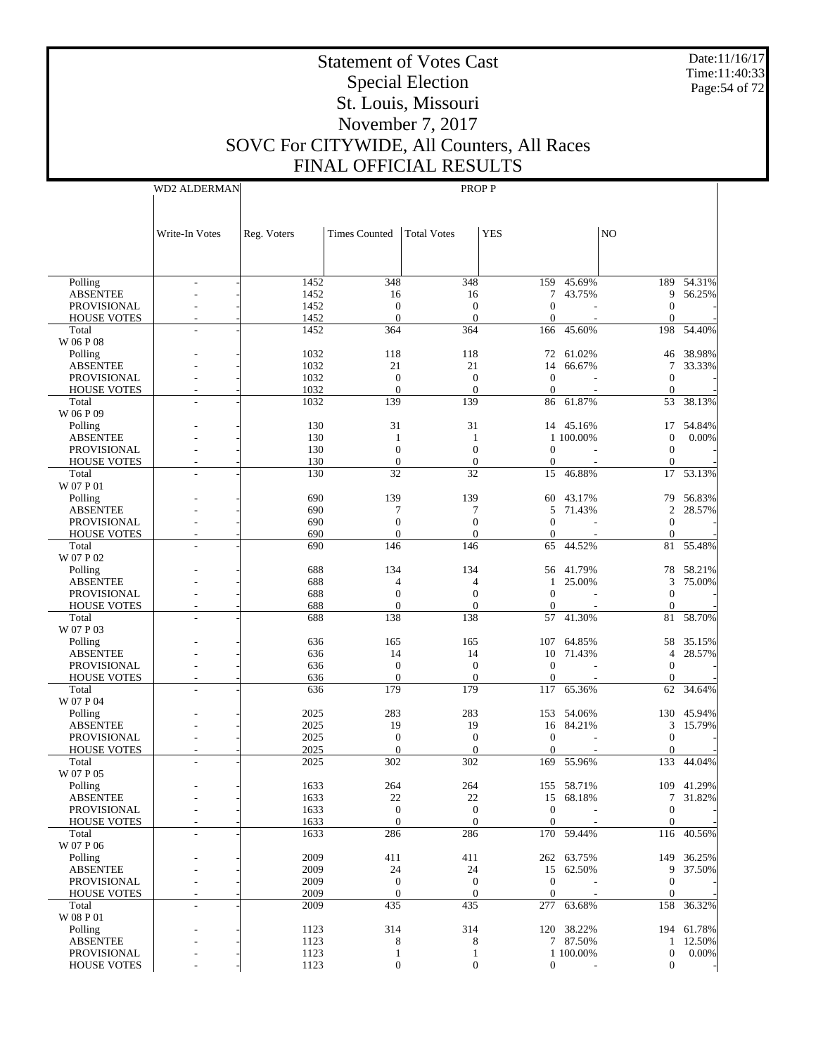Date:11/16/17 Time:11:40:33 Page:54 of 72

## Statement of Votes Cast Special Election St. Louis, Missouri November 7, 2017 SOVC For CITYWIDE, All Counters, All Races FINAL OFFICIAL RESULTS

PROP P

WD2 ALDERMAN

|                                          | Write-In Votes | Reg. Voters  | <b>Times Counted</b>             | <b>Total Votes</b>       | <b>YES</b>                           |            | NO.                            |            |
|------------------------------------------|----------------|--------------|----------------------------------|--------------------------|--------------------------------------|------------|--------------------------------|------------|
|                                          |                |              |                                  |                          |                                      |            |                                |            |
| Polling                                  |                | 1452         | 348                              | 348                      |                                      | 159 45.69% | 189                            | 54.31%     |
| <b>ABSENTEE</b>                          |                | 1452         | 16                               | 16                       |                                      | 7 43.75%   | 9                              | 56.25%     |
| <b>PROVISIONAL</b>                       |                | 1452         | $\mathbf{0}$                     | $\mathbf{0}$             | $\boldsymbol{0}$                     |            | $\theta$                       |            |
| <b>HOUSE VOTES</b>                       |                | 1452<br>1452 | $\mathbf{0}$                     | $\boldsymbol{0}$         | $\boldsymbol{0}$                     | 45.60%     | $\theta$                       |            |
| Total<br>W 06 P 08                       |                |              | 364                              | 364                      | 166                                  |            |                                | 198 54.40% |
| Polling                                  |                | 1032         | 118                              | 118                      |                                      | 72 61.02%  | 46                             | 38.98%     |
| <b>ABSENTEE</b>                          |                | 1032         | 21                               | 21                       | 14                                   | 66.67%     | 7                              | 33.33%     |
| <b>PROVISIONAL</b>                       |                | 1032         | $\mathbf{0}$                     | $\mathbf{0}$             | $\mathbf{0}$                         |            | $\theta$                       |            |
| <b>HOUSE VOTES</b>                       |                | 1032         | $\mathbf{0}$                     | $\theta$                 | $\boldsymbol{0}$                     |            | $\theta$                       |            |
| Total                                    |                | 1032         | 139                              | 139                      |                                      | 86 61.87%  | 53                             | 38.13%     |
| W 06 P 09                                |                |              |                                  |                          |                                      |            |                                |            |
| Polling                                  |                | 130          | 31                               | 31                       |                                      | 14 45.16%  | 17                             | 54.84%     |
| <b>ABSENTEE</b>                          |                | 130          | 1                                | -1                       |                                      | 1 100.00%  | $\theta$                       | 0.00%      |
| <b>PROVISIONAL</b><br><b>HOUSE VOTES</b> |                | 130<br>130   | $\mathbf{0}$<br>$\boldsymbol{0}$ | $\theta$<br>$\mathbf{0}$ | $\boldsymbol{0}$<br>$\boldsymbol{0}$ |            | $\overline{0}$<br>$\mathbf{0}$ |            |
| Total                                    |                | 130          | 32                               | 32                       | 15                                   | 46.88%     | 17                             | 53.13%     |
| W 07 P 01                                |                |              |                                  |                          |                                      |            |                                |            |
| Polling                                  |                | 690          | 139                              | 139                      |                                      | 60 43.17%  | 79                             | 56.83%     |
| <b>ABSENTEE</b>                          |                | 690          | 7                                | 7                        | 5                                    | 71.43%     | $\overline{2}$                 | 28.57%     |
| <b>PROVISIONAL</b>                       |                | 690          | $\mathbf{0}$                     | $\boldsymbol{0}$         | $\boldsymbol{0}$                     |            | $\theta$                       |            |
| <b>HOUSE VOTES</b>                       |                | 690          | $\overline{0}$                   | $\theta$                 | 0                                    |            | $\theta$                       |            |
| Total                                    |                | 690          | 146                              | 146                      | 65                                   | 44.52%     | 81                             | 55.48%     |
| W 07 P 02                                |                |              |                                  |                          |                                      |            |                                |            |
| Polling                                  |                | 688          | 134                              | 134                      |                                      | 56 41.79%  |                                | 78 58.21%  |
| <b>ABSENTEE</b>                          |                | 688          | 4                                | $\overline{4}$           | $\mathbf{1}$                         | 25.00%     | 3                              | 75.00%     |
| <b>PROVISIONAL</b>                       |                | 688          | $\mathbf{0}$                     | $\theta$                 | $\boldsymbol{0}$                     |            | $\theta$                       |            |
| <b>HOUSE VOTES</b><br>Total              |                | 688<br>688   | $\boldsymbol{0}$<br>138          | $\mathbf{0}$<br>138      | $\boldsymbol{0}$                     | 41.30%     | $\theta$                       | 81 58.70%  |
| W 07 P 03                                |                |              |                                  |                          | 57                                   |            |                                |            |
| Polling                                  |                | 636          | 165                              | 165                      |                                      | 107 64.85% | 58                             | 35.15%     |
| <b>ABSENTEE</b>                          |                | 636          | 14                               | 14                       |                                      | 10 71.43%  | $\overline{4}$                 | 28.57%     |
| <b>PROVISIONAL</b>                       |                | 636          | $\mathbf{0}$                     | $\mathbf{0}$             | $\boldsymbol{0}$                     |            | $\theta$                       |            |
| <b>HOUSE VOTES</b>                       | ÷.             | 636          | $\mathbf{0}$                     | $\mathbf{0}$             | $\boldsymbol{0}$                     |            | $\theta$                       |            |
| Total                                    |                | 636          | 179                              | 179                      | 117                                  | 65.36%     | 62                             | 34.64%     |
| W 07 P 04                                |                |              |                                  |                          |                                      |            |                                |            |
| Polling                                  |                | 2025         | 283                              | 283                      |                                      | 153 54.06% |                                | 130 45.94% |
| <b>ABSENTEE</b>                          |                | 2025         | 19                               | 19                       |                                      | 16 84.21%  | 3                              | 15.79%     |
| PROVISIONAL                              |                | 2025         | $\mathbf{0}$                     | $\boldsymbol{0}$         | $\boldsymbol{0}$                     |            | $\theta$                       |            |
| <b>HOUSE VOTES</b>                       |                | 2025         | $\boldsymbol{0}$                 | $\mathbf{0}$             | $\boldsymbol{0}$                     |            | $\theta$                       |            |
| Total<br>W 07 P 05                       |                | 2025         | 302                              | 302                      | 169                                  | 55.96%     | 133                            | 44.04%     |
| Polling                                  |                | 1633         | 264                              | 264                      |                                      | 155 58.71% |                                | 109 41.29% |
| <b>ABSENTEE</b>                          |                | 1633         | 22                               | 22                       |                                      | 15 68.18%  | 7                              | 31.82%     |
| <b>PROVISIONAL</b>                       |                | 1633         | $\mathbf{0}$                     | $\mathbf{0}$             | $\boldsymbol{0}$                     |            | $\mathbf{0}$                   |            |
| <b>HOUSE VOTES</b>                       |                | 1633         | $\overline{0}$                   | $\boldsymbol{0}$         | $\boldsymbol{0}$                     |            | $\mathbf{0}$                   |            |
| Total                                    |                | 1633         | 286                              | 286                      |                                      | 170 59.44% | 116                            | 40.56%     |
| W 07 P 06                                |                |              |                                  |                          |                                      |            |                                |            |
| Polling                                  |                | 2009         | 411                              | 411                      |                                      | 262 63.75% | 149                            | 36.25%     |
| <b>ABSENTEE</b>                          |                | 2009         | 24                               | 24                       |                                      | 15 62.50%  | 9                              | 37.50%     |
| PROVISIONAL                              |                | 2009         | $\mathbf{0}$                     | $\mathbf{0}$             | $\mathbf{0}$                         |            | $\overline{0}$                 |            |
| <b>HOUSE VOTES</b>                       |                | 2009         | $\boldsymbol{0}$                 | $\mathbf{0}$             | $\mathbf{0}$                         |            | $\overline{0}$                 | 158 36.32% |
| Total<br>W 08 P 01                       |                | 2009         | 435                              | 435                      | 277                                  | 63.68%     |                                |            |
| Polling                                  |                | 1123         | 314                              | 314                      |                                      | 120 38.22% |                                | 194 61.78% |
| <b>ABSENTEE</b>                          |                | 1123         | 8                                | 8                        |                                      | 7 87.50%   |                                | 1 12.50%   |
| PROVISIONAL                              |                | 1123         | 1                                | 1                        |                                      | 1 100.00%  | $\overline{0}$                 | 0.00%      |

 $-$  1123 0 0 0 - 0 -

HOUSE VOTES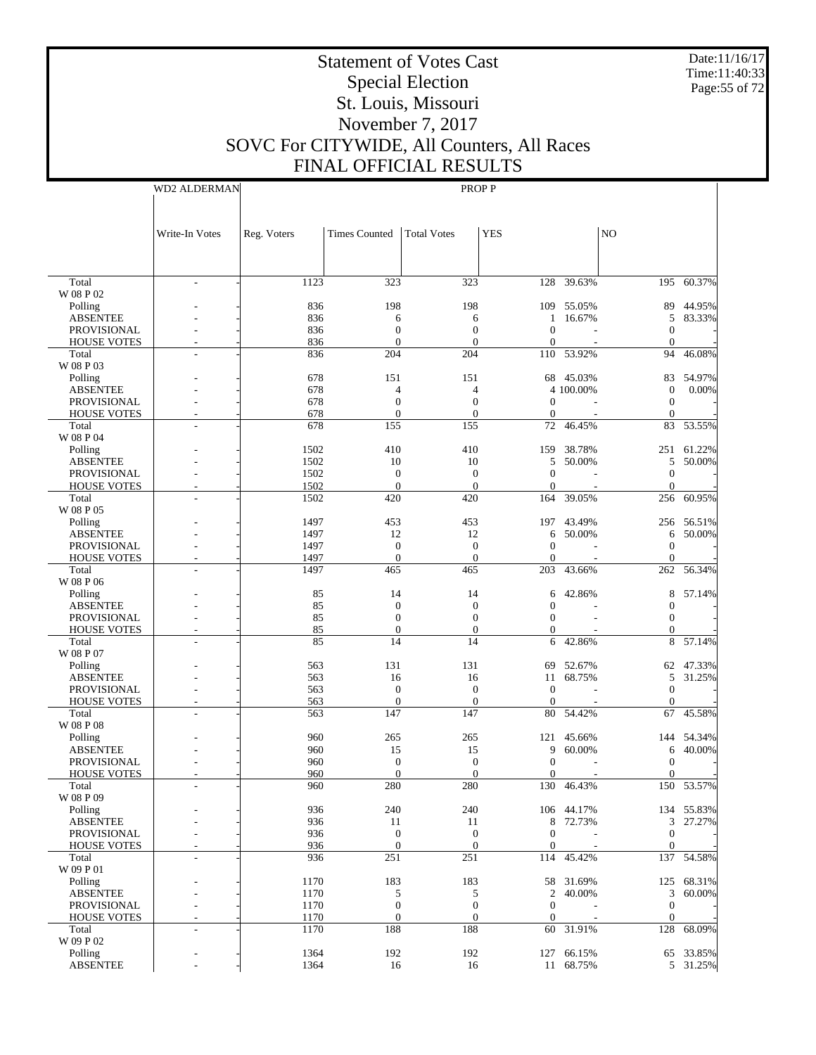Date:11/16/17 Time:11:40:33 Page:55 of 72

# Statement of Votes Cast Special Election St. Louis, Missouri November 7, 2017 SOVC For CITYWIDE, All Counters, All Races

WD2 ALDERMAN

FINAL OFFICIAL RESULTS PROP P

|                            | Write-In Votes | Reg. Voters | <b>Times Counted</b> | <b>Total Votes</b> | <b>YES</b>       |            | N <sub>O</sub>         |            |
|----------------------------|----------------|-------------|----------------------|--------------------|------------------|------------|------------------------|------------|
|                            |                |             |                      |                    |                  |            |                        |            |
| Total                      |                | 1123        | 323                  | 323                |                  | 128 39.63% | 195                    | 60.37%     |
| W 08 P 02                  |                |             |                      |                    |                  |            |                        |            |
| Polling                    |                | 836         | 198                  | 198                | 109              | 55.05%     | 89                     | 44.95%     |
| <b>ABSENTEE</b>            |                | 836         | 6                    | 6                  | 1                | 16.67%     | 5                      | 83.33%     |
| PROVISIONAL                |                | 836         | $\mathbf{0}$         | $\mathbf{0}$       | $\theta$         |            | $\mathbf{0}$           |            |
| <b>HOUSE VOTES</b>         |                | 836         | $\mathbf{0}$         | $\overline{0}$     | $\mathbf{0}$     |            | $\overline{0}$         |            |
| Total<br>W 08 P 03         |                | 836         | 204                  | 204                |                  | 110 53.92% | 94                     | 46.08%     |
|                            |                | 678         | 151                  | 151                |                  | 45.03%     |                        | 54.97%     |
| Polling<br><b>ABSENTEE</b> |                | 678         | 4                    | 4                  | 68               | 4 100.00%  | 83<br>$\boldsymbol{0}$ | $0.00\%$   |
| PROVISIONAL                |                | 678         | $\mathbf{0}$         | $\mathbf{0}$       | $\Omega$         |            | $\mathbf{0}$           |            |
| <b>HOUSE VOTES</b>         |                | 678         | $\mathbf{0}$         | $\overline{0}$     | $\mathbf{0}$     |            | $\mathbf{0}$           |            |
|                            |                | 678         |                      |                    |                  |            |                        |            |
| Total<br>W 08 P 04         |                |             | 155                  | 155                | 72               | 46.45%     | 83                     | 53.55%     |
|                            |                | 1502        | 410                  | 410                |                  | 38.78%     |                        | 61.22%     |
| Polling                    |                |             |                      |                    | 159              |            | 251                    |            |
| <b>ABSENTEE</b>            |                | 1502        | 10                   | 10                 | 5<br>$\theta$    | 50.00%     | 5                      | 50.00%     |
| PROVISIONAL                |                | 1502        | $\mathbf{0}$         | $\mathbf{0}$       |                  |            | $\mathbf{0}$           |            |
| <b>HOUSE VOTES</b>         |                | 1502        | $\mathbf{0}$         | $\overline{0}$     | $\mathbf{0}$     |            | $\mathbf{0}$           |            |
| Total                      |                | 1502        | 420                  | 420                | 164              | 39.05%     | 256                    | 60.95%     |
| W 08 P 05                  |                |             |                      |                    |                  |            |                        |            |
| Polling                    |                | 1497        | 453                  | 453                | 197              | 43.49%     | 256                    | 56.51%     |
| <b>ABSENTEE</b>            |                | 1497        | 12                   | 12                 | 6                | 50.00%     | 6                      | 50.00%     |
| PROVISIONAL                |                | 1497        | $\mathbf{0}$         | $\mathbf{0}$       | $\Omega$         |            | $\mathbf{0}$           |            |
| <b>HOUSE VOTES</b>         |                | 1497        | $\mathbf{0}$         | $\overline{0}$     | $\mathbf{0}$     |            | $\mathbf{0}$           |            |
| Total                      |                | 1497        | 465                  | 465                | 203              | 43.66%     | 262                    | 56.34%     |
| W 08 P 06                  |                |             |                      |                    |                  |            |                        |            |
| Polling                    |                | 85          | 14                   | 14                 | 6                | 42.86%     | 8                      | 57.14%     |
| <b>ABSENTEE</b>            |                | 85          | $\mathbf{0}$         | $\overline{0}$     | $\mathbf{0}$     |            | $\theta$               |            |
| PROVISIONAL                |                | 85          | $\mathbf{0}$         | $\overline{0}$     | $\Omega$         |            | $\Omega$               |            |
| <b>HOUSE VOTES</b>         |                | 85          | $\overline{0}$       | $\overline{0}$     | $\overline{0}$   |            | $\boldsymbol{0}$       |            |
| Total                      |                | 85          | 14                   | 14                 | 6                | 42.86%     | 8                      | 57.14%     |
| W 08 P 07                  |                |             |                      |                    |                  |            |                        |            |
| Polling                    |                | 563         | 131                  | 131                | 69               | 52.67%     | 62                     | 47.33%     |
| <b>ABSENTEE</b>            |                | 563         | 16                   | 16                 | 11               | 68.75%     | 5                      | 31.25%     |
| PROVISIONAL                |                | 563         | $\mathbf{0}$         | $\boldsymbol{0}$   | $\Omega$         |            | $\mathbf{0}$           |            |
| <b>HOUSE VOTES</b>         |                | 563         | $\mathbf{0}$         | $\overline{0}$     | $\mathbf{0}$     |            | $\mathbf{0}$           |            |
| Total                      |                | 563         | 147                  | 147                | 80               | 54.42%     | 67                     | 45.58%     |
| W 08 P 08                  |                |             |                      |                    |                  |            |                        |            |
| Polling                    |                | 960         | 265                  | 265                | 121              | 45.66%     | 144                    | 54.34%     |
| <b>ABSENTEE</b>            |                | 960         | 15                   | 15                 | 9                | 60.00%     | 6                      | 40.00%     |
| PROVISIONAL                |                | 960         | $\mathbf{0}$         | $\mathbf{0}$       | $\Omega$         |            | $\mathbf{0}$           |            |
| <b>HOUSE VOTES</b>         |                | 960         | $\mathbf{0}$         | $\overline{0}$     | $\mathbf{0}$     |            | $\mathbf{0}$           |            |
| Total                      |                | 960         | 280                  | 280                |                  | 130 46.43% | 150                    | 53.57%     |
| W 08 P 09                  |                |             |                      |                    |                  |            |                        |            |
| Polling                    |                | 936         | 240                  | 240                |                  | 106 44.17% |                        | 134 55.83% |
| <b>ABSENTEE</b>            |                | 936         | 11                   | 11                 | 8                | 72.73%     | 3                      | 27.27%     |
| PROVISIONAL                |                | 936         | $\boldsymbol{0}$     | $\boldsymbol{0}$   | $\mathbf{0}$     |            | $\mathbf{0}$           |            |
| <b>HOUSE VOTES</b>         |                | 936         | $\overline{0}$       | $\mathbf{0}$       | $\boldsymbol{0}$ |            | $\mathbf{0}$           |            |
| Total                      |                | 936         | 251                  | 251                |                  | 114 45.42% |                        | 137 54.58% |
| W 09 P 01                  |                |             |                      |                    |                  |            |                        |            |
| Polling                    |                | 1170        | 183                  | 183                | 58               | 31.69%     | 125                    | 68.31%     |
| <b>ABSENTEE</b>            |                | 1170        | 5                    | 5                  | 2                | 40.00%     | 3                      | 60.00%     |
| PROVISIONAL                |                | 1170        | $\boldsymbol{0}$     | $\boldsymbol{0}$   | $\mathbf{0}$     |            | $\mathbf{0}$           |            |
| <b>HOUSE VOTES</b>         |                | 1170        | $\mathbf{0}$         | $\overline{0}$     | $\mathbf{0}$     |            | $\mathbf{0}$           |            |
| Total                      |                | 1170        | 188                  | 188                | 60               | 31.91%     | 128                    | 68.09%     |
| W 09 P 02                  |                |             |                      |                    |                  |            |                        |            |
| Polling                    |                | 1364        | 192                  | 192                |                  | 127 66.15% |                        | 65 33.85%  |
| <b>ABSENTEE</b>            |                | 1364        | 16                   | 16                 |                  | 11 68.75%  |                        | 5 31.25%   |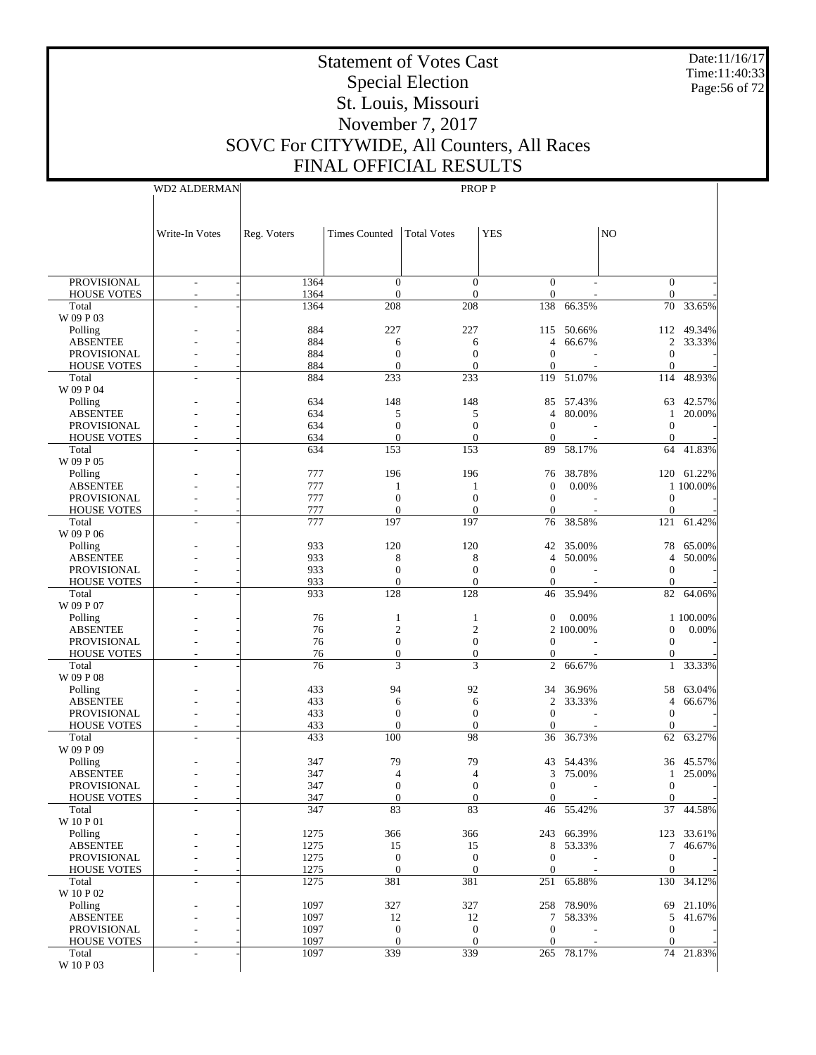Date:11/16/17 Time:11:40:33 Page:56 of 72

# Statement of Votes Cast Special Election St. Louis, Missouri November 7, 2017 SOVC For CITYWIDE, All Counters, All Races FINAL OFFICIAL RESULTS

WD2 ALDERMAN

|                                          | Write-In Votes                 | Reg. Voters  | <b>Times Counted</b>             | <b>Total Votes</b>                   | <b>YES</b>                       |                     | N <sub>O</sub>                       |                    |
|------------------------------------------|--------------------------------|--------------|----------------------------------|--------------------------------------|----------------------------------|---------------------|--------------------------------------|--------------------|
|                                          |                                |              |                                  |                                      |                                  |                     |                                      |                    |
|                                          |                                |              |                                  |                                      |                                  |                     |                                      |                    |
| <b>PROVISIONAL</b><br><b>HOUSE VOTES</b> | $\overline{\phantom{a}}$<br>÷, | 1364<br>1364 | $\mathbf{0}$<br>$\mathbf{0}$     | $\overline{0}$<br>$\mathbf{0}$       | $\mathbf{0}$<br>$\mathbf{0}$     |                     | $\overline{0}$<br>$\mathbf{0}$       |                    |
| Total                                    |                                | 1364         | 208                              | 208                                  | 138                              | 66.35%              | 70                                   | 33.65%             |
| W 09 P 03<br>Polling                     |                                | 884          | 227                              | 227                                  |                                  | 115 50.66%          | 112                                  | 49.34%             |
| <b>ABSENTEE</b>                          |                                | 884          | 6                                | 6                                    | $\overline{4}$                   | 66.67%              | $\mathbf{2}$                         | 33.33%             |
| PROVISIONAL<br><b>HOUSE VOTES</b>        |                                | 884<br>884   | $\boldsymbol{0}$<br>$\mathbf{0}$ | $\boldsymbol{0}$<br>$\mathbf{0}$     | $\mathbf{0}$<br>$\overline{0}$   |                     | $\mathbf{0}$<br>$\mathbf{0}$         |                    |
| Total                                    |                                | 884          | 233                              | 233                                  | 119                              | 51.07%              | 114                                  | 48.93%             |
| W 09 P 04                                |                                |              |                                  |                                      |                                  |                     |                                      |                    |
| Polling<br><b>ABSENTEE</b>               |                                | 634<br>634   | 148<br>5                         | 148<br>5                             | 4                                | 85 57.43%<br>80.00% | 63<br>1                              | 42.57%<br>20.00%   |
| <b>PROVISIONAL</b>                       |                                | 634          | $\mathbf{0}$                     | $\mathbf{0}$                         | $\overline{0}$                   |                     | $\mathbf{0}$                         |                    |
| <b>HOUSE VOTES</b>                       |                                | 634          | $\mathbf{0}$                     | $\mathbf{0}$                         | $\theta$                         |                     | $\boldsymbol{0}$                     |                    |
| Total<br>W 09 P 05                       |                                | 634          | 153                              | 153                                  | 89                               | 58.17%              | 64                                   | 41.83%             |
| Polling                                  |                                | 777          | 196                              | 196                                  | 76                               | 38.78%              |                                      | 120 61.22%         |
| <b>ABSENTEE</b>                          |                                | 777          | 1                                | 1                                    | $\overline{0}$                   | 0.00%               |                                      | 1 100.00%          |
| PROVISIONAL                              |                                | 777          | $\boldsymbol{0}$                 | $\boldsymbol{0}$                     | $\overline{0}$                   |                     | $\boldsymbol{0}$                     |                    |
| <b>HOUSE VOTES</b><br>Total              |                                | 777<br>777   | $\mathbf{0}$<br>197              | $\mathbf{0}$<br>197                  | $\overline{0}$<br>76             | 38.58%              | $\boldsymbol{0}$<br>121              | 61.42%             |
| W 09 P 06                                |                                |              |                                  |                                      |                                  |                     |                                      |                    |
| Polling                                  |                                | 933          | 120                              | 120                                  |                                  | 42 35.00%           | 78                                   | 65.00%             |
| <b>ABSENTEE</b>                          |                                | 933<br>933   | 8                                | 8                                    | $\overline{4}$                   | 50.00%              | $\overline{4}$<br>$\mathbf{0}$       | 50.00%             |
| <b>PROVISIONAL</b><br><b>HOUSE VOTES</b> |                                | 933          | $\boldsymbol{0}$<br>$\mathbf{0}$ | $\boldsymbol{0}$<br>$\mathbf{0}$     | $\overline{0}$<br>$\overline{0}$ |                     | $\boldsymbol{0}$                     |                    |
| Total                                    |                                | 933          | 128                              | 128                                  | 46                               | 35.94%              | 82                                   | 64.06%             |
| W 09 P 07                                |                                |              |                                  |                                      |                                  |                     |                                      |                    |
| Polling<br><b>ABSENTEE</b>               |                                | 76<br>76     | 1<br>$\mathfrak{2}$              | 1<br>$\overline{c}$                  | $\theta$                         | 0.00%<br>2 100,00%  | $\boldsymbol{0}$                     | 1 100.00%<br>0.00% |
| PROVISIONAL                              |                                | 76           | $\boldsymbol{0}$                 | $\boldsymbol{0}$                     | $\overline{0}$                   |                     | $\mathbf{0}$                         |                    |
| <b>HOUSE VOTES</b>                       |                                | 76           | $\mathbf{0}$                     | $\boldsymbol{0}$                     | $\mathbf{0}$                     |                     | $\mathbf{0}$                         |                    |
| Total<br>W 09 P 08                       |                                | 76           | 3                                | 3                                    | $\overline{c}$                   | 66.67%              | $\mathbf{1}$                         | 33.33%             |
| Polling                                  |                                | 433          | 94                               | 92                                   | 34                               | 36.96%              | 58                                   | 63.04%             |
| <b>ABSENTEE</b>                          |                                | 433          | 6                                | 6                                    | $\overline{c}$                   | 33.33%              | $\overline{4}$                       | 66.67%             |
| <b>PROVISIONAL</b><br>HOUSE VOTES        |                                | 433<br>433   | $\boldsymbol{0}$<br>$\Omega$     | $\boldsymbol{0}$<br>$\mathbf{0}$     | $\overline{0}$<br>$\overline{0}$ |                     | $\boldsymbol{0}$<br>$\boldsymbol{0}$ |                    |
| Total                                    |                                | 433          | 100                              | 98                                   | 36                               | 36.73%              | 62                                   | 63.27%             |
| W 09 P 09                                |                                |              |                                  |                                      |                                  |                     |                                      |                    |
| Polling<br><b>ABSENTEE</b>               |                                | 347<br>347   | 79<br>4                          | 79<br>4                              | 43<br>3                          | 54.43%<br>75.00%    | 36<br>1                              | 45.57%<br>25.00%   |
| PROVISIONAL                              |                                | 347          | $\boldsymbol{0}$                 | $\boldsymbol{0}$                     | $\overline{0}$                   |                     | $\mathbf{0}$                         |                    |
| <b>HOUSE VOTES</b>                       |                                | 347          | $\Omega$                         | $\boldsymbol{0}$                     | $\mathbf{0}$                     |                     | $\mathbf{0}$                         |                    |
| Total                                    | $\overline{a}$                 | 347          | 83                               | 83                                   |                                  | 46 55.42%           |                                      | 37 44.58%          |
| W 10 P 01<br>Polling                     |                                | 1275         | 366                              | 366                                  |                                  | 243 66.39%          |                                      | 123 33.61%         |
| <b>ABSENTEE</b>                          |                                | 1275         | 15                               | 15                                   |                                  | 8 53.33%            | $7\overline{ }$                      | 46.67%             |
| PROVISIONAL                              |                                | 1275         | $\mathbf{0}$                     | $\boldsymbol{0}$                     | $\mathbf{0}$                     |                     | $\mathbf{0}$                         |                    |
| <b>HOUSE VOTES</b><br>Total              |                                | 1275<br>1275 | $\mathbf{0}$<br>381              | $\boldsymbol{0}$<br>381              | $\mathbf{0}$                     | 251 65.88%          | $\overline{0}$<br>130                | 34.12%             |
| W 10 P 02                                |                                |              |                                  |                                      |                                  |                     |                                      |                    |
| Polling                                  |                                | 1097         | 327                              | 327                                  |                                  | 258 78.90%          |                                      | 69 21.10%          |
| <b>ABSENTEE</b>                          |                                | 1097         | 12                               | 12                                   |                                  | 7 58.33%            | 5 <sup>5</sup><br>$\overline{0}$     | 41.67%             |
| PROVISIONAL<br><b>HOUSE VOTES</b>        |                                | 1097<br>1097 | $\boldsymbol{0}$<br>$\mathbf{0}$ | $\boldsymbol{0}$<br>$\boldsymbol{0}$ | $\mathbf{0}$<br>$\mathbf{0}$     |                     | $\mathbf{0}$                         |                    |
| Total                                    | ÷,                             | 1097         | 339                              | 339                                  |                                  | 265 78.17%          |                                      | 74 21.83%          |
| W 10 P 03                                |                                |              |                                  |                                      |                                  |                     |                                      |                    |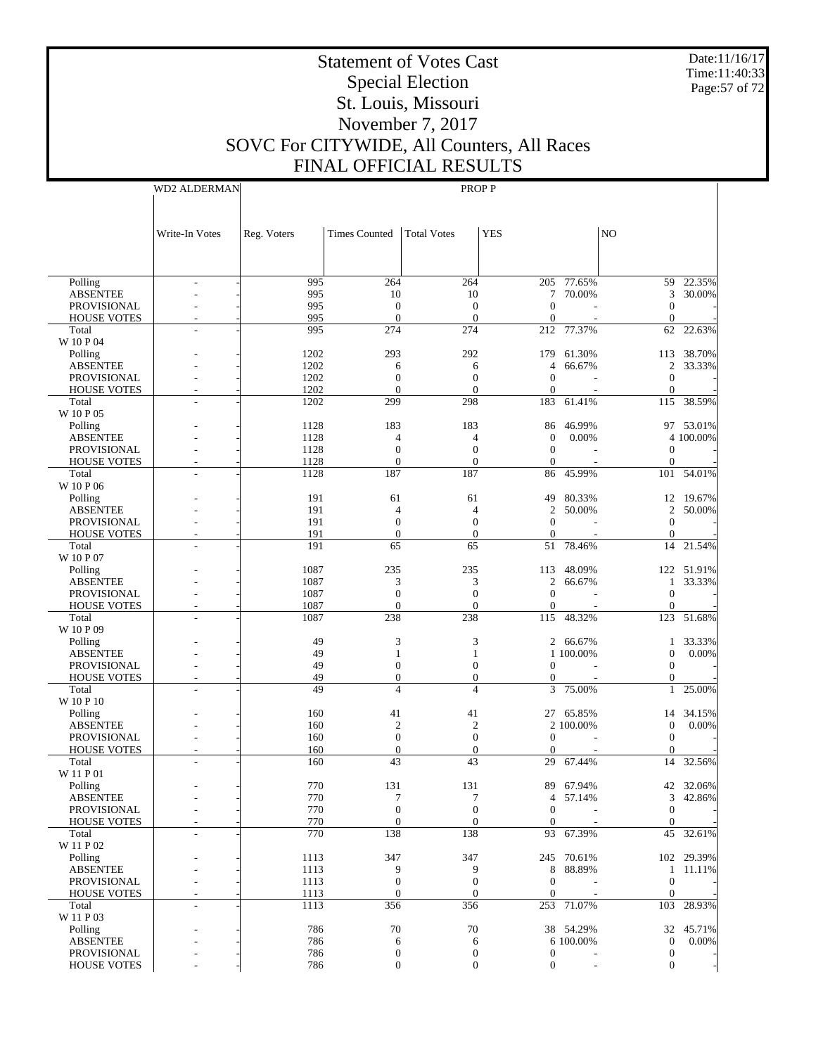Date:11/16/17 Time:11:40:33 Page:57 of 72

# Statement of Votes Cast Special Election St. Louis, Missouri November 7, 2017 SOVC For CITYWIDE, All Counters, All Races FINAL OFFICIAL RESULTS

WD2 ALDERMAN

|                            | Write-In Votes | Reg. Voters  | Times Counted    | <b>Total Votes</b>   | <b>YES</b>       |                       | N <sub>O</sub>    |                    |
|----------------------------|----------------|--------------|------------------|----------------------|------------------|-----------------------|-------------------|--------------------|
|                            |                |              |                  |                      |                  |                       |                   |                    |
|                            |                |              |                  |                      |                  |                       |                   |                    |
| Polling                    |                | 995          | 264              | 264                  |                  | 205 77.65%            | 59                | 22.35%             |
| <b>ABSENTEE</b>            |                | 995          | 10               | 10                   |                  | 7 70.00%              | 3                 | 30.00%             |
| <b>PROVISIONAL</b>         |                | 995          | $\theta$         | $\theta$             | $\mathbf{0}$     |                       | $\mathbf{0}$      |                    |
| <b>HOUSE VOTES</b>         |                | 995          | $\mathbf{0}$     | $\mathbf{0}$         | $\mathbf{0}$     |                       | $\mathbf{0}$      |                    |
| Total                      |                | 995          | 274              | 274                  | 212              | 77.37%                | 62                | 22.63%             |
| W 10 P 04                  |                |              |                  |                      |                  |                       |                   |                    |
| Polling<br><b>ABSENTEE</b> |                | 1202<br>1202 | 293<br>6         | 292<br>6             | 179<br>4         | 61.30%<br>66.67%      | 113               | 38.70%<br>2 33.33% |
| <b>PROVISIONAL</b>         |                | 1202         | $\mathbf{0}$     | $\mathbf{0}$         | $\Omega$         |                       | $\mathbf{0}$      |                    |
| <b>HOUSE VOTES</b>         |                | 1202         | $\mathbf{0}$     | $\theta$             | $\mathbf{0}$     |                       | $\mathbf{0}$      |                    |
| Total                      |                | 1202         | 299              | 298                  | 183              | 61.41%                | 115               | 38.59%             |
| W 10 P 05                  |                |              |                  |                      |                  |                       |                   |                    |
| Polling                    |                | 1128         | 183              | 183                  | 86               | 46.99%                |                   | 97 53.01%          |
| <b>ABSENTEE</b>            |                | 1128         | 4                | $\overline{4}$       | $\mathbf{0}$     | 0.00%                 |                   | 4 100.00%          |
| <b>PROVISIONAL</b>         |                | 1128         | $\mathbf{0}$     | $\mathbf{0}$         | $\mathbf{0}$     |                       | $\mathbf{0}$      |                    |
| <b>HOUSE VOTES</b>         |                | 1128         | $\overline{0}$   | $\overline{0}$       | $\mathbf{0}$     |                       | $\mathbf{0}$      |                    |
| Total                      |                | 1128         | 187              | 187                  | 86               | 45.99%                | 101               | 54.01%             |
| W 10 P 06                  |                | 191          | 61               |                      | 49               | 80.33%                |                   | 12 19.67%          |
| Polling<br><b>ABSENTEE</b> |                | 191          | 4                | 61<br>$\overline{4}$ | 2                | 50.00%                | $\overline{c}$    | 50.00%             |
| <b>PROVISIONAL</b>         |                | 191          | $\mathbf{0}$     | $\mathbf{0}$         | $\Omega$         |                       | $\mathbf{0}$      |                    |
| <b>HOUSE VOTES</b>         |                | 191          | $\overline{0}$   | $\mathbf{0}$         | $\mathbf{0}$     |                       | $\mathbf{0}$      |                    |
| Total                      |                | 191          | 65               | 65                   | 51               | 78.46%                | 14                | 21.54%             |
| W 10 P 07                  |                |              |                  |                      |                  |                       |                   |                    |
| Polling                    |                | 1087         | 235              | 235                  | 113              | 48.09%                |                   | 122 51.91%         |
| <b>ABSENTEE</b>            |                | 1087         | 3                | 3                    | $\overline{2}$   | 66.67%                | $\mathbf{1}$      | 33.33%             |
| <b>PROVISIONAL</b>         |                | 1087         | $\mathbf{0}$     | $\mathbf{0}$         | $\Omega$         |                       | $\mathbf{0}$      |                    |
| <b>HOUSE VOTES</b>         |                | 1087         | $\mathbf{0}$     | $\overline{0}$       | $\mathbf{0}$     |                       | $\mathbf{0}$      |                    |
| Total                      |                | 1087         | 238              | 238                  | 115              | 48.32%                | 123               | 51.68%             |
| W 10 P 09                  |                |              |                  |                      |                  |                       |                   |                    |
| Polling<br><b>ABSENTEE</b> |                | 49<br>49     | 3<br>1           | 3<br>1               |                  | 2 66.67%<br>1 100.00% | 1<br>$\mathbf{0}$ | 33.33%<br>0.00%    |
| <b>PROVISIONAL</b>         |                | 49           | $\mathbf{0}$     | $\overline{0}$       | $\Omega$         |                       | $\mathbf{0}$      |                    |
| <b>HOUSE VOTES</b>         |                | 49           | $\mathbf{0}$     | $\overline{0}$       | 0                |                       | $\boldsymbol{0}$  |                    |
| Total                      |                | 49           | $\overline{4}$   | $\overline{4}$       | 3                | 75.00%                | 1                 | 25.00%             |
| W 10 P 10                  |                |              |                  |                      |                  |                       |                   |                    |
| Polling                    |                | 160          | 41               | 41                   | 27               | 65.85%                | 14                | 34.15%             |
| <b>ABSENTEE</b>            |                | 160          | $\overline{2}$   | $\overline{2}$       |                  | 2 100.00%             | $\mathbf{0}$      | 0.00%              |
| PROVISIONAL                |                | 160          | $\theta$         | $\theta$             | $\mathbf{0}$     |                       | $\mathbf{0}$      |                    |
| <b>HOUSE VOTES</b>         |                | 160          | $\mathbf{0}$     | $\mathbf{0}$         | $\mathbf{0}$     |                       | $\mathbf{0}$      |                    |
| Total                      |                | 160          | 43               | 43                   | 29               | $67.\overline{44\%}$  | 14                | 32.56%             |
| W 11 P 01<br>Polling       |                | 770          | 131              | 131                  |                  | 89 67.94%             |                   | 42 32.06%          |
| <b>ABSENTEE</b>            |                | 770          | 7                | 7                    |                  | 4 57.14%              |                   | 3 42.86%           |
| PROVISIONAL                |                | 770          | $\boldsymbol{0}$ | $\boldsymbol{0}$     | $\boldsymbol{0}$ |                       | $\boldsymbol{0}$  |                    |
| <b>HOUSE VOTES</b>         |                | 770          | $\overline{0}$   | $\overline{0}$       | $\mathbf{0}$     |                       | $\Omega$          |                    |
| Total                      |                | 770          | 138              | 138                  | 93               | 67.39%                | 45                | 32.61%             |
| W 11 P 02                  |                |              |                  |                      |                  |                       |                   |                    |
| Polling                    |                | 1113         | 347              | 347                  |                  | 245 70.61%            |                   | 102 29.39%         |
| <b>ABSENTEE</b>            |                | 1113         | 9                | 9                    |                  | 8 88.89%              |                   | 1 11.11%           |
| PROVISIONAL                |                | 1113         | $\mathbf{0}$     | $\mathbf{0}$         | $\mathbf{0}$     |                       | $\mathbf{0}$      |                    |
| <b>HOUSE VOTES</b>         |                | 1113         | $\boldsymbol{0}$ | $\boldsymbol{0}$     | $\boldsymbol{0}$ |                       | $\mathbf{0}$      |                    |
| Total<br>W 11 P 03         |                | 1113         | 356              | 356                  |                  | 253 71.07%            | 103               | 28.93%             |
| Polling                    |                | 786          | 70               | 70                   |                  | 38 54.29%             |                   | 32 45.71%          |
| <b>ABSENTEE</b>            |                | 786          | 6                | 6                    |                  | 6 100.00%             | $\boldsymbol{0}$  | 0.00%              |
| PROVISIONAL                |                | 786          | $\boldsymbol{0}$ | $\boldsymbol{0}$     | $\boldsymbol{0}$ |                       | $\boldsymbol{0}$  |                    |
| HOUSE VOTES                |                | 786          | $\boldsymbol{0}$ | $\boldsymbol{0}$     | $\boldsymbol{0}$ |                       | $\mathbf{0}$      |                    |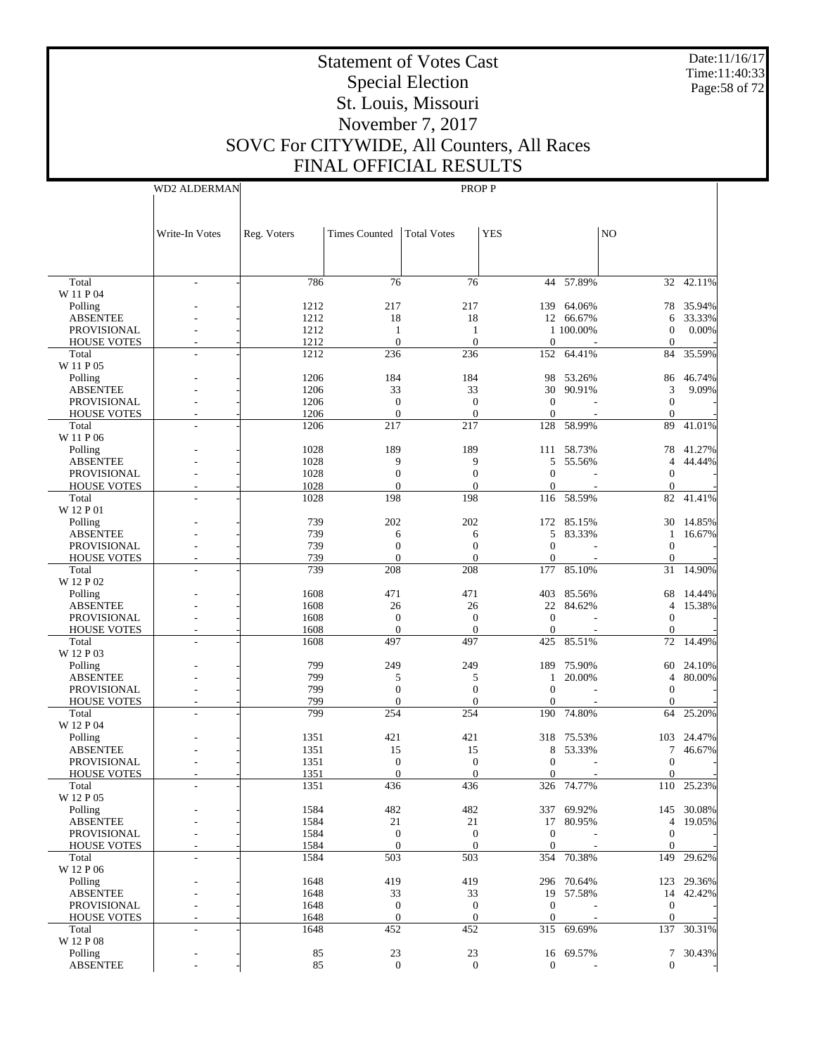Date:11/16/17 Time:11:40:33 Page:58 of 72

# Statement of Votes Cast Special Election St. Louis, Missouri November 7, 2017 SOVC For CITYWIDE, All Counters, All Races FINAL OFFICIAL RESULTS

WD2 ALDERMAN

|                                          | Write-In Votes           | Reg. Voters  | <b>Times Counted</b>             | <b>Total Votes</b>       | <b>YES</b>                     |                  | NO                               |                  |
|------------------------------------------|--------------------------|--------------|----------------------------------|--------------------------|--------------------------------|------------------|----------------------------------|------------------|
|                                          |                          |              |                                  |                          |                                |                  |                                  |                  |
| Total                                    | $\overline{\phantom{a}}$ | 786          | 76                               | 76                       |                                | $44 - 57.89%$    |                                  | $32 - 42.11%$    |
| W 11 P 04                                |                          |              |                                  |                          |                                |                  |                                  |                  |
| Polling                                  |                          | 1212         | 217                              | 217                      |                                | 139 64.06%       | 78                               | 35.94%           |
| <b>ABSENTEE</b>                          |                          | 1212         | 18                               | 18                       |                                | 12 66.67%        | 6                                | 33.33%           |
| <b>PROVISIONAL</b>                       |                          | 1212         | $\mathbf{1}$                     | 1                        |                                | 1 100.00%        | $\boldsymbol{0}$                 | 0.00%            |
| <b>HOUSE VOTES</b><br>Total              | L,                       | 1212<br>1212 | $\mathbf{0}$<br>236              | $\overline{0}$<br>236    | $\mathbf{0}$<br>152            | 64.41%           | $\mathbf{0}$<br>84               | 35.59%           |
| W 11 P 05                                |                          |              |                                  |                          |                                |                  |                                  |                  |
| Polling                                  |                          | 1206         | 184                              | 184                      | 98                             | 53.26%           | 86                               | 46.74%           |
| <b>ABSENTEE</b>                          |                          | 1206         | 33                               | 33                       | 30                             | 90.91%           | 3                                | 9.09%            |
| <b>PROVISIONAL</b>                       |                          | 1206         | $\boldsymbol{0}$                 | $\mathbf{0}$             | $\mathbf{0}$                   |                  | $\mathbf{0}$                     |                  |
| <b>HOUSE VOTES</b>                       |                          | 1206         | $\mathbf{0}$                     | $\mathbf{0}$             | $\mathbf{0}$                   |                  | $\mathbf{0}$                     |                  |
| Total                                    | ÷.                       | 1206         | 217                              | 217                      | 128                            | 58.99%           | 89                               | 41.01%           |
| W 11 P 06                                |                          |              |                                  |                          |                                |                  |                                  |                  |
| Polling                                  |                          | 1028         | 189                              | 189                      |                                | 111 58.73%       | 78                               | 41.27%           |
| <b>ABSENTEE</b>                          |                          | 1028         | 9                                | 9                        | 5                              | 55.56%           | 4                                | 44.44%           |
| <b>PROVISIONAL</b><br><b>HOUSE VOTES</b> |                          | 1028<br>1028 | $\boldsymbol{0}$<br>$\mathbf{0}$ | $\mathbf{0}$<br>$\theta$ | $\overline{0}$<br>$\mathbf{0}$ |                  | $\mathbf{0}$<br>$\boldsymbol{0}$ |                  |
| Total                                    |                          | 1028         | 198                              | 198                      |                                | 116 58.59%       | 82                               | 41.41%           |
| W 12 P 01                                |                          |              |                                  |                          |                                |                  |                                  |                  |
| Polling                                  |                          | 739          | 202                              | 202                      |                                | 172 85.15%       | 30                               | 14.85%           |
| <b>ABSENTEE</b>                          |                          | 739          | 6                                | 6                        | 5                              | 83.33%           | 1                                | 16.67%           |
| <b>PROVISIONAL</b>                       |                          | 739          | $\mathbf{0}$                     | $\mathbf{0}$             | $\overline{0}$                 |                  | $\boldsymbol{0}$                 |                  |
| <b>HOUSE VOTES</b>                       |                          | 739          | $\mathbf{0}$                     | $\overline{0}$           | $\boldsymbol{0}$               |                  | $\boldsymbol{0}$                 |                  |
| Total<br>W 12 P 02                       |                          | 739          | 208                              | 208                      | 177                            | 85.10%           | 31                               | 14.90%           |
| Polling                                  |                          | 1608         | 471                              | 471                      |                                | 403 85.56%       | 68                               | 14.44%           |
| <b>ABSENTEE</b>                          |                          | 1608         | 26                               | 26                       | 22                             | 84.62%           | 4                                | 15.38%           |
| <b>PROVISIONAL</b>                       |                          | 1608         | $\boldsymbol{0}$                 | $\boldsymbol{0}$         | $\mathbf{0}$                   |                  | $\boldsymbol{0}$                 |                  |
| <b>HOUSE VOTES</b>                       | ٠                        | 1608         | $\mathbf{0}$                     | $\overline{0}$           | $\mathbf{0}$                   |                  | $\mathbf{0}$                     |                  |
| Total                                    |                          | 1608         | 497                              | 497                      | 425                            | 85.51%           | 72                               | 14.49%           |
| W 12 P 03                                |                          |              |                                  |                          |                                |                  |                                  |                  |
| Polling<br><b>ABSENTEE</b>               |                          | 799<br>799   | 249<br>5                         | 249<br>5                 | 189<br>1                       | 75.90%<br>20.00% | 60<br>4                          | 24.10%<br>80.00% |
| <b>PROVISIONAL</b>                       |                          | 799          | $\mathbf{0}$                     | $\boldsymbol{0}$         | $\boldsymbol{0}$               |                  | $\boldsymbol{0}$                 |                  |
| <b>HOUSE VOTES</b>                       | ٠                        | 799          | $\mathbf{0}$                     | $\overline{0}$           | $\mathbf{0}$                   |                  | $\mathbf{0}$                     |                  |
| Total                                    | ÷.                       | 799          | 254                              | 254                      | 190                            | 74.80%           | 64                               | 25.20%           |
| W 12 P 04                                |                          |              |                                  |                          |                                |                  |                                  |                  |
| Polling                                  |                          | 1351         | 421                              | 421                      |                                | 318 75.53%       | 103                              | 24.47%           |
| <b>ABSENTEE</b>                          |                          | 1351         | 15                               | 15                       | 8                              | 53.33%           | 7                                | 46.67%           |
| <b>PROVISIONAL</b>                       |                          | 1351         | $\boldsymbol{0}$                 | $\mathbf{0}$             | $\overline{0}$                 |                  | $\boldsymbol{0}$                 |                  |
| <b>HOUSE VOTES</b>                       |                          | 1351         | $\mathbf{0}$                     | $\theta$                 | 0                              |                  | 0                                |                  |
| Total                                    |                          | 1351         | 436                              | 436                      |                                | 326 74.77%       |                                  | 110 25.23%       |
| W 12 P 05<br>Polling                     |                          | 1584         | 482                              | 482                      |                                | 337 69.92%       |                                  | 145 30.08%       |
| <b>ABSENTEE</b>                          |                          | 1584         | 21                               | 21                       |                                | 17 80.95%        | 4                                | 19.05%           |
| PROVISIONAL                              |                          | 1584         | $\mathbf{0}$                     | $\mathbf{0}$             | $\boldsymbol{0}$               |                  | $\boldsymbol{0}$                 |                  |
| <b>HOUSE VOTES</b>                       |                          | 1584         | $\mathbf{0}$                     | $\mathbf{0}$             | $\boldsymbol{0}$               |                  | $\mathbf{0}$                     |                  |
| Total                                    |                          | 1584         | 503                              | 503                      |                                | 354 70.38%       | 149                              | 29.62%           |
| W 12 P 06                                |                          |              |                                  |                          |                                |                  |                                  |                  |
| Polling                                  |                          | 1648         | 419                              | 419                      |                                | 296 70.64%       |                                  | 123 29.36%       |
| <b>ABSENTEE</b>                          |                          | 1648         | 33                               | 33                       |                                | 19 57.58%        |                                  | 14 42.42%        |
| PROVISIONAL                              |                          | 1648         | $\boldsymbol{0}$                 | $\boldsymbol{0}$         | $\boldsymbol{0}$               |                  | $\mathbf{0}$                     |                  |
| <b>HOUSE VOTES</b>                       |                          | 1648         | $\mathbf{0}$                     | $\boldsymbol{0}$         | $\boldsymbol{0}$               |                  | $\mathbf{0}$                     |                  |
| Total<br>W 12 P 08                       | ä,                       | 1648         | 452                              | 452                      |                                | 315 69.69%       | 137                              | 30.31%           |
| Polling                                  |                          | 85           | 23                               | 23                       |                                | 16 69.57%        |                                  | 7 30.43%         |
| <b>ABSENTEE</b>                          |                          | 85           | $\mathbf{0}$                     | $\overline{0}$           | $\boldsymbol{0}$               |                  | 0                                |                  |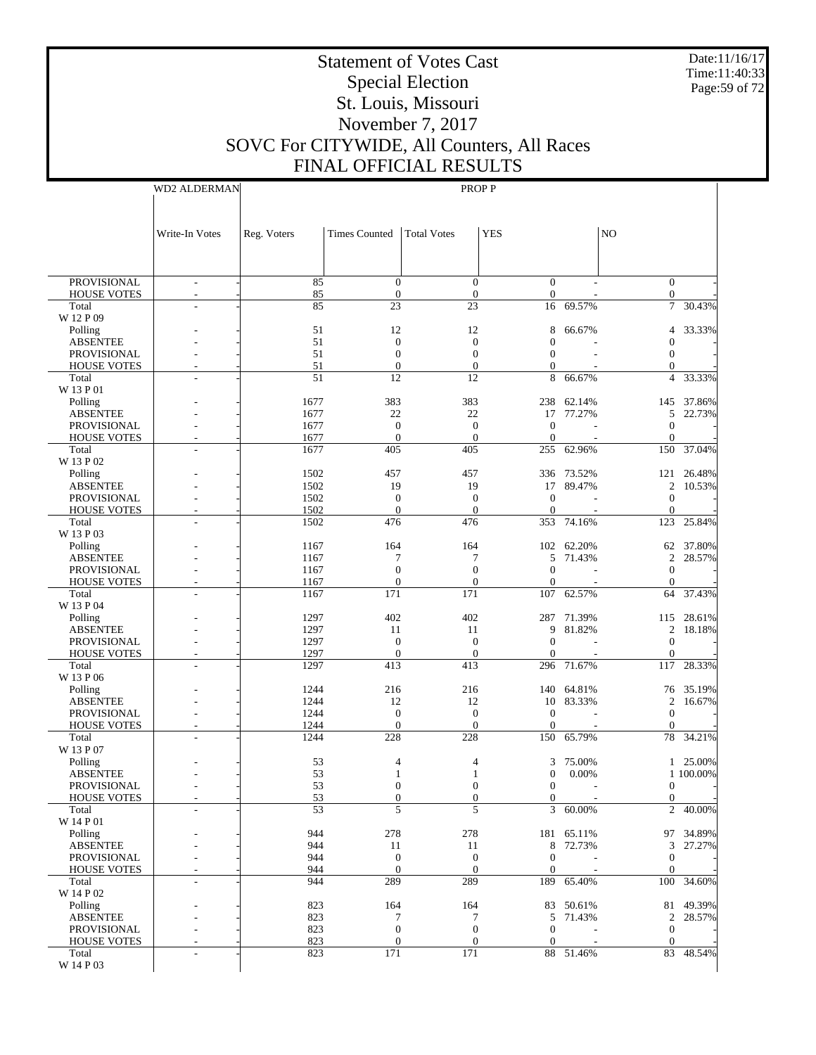Date:11/16/17 Time:11:40:33 Page:59 of 72

# Statement of Votes Cast Special Election St. Louis, Missouri November 7, 2017 SOVC For CITYWIDE, All Counters, All Races FINAL OFFICIAL RESULTS

WD2 ALDERMAN

|                                          | Write-In Votes           | Reg. Voters  | <b>Times Counted</b>     | <b>Total Votes</b>       | <b>YES</b>                     |                         | N <sub>O</sub>               |                  |
|------------------------------------------|--------------------------|--------------|--------------------------|--------------------------|--------------------------------|-------------------------|------------------------------|------------------|
|                                          |                          |              |                          |                          |                                |                         |                              |                  |
|                                          |                          |              |                          |                          |                                |                         |                              |                  |
| <b>PROVISIONAL</b>                       | $\overline{\phantom{a}}$ | 85           | $\overline{0}$           | $\theta$                 | $\Omega$                       |                         | $\overline{0}$               |                  |
| <b>HOUSE VOTES</b>                       | $\overline{a}$           | 85           | $\mathbf{0}$             | $\mathbf{0}$             | $\boldsymbol{0}$               |                         | $\mathbf{0}$                 |                  |
| Total                                    |                          | 85           | 23                       | 23                       | 16                             | 69.57%                  | $\overline{7}$               | 30.43%           |
| W 12 P 09<br>Polling                     |                          | 51           | 12                       | 12                       | 8                              | 66.67%                  | $\overline{4}$               | 33.33%           |
| <b>ABSENTEE</b>                          |                          | 51           | $\mathbf{0}$             | $\theta$                 | $\theta$                       |                         | $\mathbf{0}$                 |                  |
| <b>PROVISIONAL</b>                       |                          | 51           | $\mathbf{0}$             | $\theta$                 | $\Omega$                       |                         | $\mathbf{0}$                 |                  |
| <b>HOUSE VOTES</b>                       |                          | 51           | $\Omega$                 | $\overline{0}$           | $\Omega$                       |                         | $\Omega$                     |                  |
| Total                                    |                          | 51           | 12                       | 12                       | 8                              | 66.67%                  | 4                            | 33.33%           |
| W 13 P 01                                |                          |              |                          |                          |                                |                         |                              |                  |
| Polling<br><b>ABSENTEE</b>               |                          | 1677<br>1677 | 383<br>22                | 383<br>22                | 238                            | 62.14%<br>17 77.27%     | 145<br>5                     | 37.86%<br>22.73% |
| <b>PROVISIONAL</b>                       |                          | 1677         | $\mathbf{0}$             | $\mathbf{0}$             | $\Omega$                       |                         | $\mathbf{0}$                 |                  |
| <b>HOUSE VOTES</b>                       |                          | 1677         | $\Omega$                 | $\theta$                 | $\theta$                       |                         | $\mathbf{0}$                 |                  |
| Total                                    |                          | 1677         | 405                      | 405                      |                                | 255 62.96%              | 150                          | 37.04%           |
| W 13 P 02                                |                          |              |                          |                          |                                |                         |                              |                  |
| Polling                                  |                          | 1502         | 457                      | 457                      |                                | 336 73.52%              | 121                          | 26.48%           |
| <b>ABSENTEE</b>                          |                          | 1502         | 19                       | 19                       |                                | 17 89.47%               |                              | 2 10.53%         |
| <b>PROVISIONAL</b><br><b>HOUSE VOTES</b> |                          | 1502<br>1502 | $\mathbf{0}$<br>$\Omega$ | $\mathbf{0}$<br>$\Omega$ | $\Omega$<br>$\theta$           |                         | $\mathbf{0}$<br>$\mathbf{0}$ |                  |
| Total                                    |                          | 1502         | 476                      | 476                      |                                | 353 74.16%              | 123                          | 25.84%           |
| W 13 P 03                                |                          |              |                          |                          |                                |                         |                              |                  |
| Polling                                  |                          | 1167         | 164                      | 164                      |                                | 102 62.20%              | 62                           | 37.80%           |
| <b>ABSENTEE</b>                          |                          | 1167         | 7                        | 7                        |                                | 5 71.43%                | $\overline{c}$               | 28.57%           |
| <b>PROVISIONAL</b>                       |                          | 1167         | $\mathbf{0}$             | $\overline{0}$           | $\theta$                       |                         | $\mathbf{0}$                 |                  |
| <b>HOUSE VOTES</b>                       |                          | 1167         | $\mathbf{0}$             | $\overline{0}$           | $\mathbf{0}$                   |                         | $\mathbf{0}$                 |                  |
| Total                                    |                          | 1167         | 171                      | 171                      |                                | 107 62.57%              | 64                           | 37.43%           |
| W 13 P 04<br>Polling                     |                          | 1297         | 402                      | 402                      | 287                            | 71.39%                  | 115                          | 28.61%           |
| <b>ABSENTEE</b>                          |                          | 1297         | 11                       | 11                       | 9                              | 81.82%                  |                              | 2 18.18%         |
| PROVISIONAL                              |                          | 1297         | $\theta$                 | $\mathbf{0}$             | $\Omega$                       |                         | $\mathbf{0}$                 |                  |
| <b>HOUSE VOTES</b>                       |                          | 1297         | $\mathbf{0}$             | $\overline{0}$           | $\mathbf{0}$                   |                         | $\mathbf{0}$                 |                  |
| Total                                    |                          | 1297         | 413                      | 413                      |                                | 296 71.67%              | 117                          | 28.33%           |
| W 13 P 06                                |                          |              |                          |                          |                                |                         |                              |                  |
| Polling<br><b>ABSENTEE</b>               |                          | 1244<br>1244 | 216<br>12                | 216<br>12                |                                | 140 64.81%<br>10 83.33% | 76<br>$\overline{c}$         | 35.19%<br>16.67% |
| <b>PROVISIONAL</b>                       |                          | 1244         | $\mathbf{0}$             | $\mathbf{0}$             | $\theta$                       |                         | $\mathbf{0}$                 |                  |
| <b>HOUSE VOTES</b>                       |                          | 1244         | $\mathbf{0}$             | $\overline{0}$           | $\overline{0}$                 |                         | $\mathbf{0}$                 |                  |
| Total                                    |                          | 1244         | 228                      | 228                      | 150                            | 65.79%                  | 78                           | 34.21%           |
| W 13 P 07                                |                          |              |                          |                          |                                |                         |                              |                  |
| Polling                                  |                          | 53           | 4                        | 4                        | 3                              | 75.00%                  | $\mathbf{1}$                 | 25.00%           |
| <b>ABSENTEE</b><br><b>PROVISIONAL</b>    |                          | 53<br>53     | 0                        | 1<br>$\mathbf{0}$        | $\overline{0}$<br>$\mathbf{0}$ | 0.00%                   | $\boldsymbol{0}$             | 1 100.00%        |
| <b>HOUSE VOTES</b>                       |                          | 53           | $\Omega$                 | $\theta$                 | $\Omega$                       |                         | $\Omega$                     |                  |
| Total                                    | $\overline{\phantom{a}}$ | 53           | 5                        | 5                        |                                | 3 60.00%                |                              | 2 40.00%         |
| W 14 P 01                                |                          |              |                          |                          |                                |                         |                              |                  |
| Polling                                  |                          | 944          | 278                      | 278                      |                                | 181 65.11%              | 97                           | 34.89%           |
| <b>ABSENTEE</b>                          |                          | 944          | 11                       | 11                       |                                | 8 72.73%                | $\mathfrak{Z}$               | 27.27%           |
| PROVISIONAL                              |                          | 944          | $\mathbf{0}$             | $\mathbf{0}$             | $\mathbf{0}$                   |                         | $\boldsymbol{0}$<br>$\Omega$ |                  |
| <b>HOUSE VOTES</b><br>Total              | $\overline{\phantom{a}}$ | 944<br>944   | $\theta$<br>289          | $\mathbf{0}$<br>289      | $\theta$                       | 189 65.40%              | 100                          | 34.60%           |
| W 14 P 02                                |                          |              |                          |                          |                                |                         |                              |                  |
| Polling                                  |                          | 823          | 164                      | 164                      |                                | 83 50.61%               | 81                           | 49.39%           |
| <b>ABSENTEE</b>                          |                          | 823          | 7                        | 7                        |                                | 5 71.43%                | $\overline{2}$               | 28.57%           |
| PROVISIONAL                              |                          | 823          | $\boldsymbol{0}$         | $\mathbf{0}$             | $\mathbf{0}$                   |                         | $\overline{0}$               |                  |
| <b>HOUSE VOTES</b>                       |                          | 823          | $\mathbf{0}$             | $\mathbf{0}$             | $\boldsymbol{0}$               |                         | $\overline{0}$               |                  |
| Total<br>W 14 P 03                       |                          | 823          | 171                      | 171                      |                                | 88 51.46%               |                              | 83 48.54%        |
|                                          |                          |              |                          |                          |                                |                         |                              |                  |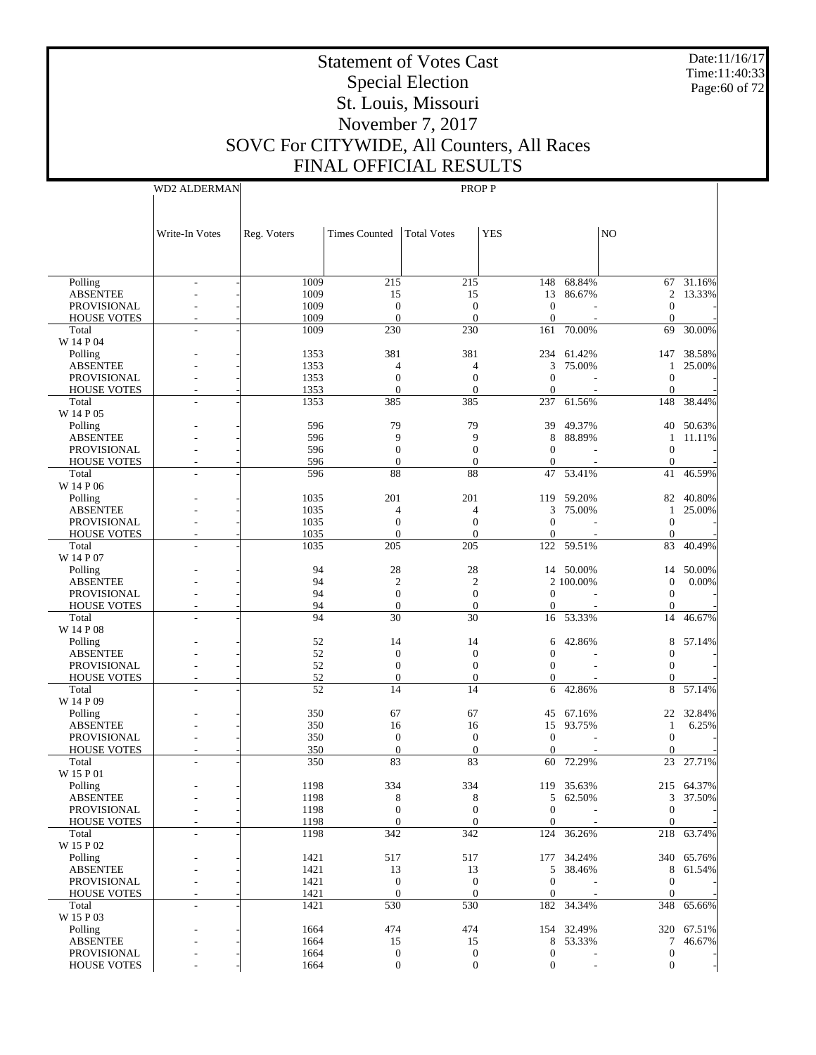Date:11/16/17 Time:11:40:33 Page:60 of 72

# Statement of Votes Cast Special Election St. Louis, Missouri November 7, 2017 SOVC For CITYWIDE, All Counters, All Races FINAL OFFICIAL RESULTS

WD2 ALDERMAN

|                                       | Write-In Votes | Reg. Voters  | <b>Times Counted</b>         | <b>Total Votes</b>           | <b>YES</b>                       |                      | N <sub>O</sub>               |                     |
|---------------------------------------|----------------|--------------|------------------------------|------------------------------|----------------------------------|----------------------|------------------------------|---------------------|
|                                       |                |              |                              |                              |                                  |                      |                              |                     |
|                                       |                |              |                              |                              |                                  |                      |                              |                     |
| Polling                               | ٠              | 1009<br>1009 | 215<br>15                    | 215                          |                                  | 148 68.84%<br>86.67% |                              | 67 31.16%<br>13.33% |
| <b>ABSENTEE</b><br><b>PROVISIONAL</b> |                | 1009         | $\mathbf{0}$                 | 15<br>$\mathbf{0}$           | 13<br>$\mathbf{0}$               |                      | 2<br>0                       |                     |
| <b>HOUSE VOTES</b>                    |                | 1009         | $\mathbf{0}$                 | $\overline{0}$               | $\boldsymbol{0}$                 |                      | $\theta$                     |                     |
| Total                                 |                | 1009         | 230                          | 230                          | 161                              | 70.00%               | 69                           | 30.00%              |
| W 14 P 04                             |                |              |                              |                              |                                  |                      |                              |                     |
| Polling<br><b>ABSENTEE</b>            |                | 1353<br>1353 | 381<br>4                     | 381<br>4                     | 3                                | 234 61.42%<br>75.00% | 147<br>1                     | 38.58%<br>25.00%    |
| PROVISIONAL                           |                | 1353         | $\mathbf{0}$                 | $\mathbf{0}$                 | $\boldsymbol{0}$                 |                      | $\boldsymbol{0}$             |                     |
| <b>HOUSE VOTES</b>                    |                | 1353         | $\mathbf{0}$                 | $\overline{0}$               | $\mathbf{0}$                     |                      | $\theta$                     |                     |
| Total                                 |                | 1353         | 385                          | 385                          |                                  | 237 61.56%           | 148                          | 38.44%              |
| W 14 P 05                             |                |              |                              |                              |                                  |                      |                              |                     |
| Polling                               |                | 596<br>596   | 79<br>9                      | 79<br>9                      | 39<br>8                          | 49.37%<br>88.89%     | 40                           | 50.63%              |
| <b>ABSENTEE</b><br><b>PROVISIONAL</b> |                | 596          | $\mathbf{0}$                 | $\mathbf{0}$                 | $\mathbf{0}$                     |                      | 1<br>$\mathbf 0$             | 11.11%              |
| <b>HOUSE VOTES</b>                    |                | 596          | $\mathbf{0}$                 | $\overline{0}$               | $\mathbf{0}$                     |                      | $\theta$                     |                     |
| Total                                 |                | 596          | 88                           | 88                           | 47                               | 53.41%               | 41                           | 46.59%              |
| W 14 P 06                             |                |              |                              |                              |                                  |                      |                              |                     |
| Polling                               |                | 1035         | 201                          | 201                          |                                  | 119 59.20%           | 82                           | 40.80%              |
| <b>ABSENTEE</b>                       |                | 1035         | 4                            | 4                            | 3                                | 75.00%               | 1                            | 25.00%              |
| PROVISIONAL                           |                | 1035<br>1035 | $\mathbf{0}$<br>$\mathbf{0}$ | $\mathbf{0}$<br>$\mathbf{0}$ | $\boldsymbol{0}$<br>$\mathbf{0}$ |                      | $\boldsymbol{0}$<br>$\theta$ |                     |
| <b>HOUSE VOTES</b><br>Total           |                | 1035         | 205                          | 205                          |                                  | 122 59.51%           | 83                           | 40.49%              |
| W 14 P 07                             |                |              |                              |                              |                                  |                      |                              |                     |
| Polling                               |                | 94           | 28                           | 28                           |                                  | 14 50.00%            | 14                           | 50.00%              |
| <b>ABSENTEE</b>                       |                | 94           | $\overline{2}$               | $\overline{2}$               |                                  | 2 100.00%            | $\mathbf{0}$                 | 0.00%               |
| <b>PROVISIONAL</b>                    |                | 94           | $\mathbf{0}$                 | $\boldsymbol{0}$             | $\boldsymbol{0}$                 |                      | $\boldsymbol{0}$             |                     |
| <b>HOUSE VOTES</b>                    |                | 94           | $\mathbf{0}$                 | $\overline{0}$               | $\mathbf{0}$                     |                      | $\theta$                     |                     |
| Total<br>W 14 P 08                    |                | 94           | 30                           | 30                           | 16                               | 53.33%               | 14                           | 46.67%              |
| Polling                               |                | 52           | 14                           | 14                           | 6                                | 42.86%               | 8                            | 57.14%              |
| <b>ABSENTEE</b>                       |                | 52           | $\mathbf{0}$                 | $\mathbf{0}$                 | $\theta$                         |                      | $\mathbf{0}$                 |                     |
| <b>PROVISIONAL</b>                    |                | 52           | $\mathbf{0}$                 | $\boldsymbol{0}$             | $\Omega$                         |                      | 0                            |                     |
| <b>HOUSE VOTES</b>                    |                | 52           | $\mathbf{0}$                 | $\overline{0}$               | $\overline{0}$                   |                      | $\mathbf{0}$                 |                     |
| Total                                 |                | 52           | 14                           | 14                           | 6                                | 42.86%               | 8                            | 57.14%              |
| W 14 P 09                             |                |              |                              |                              |                                  |                      |                              |                     |
| Polling<br><b>ABSENTEE</b>            |                | 350<br>350   | 67<br>16                     | 67<br>16                     | 45<br>15                         | 67.16%<br>93.75%     | 22<br>1                      | 32.84%<br>6.25%     |
| <b>PROVISIONAL</b>                    |                | 350          | $\mathbf{0}$                 | $\mathbf{0}$                 | $\boldsymbol{0}$                 |                      | $\mathbf{0}$                 |                     |
| <b>HOUSE VOTES</b>                    |                | 350          | $\mathbf{0}$                 | $\overline{0}$               | $\mathbf{0}$                     |                      | $\theta$                     |                     |
| Total                                 |                | 350          | 83                           | 83                           | 60                               | 72.29%               | 23                           | 27.71%              |
| W 15 P 01                             |                |              |                              |                              |                                  |                      |                              |                     |
| Polling                               |                | 1198         | 334                          | 334                          |                                  | 119 35.63%           |                              | 215 64.37%          |
| <b>ABSENTEE</b><br><b>PROVISIONAL</b> |                | 1198         | 8<br>$\boldsymbol{0}$        | 8<br>$\boldsymbol{0}$        | $\boldsymbol{0}$                 | 5 62.50%             |                              | 3 37.50%            |
| <b>HOUSE VOTES</b>                    |                | 1198<br>1198 | $\mathbf{0}$                 | $\mathbf{0}$                 | $\mathbf{0}$                     |                      | $\boldsymbol{0}$<br>$\Omega$ |                     |
| Total                                 | ٠              | 1198         | 342                          | 342                          | 124                              | 36.26%               |                              | 218 63.74%          |
| W 15 P 02                             |                |              |                              |                              |                                  |                      |                              |                     |
| Polling                               |                | 1421         | 517                          | 517                          |                                  | 177 34.24%           |                              | 340 65.76%          |
| <b>ABSENTEE</b>                       |                | 1421         | 13                           | 13                           |                                  | 5 38.46%             | 8                            | 61.54%              |
| PROVISIONAL                           |                | 1421         | $\boldsymbol{0}$             | $\boldsymbol{0}$             | $\mathbf{0}$                     |                      | $\boldsymbol{0}$             |                     |
| <b>HOUSE VOTES</b><br>Total           |                | 1421<br>1421 | $\theta$<br>530              | $\mathbf{0}$<br>530          | $\mathbf{0}$                     | 182 34.34%           | $\theta$<br>348              | 65.66%              |
| W 15 P 03                             |                |              |                              |                              |                                  |                      |                              |                     |
| Polling                               |                | 1664         | 474                          | 474                          |                                  | 154 32.49%           |                              | 320 67.51%          |
| <b>ABSENTEE</b>                       |                | 1664         | 15                           | 15                           |                                  | 8 53.33%             | 7                            | 46.67%              |
| PROVISIONAL                           |                | 1664         | $\boldsymbol{0}$             | $\boldsymbol{0}$             | $\boldsymbol{0}$                 |                      | $\boldsymbol{0}$             |                     |
| <b>HOUSE VOTES</b>                    |                | 1664         | $\boldsymbol{0}$             | $\boldsymbol{0}$             | $\boldsymbol{0}$                 |                      | $\boldsymbol{0}$             |                     |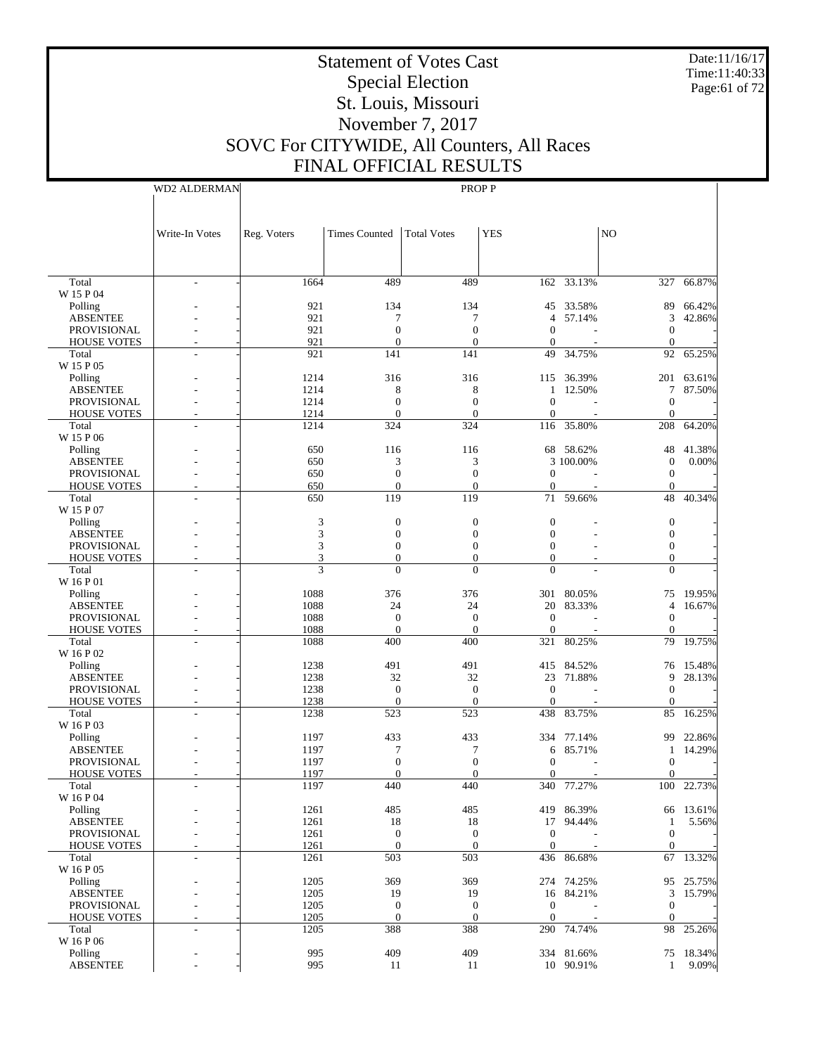Date:11/16/17 Time:11:40:33 Page:61 of 72

# Statement of Votes Cast Special Election St. Louis, Missouri November 7, 2017 SOVC For CITYWIDE, All Counters, All Races

Write-In Votes

FINAL OFFICIAL RESULTS WD2 ALDERMAN Reg. Voters | Times Counted | Total Votes | YES | NO PROP P

| 489<br>162 33.13%<br>66.87%<br>Total<br>1664<br>489<br>327<br>L,<br>W 15 P 04<br>921<br>134<br>134<br>33.58%<br>66.42%<br>Polling<br>45<br>89<br>921<br>7<br>7<br>57.14%<br>3<br>42.86%<br><b>ABSENTEE</b><br>$\overline{4}$<br>$\overline{0}$<br><b>PROVISIONAL</b><br>921<br>$\mathbf{0}$<br>$\mathbf{0}$<br>$\mathbf{0}$<br>921<br>$\mathbf{0}$<br>$\overline{0}$<br><b>HOUSE VOTES</b><br>$\mathbf{0}$<br>$\mathbf{0}$<br>$\overline{a}$<br>Total<br>921<br>141<br>141<br>49<br>34.75%<br>92<br>65.25%<br>W 15 P 05<br>1214<br>316<br>316<br>Polling<br>115 36.39%<br>201<br>63.61%<br><b>ABSENTEE</b><br>1214<br>8<br>8<br>12.50%<br>7<br>87.50%<br>$\mathbf{1}$<br><b>PROVISIONAL</b><br>1214<br>$\overline{0}$<br>$\overline{0}$<br>$\mathbf{0}$<br>$\boldsymbol{0}$<br>1214<br>$\overline{0}$<br>$\theta$<br>$\mathbf{0}$<br>$\overline{0}$<br><b>HOUSE VOTES</b><br>Total<br>1214<br>324<br>324<br>116<br>35.80%<br>208<br>64.20%<br>W 15 P 06<br>650<br>116<br>116<br>68 58.62%<br>48<br>41.38%<br>Polling<br>650<br>3<br>3<br>3 100.00%<br>0.00%<br><b>ABSENTEE</b><br>$\boldsymbol{0}$<br>$\overline{0}$<br>$\overline{0}$<br><b>PROVISIONAL</b><br>650<br>$\mathbf{0}$<br>$\overline{0}$<br>650<br>$\overline{0}$<br>$\overline{0}$<br>$\mathbf{0}$<br>$\mathbf{0}$<br><b>HOUSE VOTES</b><br>119<br>119<br>48<br>40.34%<br>Total<br>650<br>71<br>59.66%<br>W 15 P 07<br>3<br>$\boldsymbol{0}$<br>$\boldsymbol{0}$<br>$\boldsymbol{0}$<br>$\boldsymbol{0}$<br>Polling<br>3<br><b>ABSENTEE</b><br>$\overline{0}$<br>$\overline{0}$<br>$\mathbf{0}$<br>$\boldsymbol{0}$<br>3<br><b>PROVISIONAL</b><br>$\mathbf{0}$<br>$\overline{0}$<br>$\mathbf{0}$<br>$\boldsymbol{0}$<br>3<br>$\overline{0}$<br>$\overline{0}$<br>$\mathbf{0}$<br>$\boldsymbol{0}$<br><b>HOUSE VOTES</b><br>3<br>$\theta$<br>$\theta$<br>$\theta$<br>$\theta$<br>Total<br>W 16 P 01<br>1088<br>376<br>376<br>301 80.05%<br>75<br>19.95%<br>Polling<br>1088<br>24<br>24<br>20<br>83.33%<br>16.67%<br><b>ABSENTEE</b><br>4<br><b>PROVISIONAL</b><br>1088<br>$\mathbf{0}$<br>$\overline{0}$<br>$\mathbf{0}$<br>$\mathbf{0}$<br>1088<br>$\mathbf{0}$<br>$\overline{0}$<br>$\boldsymbol{0}$<br><b>HOUSE VOTES</b><br>$\mathbf{0}$<br>1088<br>400<br>Total<br>400<br>321<br>80.25%<br>79<br>19.75%<br>W 16 P 02<br>1238<br>491<br>491<br>Polling<br>415 84.52%<br>15.48%<br>76<br><b>ABSENTEE</b><br>1238<br>32<br>32<br>23<br>71.88%<br>9<br>28.13%<br><b>PROVISIONAL</b><br>1238<br>$\mathbf{0}$<br>$\overline{0}$<br>$\mathbf{0}$<br>$\overline{0}$<br>1238<br>$\overline{0}$<br>$\overline{0}$<br>$\mathbf{0}$<br><b>HOUSE VOTES</b><br>$\mathbf{0}$<br>1238<br>523<br>16.25%<br>Total<br>523<br>438<br>83.75%<br>85<br>W 16 P 03<br>1197<br>433<br>433<br>334 77.14%<br>22.86%<br>Polling<br>99<br>1197<br>7<br>7<br>85.71%<br>14.29%<br><b>ABSENTEE</b><br>6<br>1<br>$\overline{0}$<br>$\overline{0}$<br><b>PROVISIONAL</b><br>1197<br>$\mathbf{0}$<br>$\boldsymbol{0}$<br>1197<br>$\overline{0}$<br>$\overline{0}$<br>$\overline{0}$<br><b>HOUSE VOTES</b><br>$\mathbf{0}$<br>$\overline{a}$<br>Total<br>1197<br>440<br>440<br>340<br>77.27%<br>100<br>22.73%<br>W 16 P 04<br>1261<br>485<br>485<br>Polling<br>419<br>86.39%<br>13.61%<br>66<br><b>ABSENTEE</b><br>1261<br>18<br>18<br>5.56%<br>17<br>94.44%<br>1<br><b>PROVISIONAL</b><br>1261<br>$\overline{0}$<br>$\overline{0}$<br>$\boldsymbol{0}$<br>$\boldsymbol{0}$<br>1261<br>$\mathbf{0}$<br>$\overline{0}$<br>$\mathbf{0}$<br>$\mathbf{0}$<br><b>HOUSE VOTES</b><br>Total<br>1261<br>503<br>503<br>436 86.68%<br>67 13.32%<br>$\overline{\phantom{a}}$<br>W 16 P 05<br>369<br>1205<br>369<br>274 74.25%<br>95 25.75%<br>Polling<br><b>ABSENTEE</b><br>1205<br>19<br>19<br>16 84.21%<br>3<br>15.79%<br>PROVISIONAL<br>1205<br>$\mathbf{0}$<br>$\boldsymbol{0}$<br>$\boldsymbol{0}$<br>$\mathbf{0}$<br>$\sim$<br>$\overline{0}$<br><b>HOUSE VOTES</b><br>1205<br>$\boldsymbol{0}$<br>$\boldsymbol{0}$<br>$\mathbf{0}$<br>$\overline{\phantom{a}}$<br>388<br>1205<br>388<br>290 74.74%<br>98<br>25.26%<br>Total<br>$\frac{1}{2}$<br>W 16 P 06<br>409<br>Polling<br>995<br>409<br>334 81.66%<br>75 18.34%<br>995<br>9.09%<br>ABSENTEE<br>11<br>11<br>10 90.91%<br>$\mathbf{1}$ |  |  |  |  |  |
|---------------------------------------------------------------------------------------------------------------------------------------------------------------------------------------------------------------------------------------------------------------------------------------------------------------------------------------------------------------------------------------------------------------------------------------------------------------------------------------------------------------------------------------------------------------------------------------------------------------------------------------------------------------------------------------------------------------------------------------------------------------------------------------------------------------------------------------------------------------------------------------------------------------------------------------------------------------------------------------------------------------------------------------------------------------------------------------------------------------------------------------------------------------------------------------------------------------------------------------------------------------------------------------------------------------------------------------------------------------------------------------------------------------------------------------------------------------------------------------------------------------------------------------------------------------------------------------------------------------------------------------------------------------------------------------------------------------------------------------------------------------------------------------------------------------------------------------------------------------------------------------------------------------------------------------------------------------------------------------------------------------------------------------------------------------------------------------------------------------------------------------------------------------------------------------------------------------------------------------------------------------------------------------------------------------------------------------------------------------------------------------------------------------------------------------------------------------------------------------------------------------------------------------------------------------------------------------------------------------------------------------------------------------------------------------------------------------------------------------------------------------------------------------------------------------------------------------------------------------------------------------------------------------------------------------------------------------------------------------------------------------------------------------------------------------------------------------------------------------------------------------------------------------------------------------------------------------------------------------------------------------------------------------------------------------------------------------------------------------------------------------------------------------------------------------------------------------------------------------------------------------------------------------------------------------------------------------------------------------------------------------------------------------------------------------------------------------------------------------------------------------------------------------------------------------------------------------------------------------------------------------------------------------------------------------------------------------------------------------------------------------------------------------------------------------------------------------------------------------------------------------------------------------------------------------------------------------------|--|--|--|--|--|
|                                                                                                                                                                                                                                                                                                                                                                                                                                                                                                                                                                                                                                                                                                                                                                                                                                                                                                                                                                                                                                                                                                                                                                                                                                                                                                                                                                                                                                                                                                                                                                                                                                                                                                                                                                                                                                                                                                                                                                                                                                                                                                                                                                                                                                                                                                                                                                                                                                                                                                                                                                                                                                                                                                                                                                                                                                                                                                                                                                                                                                                                                                                                                                                                                                                                                                                                                                                                                                                                                                                                                                                                                                                                                                                                                                                                                                                                                                                                                                                                                                                                                                                                                                                                                     |  |  |  |  |  |
|                                                                                                                                                                                                                                                                                                                                                                                                                                                                                                                                                                                                                                                                                                                                                                                                                                                                                                                                                                                                                                                                                                                                                                                                                                                                                                                                                                                                                                                                                                                                                                                                                                                                                                                                                                                                                                                                                                                                                                                                                                                                                                                                                                                                                                                                                                                                                                                                                                                                                                                                                                                                                                                                                                                                                                                                                                                                                                                                                                                                                                                                                                                                                                                                                                                                                                                                                                                                                                                                                                                                                                                                                                                                                                                                                                                                                                                                                                                                                                                                                                                                                                                                                                                                                     |  |  |  |  |  |
|                                                                                                                                                                                                                                                                                                                                                                                                                                                                                                                                                                                                                                                                                                                                                                                                                                                                                                                                                                                                                                                                                                                                                                                                                                                                                                                                                                                                                                                                                                                                                                                                                                                                                                                                                                                                                                                                                                                                                                                                                                                                                                                                                                                                                                                                                                                                                                                                                                                                                                                                                                                                                                                                                                                                                                                                                                                                                                                                                                                                                                                                                                                                                                                                                                                                                                                                                                                                                                                                                                                                                                                                                                                                                                                                                                                                                                                                                                                                                                                                                                                                                                                                                                                                                     |  |  |  |  |  |
|                                                                                                                                                                                                                                                                                                                                                                                                                                                                                                                                                                                                                                                                                                                                                                                                                                                                                                                                                                                                                                                                                                                                                                                                                                                                                                                                                                                                                                                                                                                                                                                                                                                                                                                                                                                                                                                                                                                                                                                                                                                                                                                                                                                                                                                                                                                                                                                                                                                                                                                                                                                                                                                                                                                                                                                                                                                                                                                                                                                                                                                                                                                                                                                                                                                                                                                                                                                                                                                                                                                                                                                                                                                                                                                                                                                                                                                                                                                                                                                                                                                                                                                                                                                                                     |  |  |  |  |  |
|                                                                                                                                                                                                                                                                                                                                                                                                                                                                                                                                                                                                                                                                                                                                                                                                                                                                                                                                                                                                                                                                                                                                                                                                                                                                                                                                                                                                                                                                                                                                                                                                                                                                                                                                                                                                                                                                                                                                                                                                                                                                                                                                                                                                                                                                                                                                                                                                                                                                                                                                                                                                                                                                                                                                                                                                                                                                                                                                                                                                                                                                                                                                                                                                                                                                                                                                                                                                                                                                                                                                                                                                                                                                                                                                                                                                                                                                                                                                                                                                                                                                                                                                                                                                                     |  |  |  |  |  |
|                                                                                                                                                                                                                                                                                                                                                                                                                                                                                                                                                                                                                                                                                                                                                                                                                                                                                                                                                                                                                                                                                                                                                                                                                                                                                                                                                                                                                                                                                                                                                                                                                                                                                                                                                                                                                                                                                                                                                                                                                                                                                                                                                                                                                                                                                                                                                                                                                                                                                                                                                                                                                                                                                                                                                                                                                                                                                                                                                                                                                                                                                                                                                                                                                                                                                                                                                                                                                                                                                                                                                                                                                                                                                                                                                                                                                                                                                                                                                                                                                                                                                                                                                                                                                     |  |  |  |  |  |
|                                                                                                                                                                                                                                                                                                                                                                                                                                                                                                                                                                                                                                                                                                                                                                                                                                                                                                                                                                                                                                                                                                                                                                                                                                                                                                                                                                                                                                                                                                                                                                                                                                                                                                                                                                                                                                                                                                                                                                                                                                                                                                                                                                                                                                                                                                                                                                                                                                                                                                                                                                                                                                                                                                                                                                                                                                                                                                                                                                                                                                                                                                                                                                                                                                                                                                                                                                                                                                                                                                                                                                                                                                                                                                                                                                                                                                                                                                                                                                                                                                                                                                                                                                                                                     |  |  |  |  |  |
|                                                                                                                                                                                                                                                                                                                                                                                                                                                                                                                                                                                                                                                                                                                                                                                                                                                                                                                                                                                                                                                                                                                                                                                                                                                                                                                                                                                                                                                                                                                                                                                                                                                                                                                                                                                                                                                                                                                                                                                                                                                                                                                                                                                                                                                                                                                                                                                                                                                                                                                                                                                                                                                                                                                                                                                                                                                                                                                                                                                                                                                                                                                                                                                                                                                                                                                                                                                                                                                                                                                                                                                                                                                                                                                                                                                                                                                                                                                                                                                                                                                                                                                                                                                                                     |  |  |  |  |  |
|                                                                                                                                                                                                                                                                                                                                                                                                                                                                                                                                                                                                                                                                                                                                                                                                                                                                                                                                                                                                                                                                                                                                                                                                                                                                                                                                                                                                                                                                                                                                                                                                                                                                                                                                                                                                                                                                                                                                                                                                                                                                                                                                                                                                                                                                                                                                                                                                                                                                                                                                                                                                                                                                                                                                                                                                                                                                                                                                                                                                                                                                                                                                                                                                                                                                                                                                                                                                                                                                                                                                                                                                                                                                                                                                                                                                                                                                                                                                                                                                                                                                                                                                                                                                                     |  |  |  |  |  |
|                                                                                                                                                                                                                                                                                                                                                                                                                                                                                                                                                                                                                                                                                                                                                                                                                                                                                                                                                                                                                                                                                                                                                                                                                                                                                                                                                                                                                                                                                                                                                                                                                                                                                                                                                                                                                                                                                                                                                                                                                                                                                                                                                                                                                                                                                                                                                                                                                                                                                                                                                                                                                                                                                                                                                                                                                                                                                                                                                                                                                                                                                                                                                                                                                                                                                                                                                                                                                                                                                                                                                                                                                                                                                                                                                                                                                                                                                                                                                                                                                                                                                                                                                                                                                     |  |  |  |  |  |
|                                                                                                                                                                                                                                                                                                                                                                                                                                                                                                                                                                                                                                                                                                                                                                                                                                                                                                                                                                                                                                                                                                                                                                                                                                                                                                                                                                                                                                                                                                                                                                                                                                                                                                                                                                                                                                                                                                                                                                                                                                                                                                                                                                                                                                                                                                                                                                                                                                                                                                                                                                                                                                                                                                                                                                                                                                                                                                                                                                                                                                                                                                                                                                                                                                                                                                                                                                                                                                                                                                                                                                                                                                                                                                                                                                                                                                                                                                                                                                                                                                                                                                                                                                                                                     |  |  |  |  |  |
|                                                                                                                                                                                                                                                                                                                                                                                                                                                                                                                                                                                                                                                                                                                                                                                                                                                                                                                                                                                                                                                                                                                                                                                                                                                                                                                                                                                                                                                                                                                                                                                                                                                                                                                                                                                                                                                                                                                                                                                                                                                                                                                                                                                                                                                                                                                                                                                                                                                                                                                                                                                                                                                                                                                                                                                                                                                                                                                                                                                                                                                                                                                                                                                                                                                                                                                                                                                                                                                                                                                                                                                                                                                                                                                                                                                                                                                                                                                                                                                                                                                                                                                                                                                                                     |  |  |  |  |  |
|                                                                                                                                                                                                                                                                                                                                                                                                                                                                                                                                                                                                                                                                                                                                                                                                                                                                                                                                                                                                                                                                                                                                                                                                                                                                                                                                                                                                                                                                                                                                                                                                                                                                                                                                                                                                                                                                                                                                                                                                                                                                                                                                                                                                                                                                                                                                                                                                                                                                                                                                                                                                                                                                                                                                                                                                                                                                                                                                                                                                                                                                                                                                                                                                                                                                                                                                                                                                                                                                                                                                                                                                                                                                                                                                                                                                                                                                                                                                                                                                                                                                                                                                                                                                                     |  |  |  |  |  |
|                                                                                                                                                                                                                                                                                                                                                                                                                                                                                                                                                                                                                                                                                                                                                                                                                                                                                                                                                                                                                                                                                                                                                                                                                                                                                                                                                                                                                                                                                                                                                                                                                                                                                                                                                                                                                                                                                                                                                                                                                                                                                                                                                                                                                                                                                                                                                                                                                                                                                                                                                                                                                                                                                                                                                                                                                                                                                                                                                                                                                                                                                                                                                                                                                                                                                                                                                                                                                                                                                                                                                                                                                                                                                                                                                                                                                                                                                                                                                                                                                                                                                                                                                                                                                     |  |  |  |  |  |
|                                                                                                                                                                                                                                                                                                                                                                                                                                                                                                                                                                                                                                                                                                                                                                                                                                                                                                                                                                                                                                                                                                                                                                                                                                                                                                                                                                                                                                                                                                                                                                                                                                                                                                                                                                                                                                                                                                                                                                                                                                                                                                                                                                                                                                                                                                                                                                                                                                                                                                                                                                                                                                                                                                                                                                                                                                                                                                                                                                                                                                                                                                                                                                                                                                                                                                                                                                                                                                                                                                                                                                                                                                                                                                                                                                                                                                                                                                                                                                                                                                                                                                                                                                                                                     |  |  |  |  |  |
|                                                                                                                                                                                                                                                                                                                                                                                                                                                                                                                                                                                                                                                                                                                                                                                                                                                                                                                                                                                                                                                                                                                                                                                                                                                                                                                                                                                                                                                                                                                                                                                                                                                                                                                                                                                                                                                                                                                                                                                                                                                                                                                                                                                                                                                                                                                                                                                                                                                                                                                                                                                                                                                                                                                                                                                                                                                                                                                                                                                                                                                                                                                                                                                                                                                                                                                                                                                                                                                                                                                                                                                                                                                                                                                                                                                                                                                                                                                                                                                                                                                                                                                                                                                                                     |  |  |  |  |  |
|                                                                                                                                                                                                                                                                                                                                                                                                                                                                                                                                                                                                                                                                                                                                                                                                                                                                                                                                                                                                                                                                                                                                                                                                                                                                                                                                                                                                                                                                                                                                                                                                                                                                                                                                                                                                                                                                                                                                                                                                                                                                                                                                                                                                                                                                                                                                                                                                                                                                                                                                                                                                                                                                                                                                                                                                                                                                                                                                                                                                                                                                                                                                                                                                                                                                                                                                                                                                                                                                                                                                                                                                                                                                                                                                                                                                                                                                                                                                                                                                                                                                                                                                                                                                                     |  |  |  |  |  |
|                                                                                                                                                                                                                                                                                                                                                                                                                                                                                                                                                                                                                                                                                                                                                                                                                                                                                                                                                                                                                                                                                                                                                                                                                                                                                                                                                                                                                                                                                                                                                                                                                                                                                                                                                                                                                                                                                                                                                                                                                                                                                                                                                                                                                                                                                                                                                                                                                                                                                                                                                                                                                                                                                                                                                                                                                                                                                                                                                                                                                                                                                                                                                                                                                                                                                                                                                                                                                                                                                                                                                                                                                                                                                                                                                                                                                                                                                                                                                                                                                                                                                                                                                                                                                     |  |  |  |  |  |
|                                                                                                                                                                                                                                                                                                                                                                                                                                                                                                                                                                                                                                                                                                                                                                                                                                                                                                                                                                                                                                                                                                                                                                                                                                                                                                                                                                                                                                                                                                                                                                                                                                                                                                                                                                                                                                                                                                                                                                                                                                                                                                                                                                                                                                                                                                                                                                                                                                                                                                                                                                                                                                                                                                                                                                                                                                                                                                                                                                                                                                                                                                                                                                                                                                                                                                                                                                                                                                                                                                                                                                                                                                                                                                                                                                                                                                                                                                                                                                                                                                                                                                                                                                                                                     |  |  |  |  |  |
|                                                                                                                                                                                                                                                                                                                                                                                                                                                                                                                                                                                                                                                                                                                                                                                                                                                                                                                                                                                                                                                                                                                                                                                                                                                                                                                                                                                                                                                                                                                                                                                                                                                                                                                                                                                                                                                                                                                                                                                                                                                                                                                                                                                                                                                                                                                                                                                                                                                                                                                                                                                                                                                                                                                                                                                                                                                                                                                                                                                                                                                                                                                                                                                                                                                                                                                                                                                                                                                                                                                                                                                                                                                                                                                                                                                                                                                                                                                                                                                                                                                                                                                                                                                                                     |  |  |  |  |  |
|                                                                                                                                                                                                                                                                                                                                                                                                                                                                                                                                                                                                                                                                                                                                                                                                                                                                                                                                                                                                                                                                                                                                                                                                                                                                                                                                                                                                                                                                                                                                                                                                                                                                                                                                                                                                                                                                                                                                                                                                                                                                                                                                                                                                                                                                                                                                                                                                                                                                                                                                                                                                                                                                                                                                                                                                                                                                                                                                                                                                                                                                                                                                                                                                                                                                                                                                                                                                                                                                                                                                                                                                                                                                                                                                                                                                                                                                                                                                                                                                                                                                                                                                                                                                                     |  |  |  |  |  |
|                                                                                                                                                                                                                                                                                                                                                                                                                                                                                                                                                                                                                                                                                                                                                                                                                                                                                                                                                                                                                                                                                                                                                                                                                                                                                                                                                                                                                                                                                                                                                                                                                                                                                                                                                                                                                                                                                                                                                                                                                                                                                                                                                                                                                                                                                                                                                                                                                                                                                                                                                                                                                                                                                                                                                                                                                                                                                                                                                                                                                                                                                                                                                                                                                                                                                                                                                                                                                                                                                                                                                                                                                                                                                                                                                                                                                                                                                                                                                                                                                                                                                                                                                                                                                     |  |  |  |  |  |
|                                                                                                                                                                                                                                                                                                                                                                                                                                                                                                                                                                                                                                                                                                                                                                                                                                                                                                                                                                                                                                                                                                                                                                                                                                                                                                                                                                                                                                                                                                                                                                                                                                                                                                                                                                                                                                                                                                                                                                                                                                                                                                                                                                                                                                                                                                                                                                                                                                                                                                                                                                                                                                                                                                                                                                                                                                                                                                                                                                                                                                                                                                                                                                                                                                                                                                                                                                                                                                                                                                                                                                                                                                                                                                                                                                                                                                                                                                                                                                                                                                                                                                                                                                                                                     |  |  |  |  |  |
|                                                                                                                                                                                                                                                                                                                                                                                                                                                                                                                                                                                                                                                                                                                                                                                                                                                                                                                                                                                                                                                                                                                                                                                                                                                                                                                                                                                                                                                                                                                                                                                                                                                                                                                                                                                                                                                                                                                                                                                                                                                                                                                                                                                                                                                                                                                                                                                                                                                                                                                                                                                                                                                                                                                                                                                                                                                                                                                                                                                                                                                                                                                                                                                                                                                                                                                                                                                                                                                                                                                                                                                                                                                                                                                                                                                                                                                                                                                                                                                                                                                                                                                                                                                                                     |  |  |  |  |  |
|                                                                                                                                                                                                                                                                                                                                                                                                                                                                                                                                                                                                                                                                                                                                                                                                                                                                                                                                                                                                                                                                                                                                                                                                                                                                                                                                                                                                                                                                                                                                                                                                                                                                                                                                                                                                                                                                                                                                                                                                                                                                                                                                                                                                                                                                                                                                                                                                                                                                                                                                                                                                                                                                                                                                                                                                                                                                                                                                                                                                                                                                                                                                                                                                                                                                                                                                                                                                                                                                                                                                                                                                                                                                                                                                                                                                                                                                                                                                                                                                                                                                                                                                                                                                                     |  |  |  |  |  |
|                                                                                                                                                                                                                                                                                                                                                                                                                                                                                                                                                                                                                                                                                                                                                                                                                                                                                                                                                                                                                                                                                                                                                                                                                                                                                                                                                                                                                                                                                                                                                                                                                                                                                                                                                                                                                                                                                                                                                                                                                                                                                                                                                                                                                                                                                                                                                                                                                                                                                                                                                                                                                                                                                                                                                                                                                                                                                                                                                                                                                                                                                                                                                                                                                                                                                                                                                                                                                                                                                                                                                                                                                                                                                                                                                                                                                                                                                                                                                                                                                                                                                                                                                                                                                     |  |  |  |  |  |
|                                                                                                                                                                                                                                                                                                                                                                                                                                                                                                                                                                                                                                                                                                                                                                                                                                                                                                                                                                                                                                                                                                                                                                                                                                                                                                                                                                                                                                                                                                                                                                                                                                                                                                                                                                                                                                                                                                                                                                                                                                                                                                                                                                                                                                                                                                                                                                                                                                                                                                                                                                                                                                                                                                                                                                                                                                                                                                                                                                                                                                                                                                                                                                                                                                                                                                                                                                                                                                                                                                                                                                                                                                                                                                                                                                                                                                                                                                                                                                                                                                                                                                                                                                                                                     |  |  |  |  |  |
|                                                                                                                                                                                                                                                                                                                                                                                                                                                                                                                                                                                                                                                                                                                                                                                                                                                                                                                                                                                                                                                                                                                                                                                                                                                                                                                                                                                                                                                                                                                                                                                                                                                                                                                                                                                                                                                                                                                                                                                                                                                                                                                                                                                                                                                                                                                                                                                                                                                                                                                                                                                                                                                                                                                                                                                                                                                                                                                                                                                                                                                                                                                                                                                                                                                                                                                                                                                                                                                                                                                                                                                                                                                                                                                                                                                                                                                                                                                                                                                                                                                                                                                                                                                                                     |  |  |  |  |  |
|                                                                                                                                                                                                                                                                                                                                                                                                                                                                                                                                                                                                                                                                                                                                                                                                                                                                                                                                                                                                                                                                                                                                                                                                                                                                                                                                                                                                                                                                                                                                                                                                                                                                                                                                                                                                                                                                                                                                                                                                                                                                                                                                                                                                                                                                                                                                                                                                                                                                                                                                                                                                                                                                                                                                                                                                                                                                                                                                                                                                                                                                                                                                                                                                                                                                                                                                                                                                                                                                                                                                                                                                                                                                                                                                                                                                                                                                                                                                                                                                                                                                                                                                                                                                                     |  |  |  |  |  |
|                                                                                                                                                                                                                                                                                                                                                                                                                                                                                                                                                                                                                                                                                                                                                                                                                                                                                                                                                                                                                                                                                                                                                                                                                                                                                                                                                                                                                                                                                                                                                                                                                                                                                                                                                                                                                                                                                                                                                                                                                                                                                                                                                                                                                                                                                                                                                                                                                                                                                                                                                                                                                                                                                                                                                                                                                                                                                                                                                                                                                                                                                                                                                                                                                                                                                                                                                                                                                                                                                                                                                                                                                                                                                                                                                                                                                                                                                                                                                                                                                                                                                                                                                                                                                     |  |  |  |  |  |
|                                                                                                                                                                                                                                                                                                                                                                                                                                                                                                                                                                                                                                                                                                                                                                                                                                                                                                                                                                                                                                                                                                                                                                                                                                                                                                                                                                                                                                                                                                                                                                                                                                                                                                                                                                                                                                                                                                                                                                                                                                                                                                                                                                                                                                                                                                                                                                                                                                                                                                                                                                                                                                                                                                                                                                                                                                                                                                                                                                                                                                                                                                                                                                                                                                                                                                                                                                                                                                                                                                                                                                                                                                                                                                                                                                                                                                                                                                                                                                                                                                                                                                                                                                                                                     |  |  |  |  |  |
|                                                                                                                                                                                                                                                                                                                                                                                                                                                                                                                                                                                                                                                                                                                                                                                                                                                                                                                                                                                                                                                                                                                                                                                                                                                                                                                                                                                                                                                                                                                                                                                                                                                                                                                                                                                                                                                                                                                                                                                                                                                                                                                                                                                                                                                                                                                                                                                                                                                                                                                                                                                                                                                                                                                                                                                                                                                                                                                                                                                                                                                                                                                                                                                                                                                                                                                                                                                                                                                                                                                                                                                                                                                                                                                                                                                                                                                                                                                                                                                                                                                                                                                                                                                                                     |  |  |  |  |  |
|                                                                                                                                                                                                                                                                                                                                                                                                                                                                                                                                                                                                                                                                                                                                                                                                                                                                                                                                                                                                                                                                                                                                                                                                                                                                                                                                                                                                                                                                                                                                                                                                                                                                                                                                                                                                                                                                                                                                                                                                                                                                                                                                                                                                                                                                                                                                                                                                                                                                                                                                                                                                                                                                                                                                                                                                                                                                                                                                                                                                                                                                                                                                                                                                                                                                                                                                                                                                                                                                                                                                                                                                                                                                                                                                                                                                                                                                                                                                                                                                                                                                                                                                                                                                                     |  |  |  |  |  |
|                                                                                                                                                                                                                                                                                                                                                                                                                                                                                                                                                                                                                                                                                                                                                                                                                                                                                                                                                                                                                                                                                                                                                                                                                                                                                                                                                                                                                                                                                                                                                                                                                                                                                                                                                                                                                                                                                                                                                                                                                                                                                                                                                                                                                                                                                                                                                                                                                                                                                                                                                                                                                                                                                                                                                                                                                                                                                                                                                                                                                                                                                                                                                                                                                                                                                                                                                                                                                                                                                                                                                                                                                                                                                                                                                                                                                                                                                                                                                                                                                                                                                                                                                                                                                     |  |  |  |  |  |
|                                                                                                                                                                                                                                                                                                                                                                                                                                                                                                                                                                                                                                                                                                                                                                                                                                                                                                                                                                                                                                                                                                                                                                                                                                                                                                                                                                                                                                                                                                                                                                                                                                                                                                                                                                                                                                                                                                                                                                                                                                                                                                                                                                                                                                                                                                                                                                                                                                                                                                                                                                                                                                                                                                                                                                                                                                                                                                                                                                                                                                                                                                                                                                                                                                                                                                                                                                                                                                                                                                                                                                                                                                                                                                                                                                                                                                                                                                                                                                                                                                                                                                                                                                                                                     |  |  |  |  |  |
|                                                                                                                                                                                                                                                                                                                                                                                                                                                                                                                                                                                                                                                                                                                                                                                                                                                                                                                                                                                                                                                                                                                                                                                                                                                                                                                                                                                                                                                                                                                                                                                                                                                                                                                                                                                                                                                                                                                                                                                                                                                                                                                                                                                                                                                                                                                                                                                                                                                                                                                                                                                                                                                                                                                                                                                                                                                                                                                                                                                                                                                                                                                                                                                                                                                                                                                                                                                                                                                                                                                                                                                                                                                                                                                                                                                                                                                                                                                                                                                                                                                                                                                                                                                                                     |  |  |  |  |  |
|                                                                                                                                                                                                                                                                                                                                                                                                                                                                                                                                                                                                                                                                                                                                                                                                                                                                                                                                                                                                                                                                                                                                                                                                                                                                                                                                                                                                                                                                                                                                                                                                                                                                                                                                                                                                                                                                                                                                                                                                                                                                                                                                                                                                                                                                                                                                                                                                                                                                                                                                                                                                                                                                                                                                                                                                                                                                                                                                                                                                                                                                                                                                                                                                                                                                                                                                                                                                                                                                                                                                                                                                                                                                                                                                                                                                                                                                                                                                                                                                                                                                                                                                                                                                                     |  |  |  |  |  |
|                                                                                                                                                                                                                                                                                                                                                                                                                                                                                                                                                                                                                                                                                                                                                                                                                                                                                                                                                                                                                                                                                                                                                                                                                                                                                                                                                                                                                                                                                                                                                                                                                                                                                                                                                                                                                                                                                                                                                                                                                                                                                                                                                                                                                                                                                                                                                                                                                                                                                                                                                                                                                                                                                                                                                                                                                                                                                                                                                                                                                                                                                                                                                                                                                                                                                                                                                                                                                                                                                                                                                                                                                                                                                                                                                                                                                                                                                                                                                                                                                                                                                                                                                                                                                     |  |  |  |  |  |
|                                                                                                                                                                                                                                                                                                                                                                                                                                                                                                                                                                                                                                                                                                                                                                                                                                                                                                                                                                                                                                                                                                                                                                                                                                                                                                                                                                                                                                                                                                                                                                                                                                                                                                                                                                                                                                                                                                                                                                                                                                                                                                                                                                                                                                                                                                                                                                                                                                                                                                                                                                                                                                                                                                                                                                                                                                                                                                                                                                                                                                                                                                                                                                                                                                                                                                                                                                                                                                                                                                                                                                                                                                                                                                                                                                                                                                                                                                                                                                                                                                                                                                                                                                                                                     |  |  |  |  |  |
|                                                                                                                                                                                                                                                                                                                                                                                                                                                                                                                                                                                                                                                                                                                                                                                                                                                                                                                                                                                                                                                                                                                                                                                                                                                                                                                                                                                                                                                                                                                                                                                                                                                                                                                                                                                                                                                                                                                                                                                                                                                                                                                                                                                                                                                                                                                                                                                                                                                                                                                                                                                                                                                                                                                                                                                                                                                                                                                                                                                                                                                                                                                                                                                                                                                                                                                                                                                                                                                                                                                                                                                                                                                                                                                                                                                                                                                                                                                                                                                                                                                                                                                                                                                                                     |  |  |  |  |  |
|                                                                                                                                                                                                                                                                                                                                                                                                                                                                                                                                                                                                                                                                                                                                                                                                                                                                                                                                                                                                                                                                                                                                                                                                                                                                                                                                                                                                                                                                                                                                                                                                                                                                                                                                                                                                                                                                                                                                                                                                                                                                                                                                                                                                                                                                                                                                                                                                                                                                                                                                                                                                                                                                                                                                                                                                                                                                                                                                                                                                                                                                                                                                                                                                                                                                                                                                                                                                                                                                                                                                                                                                                                                                                                                                                                                                                                                                                                                                                                                                                                                                                                                                                                                                                     |  |  |  |  |  |
|                                                                                                                                                                                                                                                                                                                                                                                                                                                                                                                                                                                                                                                                                                                                                                                                                                                                                                                                                                                                                                                                                                                                                                                                                                                                                                                                                                                                                                                                                                                                                                                                                                                                                                                                                                                                                                                                                                                                                                                                                                                                                                                                                                                                                                                                                                                                                                                                                                                                                                                                                                                                                                                                                                                                                                                                                                                                                                                                                                                                                                                                                                                                                                                                                                                                                                                                                                                                                                                                                                                                                                                                                                                                                                                                                                                                                                                                                                                                                                                                                                                                                                                                                                                                                     |  |  |  |  |  |
|                                                                                                                                                                                                                                                                                                                                                                                                                                                                                                                                                                                                                                                                                                                                                                                                                                                                                                                                                                                                                                                                                                                                                                                                                                                                                                                                                                                                                                                                                                                                                                                                                                                                                                                                                                                                                                                                                                                                                                                                                                                                                                                                                                                                                                                                                                                                                                                                                                                                                                                                                                                                                                                                                                                                                                                                                                                                                                                                                                                                                                                                                                                                                                                                                                                                                                                                                                                                                                                                                                                                                                                                                                                                                                                                                                                                                                                                                                                                                                                                                                                                                                                                                                                                                     |  |  |  |  |  |
|                                                                                                                                                                                                                                                                                                                                                                                                                                                                                                                                                                                                                                                                                                                                                                                                                                                                                                                                                                                                                                                                                                                                                                                                                                                                                                                                                                                                                                                                                                                                                                                                                                                                                                                                                                                                                                                                                                                                                                                                                                                                                                                                                                                                                                                                                                                                                                                                                                                                                                                                                                                                                                                                                                                                                                                                                                                                                                                                                                                                                                                                                                                                                                                                                                                                                                                                                                                                                                                                                                                                                                                                                                                                                                                                                                                                                                                                                                                                                                                                                                                                                                                                                                                                                     |  |  |  |  |  |
|                                                                                                                                                                                                                                                                                                                                                                                                                                                                                                                                                                                                                                                                                                                                                                                                                                                                                                                                                                                                                                                                                                                                                                                                                                                                                                                                                                                                                                                                                                                                                                                                                                                                                                                                                                                                                                                                                                                                                                                                                                                                                                                                                                                                                                                                                                                                                                                                                                                                                                                                                                                                                                                                                                                                                                                                                                                                                                                                                                                                                                                                                                                                                                                                                                                                                                                                                                                                                                                                                                                                                                                                                                                                                                                                                                                                                                                                                                                                                                                                                                                                                                                                                                                                                     |  |  |  |  |  |
|                                                                                                                                                                                                                                                                                                                                                                                                                                                                                                                                                                                                                                                                                                                                                                                                                                                                                                                                                                                                                                                                                                                                                                                                                                                                                                                                                                                                                                                                                                                                                                                                                                                                                                                                                                                                                                                                                                                                                                                                                                                                                                                                                                                                                                                                                                                                                                                                                                                                                                                                                                                                                                                                                                                                                                                                                                                                                                                                                                                                                                                                                                                                                                                                                                                                                                                                                                                                                                                                                                                                                                                                                                                                                                                                                                                                                                                                                                                                                                                                                                                                                                                                                                                                                     |  |  |  |  |  |
|                                                                                                                                                                                                                                                                                                                                                                                                                                                                                                                                                                                                                                                                                                                                                                                                                                                                                                                                                                                                                                                                                                                                                                                                                                                                                                                                                                                                                                                                                                                                                                                                                                                                                                                                                                                                                                                                                                                                                                                                                                                                                                                                                                                                                                                                                                                                                                                                                                                                                                                                                                                                                                                                                                                                                                                                                                                                                                                                                                                                                                                                                                                                                                                                                                                                                                                                                                                                                                                                                                                                                                                                                                                                                                                                                                                                                                                                                                                                                                                                                                                                                                                                                                                                                     |  |  |  |  |  |
|                                                                                                                                                                                                                                                                                                                                                                                                                                                                                                                                                                                                                                                                                                                                                                                                                                                                                                                                                                                                                                                                                                                                                                                                                                                                                                                                                                                                                                                                                                                                                                                                                                                                                                                                                                                                                                                                                                                                                                                                                                                                                                                                                                                                                                                                                                                                                                                                                                                                                                                                                                                                                                                                                                                                                                                                                                                                                                                                                                                                                                                                                                                                                                                                                                                                                                                                                                                                                                                                                                                                                                                                                                                                                                                                                                                                                                                                                                                                                                                                                                                                                                                                                                                                                     |  |  |  |  |  |
|                                                                                                                                                                                                                                                                                                                                                                                                                                                                                                                                                                                                                                                                                                                                                                                                                                                                                                                                                                                                                                                                                                                                                                                                                                                                                                                                                                                                                                                                                                                                                                                                                                                                                                                                                                                                                                                                                                                                                                                                                                                                                                                                                                                                                                                                                                                                                                                                                                                                                                                                                                                                                                                                                                                                                                                                                                                                                                                                                                                                                                                                                                                                                                                                                                                                                                                                                                                                                                                                                                                                                                                                                                                                                                                                                                                                                                                                                                                                                                                                                                                                                                                                                                                                                     |  |  |  |  |  |
|                                                                                                                                                                                                                                                                                                                                                                                                                                                                                                                                                                                                                                                                                                                                                                                                                                                                                                                                                                                                                                                                                                                                                                                                                                                                                                                                                                                                                                                                                                                                                                                                                                                                                                                                                                                                                                                                                                                                                                                                                                                                                                                                                                                                                                                                                                                                                                                                                                                                                                                                                                                                                                                                                                                                                                                                                                                                                                                                                                                                                                                                                                                                                                                                                                                                                                                                                                                                                                                                                                                                                                                                                                                                                                                                                                                                                                                                                                                                                                                                                                                                                                                                                                                                                     |  |  |  |  |  |
|                                                                                                                                                                                                                                                                                                                                                                                                                                                                                                                                                                                                                                                                                                                                                                                                                                                                                                                                                                                                                                                                                                                                                                                                                                                                                                                                                                                                                                                                                                                                                                                                                                                                                                                                                                                                                                                                                                                                                                                                                                                                                                                                                                                                                                                                                                                                                                                                                                                                                                                                                                                                                                                                                                                                                                                                                                                                                                                                                                                                                                                                                                                                                                                                                                                                                                                                                                                                                                                                                                                                                                                                                                                                                                                                                                                                                                                                                                                                                                                                                                                                                                                                                                                                                     |  |  |  |  |  |
|                                                                                                                                                                                                                                                                                                                                                                                                                                                                                                                                                                                                                                                                                                                                                                                                                                                                                                                                                                                                                                                                                                                                                                                                                                                                                                                                                                                                                                                                                                                                                                                                                                                                                                                                                                                                                                                                                                                                                                                                                                                                                                                                                                                                                                                                                                                                                                                                                                                                                                                                                                                                                                                                                                                                                                                                                                                                                                                                                                                                                                                                                                                                                                                                                                                                                                                                                                                                                                                                                                                                                                                                                                                                                                                                                                                                                                                                                                                                                                                                                                                                                                                                                                                                                     |  |  |  |  |  |
|                                                                                                                                                                                                                                                                                                                                                                                                                                                                                                                                                                                                                                                                                                                                                                                                                                                                                                                                                                                                                                                                                                                                                                                                                                                                                                                                                                                                                                                                                                                                                                                                                                                                                                                                                                                                                                                                                                                                                                                                                                                                                                                                                                                                                                                                                                                                                                                                                                                                                                                                                                                                                                                                                                                                                                                                                                                                                                                                                                                                                                                                                                                                                                                                                                                                                                                                                                                                                                                                                                                                                                                                                                                                                                                                                                                                                                                                                                                                                                                                                                                                                                                                                                                                                     |  |  |  |  |  |
|                                                                                                                                                                                                                                                                                                                                                                                                                                                                                                                                                                                                                                                                                                                                                                                                                                                                                                                                                                                                                                                                                                                                                                                                                                                                                                                                                                                                                                                                                                                                                                                                                                                                                                                                                                                                                                                                                                                                                                                                                                                                                                                                                                                                                                                                                                                                                                                                                                                                                                                                                                                                                                                                                                                                                                                                                                                                                                                                                                                                                                                                                                                                                                                                                                                                                                                                                                                                                                                                                                                                                                                                                                                                                                                                                                                                                                                                                                                                                                                                                                                                                                                                                                                                                     |  |  |  |  |  |
|                                                                                                                                                                                                                                                                                                                                                                                                                                                                                                                                                                                                                                                                                                                                                                                                                                                                                                                                                                                                                                                                                                                                                                                                                                                                                                                                                                                                                                                                                                                                                                                                                                                                                                                                                                                                                                                                                                                                                                                                                                                                                                                                                                                                                                                                                                                                                                                                                                                                                                                                                                                                                                                                                                                                                                                                                                                                                                                                                                                                                                                                                                                                                                                                                                                                                                                                                                                                                                                                                                                                                                                                                                                                                                                                                                                                                                                                                                                                                                                                                                                                                                                                                                                                                     |  |  |  |  |  |
|                                                                                                                                                                                                                                                                                                                                                                                                                                                                                                                                                                                                                                                                                                                                                                                                                                                                                                                                                                                                                                                                                                                                                                                                                                                                                                                                                                                                                                                                                                                                                                                                                                                                                                                                                                                                                                                                                                                                                                                                                                                                                                                                                                                                                                                                                                                                                                                                                                                                                                                                                                                                                                                                                                                                                                                                                                                                                                                                                                                                                                                                                                                                                                                                                                                                                                                                                                                                                                                                                                                                                                                                                                                                                                                                                                                                                                                                                                                                                                                                                                                                                                                                                                                                                     |  |  |  |  |  |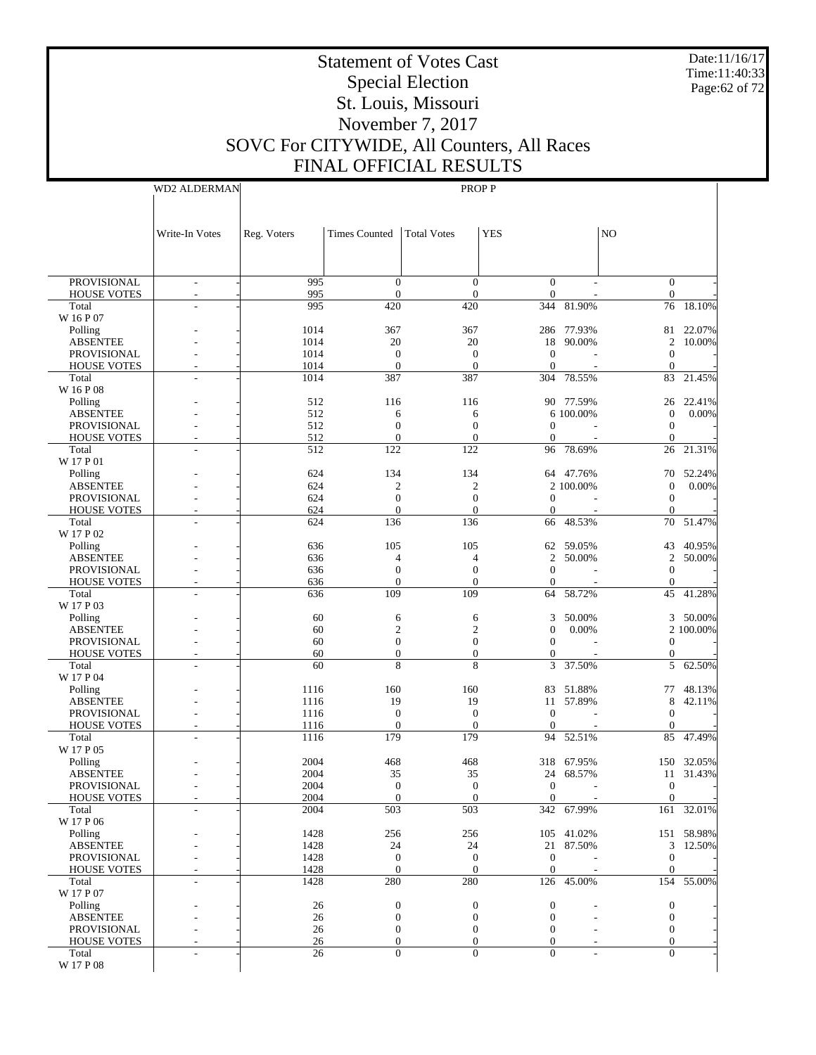Date:11/16/17 Time:11:40:33 Page:62 of 72

# Statement of Votes Cast Special Election St. Louis, Missouri November 7, 2017 SOVC For CITYWIDE, All Counters, All Races FINAL OFFICIAL RESULTS

WD2 ALDERMAN

|                                | Write-In Votes           | Reg. Voters  | <b>Times Counted</b>             | <b>Total Votes</b>                   | <b>YES</b>                           |                  | N <sub>O</sub>                       |                  |
|--------------------------------|--------------------------|--------------|----------------------------------|--------------------------------------|--------------------------------------|------------------|--------------------------------------|------------------|
|                                |                          |              |                                  |                                      |                                      |                  |                                      |                  |
|                                |                          |              |                                  |                                      |                                      |                  |                                      |                  |
| <b>PROVISIONAL</b>             | $\overline{\phantom{a}}$ | 995          | $\mathbf{0}$                     | $\overline{0}$                       | $\mathbf{0}$                         |                  | $\overline{0}$                       |                  |
| HOUSE VOTES                    | $\overline{\phantom{a}}$ | 995          | $\mathbf{0}$                     | $\mathbf{0}$                         | $\mathbf{0}$                         |                  | $\boldsymbol{0}$                     |                  |
| Total<br>W 16 P 07             |                          | 995          | 420                              | 420                                  |                                      | 344 81.90%       | 76                                   | 18.10%           |
| Polling                        |                          | 1014         | 367                              | 367                                  |                                      | 286 77.93%       | 81                                   | 22.07%           |
| <b>ABSENTEE</b>                |                          | 1014         | 20                               | 20                                   | 18                                   | 90.00%           | 2                                    | 10.00%           |
| PROVISIONAL                    |                          | 1014         | $\mathbf{0}$                     | $\boldsymbol{0}$                     | $\boldsymbol{0}$                     |                  | $\boldsymbol{0}$                     |                  |
| <b>HOUSE VOTES</b><br>Total    | L.                       | 1014<br>1014 | $\mathbf{0}$<br>387              | $\mathbf{0}$<br>387                  | $\mathbf{0}$<br>304                  | ÷<br>78.55%      | $\mathbf{0}$<br>83                   | 21.45%           |
| W 16 P 08                      |                          |              |                                  |                                      |                                      |                  |                                      |                  |
| Polling                        |                          | 512          | 116                              | 116                                  |                                      | 90 77.59%        | 26                                   | 22.41%           |
| <b>ABSENTEE</b>                |                          | 512          | 6                                | 6                                    |                                      | 6 100.00%        | $\mathbf{0}$                         | 0.00%            |
| <b>PROVISIONAL</b>             |                          | 512          | $\mathbf{0}$                     | $\boldsymbol{0}$                     | $\theta$                             |                  | $\boldsymbol{0}$                     |                  |
| <b>HOUSE VOTES</b>             |                          | 512          | $\mathbf{0}$                     | $\boldsymbol{0}$                     | $\mathbf{0}$                         |                  | $\mathbf{0}$                         |                  |
| Total<br>W 17 P 01             | L.                       | 512          | 122                              | 122                                  |                                      | 96 78.69%        | 26                                   | 21.31%           |
| Polling                        |                          | 624          | 134                              | 134                                  |                                      | 64 47.76%        | 70                                   | 52.24%           |
| <b>ABSENTEE</b>                |                          | 624          | $\overline{c}$                   | $\boldsymbol{2}$                     |                                      | 2 100.00%        | $\boldsymbol{0}$                     | 0.00%            |
| PROVISIONAL                    |                          | 624          | $\mathbf{0}$                     | $\boldsymbol{0}$                     | $\mathbf{0}$                         |                  | $\mathbf{0}$                         |                  |
| <b>HOUSE VOTES</b>             |                          | 624          | $\mathbf{0}$                     | $\mathbf{0}$                         | $\mathbf{0}$                         | $\sim$           | $\mathbf{0}$                         |                  |
| Total<br>W 17 P 02             |                          | 624          | 136                              | 136                                  | 66                                   | 48.53%           | 70                                   | 51.47%           |
| Polling                        |                          | 636          | 105                              | 105                                  | 62                                   | 59.05%           | 43                                   | 40.95%           |
| <b>ABSENTEE</b>                |                          | 636          | 4                                | 4                                    | 2                                    | 50.00%           | $\overline{c}$                       | 50.00%           |
| <b>PROVISIONAL</b>             |                          | 636          | $\mathbf{0}$                     | $\boldsymbol{0}$                     | $\mathbf{0}$                         |                  | $\boldsymbol{0}$                     |                  |
| <b>HOUSE VOTES</b>             |                          | 636          | $\Omega$                         | $\mathbf{0}$                         | $\theta$                             |                  | $\boldsymbol{0}$                     |                  |
| Total                          |                          | 636          | 109                              | 109                                  | 64                                   | 58.72%           | 45                                   | 41.28%           |
| W 17 P 03<br>Polling           |                          | 60           | 6                                | 6                                    | 3                                    | 50.00%           | 3                                    | 50.00%           |
| <b>ABSENTEE</b>                |                          | 60           | $\mathfrak{2}$                   | $\overline{c}$                       | $\mathbf{0}$                         | 0.00%            |                                      | 2 100.00%        |
| PROVISIONAL                    |                          | 60           | $\mathbf{0}$                     | $\boldsymbol{0}$                     | $\mathbf{0}$                         |                  | $\mathbf{0}$                         |                  |
| <b>HOUSE VOTES</b>             |                          | 60           | $\mathbf{0}$                     | $\overline{0}$                       | $\mathbf{0}$                         |                  | $\boldsymbol{0}$                     |                  |
| Total                          |                          | 60           | 8                                | 8                                    | 3                                    | 37.50%           | 5                                    | 62.50%           |
| W 17 P 04                      |                          | 1116         | 160                              | 160                                  |                                      | 83 51.88%        |                                      | 48.13%           |
| Polling<br><b>ABSENTEE</b>     |                          | 1116         | 19                               | 19                                   | 11                                   | 57.89%           | 77<br>8                              | 42.11%           |
| <b>PROVISIONAL</b>             |                          | 1116         | $\mathbf{0}$                     | $\boldsymbol{0}$                     | $\mathbf{0}$                         |                  | $\boldsymbol{0}$                     |                  |
| <b>HOUSE VOTES</b>             |                          | 1116         | $\mathbf{0}$                     | $\mathbf{0}$                         | $\theta$                             |                  | $\mathbf{0}$                         |                  |
| Total                          |                          | 1116         | 179                              | 179                                  | 94                                   | 52.51%           | 85                                   | 47.49%           |
| W 17 P 05                      |                          |              |                                  |                                      |                                      |                  |                                      |                  |
| Polling<br><b>ABSENTEE</b>     |                          | 2004<br>2004 | 468<br>35                        | 468<br>35                            | 318<br>24                            | 67.95%<br>68.57% | 150<br>11                            | 32.05%<br>31.43% |
| PROVISIONAL                    |                          | 2004         | $\mathbf{0}$                     | $\boldsymbol{0}$                     | $\boldsymbol{0}$                     |                  | $\mathbf{0}$                         |                  |
| <b>HOUSE VOTES</b>             |                          | 2004         | $\Omega$                         | $\Omega$                             | $\boldsymbol{0}$                     |                  | $\boldsymbol{0}$                     |                  |
| Total                          | L,                       | 2004         | 503                              | 503                                  |                                      | 342 67.99%       |                                      | 161 32.01%       |
| W 17 P 06                      |                          |              |                                  |                                      |                                      |                  |                                      |                  |
| Polling                        |                          | 1428         | 256                              | 256                                  |                                      | 105 41.02%       |                                      | 151 58.98%       |
| <b>ABSENTEE</b><br>PROVISIONAL |                          | 1428<br>1428 | 24<br>$\mathbf{0}$               | 24<br>$\mathbf{0}$                   | $\mathbf{0}$                         | 21 87.50%        | $\mathbf{0}$                         | 3 12.50%         |
| <b>HOUSE VOTES</b>             |                          | 1428         | $\overline{0}$                   | $\mathbf{0}$                         | $\mathbf{0}$                         |                  | $\mathbf{0}$                         |                  |
| Total                          | L,                       | 1428         | 280                              | 280                                  |                                      | 126 45.00%       | 154                                  | 55.00%           |
| W 17 P 07                      |                          |              |                                  |                                      |                                      |                  |                                      |                  |
| Polling                        |                          | 26           | $\boldsymbol{0}$                 | $\boldsymbol{0}$                     | $\boldsymbol{0}$                     |                  | 0                                    |                  |
| <b>ABSENTEE</b><br>PROVISIONAL |                          | 26<br>26     | $\boldsymbol{0}$<br>$\mathbf{0}$ | $\boldsymbol{0}$<br>$\boldsymbol{0}$ | $\boldsymbol{0}$<br>$\boldsymbol{0}$ |                  | $\boldsymbol{0}$<br>$\boldsymbol{0}$ |                  |
| <b>HOUSE VOTES</b>             |                          | 26           | $\boldsymbol{0}$                 | $\boldsymbol{0}$                     | $\boldsymbol{0}$                     |                  | $\mathbf{0}$                         |                  |
| Total                          |                          | 26           | $\mathbf{0}$                     | $\Omega$                             | $\mathbf{0}$                         |                  | $\Omega$                             |                  |
| W 17 P 08                      |                          |              |                                  |                                      |                                      |                  |                                      |                  |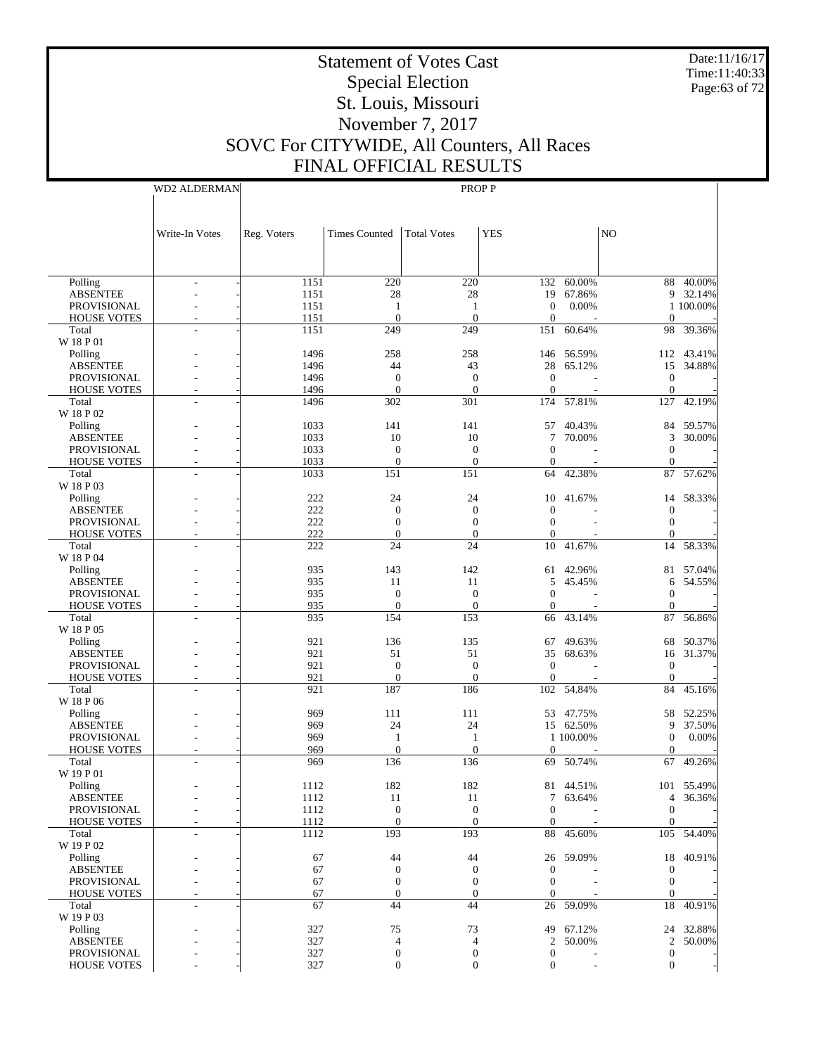Date:11/16/17 Time:11:40:33 Page:63 of 72

## Statement of Votes Cast Special Election St. Louis, Missouri November 7, 2017 SOVC For CITYWIDE, All Counters, All Races FINAL OFFICIAL RESULTS

|                                       | <b>WD2 ALDERMAN</b>      |              |                                      | PROP P                         |                              |            |                            |            |
|---------------------------------------|--------------------------|--------------|--------------------------------------|--------------------------------|------------------------------|------------|----------------------------|------------|
|                                       |                          |              |                                      |                                |                              |            |                            |            |
|                                       |                          |              |                                      |                                |                              |            |                            |            |
|                                       | Write-In Votes           | Reg. Voters  | <b>Times Counted</b>                 | <b>Total Votes</b>             | <b>YES</b>                   |            | N <sub>O</sub>             |            |
|                                       |                          |              |                                      |                                |                              |            |                            |            |
|                                       |                          |              |                                      |                                |                              |            |                            |            |
|                                       |                          |              |                                      |                                |                              |            |                            |            |
| Polling                               |                          | 1151         | 220                                  | 220                            |                              | 132 60.00% |                            | 88 40.00%  |
| <b>ABSENTEE</b>                       |                          | 1151         | 28                                   | 28                             |                              | 19 67.86%  |                            | 9 32.14%   |
| PROVISIONAL<br><b>HOUSE VOTES</b>     |                          | 1151<br>1151 | 1<br>$\boldsymbol{0}$                | -1<br>$\mathbf{0}$             | $\mathbf{0}$<br>$\mathbf{0}$ | 0.00%      | $\theta$                   | 1 100.00%  |
| Total                                 |                          | 1151         | 249                                  | 249                            | 151                          | 60.64%     | 98                         | 39.36%     |
| W 18 P 01                             |                          |              |                                      |                                |                              |            |                            |            |
| Polling                               |                          | 1496         | 258                                  | 258                            |                              | 146 56.59% |                            | 112 43.41% |
| <b>ABSENTEE</b>                       |                          | 1496         | 44                                   | 43                             | 28                           | 65.12%     | 15                         | 34.88%     |
| PROVISIONAL                           |                          | 1496         | $\mathbf{0}$                         | $\mathbf{0}$                   | $\mathbf{0}$                 |            | $\mathbf{0}$               |            |
| <b>HOUSE VOTES</b>                    |                          | 1496         | $\mathbf{0}$                         | $\theta$                       | $\theta$                     |            | $\theta$                   |            |
| Total                                 |                          | 1496         | 302                                  | 301                            | 174                          | 57.81%     | 127                        | 42.19%     |
| W 18 P 02<br>Polling                  |                          | 1033         | 141                                  | 141                            |                              | 57 40.43%  |                            | 84 59.57%  |
| <b>ABSENTEE</b>                       |                          | 1033         | 10                                   | 10                             | 7                            | 70.00%     | 3                          | 30.00%     |
| PROVISIONAL                           |                          | 1033         | $\mathbf{0}$                         | $\mathbf{0}$                   | $\boldsymbol{0}$             |            | $\theta$                   |            |
| <b>HOUSE VOTES</b>                    |                          | 1033         | $\mathbf{0}$                         | $\boldsymbol{0}$               | $\boldsymbol{0}$             |            | $\theta$                   |            |
| Total                                 |                          | 1033         | 151                                  | 151                            | 64                           | 42.38%     |                            | 87 57.62%  |
| W 18 P 03                             |                          |              |                                      |                                |                              |            |                            |            |
| Polling                               |                          | 222          | 24                                   | 24                             | 10                           | 41.67%     | 14                         | 58.33%     |
| <b>ABSENTEE</b>                       |                          | 222          | $\mathbf{0}$                         | $\mathbf{0}$                   | $\mathbf{0}$                 |            | $\theta$                   |            |
| PROVISIONAL                           |                          | 222          | $\mathbf{0}$                         | $\boldsymbol{0}$               | $\boldsymbol{0}$             |            | $\theta$                   |            |
| <b>HOUSE VOTES</b>                    |                          | 222          | $\mathbf{0}$                         | $\theta$                       | $\mathbf{0}$                 |            | $\Omega$                   |            |
| Total<br>W 18 P 04                    |                          | 222          | 24                                   | 24                             | 10                           | 41.67%     | 14                         | 58.33%     |
| Polling                               |                          | 935          | 143                                  | 142                            | 61                           | 42.96%     |                            | 81 57.04%  |
| <b>ABSENTEE</b>                       |                          | 935          | 11                                   | 11                             | 5                            | 45.45%     | 6                          | 54.55%     |
| PROVISIONAL                           |                          | 935          | $\mathbf{0}$                         | $\mathbf{0}$                   | $\boldsymbol{0}$             |            | $\theta$                   |            |
| <b>HOUSE VOTES</b>                    |                          | 935          | $\mathbf{0}$                         | $\boldsymbol{0}$               | $\boldsymbol{0}$             |            | $\theta$                   |            |
| Total                                 |                          | 935          | 154                                  | 153                            | 66                           | 43.14%     |                            | 87 56.86%  |
| W 18 P 05                             |                          |              |                                      |                                |                              |            |                            |            |
| Polling                               |                          | 921          | 136                                  | 135                            | 67                           | 49.63%     | 68                         | 50.37%     |
| <b>ABSENTEE</b>                       |                          | 921          | 51                                   | 51                             | 35                           | 68.63%     | 16                         | 31.37%     |
| PROVISIONAL                           |                          | 921          | $\mathbf{0}$<br>$\mathbf{0}$         | $\mathbf{0}$<br>$\theta$       | $\mathbf{0}$                 |            | $\mathbf{0}$               |            |
| <b>HOUSE VOTES</b><br>Total           |                          | 921<br>921   | 187                                  | 186                            | $\boldsymbol{0}$             | 102 54.84% | $\theta$<br>84             | 45.16%     |
| W 18 P 06                             |                          |              |                                      |                                |                              |            |                            |            |
| Polling                               |                          | 969          | 111                                  | 111                            |                              | 53 47.75%  |                            | 58 52.25%  |
| <b>ABSENTEE</b>                       |                          | 969          | 24                                   | 24                             |                              | 15 62.50%  | 9                          | 37.50%     |
| PROVISIONAL                           |                          | 969          | -1                                   | -1                             |                              | 1 100.00%  | $\boldsymbol{0}$           | 0.00%      |
| <b>HOUSE VOTES</b>                    |                          | 969          | $\overline{0}$                       | $\theta$                       | $\mathbf{0}$                 |            | $\mathbf{0}$               |            |
| Total                                 |                          | 969          | 136                                  | 136                            |                              | 69 50.74%  |                            | 67 49.26%  |
| W 19 P 01                             |                          |              |                                      |                                |                              |            |                            |            |
| Polling                               |                          | 1112         | 182                                  | 182                            |                              | 81 44.51%  |                            | 101 55.49% |
| <b>ABSENTEE</b><br><b>PROVISIONAL</b> |                          | 1112<br>1112 | 11                                   | 11<br>$\mathbf{0}$             | $\boldsymbol{0}$             | 7 63.64%   | $\overline{4}$<br>$\theta$ | 36.36%     |
| <b>HOUSE VOTES</b>                    |                          | 1112         | $\boldsymbol{0}$<br>$\boldsymbol{0}$ | $\boldsymbol{0}$               | $\mathbf{0}$                 |            | $\theta$                   |            |
| Total                                 | $\overline{\phantom{a}}$ | 1112         | 193                                  | 193                            | 88                           | 45.60%     |                            | 105 54.40% |
| W 19 P 02                             |                          |              |                                      |                                |                              |            |                            |            |
| Polling                               |                          | 67           | 44                                   | 44                             |                              | 26 59.09%  | 18                         | 40.91%     |
| <b>ABSENTEE</b>                       |                          | 67           | $\mathbf{0}$                         | $\theta$                       | $\boldsymbol{0}$             |            | $\theta$                   |            |
| PROVISIONAL                           |                          | 67           | $\mathbf{0}$                         | $\mathbf{0}$                   | $\boldsymbol{0}$             |            | $\mathbf{0}$               |            |
| <b>HOUSE VOTES</b>                    |                          | 67           | $\mathbf{0}$                         | $\theta$                       | $\mathbf{0}$                 |            | $\Omega$                   |            |
| Total                                 |                          | 67           | 44                                   | 44                             | 26                           | 59.09%     | 18                         | 40.91%     |
| W 19 P 03                             |                          |              |                                      |                                |                              |            |                            |            |
| Polling                               |                          | 327          | 75                                   | 73                             |                              | 49 67.12%  |                            | 24 32.88%  |
| <b>ABSENTEE</b><br>PROVISIONAL        |                          | 327<br>327   | $\overline{4}$<br>$\boldsymbol{0}$   | $\overline{4}$<br>$\mathbf{0}$ | 2<br>$\boldsymbol{0}$        | 50.00%     | 2<br>$\mathbf{0}$          | 50.00%     |
| <b>HOUSE VOTES</b>                    |                          | 327          | $\mathbf{0}$                         | $\theta$                       | $\boldsymbol{0}$             |            | $\overline{0}$             |            |
|                                       |                          |              |                                      |                                |                              |            |                            |            |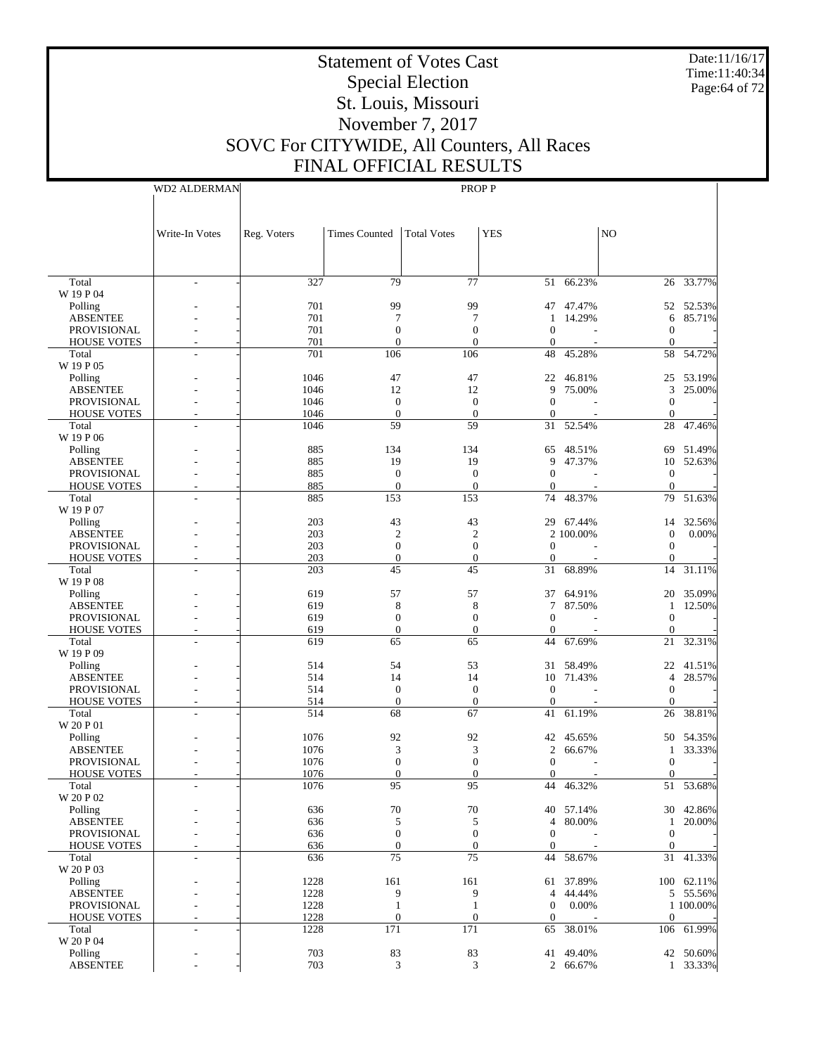Date:11/16/17 Time:11:40:34 Page:64 of 72

# Statement of Votes Cast Special Election St. Louis, Missouri November 7, 2017 SOVC For CITYWIDE, All Counters, All Races FINAL OFFICIAL RESULTS

WD2 ALDERMAN

|                                       | Write-In Votes           | Reg. Voters  | <b>Times Counted</b>                 | <b>Total Votes</b>                   | <b>YES</b>               |                        | NO.                          |                 |
|---------------------------------------|--------------------------|--------------|--------------------------------------|--------------------------------------|--------------------------|------------------------|------------------------------|-----------------|
|                                       |                          |              |                                      |                                      |                          |                        |                              |                 |
|                                       |                          |              |                                      |                                      |                          |                        |                              |                 |
| Total                                 | $\overline{\phantom{a}}$ | 327          | 79                                   | 77                                   |                          | 51 66.23%              |                              | 26 33.77%       |
| W 19 P 04                             |                          |              |                                      |                                      |                          |                        |                              |                 |
| Polling                               |                          | 701          | 99                                   | 99                                   |                          | 47 47.47%              |                              | 52 52.53%       |
| <b>ABSENTEE</b><br><b>PROVISIONAL</b> |                          | 701<br>701   | 7<br>$\mathbf{0}$                    | 7<br>$\overline{0}$                  | 1<br>$\theta$            | 14.29%                 | 6<br>$\boldsymbol{0}$        | 85.71%          |
| <b>HOUSE VOTES</b>                    |                          | 701          | $\overline{0}$                       | $\overline{0}$                       | $\boldsymbol{0}$         |                        | $\boldsymbol{0}$             |                 |
| Total                                 | L.                       | 701          | 106                                  | 106                                  | 48                       | 45.28%                 | 58                           | 54.72%          |
| W 19 P 05                             |                          |              |                                      |                                      |                          |                        |                              |                 |
| Polling                               |                          | 1046         | 47                                   | 47                                   | 22                       | 46.81%                 | 25                           | 53.19%          |
| <b>ABSENTEE</b>                       |                          | 1046         | 12                                   | 12                                   | 9                        | 75.00%                 | 3                            | 25.00%          |
| PROVISIONAL                           |                          | 1046         | $\mathbf{0}$                         | $\mathbf{0}$                         | $\mathbf{0}$             |                        | $\boldsymbol{0}$             |                 |
| <b>HOUSE VOTES</b><br>Total           | L,                       | 1046<br>1046 | $\boldsymbol{0}$<br>59               | $\theta$<br>59                       | $\boldsymbol{0}$<br>31   | 52.54%                 | $\mathbf{0}$<br>28           | 47.46%          |
| W 19 P 06                             |                          |              |                                      |                                      |                          |                        |                              |                 |
| Polling                               |                          | 885          | 134                                  | 134                                  |                          | 65 48.51%              | 69                           | 51.49%          |
| <b>ABSENTEE</b>                       |                          | 885          | 19                                   | 19                                   | 9                        | 47.37%                 | 10                           | 52.63%          |
| <b>PROVISIONAL</b>                    |                          | 885          | $\mathbf{0}$                         | $\mathbf{0}$                         | $\mathbf{0}$             |                        | $\mathbf{0}$                 |                 |
| <b>HOUSE VOTES</b>                    |                          | 885          | $\boldsymbol{0}$                     | $\boldsymbol{0}$                     | $\mathbf{0}$             |                        | $\boldsymbol{0}$             |                 |
| Total                                 |                          | 885          | 153                                  | 153                                  | 74                       | 48.37%                 | 79                           | 51.63%          |
| W 19 P 07                             |                          |              |                                      |                                      |                          |                        |                              |                 |
| Polling<br><b>ABSENTEE</b>            |                          | 203<br>203   | 43<br>$\overline{2}$                 | 43<br>$\overline{2}$                 |                          | 29 67.44%<br>2 100.00% | 14<br>$\boldsymbol{0}$       | 32.56%<br>0.00% |
| <b>PROVISIONAL</b>                    |                          | 203          | $\boldsymbol{0}$                     | $\boldsymbol{0}$                     | $\mathbf{0}$             |                        | $\mathbf{0}$                 |                 |
| <b>HOUSE VOTES</b>                    |                          | 203          | $\boldsymbol{0}$                     | $\boldsymbol{0}$                     | $\boldsymbol{0}$         |                        | $\boldsymbol{0}$             |                 |
| Total                                 | L,                       | 203          | 45                                   | 45                                   | 31                       | 68.89%                 | 14                           | 31.11%          |
| W 19 P 08                             |                          |              |                                      |                                      |                          |                        |                              |                 |
| Polling                               |                          | 619          | 57                                   | 57                                   | 37                       | 64.91%                 | 20                           | 35.09%          |
| <b>ABSENTEE</b>                       |                          | 619          | 8                                    | 8                                    | 7                        | 87.50%                 | 1                            | 12.50%          |
| <b>PROVISIONAL</b>                    |                          | 619          | $\boldsymbol{0}$                     | $\boldsymbol{0}$                     | $\mathbf{0}$             |                        | $\boldsymbol{0}$             |                 |
| <b>HOUSE VOTES</b><br>Total           |                          | 619<br>619   | $\boldsymbol{0}$<br>65               | $\boldsymbol{0}$<br>65               | $\boldsymbol{0}$<br>44   | 67.69%                 | $\boldsymbol{0}$<br>21       | 32.31%          |
| W 19 P 09                             |                          |              |                                      |                                      |                          |                        |                              |                 |
| Polling                               |                          | 514          | 54                                   | 53                                   | 31                       | 58.49%                 | 22                           | 41.51%          |
| <b>ABSENTEE</b>                       |                          | 514          | 14                                   | 14                                   | 10                       | 71.43%                 | 4                            | 28.57%          |
| <b>PROVISIONAL</b>                    |                          | 514          | $\mathbf{0}$                         | $\mathbf{0}$                         | $\theta$                 |                        | $\boldsymbol{0}$             |                 |
| <b>HOUSE VOTES</b>                    |                          | 514          | $\boldsymbol{0}$                     | $\boldsymbol{0}$                     | $\boldsymbol{0}$         |                        | $\mathbf{0}$                 |                 |
| Total                                 | L,                       | 514          | 68                                   | 67                                   | 41                       | 61.19%                 | 26                           | 38.81%          |
| W 20 P 01                             |                          | 1076         | 92                                   | 92                                   |                          |                        |                              | 50 54.35%       |
| Polling<br><b>ABSENTEE</b>            |                          | 1076         | 3                                    | 3                                    | $\overline{c}$           | 42 45.65%<br>66.67%    | 1                            | 33.33%          |
| <b>PROVISIONAL</b>                    |                          | 1076         | $\boldsymbol{0}$                     | $\boldsymbol{0}$                     | $\mathbf{0}$             |                        | $\boldsymbol{0}$             |                 |
| <b>HOUSE VOTES</b>                    |                          | 1076         | $\mathbf{0}$                         | $\boldsymbol{0}$                     | $\theta$                 |                        | $\mathbf{0}$                 |                 |
| Total                                 |                          | 1076         | 95                                   | 95                                   | 44                       | 46.32%                 | 51                           | 53.68%          |
| W 20 P 02                             |                          |              |                                      |                                      |                          |                        |                              |                 |
| Polling                               |                          | 636          | 70                                   | 70                                   |                          | 40 57.14%              |                              | 30 42.86%       |
| <b>ABSENTEE</b>                       |                          | 636          | 5                                    | 5                                    | $\overline{4}$           | 80.00%                 | $\mathbf{1}$                 | 20.00%          |
| PROVISIONAL<br><b>HOUSE VOTES</b>     |                          | 636<br>636   | $\boldsymbol{0}$<br>$\boldsymbol{0}$ | $\boldsymbol{0}$<br>$\boldsymbol{0}$ | $\theta$<br>$\mathbf{0}$ |                        | $\mathbf{0}$<br>$\mathbf{0}$ |                 |
| Total                                 | L,                       | 636          | 75                                   | 75                                   | 44                       | 58.67%                 | 31                           | 41.33%          |
| W 20 P 03                             |                          |              |                                      |                                      |                          |                        |                              |                 |
| Polling                               |                          | 1228         | 161                                  | 161                                  |                          | 61 37.89%              |                              | 100 62.11%      |
| <b>ABSENTEE</b>                       |                          | 1228         | 9                                    | 9                                    | 4                        | 44.44%                 |                              | 5 55.56%        |
| <b>PROVISIONAL</b>                    |                          | 1228         | $\mathbf{1}$                         | $\mathbf{1}$                         | $\mathbf{0}$             | 0.00%                  |                              | 1 100.00%       |
| <b>HOUSE VOTES</b>                    | L,                       | 1228         | $\boldsymbol{0}$                     | $\boldsymbol{0}$                     | $\mathbf{0}$             |                        | $\mathbf{0}$                 |                 |
| Total                                 | L,                       | 1228         | 171                                  | 171                                  | 65                       | 38.01%                 |                              | 106 61.99%      |
| W 20 P 04<br>Polling                  |                          | 703          | 83                                   | 83                                   | 41                       | 49.40%                 |                              | 42 50.60%       |
| <b>ABSENTEE</b>                       |                          | 703          | 3                                    | 3                                    |                          | 2 66.67%               |                              | 1 33.33%        |
|                                       |                          |              |                                      |                                      |                          |                        |                              |                 |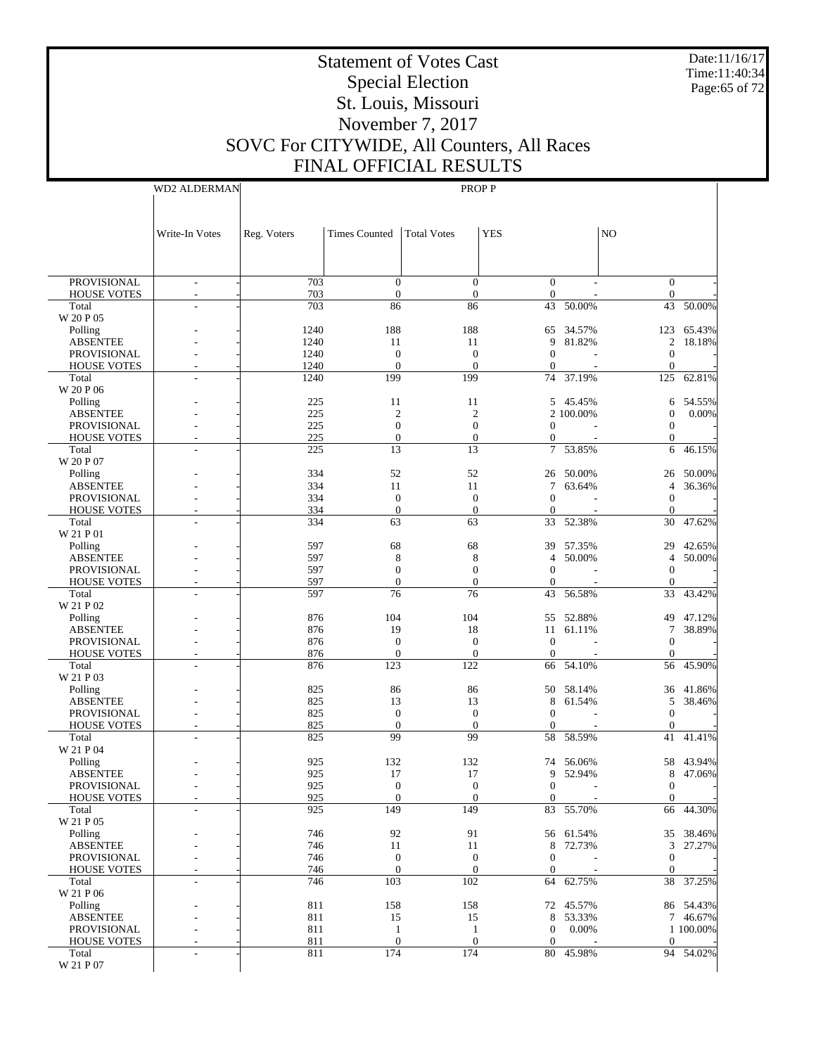Date:11/16/17 Time:11:40:34 Page:65 of 72

# Statement of Votes Cast Special Election St. Louis, Missouri November 7, 2017 SOVC For CITYWIDE, All Counters, All Races FINAL OFFICIAL RESULTS

WD2 ALDERMAN

| <b>YES</b><br>N <sub>O</sub><br>Write-In Votes<br>Reg. Voters<br><b>Times Counted</b><br><b>Total Votes</b><br>703<br><b>PROVISIONAL</b><br>$\mathbf{0}$<br>$\overline{0}$<br>$\overline{0}$<br>$\overline{0}$<br>$\frac{1}{2}$<br>703<br>$\boldsymbol{0}$<br>$\theta$<br>$\mathbf{0}$<br><b>HOUSE VOTES</b><br>$\mathbf{0}$<br>703<br>86<br>43<br>50.00%<br>43<br>86<br>50.00%<br>Total<br>W 20 P 05<br>1240<br>188<br>188<br>34.57%<br>65.43%<br>Polling<br>65<br>123<br>1240<br>9<br>2<br><b>ABSENTEE</b><br>11<br>11<br>81.82%<br>18.18%<br>1240<br>$\mathbf{0}$<br>$\boldsymbol{0}$<br>$\overline{0}$<br>$\mathbf{0}$<br><b>PROVISIONAL</b><br>1240<br>$\mathbf{0}$<br>$\mathbf{0}$<br>$\mathbf{0}$<br><b>HOUSE VOTES</b><br>$\overline{0}$<br>199<br>37.19%<br>Total<br>1240<br>199<br>74<br>125<br>62.81%<br>W 20 P 06<br>225<br>Polling<br>11<br>11<br>5 45.45%<br>54.55%<br>6<br><b>ABSENTEE</b><br>225<br>$\mathfrak{2}$<br>$\mathfrak{2}$<br>0.00%<br>2 100.00%<br>$\mathbf{0}$<br>225<br>$\mathbf{0}$<br>$\mathbf{0}$<br>$\mathbf{0}$<br><b>PROVISIONAL</b><br>$\theta$<br>225<br>$\mathbf{0}$<br><b>HOUSE VOTES</b><br>$\mathbf{0}$<br>$\theta$<br>$\overline{0}$<br>225<br>13<br>13<br>7 53.85%<br>6<br>46.15%<br>Total<br>W 20 P 07<br>334<br>52<br>52<br>50.00%<br>50.00%<br>Polling<br>26<br>26<br>334<br>7<br>63.64%<br>36.36%<br><b>ABSENTEE</b><br>11<br>11<br>$\overline{4}$<br>334<br>$\mathbf{0}$<br>$\boldsymbol{0}$<br>$\mathbf{0}$<br><b>PROVISIONAL</b><br>$\overline{0}$<br>334<br>$\mathbf{0}$<br>$\boldsymbol{0}$<br><b>HOUSE VOTES</b><br>$\overline{0}$<br>$\mathbf{0}$<br>Total<br>334<br>63<br>63<br>33<br>52.38%<br>30<br>47.62%<br>÷,<br>W 21 P 01<br>597<br>68<br>68<br>42.65%<br>Polling<br>39<br>57.35%<br>29<br><b>ABSENTEE</b><br>597<br>8<br>8<br>50.00%<br>50.00%<br>4<br>$\overline{4}$<br>597<br>$\mathbf{0}$<br>$\mathbf{0}$<br>$\overline{0}$<br>$\mathbf{0}$<br><b>PROVISIONAL</b><br>597<br><b>HOUSE VOTES</b><br>$\mathbf{0}$<br>$\theta$<br>$\overline{0}$<br>$\mathbf{0}$<br>597<br>76<br>76<br>43<br>56.58%<br>33<br>43.42%<br>Total<br>W 21 P 02<br>876<br>104<br>104<br>52.88%<br>47.12%<br>Polling<br>55<br>49<br><b>ABSENTEE</b><br>876<br>19<br>18<br>$\tau$<br>38.89%<br>11<br>61.11%<br>876<br>$\mathbf{0}$<br>$\mathbf{0}$<br><b>PROVISIONAL</b><br>$\theta$<br>$\mathbf{0}$<br>876<br>$\boldsymbol{0}$<br><b>HOUSE VOTES</b><br>$\mathbf{0}$<br>$\overline{0}$<br>$\mathbf{0}$<br>Total<br>876<br>123<br>122<br>66<br>54.10%<br>56<br>45.90%<br>÷<br>W 21 P 03<br>825<br>86<br>Polling<br>86<br>50<br>58.14%<br>36<br>41.86%<br><b>ABSENTEE</b><br>825<br>13<br>13<br>8<br>5<br>38.46%<br>61.54%<br>825<br>$\boldsymbol{0}$<br>$\boldsymbol{0}$<br>$\overline{0}$<br>$\mathbf{0}$<br><b>PROVISIONAL</b> |                    |     |  |  |  |
|-----------------------------------------------------------------------------------------------------------------------------------------------------------------------------------------------------------------------------------------------------------------------------------------------------------------------------------------------------------------------------------------------------------------------------------------------------------------------------------------------------------------------------------------------------------------------------------------------------------------------------------------------------------------------------------------------------------------------------------------------------------------------------------------------------------------------------------------------------------------------------------------------------------------------------------------------------------------------------------------------------------------------------------------------------------------------------------------------------------------------------------------------------------------------------------------------------------------------------------------------------------------------------------------------------------------------------------------------------------------------------------------------------------------------------------------------------------------------------------------------------------------------------------------------------------------------------------------------------------------------------------------------------------------------------------------------------------------------------------------------------------------------------------------------------------------------------------------------------------------------------------------------------------------------------------------------------------------------------------------------------------------------------------------------------------------------------------------------------------------------------------------------------------------------------------------------------------------------------------------------------------------------------------------------------------------------------------------------------------------------------------------------------------------------------------------------------------------------------------------------------------------------------------------------------------------------------------------------------------------------------------------------------------------------------------------------------------------------------------------------------------------------|--------------------|-----|--|--|--|
|                                                                                                                                                                                                                                                                                                                                                                                                                                                                                                                                                                                                                                                                                                                                                                                                                                                                                                                                                                                                                                                                                                                                                                                                                                                                                                                                                                                                                                                                                                                                                                                                                                                                                                                                                                                                                                                                                                                                                                                                                                                                                                                                                                                                                                                                                                                                                                                                                                                                                                                                                                                                                                                                                                                                                                       |                    |     |  |  |  |
|                                                                                                                                                                                                                                                                                                                                                                                                                                                                                                                                                                                                                                                                                                                                                                                                                                                                                                                                                                                                                                                                                                                                                                                                                                                                                                                                                                                                                                                                                                                                                                                                                                                                                                                                                                                                                                                                                                                                                                                                                                                                                                                                                                                                                                                                                                                                                                                                                                                                                                                                                                                                                                                                                                                                                                       |                    |     |  |  |  |
|                                                                                                                                                                                                                                                                                                                                                                                                                                                                                                                                                                                                                                                                                                                                                                                                                                                                                                                                                                                                                                                                                                                                                                                                                                                                                                                                                                                                                                                                                                                                                                                                                                                                                                                                                                                                                                                                                                                                                                                                                                                                                                                                                                                                                                                                                                                                                                                                                                                                                                                                                                                                                                                                                                                                                                       |                    |     |  |  |  |
|                                                                                                                                                                                                                                                                                                                                                                                                                                                                                                                                                                                                                                                                                                                                                                                                                                                                                                                                                                                                                                                                                                                                                                                                                                                                                                                                                                                                                                                                                                                                                                                                                                                                                                                                                                                                                                                                                                                                                                                                                                                                                                                                                                                                                                                                                                                                                                                                                                                                                                                                                                                                                                                                                                                                                                       |                    |     |  |  |  |
|                                                                                                                                                                                                                                                                                                                                                                                                                                                                                                                                                                                                                                                                                                                                                                                                                                                                                                                                                                                                                                                                                                                                                                                                                                                                                                                                                                                                                                                                                                                                                                                                                                                                                                                                                                                                                                                                                                                                                                                                                                                                                                                                                                                                                                                                                                                                                                                                                                                                                                                                                                                                                                                                                                                                                                       |                    |     |  |  |  |
|                                                                                                                                                                                                                                                                                                                                                                                                                                                                                                                                                                                                                                                                                                                                                                                                                                                                                                                                                                                                                                                                                                                                                                                                                                                                                                                                                                                                                                                                                                                                                                                                                                                                                                                                                                                                                                                                                                                                                                                                                                                                                                                                                                                                                                                                                                                                                                                                                                                                                                                                                                                                                                                                                                                                                                       |                    |     |  |  |  |
|                                                                                                                                                                                                                                                                                                                                                                                                                                                                                                                                                                                                                                                                                                                                                                                                                                                                                                                                                                                                                                                                                                                                                                                                                                                                                                                                                                                                                                                                                                                                                                                                                                                                                                                                                                                                                                                                                                                                                                                                                                                                                                                                                                                                                                                                                                                                                                                                                                                                                                                                                                                                                                                                                                                                                                       |                    |     |  |  |  |
|                                                                                                                                                                                                                                                                                                                                                                                                                                                                                                                                                                                                                                                                                                                                                                                                                                                                                                                                                                                                                                                                                                                                                                                                                                                                                                                                                                                                                                                                                                                                                                                                                                                                                                                                                                                                                                                                                                                                                                                                                                                                                                                                                                                                                                                                                                                                                                                                                                                                                                                                                                                                                                                                                                                                                                       |                    |     |  |  |  |
|                                                                                                                                                                                                                                                                                                                                                                                                                                                                                                                                                                                                                                                                                                                                                                                                                                                                                                                                                                                                                                                                                                                                                                                                                                                                                                                                                                                                                                                                                                                                                                                                                                                                                                                                                                                                                                                                                                                                                                                                                                                                                                                                                                                                                                                                                                                                                                                                                                                                                                                                                                                                                                                                                                                                                                       |                    |     |  |  |  |
|                                                                                                                                                                                                                                                                                                                                                                                                                                                                                                                                                                                                                                                                                                                                                                                                                                                                                                                                                                                                                                                                                                                                                                                                                                                                                                                                                                                                                                                                                                                                                                                                                                                                                                                                                                                                                                                                                                                                                                                                                                                                                                                                                                                                                                                                                                                                                                                                                                                                                                                                                                                                                                                                                                                                                                       |                    |     |  |  |  |
|                                                                                                                                                                                                                                                                                                                                                                                                                                                                                                                                                                                                                                                                                                                                                                                                                                                                                                                                                                                                                                                                                                                                                                                                                                                                                                                                                                                                                                                                                                                                                                                                                                                                                                                                                                                                                                                                                                                                                                                                                                                                                                                                                                                                                                                                                                                                                                                                                                                                                                                                                                                                                                                                                                                                                                       |                    |     |  |  |  |
|                                                                                                                                                                                                                                                                                                                                                                                                                                                                                                                                                                                                                                                                                                                                                                                                                                                                                                                                                                                                                                                                                                                                                                                                                                                                                                                                                                                                                                                                                                                                                                                                                                                                                                                                                                                                                                                                                                                                                                                                                                                                                                                                                                                                                                                                                                                                                                                                                                                                                                                                                                                                                                                                                                                                                                       |                    |     |  |  |  |
|                                                                                                                                                                                                                                                                                                                                                                                                                                                                                                                                                                                                                                                                                                                                                                                                                                                                                                                                                                                                                                                                                                                                                                                                                                                                                                                                                                                                                                                                                                                                                                                                                                                                                                                                                                                                                                                                                                                                                                                                                                                                                                                                                                                                                                                                                                                                                                                                                                                                                                                                                                                                                                                                                                                                                                       |                    |     |  |  |  |
|                                                                                                                                                                                                                                                                                                                                                                                                                                                                                                                                                                                                                                                                                                                                                                                                                                                                                                                                                                                                                                                                                                                                                                                                                                                                                                                                                                                                                                                                                                                                                                                                                                                                                                                                                                                                                                                                                                                                                                                                                                                                                                                                                                                                                                                                                                                                                                                                                                                                                                                                                                                                                                                                                                                                                                       |                    |     |  |  |  |
|                                                                                                                                                                                                                                                                                                                                                                                                                                                                                                                                                                                                                                                                                                                                                                                                                                                                                                                                                                                                                                                                                                                                                                                                                                                                                                                                                                                                                                                                                                                                                                                                                                                                                                                                                                                                                                                                                                                                                                                                                                                                                                                                                                                                                                                                                                                                                                                                                                                                                                                                                                                                                                                                                                                                                                       |                    |     |  |  |  |
|                                                                                                                                                                                                                                                                                                                                                                                                                                                                                                                                                                                                                                                                                                                                                                                                                                                                                                                                                                                                                                                                                                                                                                                                                                                                                                                                                                                                                                                                                                                                                                                                                                                                                                                                                                                                                                                                                                                                                                                                                                                                                                                                                                                                                                                                                                                                                                                                                                                                                                                                                                                                                                                                                                                                                                       |                    |     |  |  |  |
|                                                                                                                                                                                                                                                                                                                                                                                                                                                                                                                                                                                                                                                                                                                                                                                                                                                                                                                                                                                                                                                                                                                                                                                                                                                                                                                                                                                                                                                                                                                                                                                                                                                                                                                                                                                                                                                                                                                                                                                                                                                                                                                                                                                                                                                                                                                                                                                                                                                                                                                                                                                                                                                                                                                                                                       |                    |     |  |  |  |
|                                                                                                                                                                                                                                                                                                                                                                                                                                                                                                                                                                                                                                                                                                                                                                                                                                                                                                                                                                                                                                                                                                                                                                                                                                                                                                                                                                                                                                                                                                                                                                                                                                                                                                                                                                                                                                                                                                                                                                                                                                                                                                                                                                                                                                                                                                                                                                                                                                                                                                                                                                                                                                                                                                                                                                       |                    |     |  |  |  |
|                                                                                                                                                                                                                                                                                                                                                                                                                                                                                                                                                                                                                                                                                                                                                                                                                                                                                                                                                                                                                                                                                                                                                                                                                                                                                                                                                                                                                                                                                                                                                                                                                                                                                                                                                                                                                                                                                                                                                                                                                                                                                                                                                                                                                                                                                                                                                                                                                                                                                                                                                                                                                                                                                                                                                                       |                    |     |  |  |  |
|                                                                                                                                                                                                                                                                                                                                                                                                                                                                                                                                                                                                                                                                                                                                                                                                                                                                                                                                                                                                                                                                                                                                                                                                                                                                                                                                                                                                                                                                                                                                                                                                                                                                                                                                                                                                                                                                                                                                                                                                                                                                                                                                                                                                                                                                                                                                                                                                                                                                                                                                                                                                                                                                                                                                                                       |                    |     |  |  |  |
|                                                                                                                                                                                                                                                                                                                                                                                                                                                                                                                                                                                                                                                                                                                                                                                                                                                                                                                                                                                                                                                                                                                                                                                                                                                                                                                                                                                                                                                                                                                                                                                                                                                                                                                                                                                                                                                                                                                                                                                                                                                                                                                                                                                                                                                                                                                                                                                                                                                                                                                                                                                                                                                                                                                                                                       |                    |     |  |  |  |
|                                                                                                                                                                                                                                                                                                                                                                                                                                                                                                                                                                                                                                                                                                                                                                                                                                                                                                                                                                                                                                                                                                                                                                                                                                                                                                                                                                                                                                                                                                                                                                                                                                                                                                                                                                                                                                                                                                                                                                                                                                                                                                                                                                                                                                                                                                                                                                                                                                                                                                                                                                                                                                                                                                                                                                       |                    |     |  |  |  |
|                                                                                                                                                                                                                                                                                                                                                                                                                                                                                                                                                                                                                                                                                                                                                                                                                                                                                                                                                                                                                                                                                                                                                                                                                                                                                                                                                                                                                                                                                                                                                                                                                                                                                                                                                                                                                                                                                                                                                                                                                                                                                                                                                                                                                                                                                                                                                                                                                                                                                                                                                                                                                                                                                                                                                                       |                    |     |  |  |  |
|                                                                                                                                                                                                                                                                                                                                                                                                                                                                                                                                                                                                                                                                                                                                                                                                                                                                                                                                                                                                                                                                                                                                                                                                                                                                                                                                                                                                                                                                                                                                                                                                                                                                                                                                                                                                                                                                                                                                                                                                                                                                                                                                                                                                                                                                                                                                                                                                                                                                                                                                                                                                                                                                                                                                                                       |                    |     |  |  |  |
|                                                                                                                                                                                                                                                                                                                                                                                                                                                                                                                                                                                                                                                                                                                                                                                                                                                                                                                                                                                                                                                                                                                                                                                                                                                                                                                                                                                                                                                                                                                                                                                                                                                                                                                                                                                                                                                                                                                                                                                                                                                                                                                                                                                                                                                                                                                                                                                                                                                                                                                                                                                                                                                                                                                                                                       |                    |     |  |  |  |
|                                                                                                                                                                                                                                                                                                                                                                                                                                                                                                                                                                                                                                                                                                                                                                                                                                                                                                                                                                                                                                                                                                                                                                                                                                                                                                                                                                                                                                                                                                                                                                                                                                                                                                                                                                                                                                                                                                                                                                                                                                                                                                                                                                                                                                                                                                                                                                                                                                                                                                                                                                                                                                                                                                                                                                       |                    |     |  |  |  |
|                                                                                                                                                                                                                                                                                                                                                                                                                                                                                                                                                                                                                                                                                                                                                                                                                                                                                                                                                                                                                                                                                                                                                                                                                                                                                                                                                                                                                                                                                                                                                                                                                                                                                                                                                                                                                                                                                                                                                                                                                                                                                                                                                                                                                                                                                                                                                                                                                                                                                                                                                                                                                                                                                                                                                                       |                    |     |  |  |  |
|                                                                                                                                                                                                                                                                                                                                                                                                                                                                                                                                                                                                                                                                                                                                                                                                                                                                                                                                                                                                                                                                                                                                                                                                                                                                                                                                                                                                                                                                                                                                                                                                                                                                                                                                                                                                                                                                                                                                                                                                                                                                                                                                                                                                                                                                                                                                                                                                                                                                                                                                                                                                                                                                                                                                                                       |                    |     |  |  |  |
|                                                                                                                                                                                                                                                                                                                                                                                                                                                                                                                                                                                                                                                                                                                                                                                                                                                                                                                                                                                                                                                                                                                                                                                                                                                                                                                                                                                                                                                                                                                                                                                                                                                                                                                                                                                                                                                                                                                                                                                                                                                                                                                                                                                                                                                                                                                                                                                                                                                                                                                                                                                                                                                                                                                                                                       |                    |     |  |  |  |
|                                                                                                                                                                                                                                                                                                                                                                                                                                                                                                                                                                                                                                                                                                                                                                                                                                                                                                                                                                                                                                                                                                                                                                                                                                                                                                                                                                                                                                                                                                                                                                                                                                                                                                                                                                                                                                                                                                                                                                                                                                                                                                                                                                                                                                                                                                                                                                                                                                                                                                                                                                                                                                                                                                                                                                       |                    |     |  |  |  |
|                                                                                                                                                                                                                                                                                                                                                                                                                                                                                                                                                                                                                                                                                                                                                                                                                                                                                                                                                                                                                                                                                                                                                                                                                                                                                                                                                                                                                                                                                                                                                                                                                                                                                                                                                                                                                                                                                                                                                                                                                                                                                                                                                                                                                                                                                                                                                                                                                                                                                                                                                                                                                                                                                                                                                                       |                    |     |  |  |  |
|                                                                                                                                                                                                                                                                                                                                                                                                                                                                                                                                                                                                                                                                                                                                                                                                                                                                                                                                                                                                                                                                                                                                                                                                                                                                                                                                                                                                                                                                                                                                                                                                                                                                                                                                                                                                                                                                                                                                                                                                                                                                                                                                                                                                                                                                                                                                                                                                                                                                                                                                                                                                                                                                                                                                                                       |                    |     |  |  |  |
|                                                                                                                                                                                                                                                                                                                                                                                                                                                                                                                                                                                                                                                                                                                                                                                                                                                                                                                                                                                                                                                                                                                                                                                                                                                                                                                                                                                                                                                                                                                                                                                                                                                                                                                                                                                                                                                                                                                                                                                                                                                                                                                                                                                                                                                                                                                                                                                                                                                                                                                                                                                                                                                                                                                                                                       |                    |     |  |  |  |
| $\mathbf{0}$<br>$\theta$<br>$\overline{0}$<br>$\mathbf{0}$                                                                                                                                                                                                                                                                                                                                                                                                                                                                                                                                                                                                                                                                                                                                                                                                                                                                                                                                                                                                                                                                                                                                                                                                                                                                                                                                                                                                                                                                                                                                                                                                                                                                                                                                                                                                                                                                                                                                                                                                                                                                                                                                                                                                                                                                                                                                                                                                                                                                                                                                                                                                                                                                                                            | <b>HOUSE VOTES</b> | 825 |  |  |  |
| 99<br>99<br>825<br>58<br>58.59%<br>41<br>41.41%<br>Total                                                                                                                                                                                                                                                                                                                                                                                                                                                                                                                                                                                                                                                                                                                                                                                                                                                                                                                                                                                                                                                                                                                                                                                                                                                                                                                                                                                                                                                                                                                                                                                                                                                                                                                                                                                                                                                                                                                                                                                                                                                                                                                                                                                                                                                                                                                                                                                                                                                                                                                                                                                                                                                                                                              |                    |     |  |  |  |
| W 21 P 04<br>925<br>132<br>43.94%<br>Polling<br>132<br>56.06%<br>58<br>74                                                                                                                                                                                                                                                                                                                                                                                                                                                                                                                                                                                                                                                                                                                                                                                                                                                                                                                                                                                                                                                                                                                                                                                                                                                                                                                                                                                                                                                                                                                                                                                                                                                                                                                                                                                                                                                                                                                                                                                                                                                                                                                                                                                                                                                                                                                                                                                                                                                                                                                                                                                                                                                                                             |                    |     |  |  |  |
| <b>ABSENTEE</b><br>925<br>17<br>9<br>47.06%<br>17<br>52.94%<br>8                                                                                                                                                                                                                                                                                                                                                                                                                                                                                                                                                                                                                                                                                                                                                                                                                                                                                                                                                                                                                                                                                                                                                                                                                                                                                                                                                                                                                                                                                                                                                                                                                                                                                                                                                                                                                                                                                                                                                                                                                                                                                                                                                                                                                                                                                                                                                                                                                                                                                                                                                                                                                                                                                                      |                    |     |  |  |  |
| 925<br>$\mathbf{0}$<br>$\mathbf{0}$<br><b>PROVISIONAL</b><br>$\overline{0}$<br>$\mathbf{0}$                                                                                                                                                                                                                                                                                                                                                                                                                                                                                                                                                                                                                                                                                                                                                                                                                                                                                                                                                                                                                                                                                                                                                                                                                                                                                                                                                                                                                                                                                                                                                                                                                                                                                                                                                                                                                                                                                                                                                                                                                                                                                                                                                                                                                                                                                                                                                                                                                                                                                                                                                                                                                                                                           |                    |     |  |  |  |
| <b>HOUSE VOTES</b><br>925<br>$\mathbf{0}$<br>$\boldsymbol{0}$<br>$\mathbf{0}$<br>$\overline{0}$                                                                                                                                                                                                                                                                                                                                                                                                                                                                                                                                                                                                                                                                                                                                                                                                                                                                                                                                                                                                                                                                                                                                                                                                                                                                                                                                                                                                                                                                                                                                                                                                                                                                                                                                                                                                                                                                                                                                                                                                                                                                                                                                                                                                                                                                                                                                                                                                                                                                                                                                                                                                                                                                       |                    |     |  |  |  |
| 925<br>149<br>149<br>66 44.30%<br>83 55.70%<br>Total<br>W 21 P 05                                                                                                                                                                                                                                                                                                                                                                                                                                                                                                                                                                                                                                                                                                                                                                                                                                                                                                                                                                                                                                                                                                                                                                                                                                                                                                                                                                                                                                                                                                                                                                                                                                                                                                                                                                                                                                                                                                                                                                                                                                                                                                                                                                                                                                                                                                                                                                                                                                                                                                                                                                                                                                                                                                     |                    |     |  |  |  |
| 746<br>92<br>91<br>56 61.54%<br>35 38.46%<br>Polling                                                                                                                                                                                                                                                                                                                                                                                                                                                                                                                                                                                                                                                                                                                                                                                                                                                                                                                                                                                                                                                                                                                                                                                                                                                                                                                                                                                                                                                                                                                                                                                                                                                                                                                                                                                                                                                                                                                                                                                                                                                                                                                                                                                                                                                                                                                                                                                                                                                                                                                                                                                                                                                                                                                  |                    |     |  |  |  |
| <b>ABSENTEE</b><br>746<br>72.73%<br>3 <sup>7</sup><br>27.27%<br>11<br>11<br>8                                                                                                                                                                                                                                                                                                                                                                                                                                                                                                                                                                                                                                                                                                                                                                                                                                                                                                                                                                                                                                                                                                                                                                                                                                                                                                                                                                                                                                                                                                                                                                                                                                                                                                                                                                                                                                                                                                                                                                                                                                                                                                                                                                                                                                                                                                                                                                                                                                                                                                                                                                                                                                                                                         |                    |     |  |  |  |
| 746<br>$\boldsymbol{0}$<br>$\boldsymbol{0}$<br>$\mathbf{0}$<br>$\mathbf{0}$<br>PROVISIONAL                                                                                                                                                                                                                                                                                                                                                                                                                                                                                                                                                                                                                                                                                                                                                                                                                                                                                                                                                                                                                                                                                                                                                                                                                                                                                                                                                                                                                                                                                                                                                                                                                                                                                                                                                                                                                                                                                                                                                                                                                                                                                                                                                                                                                                                                                                                                                                                                                                                                                                                                                                                                                                                                            |                    |     |  |  |  |
| 746<br>$\mathbf{0}$<br>$\boldsymbol{0}$<br>$\overline{0}$<br><b>HOUSE VOTES</b><br>$\mathbf{0}$                                                                                                                                                                                                                                                                                                                                                                                                                                                                                                                                                                                                                                                                                                                                                                                                                                                                                                                                                                                                                                                                                                                                                                                                                                                                                                                                                                                                                                                                                                                                                                                                                                                                                                                                                                                                                                                                                                                                                                                                                                                                                                                                                                                                                                                                                                                                                                                                                                                                                                                                                                                                                                                                       |                    |     |  |  |  |
| 746<br>103<br>102<br>64 62.75%<br>38 37.25%<br>Total<br>ä,<br>W 21 P 06                                                                                                                                                                                                                                                                                                                                                                                                                                                                                                                                                                                                                                                                                                                                                                                                                                                                                                                                                                                                                                                                                                                                                                                                                                                                                                                                                                                                                                                                                                                                                                                                                                                                                                                                                                                                                                                                                                                                                                                                                                                                                                                                                                                                                                                                                                                                                                                                                                                                                                                                                                                                                                                                                               |                    |     |  |  |  |
| 811<br>158<br>158<br>86 54.43%<br>Polling<br>72 45.57%                                                                                                                                                                                                                                                                                                                                                                                                                                                                                                                                                                                                                                                                                                                                                                                                                                                                                                                                                                                                                                                                                                                                                                                                                                                                                                                                                                                                                                                                                                                                                                                                                                                                                                                                                                                                                                                                                                                                                                                                                                                                                                                                                                                                                                                                                                                                                                                                                                                                                                                                                                                                                                                                                                                |                    |     |  |  |  |
| <b>ABSENTEE</b><br>811<br>8<br>53.33%<br>7 46.67%<br>15<br>15                                                                                                                                                                                                                                                                                                                                                                                                                                                                                                                                                                                                                                                                                                                                                                                                                                                                                                                                                                                                                                                                                                                                                                                                                                                                                                                                                                                                                                                                                                                                                                                                                                                                                                                                                                                                                                                                                                                                                                                                                                                                                                                                                                                                                                                                                                                                                                                                                                                                                                                                                                                                                                                                                                         |                    |     |  |  |  |
| PROVISIONAL<br>811<br>0.00%<br>1 100.00%<br>$\mathbf{1}$<br>$\mathbf{1}$<br>$\mathbf{0}$                                                                                                                                                                                                                                                                                                                                                                                                                                                                                                                                                                                                                                                                                                                                                                                                                                                                                                                                                                                                                                                                                                                                                                                                                                                                                                                                                                                                                                                                                                                                                                                                                                                                                                                                                                                                                                                                                                                                                                                                                                                                                                                                                                                                                                                                                                                                                                                                                                                                                                                                                                                                                                                                              |                    |     |  |  |  |
| 811<br>$\theta$<br>$\mathbf{0}$<br>$\overline{0}$<br><b>HOUSE VOTES</b><br>$\overline{0}$<br>811<br>174<br>174<br>80 45.98%<br>94 54.02%<br>Total<br>ä,                                                                                                                                                                                                                                                                                                                                                                                                                                                                                                                                                                                                                                                                                                                                                                                                                                                                                                                                                                                                                                                                                                                                                                                                                                                                                                                                                                                                                                                                                                                                                                                                                                                                                                                                                                                                                                                                                                                                                                                                                                                                                                                                                                                                                                                                                                                                                                                                                                                                                                                                                                                                               |                    |     |  |  |  |
| W 21 P 07                                                                                                                                                                                                                                                                                                                                                                                                                                                                                                                                                                                                                                                                                                                                                                                                                                                                                                                                                                                                                                                                                                                                                                                                                                                                                                                                                                                                                                                                                                                                                                                                                                                                                                                                                                                                                                                                                                                                                                                                                                                                                                                                                                                                                                                                                                                                                                                                                                                                                                                                                                                                                                                                                                                                                             |                    |     |  |  |  |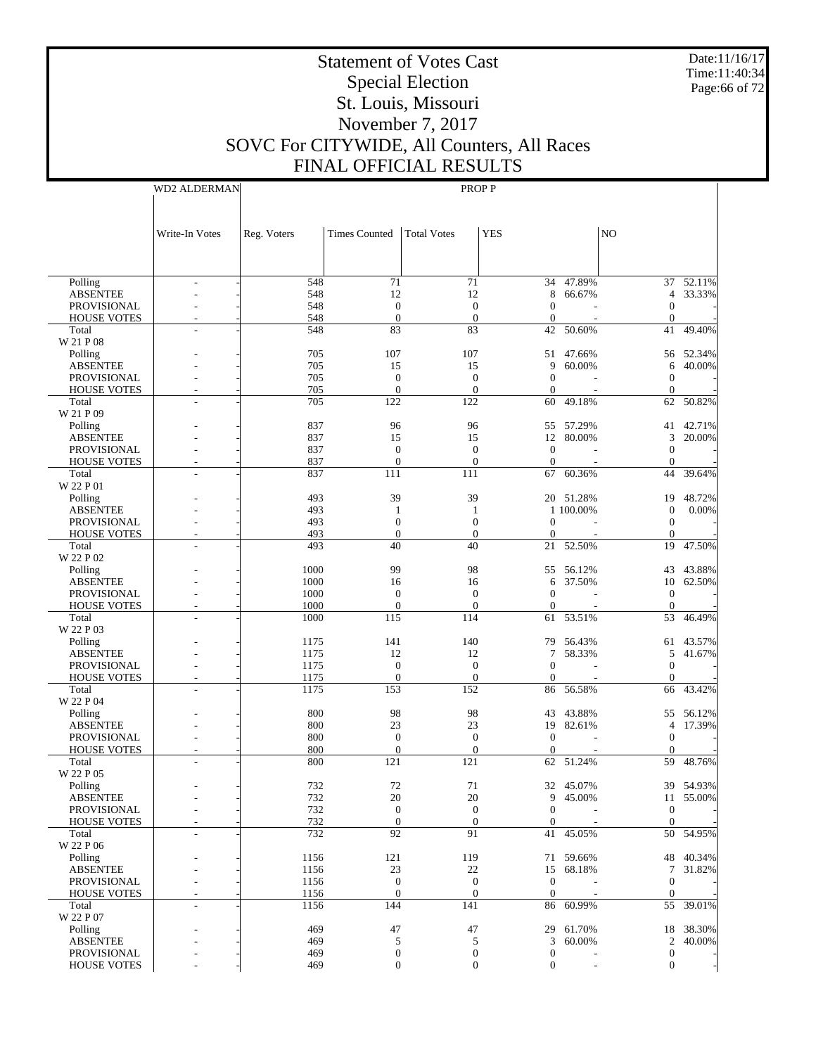Date:11/16/17 Time:11:40:34 Page:66 of 72

# Statement of Votes Cast Special Election St. Louis, Missouri November 7, 2017 SOVC For CITYWIDE, All Counters, All Races FINAL OFFICIAL RESULTS

| AL NESULT    |
|--------------|
| <b>PROPP</b> |

|                             | Write-In Votes | Reg. Voters  | Times Counted           | <b>Total Votes</b>    | <b>YES</b>             |           | N <sub>O</sub>       |           |
|-----------------------------|----------------|--------------|-------------------------|-----------------------|------------------------|-----------|----------------------|-----------|
|                             |                |              |                         |                       |                        |           |                      |           |
|                             |                |              |                         |                       |                        |           |                      |           |
| Polling                     | ÷,             | 548          | 71                      | 71                    |                        | 34 47.89% |                      | 37 52.11% |
| <b>ABSENTEE</b>             |                | 548          | 12                      | 12                    | 8                      | 66.67%    | 4                    | 33.33%    |
| PROVISIONAL                 |                | 548          | $\mathbf{0}$            | $\mathbf{0}$          | $\mathbf{0}$           |           | 0                    |           |
| <b>HOUSE VOTES</b><br>Total | L,             | 548<br>548   | $\mathbf{0}$<br>83      | $\overline{0}$<br>83  | $\boldsymbol{0}$<br>42 | 50.60%    | $\overline{0}$<br>41 | 49.40%    |
| W 21 P 08                   |                |              |                         |                       |                        |           |                      |           |
| Polling                     |                | 705          | 107                     | 107                   | 51                     | 47.66%    |                      | 56 52.34% |
| <b>ABSENTEE</b>             |                | 705          | 15                      | 15                    | 9                      | 60.00%    | 6                    | 40.00%    |
| <b>PROVISIONAL</b>          |                | 705          | $\mathbf{0}$            | $\mathbf{0}$          | $\mathbf{0}$           |           | $\boldsymbol{0}$     |           |
| <b>HOUSE VOTES</b>          |                | 705          | $\mathbf{0}$            | $\boldsymbol{0}$      | $\boldsymbol{0}$       |           | $\mathbf{0}$         |           |
| Total<br>W 21 P 09          | ÷.             | 705          | 122                     | 122                   | 60                     | 49.18%    | 62                   | 50.82%    |
| Polling                     |                | 837          | 96                      | 96                    | 55                     | 57.29%    | 41                   | 42.71%    |
| <b>ABSENTEE</b>             |                | 837          | 15                      | 15                    | 12                     | 80.00%    | 3                    | 20.00%    |
| PROVISIONAL                 |                | 837          | $\mathbf{0}$            | $\mathbf{0}$          | $\mathbf{0}$           |           | $\boldsymbol{0}$     |           |
| <b>HOUSE VOTES</b>          |                | 837          | $\mathbf{0}$            | $\overline{0}$        | $\boldsymbol{0}$       |           | $\overline{0}$       |           |
| Total<br>W 22 P 01          |                | 837          | 111                     | 111                   | 67                     | 60.36%    | 44                   | 39.64%    |
| Polling                     |                | 493          | 39                      | 39                    |                        | 20 51.28% | 19                   | 48.72%    |
| <b>ABSENTEE</b>             |                | 493          | $\mathbf{1}$            | 1                     |                        | 1 100.00% | $\boldsymbol{0}$     | 0.00%     |
| <b>PROVISIONAL</b>          |                | 493          | $\mathbf{0}$            | $\boldsymbol{0}$      | $\boldsymbol{0}$       |           | $\boldsymbol{0}$     |           |
| <b>HOUSE VOTES</b>          |                | 493          | $\mathbf{0}$            | $\overline{0}$        | $\boldsymbol{0}$       |           | $\mathbf{0}$         |           |
| Total<br>W 22 P 02          | L.             | 493          | 40                      | 40                    | 21                     | 52.50%    | 19                   | 47.50%    |
| Polling                     |                | 1000         | 99                      | 98                    | 55                     | 56.12%    | 43                   | 43.88%    |
| <b>ABSENTEE</b>             |                | 1000         | 16                      | 16                    | 6                      | 37.50%    | 10                   | 62.50%    |
| <b>PROVISIONAL</b>          |                | 1000         | $\mathbf{0}$            | $\mathbf{0}$          | $\mathbf{0}$           |           | $\boldsymbol{0}$     |           |
| <b>HOUSE VOTES</b>          |                | 1000<br>1000 | $\boldsymbol{0}$<br>115 | $\overline{0}$<br>114 | $\boldsymbol{0}$<br>61 | 53.51%    | $\overline{0}$<br>53 | 46.49%    |
| Total<br>W 22 P 03          |                |              |                         |                       |                        |           |                      |           |
| Polling                     |                | 1175         | 141                     | 140                   | 79                     | 56.43%    | 61                   | 43.57%    |
| <b>ABSENTEE</b>             |                | 1175         | 12                      | 12                    | $\tau$                 | 58.33%    | 5                    | 41.67%    |
| <b>PROVISIONAL</b>          |                | 1175         | $\mathbf{0}$            | $\mathbf{0}$          | $\boldsymbol{0}$       |           | $\boldsymbol{0}$     |           |
| <b>HOUSE VOTES</b>          |                | 1175         | $\mathbf{0}$            | $\mathbf{0}$          | $\mathbf{0}$           |           | $\mathbf{0}$         |           |
| Total<br>W 22 P 04          |                | 1175         | 153                     | 152                   | 86                     | 56.58%    | 66                   | 43.42%    |
| Polling                     |                | 800          | 98                      | 98                    | 43                     | 43.88%    | 55                   | 56.12%    |
| <b>ABSENTEE</b>             |                | 800          | 23                      | 23                    | 19                     | 82.61%    | 4                    | 17.39%    |
| <b>PROVISIONAL</b>          |                | 800          | $\mathbf{0}$            | $\mathbf{0}$          | $\mathbf{0}$           |           | $\boldsymbol{0}$     |           |
| <b>HOUSE VOTES</b>          |                | 800          | $\mathbf{0}$            | $\boldsymbol{0}$      | $\boldsymbol{0}$       |           | $\overline{0}$       |           |
| Total<br>W 22 P 05          |                | 800          | 121                     | 121                   | 62                     | 51.24%    | 59                   | 48.76%    |
| Polling                     |                | 732          | 72                      | 71                    |                        | 32 45.07% |                      | 39 54.93% |
| <b>ABSENTEE</b>             |                | 732          | 20                      | $20\,$                |                        | 9 45.00%  |                      | 11 55.00% |
| PROVISIONAL                 |                | 732          | $\boldsymbol{0}$        | $\boldsymbol{0}$      | $\boldsymbol{0}$       |           | $\boldsymbol{0}$     |           |
| <b>HOUSE VOTES</b>          | $\overline{a}$ | 732          | $\mathbf{0}$            | $\theta$              | $\mathbf{0}$           |           | $\overline{0}$       |           |
| Total<br>W 22 P 06          |                | 732          | 92                      | 91                    | 41                     | 45.05%    | 50                   | 54.95%    |
| Polling                     |                | 1156         | 121                     | 119                   |                        | 71 59.66% |                      | 48 40.34% |
| <b>ABSENTEE</b>             |                | 1156         | 23                      | $22\,$                |                        | 15 68.18% | $7\overline{ }$      | 31.82%    |
| PROVISIONAL                 |                | 1156         | $\boldsymbol{0}$        | $\mathbf{0}$          | $\boldsymbol{0}$       |           | $\mathbf{0}$         |           |
| <b>HOUSE VOTES</b>          |                | 1156         | $\boldsymbol{0}$        | $\mathbf{0}$          | $\mathbf{0}$           |           | $\mathbf{0}$         |           |
| Total                       | L,             | 1156         | 144                     | 141                   |                        | 86 60.99% | 55                   | 39.01%    |
| W 22 P 07<br>Polling        |                | 469          | 47                      | 47                    |                        | 29 61.70% | 18                   | 38.30%    |
| <b>ABSENTEE</b>             |                | 469          | 5                       | 5                     | 3                      | 60.00%    | $\overline{c}$       | 40.00%    |
| PROVISIONAL                 |                | 469          | $\boldsymbol{0}$        | $\boldsymbol{0}$      | $\boldsymbol{0}$       |           | $\boldsymbol{0}$     |           |
| HOUSE VOTES                 |                | 469          | $\mathbf{0}$            | $\boldsymbol{0}$      | $\boldsymbol{0}$       |           | $\mathbf{0}$         |           |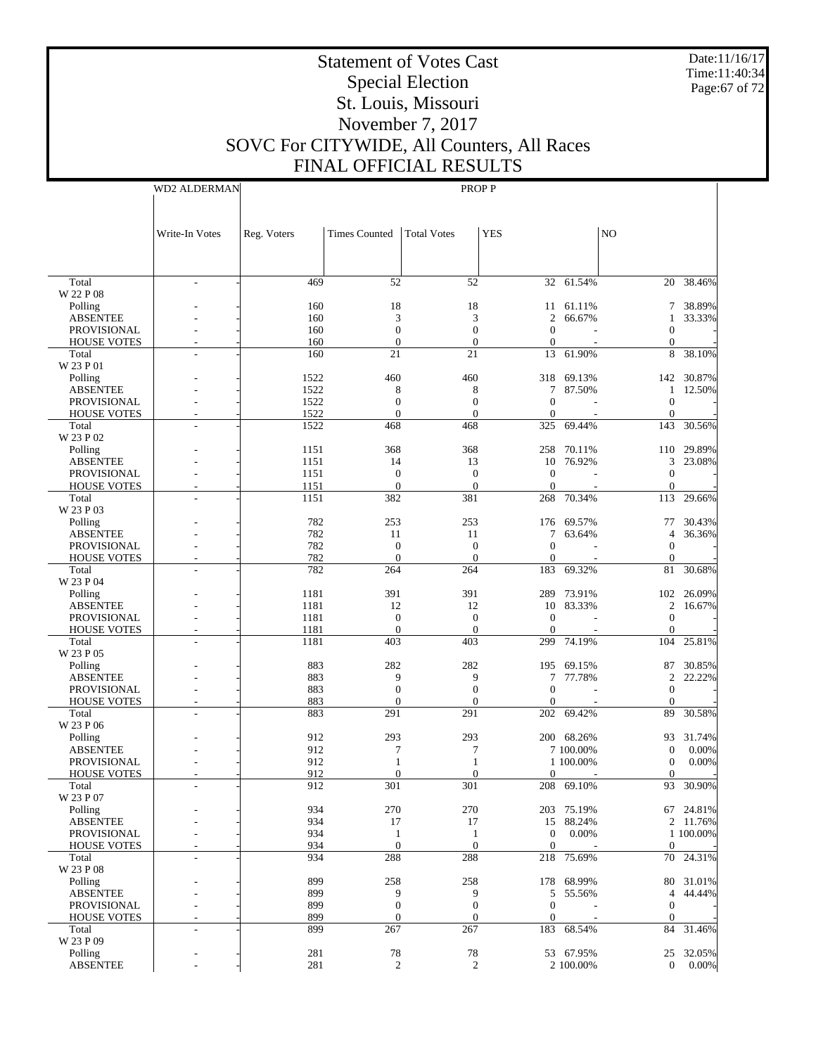Date:11/16/17 Time:11:40:34 Page:67 of 72

# Statement of Votes Cast Special Election St. Louis, Missouri November 7, 2017 SOVC For CITYWIDE, All Counters, All Races FINAL OFFICIAL RESULTS

|                     |              | THULD OITICH IL RESOLTS |                    |            |                  |                |                  |
|---------------------|--------------|-------------------------|--------------------|------------|------------------|----------------|------------------|
| <b>WD2 ALDERMAN</b> |              |                         | PROP P             |            |                  |                |                  |
| Write-In Votes      | Reg. Voters  | <b>Times Counted</b>    | <b>Total Votes</b> | <b>YES</b> |                  | NO             |                  |
|                     | 469          | 52                      | 52                 |            | 32 61.54%        | 20             | 38.46%           |
|                     | 160<br>160   | 18<br>3                 | 18                 | 11<br>2    | 61.11%<br>66.67% | $7\phantom{0}$ | 38.89%<br>33.33% |
|                     | 160<br>160   | 0<br>0                  |                    | 0          |                  | $^{(1)}$       |                  |
|                     | 160          | 21                      | 21                 | 13         | 61.90%           |                | 8 38.10%         |
|                     | 1522<br>---- | 460                     | 460                |            | 318 69.13%       |                | 142 30.87%       |
|                     |              |                         |                    |            |                  |                |                  |

 Total W 22 P 08 Polling ABSENTEE

| <b>PROVISIONAL</b> | 160  | $\boldsymbol{0}$ | $\boldsymbol{0}$ | $\boldsymbol{0}$ |            | $\boldsymbol{0}$ |           |
|--------------------|------|------------------|------------------|------------------|------------|------------------|-----------|
| <b>HOUSE VOTES</b> | 160  | $\overline{0}$   | $\mathbf{0}$     | $\overline{0}$   |            | $\overline{0}$   |           |
| Total              | 160  | 21               | 21               | 13               | 61.90%     | 8                | 38.10%    |
| W 23 P 01          |      |                  |                  |                  |            |                  |           |
| Polling            | 1522 | 460              | 460              | 318              | 69.13%     | 142              | 30.87%    |
| <b>ABSENTEE</b>    | 1522 | 8                | 8                | $\tau$           | 87.50%     | 1                | 12.50%    |
| <b>PROVISIONAL</b> | 1522 | $\boldsymbol{0}$ | $\boldsymbol{0}$ | $\overline{0}$   |            | $\boldsymbol{0}$ |           |
| <b>HOUSE VOTES</b> | 1522 | $\Omega$         | $\theta$         | $\mathbf{0}$     |            | $\Omega$         |           |
| Total              | 1522 | 468              | 468              | 325              | 69.44%     | 143              | 30.56%    |
| W 23 P 02          |      |                  |                  |                  |            |                  |           |
| Polling            | 1151 | 368              | 368              | 258              | 70.11%     | 110              | 29.89%    |
| <b>ABSENTEE</b>    | 1151 | 14               | 13               | 10               | 76.92%     | 3                | 23.08%    |
| <b>PROVISIONAL</b> | 1151 | $\mathbf{0}$     | $\theta$         | $\Omega$         |            | $\Omega$         |           |
| <b>HOUSE VOTES</b> | 1151 | $\mathbf{0}$     | $\theta$         | $\Omega$         |            | $\Omega$         |           |
| Total              | 1151 | 382              | 381              | 268              | 70.34%     | 113              | 29.66%    |
| W 23 P 03          |      |                  |                  |                  |            |                  |           |
|                    | 782  | 253              | 253              | 176              | 69.57%     | 77               | 30.43%    |
| Polling            | 782  |                  |                  | 7                |            |                  | 36.36%    |
| <b>ABSENTEE</b>    |      | 11               | 11               |                  | 63.64%     | $\overline{4}$   |           |
| <b>PROVISIONAL</b> | 782  | $\mathbf{0}$     | $\overline{0}$   | $\overline{0}$   |            | $\mathbf{0}$     |           |
| <b>HOUSE VOTES</b> | 782  | $\mathbf{0}$     | $\overline{0}$   | $\mathbf{0}$     |            | $\mathbf{0}$     |           |
| Total              | 782  | 264              | 264              | 183              | 69.32%     | 81               | 30.68%    |
| W 23 P 04          |      |                  |                  |                  |            |                  |           |
| Polling            | 1181 | 391              | 391              | 289              | 73.91%     | 102              | 26.09%    |
| <b>ABSENTEE</b>    | 1181 | 12               | 12               |                  | 10 83.33%  | $\overline{c}$   | 16.67%    |
| <b>PROVISIONAL</b> | 1181 | $\boldsymbol{0}$ | $\mathbf{0}$     | $\theta$         |            | $\boldsymbol{0}$ |           |
| <b>HOUSE VOTES</b> | 1181 | $\overline{0}$   | $\overline{0}$   | $\overline{0}$   |            | $\overline{0}$   |           |
| Total              | 1181 | 403              | 403              | 299              | 74.19%     | 104              | 25.81%    |
| W 23 P 05          |      |                  |                  |                  |            |                  |           |
| Polling            | 883  | 282              | 282              | 195              | 69.15%     | 87               | 30.85%    |
| <b>ABSENTEE</b>    | 883  | 9                | 9                | $\tau$           | 77.78%     | 2                | 22.22%    |
| <b>PROVISIONAL</b> | 883  | $\overline{0}$   | $\overline{0}$   | $\overline{0}$   |            | $\mathbf{0}$     |           |
| <b>HOUSE VOTES</b> | 883  | $\theta$         | $\theta$         | $\Omega$         |            | $\Omega$         |           |
| Total              | 883  | 291              | 291              |                  | 202 69.42% | 89               | 30.58%    |
| W 23 P 06          |      |                  |                  |                  |            |                  |           |
| Polling            | 912  | 293              | 293              |                  | 200 68.26% | 93               | 31.74%    |
| <b>ABSENTEE</b>    | 912  | $\overline{7}$   | $\overline{7}$   |                  | 7 100.00%  | $\boldsymbol{0}$ | 0.00%     |
| <b>PROVISIONAL</b> | 912  | $\mathbf{1}$     | $\mathbf{1}$     |                  | 1 100,00%  | $\mathbf{0}$     | 0.00%     |
| <b>HOUSE VOTES</b> | 912  | $\mathbf{0}$     | $\theta$         | $\Omega$         |            | $\mathbf{0}$     |           |
| Total              | 912  | 301              | 301              | 208              | 69.10%     | 93               | 30.90%    |
| W 23 P 07          |      |                  |                  |                  |            |                  |           |
| Polling            | 934  | 270              | 270              | 203              | 75.19%     | 67               | 24.81%    |
| <b>ABSENTEE</b>    | 934  | 17               | 17               |                  | 15 88.24%  |                  | 2 11.76%  |
| <b>PROVISIONAL</b> | 934  | $\mathbf{1}$     | 1                | $\mathbf{0}$     | 0.00%      |                  | 1 100.00% |
| <b>HOUSE VOTES</b> | 934  | $\overline{0}$   | $\overline{0}$   | $\mathbf{0}$     |            | $\Omega$         |           |
| Total              | 934  | 288              | 288              | 218              | 75.69%     | 70               | 24.31%    |
| W 23 P 08          |      |                  |                  |                  |            |                  |           |
| Polling            | 899  | 258              | 258              | 178              | 68.99%     | 80               | 31.01%    |
| <b>ABSENTEE</b>    | 899  | 9                | 9                | 5                |            | $\overline{4}$   | 44.44%    |
|                    |      |                  |                  |                  | 55.56%     |                  |           |
| <b>PROVISIONAL</b> | 899  | $\overline{0}$   | $\overline{0}$   | $\mathbf{0}$     |            | $\mathbf{0}$     |           |
| <b>HOUSE VOTES</b> | 899  | $\theta$         | $\theta$         | $\mathbf{0}$     |            | 0                |           |
| Total              | 899  | 267              | 267              | 183              | 68.54%     | 84               | 31.46%    |
| W 23 P 09          |      |                  |                  |                  |            |                  |           |
| Polling            | 281  | 78               | 78               | 53               | 67.95%     | 25               | 32.05%    |
| <b>ABSENTEE</b>    | 281  | 2                | $\overline{2}$   |                  | 2 100.00%  | $\mathbf{0}$     | 0.00%     |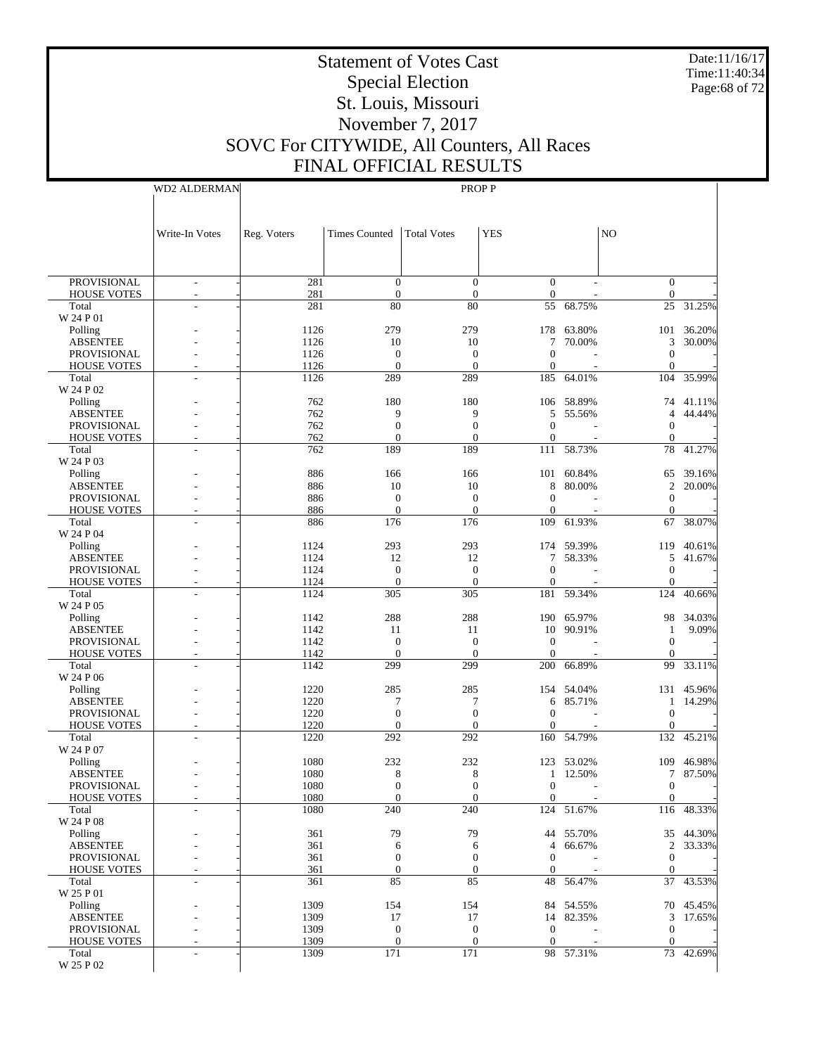Date:11/16/17 Time:11:40:34 Page:68 of 72

# Statement of Votes Cast Special Election St. Louis, Missouri November 7, 2017 SOVC For CITYWIDE, All Counters, All Races FINAL OFFICIAL RESULTS

WD2 ALDERMAN

|                                | Write-In Votes           | Reg. Voters  | <b>Times Counted</b> | <b>Total Votes</b>     | <b>YES</b>          |                     | N <sub>O</sub>   |                       |
|--------------------------------|--------------------------|--------------|----------------------|------------------------|---------------------|---------------------|------------------|-----------------------|
|                                |                          |              |                      |                        |                     |                     |                  |                       |
|                                |                          |              |                      |                        |                     |                     |                  |                       |
| <b>PROVISIONAL</b>             | $\overline{\phantom{a}}$ | 281          | $\mathbf{0}$         | $\overline{0}$         | $\mathbf{0}$        |                     | $\overline{0}$   |                       |
| <b>HOUSE VOTES</b>             | $\overline{\phantom{a}}$ | 281          | $\mathbf{0}$         | $\mathbf{0}$           | $\mathbf{0}$        |                     | $\boldsymbol{0}$ |                       |
| Total<br>W 24 P 01             |                          | 281          | 80                   | 80                     | 55                  | 68.75%              | 25               | 31.25%                |
| Polling                        |                          | 1126         | 279                  | 279                    | 178                 | 63.80%              | 101              | 36.20%                |
| <b>ABSENTEE</b>                |                          | 1126         | 10                   | 10                     | 7                   | 70.00%              | 3                | 30.00%                |
| PROVISIONAL                    |                          | 1126         | $\mathbf{0}$         | $\boldsymbol{0}$       | $\mathbf{0}$        |                     | $\mathbf{0}$     |                       |
| <b>HOUSE VOTES</b>             | L,                       | 1126<br>1126 | $\mathbf{0}$<br>289  | $\mathbf{0}$<br>289    | $\mathbf{0}$<br>185 | 64.01%              | $\Omega$<br>104  | 35.99%                |
| Total<br>W 24 P 02             |                          |              |                      |                        |                     |                     |                  |                       |
| Polling                        |                          | 762          | 180                  | 180                    |                     | 106 58.89%          | 74               | 41.11%                |
| <b>ABSENTEE</b>                |                          | 762          | 9                    | 9                      | 5                   | 55.56%              | $\overline{4}$   | 44.44%                |
| <b>PROVISIONAL</b>             |                          | 762          | $\mathbf{0}$         | $\boldsymbol{0}$       | $\mathbf{0}$        |                     | $\boldsymbol{0}$ |                       |
| <b>HOUSE VOTES</b>             |                          | 762          | $\Omega$             | $\theta$               | $\mathbf{0}$        |                     | $\mathbf{0}$     |                       |
| Total<br>W 24 P 03             |                          | 762          | 189                  | 189                    | 111                 | 58.73%              | 78               | 41.27%                |
| Polling                        |                          | 886          | 166                  | 166                    | 101                 | 60.84%              | 65               | 39.16%                |
| <b>ABSENTEE</b>                |                          | 886          | 10                   | 10                     | 8                   | 80.00%              | $\overline{c}$   | 20.00%                |
| PROVISIONAL                    |                          | 886          | $\mathbf{0}$         | $\boldsymbol{0}$       | $\theta$            |                     | $\mathbf{0}$     |                       |
| <b>HOUSE VOTES</b>             |                          | 886          | $\mathbf{0}$         | $\mathbf{0}$           | $\mathbf{0}$        |                     | $\mathbf{0}$     |                       |
| Total<br>W 24 P 04             |                          | 886          | 176                  | 176                    | 109                 | 61.93%              | 67               | 38.07%                |
| Polling                        |                          | 1124         | 293                  | 293                    |                     | 174 59.39%          | 119              | 40.61%                |
| <b>ABSENTEE</b>                |                          | 1124         | 12                   | 12                     | 7                   | 58.33%              | 5                | 41.67%                |
| <b>PROVISIONAL</b>             |                          | 1124         | $\mathbf{0}$         | $\boldsymbol{0}$       | $\mathbf{0}$        |                     | $\boldsymbol{0}$ |                       |
| <b>HOUSE VOTES</b>             |                          | 1124         | $\mathbf{0}$         | $\mathbf{0}$           | $\mathbf{0}$        |                     | $\mathbf{0}$     |                       |
| Total                          |                          | 1124         | 305                  | 305                    | 181                 | 59.34%              | 124              | 40.66%                |
| W 24 P 05<br>Polling           |                          | 1142         | 288                  | 288                    |                     | 190 65.97%          | 98               | 34.03%                |
| <b>ABSENTEE</b>                |                          | 1142         | 11                   | 11                     | 10                  | 90.91%              | 1                | 9.09%                 |
| <b>PROVISIONAL</b>             |                          | 1142         | $\mathbf{0}$         | $\boldsymbol{0}$       | $\mathbf{0}$        |                     | $\mathbf{0}$     |                       |
| <b>HOUSE VOTES</b>             |                          | 1142         | $\mathbf{0}$         | $\mathbf{0}$           | $\theta$            |                     | $\Omega$         |                       |
| Total                          |                          | 1142         | 299                  | 299                    | 200                 | 66.89%              | 99               | 33.11%                |
| W 24 P 06                      |                          | 1220         | 285                  | 285                    |                     | 154 54.04%          | 131              | 45.96%                |
| Polling<br><b>ABSENTEE</b>     |                          | 1220         | 7                    | 7                      | 6                   | 85.71%              | 1                | 14.29%                |
| <b>PROVISIONAL</b>             |                          | 1220         | $\mathbf{0}$         | $\boldsymbol{0}$       | $\theta$            |                     | $\boldsymbol{0}$ |                       |
| <b>HOUSE VOTES</b>             |                          | 1220         | $\Omega$             | $\theta$               | $\mathbf{0}$        |                     | $\mathbf{0}$     |                       |
| Total                          |                          | 1220         | 292                  | 292                    | 160                 | 54.79%              | 132              | 45.21%                |
| W 24 P 07                      |                          |              |                      |                        |                     |                     |                  |                       |
| Polling<br><b>ABSENTEE</b>     |                          | 1080<br>1080 | 232<br>8             | 232<br>8               | 123<br>1            | 53.02%<br>12.50%    | 109<br>$\tau$    | 46.98%<br>87.50%      |
| <b>PROVISIONAL</b>             |                          | 1080         | $\mathbf{0}$         | $\boldsymbol{0}$       | $\boldsymbol{0}$    |                     | $\boldsymbol{0}$ |                       |
| <b>HOUSE VOTES</b>             |                          | 1080         | $\Omega$             | $\Omega$               | $\mathbf{0}$        |                     | $\boldsymbol{0}$ |                       |
| Total                          | L,                       | 1080         | 240                  | 240                    |                     | 124 51.67%          |                  | 116 48.33%            |
| W 24 P 08                      |                          |              |                      |                        |                     |                     |                  |                       |
| Polling<br><b>ABSENTEE</b>     |                          | 361          | 79                   | 79                     | $\overline{4}$      | 44 55.70%<br>66.67% |                  | 35 44.30%<br>2 33.33% |
| PROVISIONAL                    |                          | 361<br>361   | 6<br>$\mathbf{0}$    | 6<br>$\boldsymbol{0}$  | $\mathbf{0}$        |                     | $\mathbf{0}$     |                       |
| <b>HOUSE VOTES</b>             |                          | 361          | $\boldsymbol{0}$     | $\boldsymbol{0}$       | $\overline{0}$      |                     | $\overline{0}$   |                       |
| Total                          |                          | 361          | 85                   | 85                     |                     | 48 56.47%           | 37               | 43.53%                |
| W 25 P 01                      |                          |              |                      |                        |                     |                     |                  |                       |
| Polling                        |                          | 1309         | 154                  | 154                    |                     | 84 54.55%           |                  | 70 45.45%             |
| <b>ABSENTEE</b><br>PROVISIONAL |                          | 1309<br>1309 | 17<br>$\mathbf{0}$   | 17<br>$\boldsymbol{0}$ | $\overline{0}$      | 14 82.35%           | $\mathbf{0}$     | 3 17.65%              |
| <b>HOUSE VOTES</b>             |                          | 1309         | $\boldsymbol{0}$     | $\boldsymbol{0}$       | $\mathbf{0}$        |                     | $\boldsymbol{0}$ |                       |
| Total                          | L,                       | 1309         | 171                  | 171                    |                     | 98 57.31%           |                  | 73 42.69%             |
| W 25 P 02                      |                          |              |                      |                        |                     |                     |                  |                       |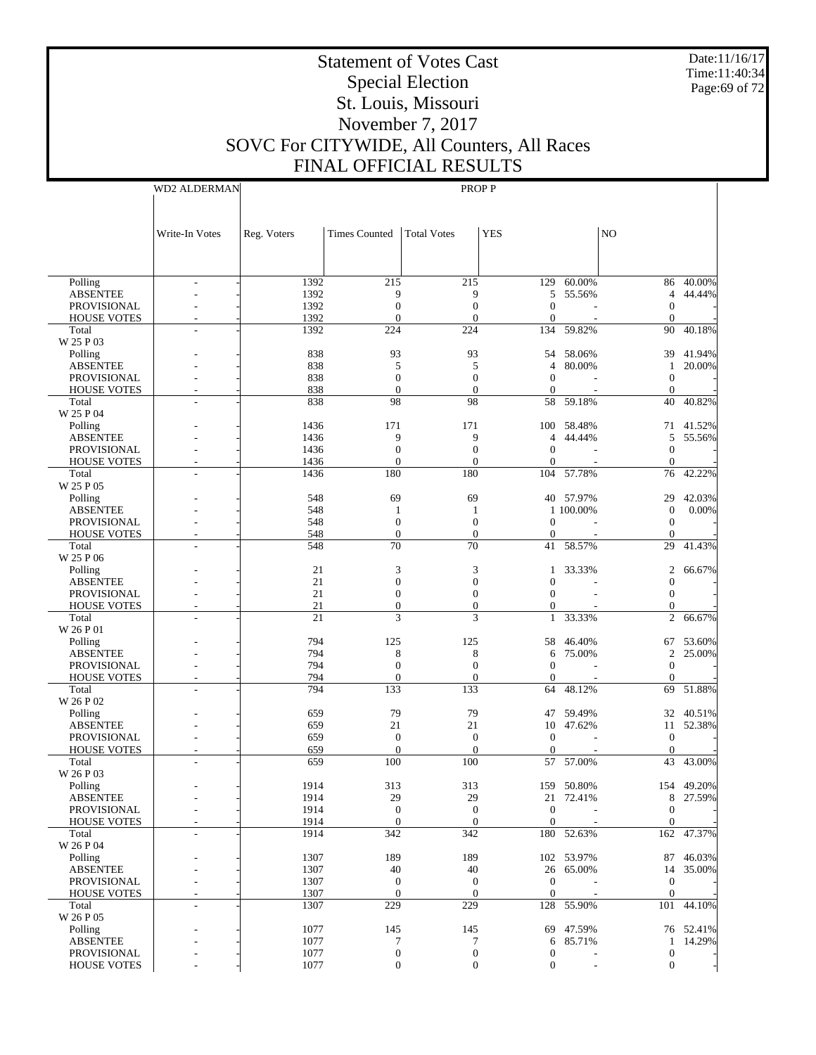Date:11/16/17 Time:11:40:34 Page:69 of 72

# Statement of Votes Cast Special Election St. Louis, Missouri November 7, 2017 SOVC For CITYWIDE, All Counters, All Races FINAL OFFICIAL RESULTS

WD2 ALDERMAN

| Reg. Voters<br><b>Times Counted</b><br><b>Total Votes</b><br><b>YES</b><br>NO<br>Write-In Votes<br>Polling<br>1392<br>215<br>215<br>129 60.00%<br>40.00%<br>86<br><b>ABSENTEE</b><br>1392<br>9<br>9<br>5 55.56%<br>44.44%<br>4<br>1392<br>$\mathbf{0}$<br>PROVISIONAL<br>$\boldsymbol{0}$<br>$\mathbf{0}$<br>$\boldsymbol{0}$<br>1392<br>$\overline{0}$<br>$\overline{0}$<br>$\mathbf{0}$<br><b>HOUSE VOTES</b><br>$\mathbf{0}$<br>1392<br>224<br>224<br>134<br>59.82%<br>90<br>40.18%<br>Total<br>W 25 P 03<br>838<br>93<br>93<br>54 58.06%<br>41.94%<br>Polling<br>39<br><b>ABSENTEE</b><br>838<br>5<br>80.00%<br>20.00%<br>5<br>$\overline{4}$<br>1<br>PROVISIONAL<br>838<br>$\mathbf{0}$<br>$\boldsymbol{0}$<br>$\mathbf{0}$<br>$\boldsymbol{0}$<br>838<br>$\mathbf{0}$<br>$\mathbf{0}$<br>$\overline{0}$<br><b>HOUSE VOTES</b><br>$\boldsymbol{0}$<br>838<br>98<br>98<br>40.82%<br>Total<br>58 59.18%<br>40<br>W 25 P 04<br>Polling<br>100 58.48%<br>1436<br>171<br>171<br>41.52%<br>71<br><b>ABSENTEE</b><br>1436<br>9<br>9<br>44.44%<br>55.56%<br>$\overline{4}$<br>5<br>$\mathbf{0}$<br>PROVISIONAL<br>1436<br>$\boldsymbol{0}$<br>$\mathbf{0}$<br>$\mathbf{0}$<br>1436<br>$\overline{0}$<br>$\overline{0}$<br><b>HOUSE VOTES</b><br>$\overline{0}$<br>$\mathbf{0}$<br>1436<br>180<br>180<br>104 57.78%<br>76<br>42.22%<br>Total<br>W 25 P 05<br>548<br>69<br>69<br>40 57.97%<br>42.03%<br>Polling<br>29<br><b>ABSENTEE</b><br>548<br>1 100.00%<br>0.00%<br>$\boldsymbol{0}$<br>1<br>1<br>PROVISIONAL<br>548<br>$\mathbf{0}$<br>$\boldsymbol{0}$<br>$\mathbf{0}$<br>$\boldsymbol{0}$<br>548<br>$\overline{0}$<br>$\mathbf{0}$<br>$\overline{0}$<br><b>HOUSE VOTES</b><br>$\boldsymbol{0}$<br>70<br>70<br>Total<br>548<br>41 58.57%<br>29<br>41.43%<br>W 25 P 06<br>21<br>3<br>Polling<br>3<br>33.33%<br>2<br>66.67%<br>1<br><b>ABSENTEE</b><br>21<br>$\overline{0}$<br>$\overline{0}$<br>$\mathbf{0}$<br>$\boldsymbol{0}$<br>PROVISIONAL<br>21<br>$\boldsymbol{0}$<br>$\boldsymbol{0}$<br>$\Omega$<br>$\boldsymbol{0}$<br>21<br>$\mathbf{0}$<br>$\overline{0}$<br><b>HOUSE VOTES</b><br>$\overline{0}$<br>$\mathbf{0}$<br>21<br>3<br>3<br>Total<br>33.33%<br>2<br>66.67%<br>$\mathbf{1}$<br>W 26 P 01<br>794<br>Polling<br>125<br>125<br>58<br>46.40%<br>53.60%<br>67<br><b>ABSENTEE</b><br>794<br>8<br>8<br>75.00%<br>25.00%<br>$\overline{2}$<br>6<br>$\mathbf{0}$<br>PROVISIONAL<br>794<br>$\boldsymbol{0}$<br>$\mathbf{0}$<br>$\mathbf{0}$<br>794<br>$\overline{0}$<br>$\mathbf{0}$<br><b>HOUSE VOTES</b><br>$\overline{0}$<br>$\boldsymbol{0}$<br>133<br>51.88%<br>Total<br>794<br>133<br>48.12%<br>64<br>69<br>W 26 P 02<br>79<br>79<br>59.49%<br>40.51%<br>Polling<br>659<br>47<br>32<br><b>ABSENTEE</b><br>21<br>21<br>10 47.62%<br>52.38%<br>659<br>11<br>PROVISIONAL<br>659<br>$\mathbf{0}$<br>$\mathbf{0}$<br>$\mathbf{0}$<br>$\boldsymbol{0}$<br>659<br>$\overline{0}$<br>$\overline{0}$<br><b>HOUSE VOTES</b><br>$\mathbf{0}$<br>$\mathbf{0}$<br>Total<br>659<br>100<br>100<br>57.00%<br>43<br>43.00%<br>57<br>W 26 P 03<br>1914<br>154 49.20%<br>Polling<br>313<br>313<br>159 50.80%<br><b>ABSENTEE</b><br>1914<br>29<br>29<br>8 27.59%<br>21 72.41%<br>1914<br>$\boldsymbol{0}$<br>$\boldsymbol{0}$<br>$\boldsymbol{0}$<br>$\boldsymbol{0}$<br>PROVISIONAL<br>$\overline{0}$<br><b>HOUSE VOTES</b><br>1914<br>$\theta$<br>$\mathbf{0}$<br>$\Omega$<br>$\overline{\phantom{a}}$<br>1914<br>342<br>Total<br>342<br>180 52.63%<br>162<br>47.37%<br>W 26 P 04<br>Polling<br>1307<br>189<br>189<br>102 53.97%<br>46.03%<br>87<br><b>ABSENTEE</b><br>1307<br>40<br>40<br>26 65.00%<br>35.00%<br>14<br>1307<br>PROVISIONAL<br>$\mathbf{0}$<br>$\mathbf{0}$<br>$\mathbf{0}$<br>$\boldsymbol{0}$<br>$\boldsymbol{0}$<br>1307<br>$\mathbf{0}$<br>$\boldsymbol{0}$<br>$\mathbf{0}$<br><b>HOUSE VOTES</b><br>1307<br>128 55.90%<br>44.10%<br>Total<br>229<br>229<br>101<br>٠<br>W 26 P 05<br>Polling<br>1077<br>76 52.41%<br>145<br>145<br>69<br>47.59%<br><b>ABSENTEE</b><br>1077<br>85.71%<br>14.29%<br>7<br>7<br>6<br>1<br>1077<br>PROVISIONAL<br>$\boldsymbol{0}$<br>$\boldsymbol{0}$<br>$\boldsymbol{0}$<br>$\boldsymbol{0}$<br>$\boldsymbol{0}$<br><b>HOUSE VOTES</b><br>1077<br>$\boldsymbol{0}$<br>$\boldsymbol{0}$<br>$\boldsymbol{0}$ |  |  |  |  |  |
|------------------------------------------------------------------------------------------------------------------------------------------------------------------------------------------------------------------------------------------------------------------------------------------------------------------------------------------------------------------------------------------------------------------------------------------------------------------------------------------------------------------------------------------------------------------------------------------------------------------------------------------------------------------------------------------------------------------------------------------------------------------------------------------------------------------------------------------------------------------------------------------------------------------------------------------------------------------------------------------------------------------------------------------------------------------------------------------------------------------------------------------------------------------------------------------------------------------------------------------------------------------------------------------------------------------------------------------------------------------------------------------------------------------------------------------------------------------------------------------------------------------------------------------------------------------------------------------------------------------------------------------------------------------------------------------------------------------------------------------------------------------------------------------------------------------------------------------------------------------------------------------------------------------------------------------------------------------------------------------------------------------------------------------------------------------------------------------------------------------------------------------------------------------------------------------------------------------------------------------------------------------------------------------------------------------------------------------------------------------------------------------------------------------------------------------------------------------------------------------------------------------------------------------------------------------------------------------------------------------------------------------------------------------------------------------------------------------------------------------------------------------------------------------------------------------------------------------------------------------------------------------------------------------------------------------------------------------------------------------------------------------------------------------------------------------------------------------------------------------------------------------------------------------------------------------------------------------------------------------------------------------------------------------------------------------------------------------------------------------------------------------------------------------------------------------------------------------------------------------------------------------------------------------------------------------------------------------------------------------------------------------------------------------------------------------------------------------------------------------------------------------------------------------------------------------------------------------------------------------------------------------------------------------------------------------------------------------------------------------------------------------------------------------------------------------------------------------------------------------------------------------------------------------------------------------------------------------------------------------------------------|--|--|--|--|--|
|                                                                                                                                                                                                                                                                                                                                                                                                                                                                                                                                                                                                                                                                                                                                                                                                                                                                                                                                                                                                                                                                                                                                                                                                                                                                                                                                                                                                                                                                                                                                                                                                                                                                                                                                                                                                                                                                                                                                                                                                                                                                                                                                                                                                                                                                                                                                                                                                                                                                                                                                                                                                                                                                                                                                                                                                                                                                                                                                                                                                                                                                                                                                                                                                                                                                                                                                                                                                                                                                                                                                                                                                                                                                                                                                                                                                                                                                                                                                                                                                                                                                                                                                                                                                                                                            |  |  |  |  |  |
|                                                                                                                                                                                                                                                                                                                                                                                                                                                                                                                                                                                                                                                                                                                                                                                                                                                                                                                                                                                                                                                                                                                                                                                                                                                                                                                                                                                                                                                                                                                                                                                                                                                                                                                                                                                                                                                                                                                                                                                                                                                                                                                                                                                                                                                                                                                                                                                                                                                                                                                                                                                                                                                                                                                                                                                                                                                                                                                                                                                                                                                                                                                                                                                                                                                                                                                                                                                                                                                                                                                                                                                                                                                                                                                                                                                                                                                                                                                                                                                                                                                                                                                                                                                                                                                            |  |  |  |  |  |
|                                                                                                                                                                                                                                                                                                                                                                                                                                                                                                                                                                                                                                                                                                                                                                                                                                                                                                                                                                                                                                                                                                                                                                                                                                                                                                                                                                                                                                                                                                                                                                                                                                                                                                                                                                                                                                                                                                                                                                                                                                                                                                                                                                                                                                                                                                                                                                                                                                                                                                                                                                                                                                                                                                                                                                                                                                                                                                                                                                                                                                                                                                                                                                                                                                                                                                                                                                                                                                                                                                                                                                                                                                                                                                                                                                                                                                                                                                                                                                                                                                                                                                                                                                                                                                                            |  |  |  |  |  |
|                                                                                                                                                                                                                                                                                                                                                                                                                                                                                                                                                                                                                                                                                                                                                                                                                                                                                                                                                                                                                                                                                                                                                                                                                                                                                                                                                                                                                                                                                                                                                                                                                                                                                                                                                                                                                                                                                                                                                                                                                                                                                                                                                                                                                                                                                                                                                                                                                                                                                                                                                                                                                                                                                                                                                                                                                                                                                                                                                                                                                                                                                                                                                                                                                                                                                                                                                                                                                                                                                                                                                                                                                                                                                                                                                                                                                                                                                                                                                                                                                                                                                                                                                                                                                                                            |  |  |  |  |  |
|                                                                                                                                                                                                                                                                                                                                                                                                                                                                                                                                                                                                                                                                                                                                                                                                                                                                                                                                                                                                                                                                                                                                                                                                                                                                                                                                                                                                                                                                                                                                                                                                                                                                                                                                                                                                                                                                                                                                                                                                                                                                                                                                                                                                                                                                                                                                                                                                                                                                                                                                                                                                                                                                                                                                                                                                                                                                                                                                                                                                                                                                                                                                                                                                                                                                                                                                                                                                                                                                                                                                                                                                                                                                                                                                                                                                                                                                                                                                                                                                                                                                                                                                                                                                                                                            |  |  |  |  |  |
|                                                                                                                                                                                                                                                                                                                                                                                                                                                                                                                                                                                                                                                                                                                                                                                                                                                                                                                                                                                                                                                                                                                                                                                                                                                                                                                                                                                                                                                                                                                                                                                                                                                                                                                                                                                                                                                                                                                                                                                                                                                                                                                                                                                                                                                                                                                                                                                                                                                                                                                                                                                                                                                                                                                                                                                                                                                                                                                                                                                                                                                                                                                                                                                                                                                                                                                                                                                                                                                                                                                                                                                                                                                                                                                                                                                                                                                                                                                                                                                                                                                                                                                                                                                                                                                            |  |  |  |  |  |
|                                                                                                                                                                                                                                                                                                                                                                                                                                                                                                                                                                                                                                                                                                                                                                                                                                                                                                                                                                                                                                                                                                                                                                                                                                                                                                                                                                                                                                                                                                                                                                                                                                                                                                                                                                                                                                                                                                                                                                                                                                                                                                                                                                                                                                                                                                                                                                                                                                                                                                                                                                                                                                                                                                                                                                                                                                                                                                                                                                                                                                                                                                                                                                                                                                                                                                                                                                                                                                                                                                                                                                                                                                                                                                                                                                                                                                                                                                                                                                                                                                                                                                                                                                                                                                                            |  |  |  |  |  |
|                                                                                                                                                                                                                                                                                                                                                                                                                                                                                                                                                                                                                                                                                                                                                                                                                                                                                                                                                                                                                                                                                                                                                                                                                                                                                                                                                                                                                                                                                                                                                                                                                                                                                                                                                                                                                                                                                                                                                                                                                                                                                                                                                                                                                                                                                                                                                                                                                                                                                                                                                                                                                                                                                                                                                                                                                                                                                                                                                                                                                                                                                                                                                                                                                                                                                                                                                                                                                                                                                                                                                                                                                                                                                                                                                                                                                                                                                                                                                                                                                                                                                                                                                                                                                                                            |  |  |  |  |  |
|                                                                                                                                                                                                                                                                                                                                                                                                                                                                                                                                                                                                                                                                                                                                                                                                                                                                                                                                                                                                                                                                                                                                                                                                                                                                                                                                                                                                                                                                                                                                                                                                                                                                                                                                                                                                                                                                                                                                                                                                                                                                                                                                                                                                                                                                                                                                                                                                                                                                                                                                                                                                                                                                                                                                                                                                                                                                                                                                                                                                                                                                                                                                                                                                                                                                                                                                                                                                                                                                                                                                                                                                                                                                                                                                                                                                                                                                                                                                                                                                                                                                                                                                                                                                                                                            |  |  |  |  |  |
|                                                                                                                                                                                                                                                                                                                                                                                                                                                                                                                                                                                                                                                                                                                                                                                                                                                                                                                                                                                                                                                                                                                                                                                                                                                                                                                                                                                                                                                                                                                                                                                                                                                                                                                                                                                                                                                                                                                                                                                                                                                                                                                                                                                                                                                                                                                                                                                                                                                                                                                                                                                                                                                                                                                                                                                                                                                                                                                                                                                                                                                                                                                                                                                                                                                                                                                                                                                                                                                                                                                                                                                                                                                                                                                                                                                                                                                                                                                                                                                                                                                                                                                                                                                                                                                            |  |  |  |  |  |
|                                                                                                                                                                                                                                                                                                                                                                                                                                                                                                                                                                                                                                                                                                                                                                                                                                                                                                                                                                                                                                                                                                                                                                                                                                                                                                                                                                                                                                                                                                                                                                                                                                                                                                                                                                                                                                                                                                                                                                                                                                                                                                                                                                                                                                                                                                                                                                                                                                                                                                                                                                                                                                                                                                                                                                                                                                                                                                                                                                                                                                                                                                                                                                                                                                                                                                                                                                                                                                                                                                                                                                                                                                                                                                                                                                                                                                                                                                                                                                                                                                                                                                                                                                                                                                                            |  |  |  |  |  |
|                                                                                                                                                                                                                                                                                                                                                                                                                                                                                                                                                                                                                                                                                                                                                                                                                                                                                                                                                                                                                                                                                                                                                                                                                                                                                                                                                                                                                                                                                                                                                                                                                                                                                                                                                                                                                                                                                                                                                                                                                                                                                                                                                                                                                                                                                                                                                                                                                                                                                                                                                                                                                                                                                                                                                                                                                                                                                                                                                                                                                                                                                                                                                                                                                                                                                                                                                                                                                                                                                                                                                                                                                                                                                                                                                                                                                                                                                                                                                                                                                                                                                                                                                                                                                                                            |  |  |  |  |  |
|                                                                                                                                                                                                                                                                                                                                                                                                                                                                                                                                                                                                                                                                                                                                                                                                                                                                                                                                                                                                                                                                                                                                                                                                                                                                                                                                                                                                                                                                                                                                                                                                                                                                                                                                                                                                                                                                                                                                                                                                                                                                                                                                                                                                                                                                                                                                                                                                                                                                                                                                                                                                                                                                                                                                                                                                                                                                                                                                                                                                                                                                                                                                                                                                                                                                                                                                                                                                                                                                                                                                                                                                                                                                                                                                                                                                                                                                                                                                                                                                                                                                                                                                                                                                                                                            |  |  |  |  |  |
|                                                                                                                                                                                                                                                                                                                                                                                                                                                                                                                                                                                                                                                                                                                                                                                                                                                                                                                                                                                                                                                                                                                                                                                                                                                                                                                                                                                                                                                                                                                                                                                                                                                                                                                                                                                                                                                                                                                                                                                                                                                                                                                                                                                                                                                                                                                                                                                                                                                                                                                                                                                                                                                                                                                                                                                                                                                                                                                                                                                                                                                                                                                                                                                                                                                                                                                                                                                                                                                                                                                                                                                                                                                                                                                                                                                                                                                                                                                                                                                                                                                                                                                                                                                                                                                            |  |  |  |  |  |
|                                                                                                                                                                                                                                                                                                                                                                                                                                                                                                                                                                                                                                                                                                                                                                                                                                                                                                                                                                                                                                                                                                                                                                                                                                                                                                                                                                                                                                                                                                                                                                                                                                                                                                                                                                                                                                                                                                                                                                                                                                                                                                                                                                                                                                                                                                                                                                                                                                                                                                                                                                                                                                                                                                                                                                                                                                                                                                                                                                                                                                                                                                                                                                                                                                                                                                                                                                                                                                                                                                                                                                                                                                                                                                                                                                                                                                                                                                                                                                                                                                                                                                                                                                                                                                                            |  |  |  |  |  |
|                                                                                                                                                                                                                                                                                                                                                                                                                                                                                                                                                                                                                                                                                                                                                                                                                                                                                                                                                                                                                                                                                                                                                                                                                                                                                                                                                                                                                                                                                                                                                                                                                                                                                                                                                                                                                                                                                                                                                                                                                                                                                                                                                                                                                                                                                                                                                                                                                                                                                                                                                                                                                                                                                                                                                                                                                                                                                                                                                                                                                                                                                                                                                                                                                                                                                                                                                                                                                                                                                                                                                                                                                                                                                                                                                                                                                                                                                                                                                                                                                                                                                                                                                                                                                                                            |  |  |  |  |  |
|                                                                                                                                                                                                                                                                                                                                                                                                                                                                                                                                                                                                                                                                                                                                                                                                                                                                                                                                                                                                                                                                                                                                                                                                                                                                                                                                                                                                                                                                                                                                                                                                                                                                                                                                                                                                                                                                                                                                                                                                                                                                                                                                                                                                                                                                                                                                                                                                                                                                                                                                                                                                                                                                                                                                                                                                                                                                                                                                                                                                                                                                                                                                                                                                                                                                                                                                                                                                                                                                                                                                                                                                                                                                                                                                                                                                                                                                                                                                                                                                                                                                                                                                                                                                                                                            |  |  |  |  |  |
|                                                                                                                                                                                                                                                                                                                                                                                                                                                                                                                                                                                                                                                                                                                                                                                                                                                                                                                                                                                                                                                                                                                                                                                                                                                                                                                                                                                                                                                                                                                                                                                                                                                                                                                                                                                                                                                                                                                                                                                                                                                                                                                                                                                                                                                                                                                                                                                                                                                                                                                                                                                                                                                                                                                                                                                                                                                                                                                                                                                                                                                                                                                                                                                                                                                                                                                                                                                                                                                                                                                                                                                                                                                                                                                                                                                                                                                                                                                                                                                                                                                                                                                                                                                                                                                            |  |  |  |  |  |
|                                                                                                                                                                                                                                                                                                                                                                                                                                                                                                                                                                                                                                                                                                                                                                                                                                                                                                                                                                                                                                                                                                                                                                                                                                                                                                                                                                                                                                                                                                                                                                                                                                                                                                                                                                                                                                                                                                                                                                                                                                                                                                                                                                                                                                                                                                                                                                                                                                                                                                                                                                                                                                                                                                                                                                                                                                                                                                                                                                                                                                                                                                                                                                                                                                                                                                                                                                                                                                                                                                                                                                                                                                                                                                                                                                                                                                                                                                                                                                                                                                                                                                                                                                                                                                                            |  |  |  |  |  |
|                                                                                                                                                                                                                                                                                                                                                                                                                                                                                                                                                                                                                                                                                                                                                                                                                                                                                                                                                                                                                                                                                                                                                                                                                                                                                                                                                                                                                                                                                                                                                                                                                                                                                                                                                                                                                                                                                                                                                                                                                                                                                                                                                                                                                                                                                                                                                                                                                                                                                                                                                                                                                                                                                                                                                                                                                                                                                                                                                                                                                                                                                                                                                                                                                                                                                                                                                                                                                                                                                                                                                                                                                                                                                                                                                                                                                                                                                                                                                                                                                                                                                                                                                                                                                                                            |  |  |  |  |  |
|                                                                                                                                                                                                                                                                                                                                                                                                                                                                                                                                                                                                                                                                                                                                                                                                                                                                                                                                                                                                                                                                                                                                                                                                                                                                                                                                                                                                                                                                                                                                                                                                                                                                                                                                                                                                                                                                                                                                                                                                                                                                                                                                                                                                                                                                                                                                                                                                                                                                                                                                                                                                                                                                                                                                                                                                                                                                                                                                                                                                                                                                                                                                                                                                                                                                                                                                                                                                                                                                                                                                                                                                                                                                                                                                                                                                                                                                                                                                                                                                                                                                                                                                                                                                                                                            |  |  |  |  |  |
|                                                                                                                                                                                                                                                                                                                                                                                                                                                                                                                                                                                                                                                                                                                                                                                                                                                                                                                                                                                                                                                                                                                                                                                                                                                                                                                                                                                                                                                                                                                                                                                                                                                                                                                                                                                                                                                                                                                                                                                                                                                                                                                                                                                                                                                                                                                                                                                                                                                                                                                                                                                                                                                                                                                                                                                                                                                                                                                                                                                                                                                                                                                                                                                                                                                                                                                                                                                                                                                                                                                                                                                                                                                                                                                                                                                                                                                                                                                                                                                                                                                                                                                                                                                                                                                            |  |  |  |  |  |
|                                                                                                                                                                                                                                                                                                                                                                                                                                                                                                                                                                                                                                                                                                                                                                                                                                                                                                                                                                                                                                                                                                                                                                                                                                                                                                                                                                                                                                                                                                                                                                                                                                                                                                                                                                                                                                                                                                                                                                                                                                                                                                                                                                                                                                                                                                                                                                                                                                                                                                                                                                                                                                                                                                                                                                                                                                                                                                                                                                                                                                                                                                                                                                                                                                                                                                                                                                                                                                                                                                                                                                                                                                                                                                                                                                                                                                                                                                                                                                                                                                                                                                                                                                                                                                                            |  |  |  |  |  |
|                                                                                                                                                                                                                                                                                                                                                                                                                                                                                                                                                                                                                                                                                                                                                                                                                                                                                                                                                                                                                                                                                                                                                                                                                                                                                                                                                                                                                                                                                                                                                                                                                                                                                                                                                                                                                                                                                                                                                                                                                                                                                                                                                                                                                                                                                                                                                                                                                                                                                                                                                                                                                                                                                                                                                                                                                                                                                                                                                                                                                                                                                                                                                                                                                                                                                                                                                                                                                                                                                                                                                                                                                                                                                                                                                                                                                                                                                                                                                                                                                                                                                                                                                                                                                                                            |  |  |  |  |  |
|                                                                                                                                                                                                                                                                                                                                                                                                                                                                                                                                                                                                                                                                                                                                                                                                                                                                                                                                                                                                                                                                                                                                                                                                                                                                                                                                                                                                                                                                                                                                                                                                                                                                                                                                                                                                                                                                                                                                                                                                                                                                                                                                                                                                                                                                                                                                                                                                                                                                                                                                                                                                                                                                                                                                                                                                                                                                                                                                                                                                                                                                                                                                                                                                                                                                                                                                                                                                                                                                                                                                                                                                                                                                                                                                                                                                                                                                                                                                                                                                                                                                                                                                                                                                                                                            |  |  |  |  |  |
|                                                                                                                                                                                                                                                                                                                                                                                                                                                                                                                                                                                                                                                                                                                                                                                                                                                                                                                                                                                                                                                                                                                                                                                                                                                                                                                                                                                                                                                                                                                                                                                                                                                                                                                                                                                                                                                                                                                                                                                                                                                                                                                                                                                                                                                                                                                                                                                                                                                                                                                                                                                                                                                                                                                                                                                                                                                                                                                                                                                                                                                                                                                                                                                                                                                                                                                                                                                                                                                                                                                                                                                                                                                                                                                                                                                                                                                                                                                                                                                                                                                                                                                                                                                                                                                            |  |  |  |  |  |
|                                                                                                                                                                                                                                                                                                                                                                                                                                                                                                                                                                                                                                                                                                                                                                                                                                                                                                                                                                                                                                                                                                                                                                                                                                                                                                                                                                                                                                                                                                                                                                                                                                                                                                                                                                                                                                                                                                                                                                                                                                                                                                                                                                                                                                                                                                                                                                                                                                                                                                                                                                                                                                                                                                                                                                                                                                                                                                                                                                                                                                                                                                                                                                                                                                                                                                                                                                                                                                                                                                                                                                                                                                                                                                                                                                                                                                                                                                                                                                                                                                                                                                                                                                                                                                                            |  |  |  |  |  |
|                                                                                                                                                                                                                                                                                                                                                                                                                                                                                                                                                                                                                                                                                                                                                                                                                                                                                                                                                                                                                                                                                                                                                                                                                                                                                                                                                                                                                                                                                                                                                                                                                                                                                                                                                                                                                                                                                                                                                                                                                                                                                                                                                                                                                                                                                                                                                                                                                                                                                                                                                                                                                                                                                                                                                                                                                                                                                                                                                                                                                                                                                                                                                                                                                                                                                                                                                                                                                                                                                                                                                                                                                                                                                                                                                                                                                                                                                                                                                                                                                                                                                                                                                                                                                                                            |  |  |  |  |  |
|                                                                                                                                                                                                                                                                                                                                                                                                                                                                                                                                                                                                                                                                                                                                                                                                                                                                                                                                                                                                                                                                                                                                                                                                                                                                                                                                                                                                                                                                                                                                                                                                                                                                                                                                                                                                                                                                                                                                                                                                                                                                                                                                                                                                                                                                                                                                                                                                                                                                                                                                                                                                                                                                                                                                                                                                                                                                                                                                                                                                                                                                                                                                                                                                                                                                                                                                                                                                                                                                                                                                                                                                                                                                                                                                                                                                                                                                                                                                                                                                                                                                                                                                                                                                                                                            |  |  |  |  |  |
|                                                                                                                                                                                                                                                                                                                                                                                                                                                                                                                                                                                                                                                                                                                                                                                                                                                                                                                                                                                                                                                                                                                                                                                                                                                                                                                                                                                                                                                                                                                                                                                                                                                                                                                                                                                                                                                                                                                                                                                                                                                                                                                                                                                                                                                                                                                                                                                                                                                                                                                                                                                                                                                                                                                                                                                                                                                                                                                                                                                                                                                                                                                                                                                                                                                                                                                                                                                                                                                                                                                                                                                                                                                                                                                                                                                                                                                                                                                                                                                                                                                                                                                                                                                                                                                            |  |  |  |  |  |
|                                                                                                                                                                                                                                                                                                                                                                                                                                                                                                                                                                                                                                                                                                                                                                                                                                                                                                                                                                                                                                                                                                                                                                                                                                                                                                                                                                                                                                                                                                                                                                                                                                                                                                                                                                                                                                                                                                                                                                                                                                                                                                                                                                                                                                                                                                                                                                                                                                                                                                                                                                                                                                                                                                                                                                                                                                                                                                                                                                                                                                                                                                                                                                                                                                                                                                                                                                                                                                                                                                                                                                                                                                                                                                                                                                                                                                                                                                                                                                                                                                                                                                                                                                                                                                                            |  |  |  |  |  |
|                                                                                                                                                                                                                                                                                                                                                                                                                                                                                                                                                                                                                                                                                                                                                                                                                                                                                                                                                                                                                                                                                                                                                                                                                                                                                                                                                                                                                                                                                                                                                                                                                                                                                                                                                                                                                                                                                                                                                                                                                                                                                                                                                                                                                                                                                                                                                                                                                                                                                                                                                                                                                                                                                                                                                                                                                                                                                                                                                                                                                                                                                                                                                                                                                                                                                                                                                                                                                                                                                                                                                                                                                                                                                                                                                                                                                                                                                                                                                                                                                                                                                                                                                                                                                                                            |  |  |  |  |  |
|                                                                                                                                                                                                                                                                                                                                                                                                                                                                                                                                                                                                                                                                                                                                                                                                                                                                                                                                                                                                                                                                                                                                                                                                                                                                                                                                                                                                                                                                                                                                                                                                                                                                                                                                                                                                                                                                                                                                                                                                                                                                                                                                                                                                                                                                                                                                                                                                                                                                                                                                                                                                                                                                                                                                                                                                                                                                                                                                                                                                                                                                                                                                                                                                                                                                                                                                                                                                                                                                                                                                                                                                                                                                                                                                                                                                                                                                                                                                                                                                                                                                                                                                                                                                                                                            |  |  |  |  |  |
|                                                                                                                                                                                                                                                                                                                                                                                                                                                                                                                                                                                                                                                                                                                                                                                                                                                                                                                                                                                                                                                                                                                                                                                                                                                                                                                                                                                                                                                                                                                                                                                                                                                                                                                                                                                                                                                                                                                                                                                                                                                                                                                                                                                                                                                                                                                                                                                                                                                                                                                                                                                                                                                                                                                                                                                                                                                                                                                                                                                                                                                                                                                                                                                                                                                                                                                                                                                                                                                                                                                                                                                                                                                                                                                                                                                                                                                                                                                                                                                                                                                                                                                                                                                                                                                            |  |  |  |  |  |
|                                                                                                                                                                                                                                                                                                                                                                                                                                                                                                                                                                                                                                                                                                                                                                                                                                                                                                                                                                                                                                                                                                                                                                                                                                                                                                                                                                                                                                                                                                                                                                                                                                                                                                                                                                                                                                                                                                                                                                                                                                                                                                                                                                                                                                                                                                                                                                                                                                                                                                                                                                                                                                                                                                                                                                                                                                                                                                                                                                                                                                                                                                                                                                                                                                                                                                                                                                                                                                                                                                                                                                                                                                                                                                                                                                                                                                                                                                                                                                                                                                                                                                                                                                                                                                                            |  |  |  |  |  |
|                                                                                                                                                                                                                                                                                                                                                                                                                                                                                                                                                                                                                                                                                                                                                                                                                                                                                                                                                                                                                                                                                                                                                                                                                                                                                                                                                                                                                                                                                                                                                                                                                                                                                                                                                                                                                                                                                                                                                                                                                                                                                                                                                                                                                                                                                                                                                                                                                                                                                                                                                                                                                                                                                                                                                                                                                                                                                                                                                                                                                                                                                                                                                                                                                                                                                                                                                                                                                                                                                                                                                                                                                                                                                                                                                                                                                                                                                                                                                                                                                                                                                                                                                                                                                                                            |  |  |  |  |  |
|                                                                                                                                                                                                                                                                                                                                                                                                                                                                                                                                                                                                                                                                                                                                                                                                                                                                                                                                                                                                                                                                                                                                                                                                                                                                                                                                                                                                                                                                                                                                                                                                                                                                                                                                                                                                                                                                                                                                                                                                                                                                                                                                                                                                                                                                                                                                                                                                                                                                                                                                                                                                                                                                                                                                                                                                                                                                                                                                                                                                                                                                                                                                                                                                                                                                                                                                                                                                                                                                                                                                                                                                                                                                                                                                                                                                                                                                                                                                                                                                                                                                                                                                                                                                                                                            |  |  |  |  |  |
|                                                                                                                                                                                                                                                                                                                                                                                                                                                                                                                                                                                                                                                                                                                                                                                                                                                                                                                                                                                                                                                                                                                                                                                                                                                                                                                                                                                                                                                                                                                                                                                                                                                                                                                                                                                                                                                                                                                                                                                                                                                                                                                                                                                                                                                                                                                                                                                                                                                                                                                                                                                                                                                                                                                                                                                                                                                                                                                                                                                                                                                                                                                                                                                                                                                                                                                                                                                                                                                                                                                                                                                                                                                                                                                                                                                                                                                                                                                                                                                                                                                                                                                                                                                                                                                            |  |  |  |  |  |
|                                                                                                                                                                                                                                                                                                                                                                                                                                                                                                                                                                                                                                                                                                                                                                                                                                                                                                                                                                                                                                                                                                                                                                                                                                                                                                                                                                                                                                                                                                                                                                                                                                                                                                                                                                                                                                                                                                                                                                                                                                                                                                                                                                                                                                                                                                                                                                                                                                                                                                                                                                                                                                                                                                                                                                                                                                                                                                                                                                                                                                                                                                                                                                                                                                                                                                                                                                                                                                                                                                                                                                                                                                                                                                                                                                                                                                                                                                                                                                                                                                                                                                                                                                                                                                                            |  |  |  |  |  |
|                                                                                                                                                                                                                                                                                                                                                                                                                                                                                                                                                                                                                                                                                                                                                                                                                                                                                                                                                                                                                                                                                                                                                                                                                                                                                                                                                                                                                                                                                                                                                                                                                                                                                                                                                                                                                                                                                                                                                                                                                                                                                                                                                                                                                                                                                                                                                                                                                                                                                                                                                                                                                                                                                                                                                                                                                                                                                                                                                                                                                                                                                                                                                                                                                                                                                                                                                                                                                                                                                                                                                                                                                                                                                                                                                                                                                                                                                                                                                                                                                                                                                                                                                                                                                                                            |  |  |  |  |  |
|                                                                                                                                                                                                                                                                                                                                                                                                                                                                                                                                                                                                                                                                                                                                                                                                                                                                                                                                                                                                                                                                                                                                                                                                                                                                                                                                                                                                                                                                                                                                                                                                                                                                                                                                                                                                                                                                                                                                                                                                                                                                                                                                                                                                                                                                                                                                                                                                                                                                                                                                                                                                                                                                                                                                                                                                                                                                                                                                                                                                                                                                                                                                                                                                                                                                                                                                                                                                                                                                                                                                                                                                                                                                                                                                                                                                                                                                                                                                                                                                                                                                                                                                                                                                                                                            |  |  |  |  |  |
|                                                                                                                                                                                                                                                                                                                                                                                                                                                                                                                                                                                                                                                                                                                                                                                                                                                                                                                                                                                                                                                                                                                                                                                                                                                                                                                                                                                                                                                                                                                                                                                                                                                                                                                                                                                                                                                                                                                                                                                                                                                                                                                                                                                                                                                                                                                                                                                                                                                                                                                                                                                                                                                                                                                                                                                                                                                                                                                                                                                                                                                                                                                                                                                                                                                                                                                                                                                                                                                                                                                                                                                                                                                                                                                                                                                                                                                                                                                                                                                                                                                                                                                                                                                                                                                            |  |  |  |  |  |
|                                                                                                                                                                                                                                                                                                                                                                                                                                                                                                                                                                                                                                                                                                                                                                                                                                                                                                                                                                                                                                                                                                                                                                                                                                                                                                                                                                                                                                                                                                                                                                                                                                                                                                                                                                                                                                                                                                                                                                                                                                                                                                                                                                                                                                                                                                                                                                                                                                                                                                                                                                                                                                                                                                                                                                                                                                                                                                                                                                                                                                                                                                                                                                                                                                                                                                                                                                                                                                                                                                                                                                                                                                                                                                                                                                                                                                                                                                                                                                                                                                                                                                                                                                                                                                                            |  |  |  |  |  |
|                                                                                                                                                                                                                                                                                                                                                                                                                                                                                                                                                                                                                                                                                                                                                                                                                                                                                                                                                                                                                                                                                                                                                                                                                                                                                                                                                                                                                                                                                                                                                                                                                                                                                                                                                                                                                                                                                                                                                                                                                                                                                                                                                                                                                                                                                                                                                                                                                                                                                                                                                                                                                                                                                                                                                                                                                                                                                                                                                                                                                                                                                                                                                                                                                                                                                                                                                                                                                                                                                                                                                                                                                                                                                                                                                                                                                                                                                                                                                                                                                                                                                                                                                                                                                                                            |  |  |  |  |  |
|                                                                                                                                                                                                                                                                                                                                                                                                                                                                                                                                                                                                                                                                                                                                                                                                                                                                                                                                                                                                                                                                                                                                                                                                                                                                                                                                                                                                                                                                                                                                                                                                                                                                                                                                                                                                                                                                                                                                                                                                                                                                                                                                                                                                                                                                                                                                                                                                                                                                                                                                                                                                                                                                                                                                                                                                                                                                                                                                                                                                                                                                                                                                                                                                                                                                                                                                                                                                                                                                                                                                                                                                                                                                                                                                                                                                                                                                                                                                                                                                                                                                                                                                                                                                                                                            |  |  |  |  |  |
|                                                                                                                                                                                                                                                                                                                                                                                                                                                                                                                                                                                                                                                                                                                                                                                                                                                                                                                                                                                                                                                                                                                                                                                                                                                                                                                                                                                                                                                                                                                                                                                                                                                                                                                                                                                                                                                                                                                                                                                                                                                                                                                                                                                                                                                                                                                                                                                                                                                                                                                                                                                                                                                                                                                                                                                                                                                                                                                                                                                                                                                                                                                                                                                                                                                                                                                                                                                                                                                                                                                                                                                                                                                                                                                                                                                                                                                                                                                                                                                                                                                                                                                                                                                                                                                            |  |  |  |  |  |
|                                                                                                                                                                                                                                                                                                                                                                                                                                                                                                                                                                                                                                                                                                                                                                                                                                                                                                                                                                                                                                                                                                                                                                                                                                                                                                                                                                                                                                                                                                                                                                                                                                                                                                                                                                                                                                                                                                                                                                                                                                                                                                                                                                                                                                                                                                                                                                                                                                                                                                                                                                                                                                                                                                                                                                                                                                                                                                                                                                                                                                                                                                                                                                                                                                                                                                                                                                                                                                                                                                                                                                                                                                                                                                                                                                                                                                                                                                                                                                                                                                                                                                                                                                                                                                                            |  |  |  |  |  |
|                                                                                                                                                                                                                                                                                                                                                                                                                                                                                                                                                                                                                                                                                                                                                                                                                                                                                                                                                                                                                                                                                                                                                                                                                                                                                                                                                                                                                                                                                                                                                                                                                                                                                                                                                                                                                                                                                                                                                                                                                                                                                                                                                                                                                                                                                                                                                                                                                                                                                                                                                                                                                                                                                                                                                                                                                                                                                                                                                                                                                                                                                                                                                                                                                                                                                                                                                                                                                                                                                                                                                                                                                                                                                                                                                                                                                                                                                                                                                                                                                                                                                                                                                                                                                                                            |  |  |  |  |  |
|                                                                                                                                                                                                                                                                                                                                                                                                                                                                                                                                                                                                                                                                                                                                                                                                                                                                                                                                                                                                                                                                                                                                                                                                                                                                                                                                                                                                                                                                                                                                                                                                                                                                                                                                                                                                                                                                                                                                                                                                                                                                                                                                                                                                                                                                                                                                                                                                                                                                                                                                                                                                                                                                                                                                                                                                                                                                                                                                                                                                                                                                                                                                                                                                                                                                                                                                                                                                                                                                                                                                                                                                                                                                                                                                                                                                                                                                                                                                                                                                                                                                                                                                                                                                                                                            |  |  |  |  |  |
|                                                                                                                                                                                                                                                                                                                                                                                                                                                                                                                                                                                                                                                                                                                                                                                                                                                                                                                                                                                                                                                                                                                                                                                                                                                                                                                                                                                                                                                                                                                                                                                                                                                                                                                                                                                                                                                                                                                                                                                                                                                                                                                                                                                                                                                                                                                                                                                                                                                                                                                                                                                                                                                                                                                                                                                                                                                                                                                                                                                                                                                                                                                                                                                                                                                                                                                                                                                                                                                                                                                                                                                                                                                                                                                                                                                                                                                                                                                                                                                                                                                                                                                                                                                                                                                            |  |  |  |  |  |
|                                                                                                                                                                                                                                                                                                                                                                                                                                                                                                                                                                                                                                                                                                                                                                                                                                                                                                                                                                                                                                                                                                                                                                                                                                                                                                                                                                                                                                                                                                                                                                                                                                                                                                                                                                                                                                                                                                                                                                                                                                                                                                                                                                                                                                                                                                                                                                                                                                                                                                                                                                                                                                                                                                                                                                                                                                                                                                                                                                                                                                                                                                                                                                                                                                                                                                                                                                                                                                                                                                                                                                                                                                                                                                                                                                                                                                                                                                                                                                                                                                                                                                                                                                                                                                                            |  |  |  |  |  |
|                                                                                                                                                                                                                                                                                                                                                                                                                                                                                                                                                                                                                                                                                                                                                                                                                                                                                                                                                                                                                                                                                                                                                                                                                                                                                                                                                                                                                                                                                                                                                                                                                                                                                                                                                                                                                                                                                                                                                                                                                                                                                                                                                                                                                                                                                                                                                                                                                                                                                                                                                                                                                                                                                                                                                                                                                                                                                                                                                                                                                                                                                                                                                                                                                                                                                                                                                                                                                                                                                                                                                                                                                                                                                                                                                                                                                                                                                                                                                                                                                                                                                                                                                                                                                                                            |  |  |  |  |  |
|                                                                                                                                                                                                                                                                                                                                                                                                                                                                                                                                                                                                                                                                                                                                                                                                                                                                                                                                                                                                                                                                                                                                                                                                                                                                                                                                                                                                                                                                                                                                                                                                                                                                                                                                                                                                                                                                                                                                                                                                                                                                                                                                                                                                                                                                                                                                                                                                                                                                                                                                                                                                                                                                                                                                                                                                                                                                                                                                                                                                                                                                                                                                                                                                                                                                                                                                                                                                                                                                                                                                                                                                                                                                                                                                                                                                                                                                                                                                                                                                                                                                                                                                                                                                                                                            |  |  |  |  |  |
|                                                                                                                                                                                                                                                                                                                                                                                                                                                                                                                                                                                                                                                                                                                                                                                                                                                                                                                                                                                                                                                                                                                                                                                                                                                                                                                                                                                                                                                                                                                                                                                                                                                                                                                                                                                                                                                                                                                                                                                                                                                                                                                                                                                                                                                                                                                                                                                                                                                                                                                                                                                                                                                                                                                                                                                                                                                                                                                                                                                                                                                                                                                                                                                                                                                                                                                                                                                                                                                                                                                                                                                                                                                                                                                                                                                                                                                                                                                                                                                                                                                                                                                                                                                                                                                            |  |  |  |  |  |
|                                                                                                                                                                                                                                                                                                                                                                                                                                                                                                                                                                                                                                                                                                                                                                                                                                                                                                                                                                                                                                                                                                                                                                                                                                                                                                                                                                                                                                                                                                                                                                                                                                                                                                                                                                                                                                                                                                                                                                                                                                                                                                                                                                                                                                                                                                                                                                                                                                                                                                                                                                                                                                                                                                                                                                                                                                                                                                                                                                                                                                                                                                                                                                                                                                                                                                                                                                                                                                                                                                                                                                                                                                                                                                                                                                                                                                                                                                                                                                                                                                                                                                                                                                                                                                                            |  |  |  |  |  |
|                                                                                                                                                                                                                                                                                                                                                                                                                                                                                                                                                                                                                                                                                                                                                                                                                                                                                                                                                                                                                                                                                                                                                                                                                                                                                                                                                                                                                                                                                                                                                                                                                                                                                                                                                                                                                                                                                                                                                                                                                                                                                                                                                                                                                                                                                                                                                                                                                                                                                                                                                                                                                                                                                                                                                                                                                                                                                                                                                                                                                                                                                                                                                                                                                                                                                                                                                                                                                                                                                                                                                                                                                                                                                                                                                                                                                                                                                                                                                                                                                                                                                                                                                                                                                                                            |  |  |  |  |  |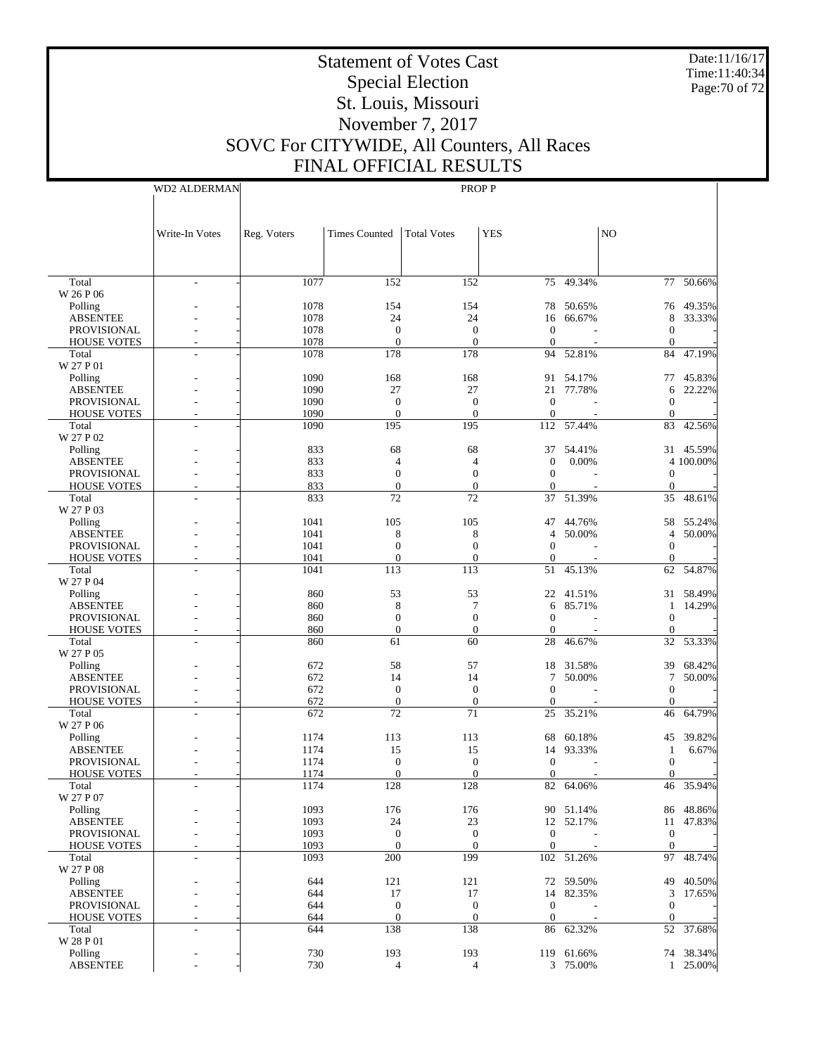Date:11/16/17 Time:11:40:34 Page:70 of 72

# Statement of Votes Cast Special Election St. Louis, Missouri November 7, 2017 SOVC For CITYWIDE, All Counters, All Races FINAL OFFICIAL RESULTS

Write-In Votes WD2 ALDERMAN Reg. Voters | Times Counted | Total Votes | YES | NO PROP P 1077 152 152 75 49.34% 77 50.66% - - 1078 154 154 78 50.65% 76 49.35%  $\begin{array}{ccccccccccc} 1078 &&&& 24 &&&& 24 && 16 & 66.67\% & & & 8 & 33.33\% \\ 1078 &&&& 0 && 0 && 0 && && 0 & & & \\ \end{array}$ - - 1078 0 0 0 - 0 -- - 1078 0 0 0 - 0 - - - 1078 178 178 94 52.81% 84 47.19% 1090 168 168 91 54.17% 77 45.83% - - 1090 27 27 21 77.78% 6 22.22%

 Total W 26 P 06 Polling ABSENTEE PROVISIONAL HOUSE VOTES

 Total W 27 P 01 Polling

| <b>ABSENTEE</b>    | 1090 | 27               | 27               |                  | 21 77.78%      | 6              | 22.22%    |
|--------------------|------|------------------|------------------|------------------|----------------|----------------|-----------|
| <b>PROVISIONAL</b> | 1090 | $\mathbf{0}$     | $\theta$         | $\mathbf{0}$     |                | $\Omega$       |           |
| <b>HOUSE VOTES</b> | 1090 | $\mathbf{0}$     | $\theta$         | $\mathbf{0}$     |                | $\Omega$       |           |
| Total              | 1090 | 195              | 195              | 112              | 57.44%         | 83             | 42.56%    |
| W 27 P 02          |      |                  |                  |                  |                |                |           |
| Polling            | 833  | 68               | 68               |                  | 37 54.41%      |                | 31 45.59% |
| <b>ABSENTEE</b>    | 833  | $\overline{4}$   | $\overline{4}$   | $\mathbf{0}$     | 0.00%          |                | 4 100,00% |
| <b>PROVISIONAL</b> | 833  | $\mathbf{0}$     | $\mathbf{0}$     | $\boldsymbol{0}$ |                | $\Omega$       |           |
| <b>HOUSE VOTES</b> | 833  | $\Omega$         | $\Omega$         | $\Omega$         |                | $\Omega$       |           |
| Total              | 833  | 72               | $\overline{72}$  | 37               | 51.39%         | 35             | 48.61%    |
| W 27 P 03          |      |                  |                  |                  |                |                |           |
| Polling            | 1041 | 105              | 105              |                  | 47 44.76%      |                | 58 55.24% |
|                    | 1041 |                  |                  |                  |                |                |           |
| <b>ABSENTEE</b>    |      | 8                | 8                | 4                | 50.00%         | $\overline{4}$ | 50.00%    |
| PROVISIONAL        | 1041 | $\overline{0}$   | $\Omega$         | $\overline{0}$   |                | $\overline{0}$ |           |
| <b>HOUSE VOTES</b> | 1041 | $\overline{0}$   | $\theta$         | $\mathbf{0}$     |                | $\overline{0}$ |           |
| Total              | 1041 | $\overline{113}$ | $\overline{113}$ | 51               | 45.13%         |                | 62 54.87% |
| W 27 P 04          |      |                  |                  |                  |                |                |           |
| Polling            | 860  | 53               | 53               |                  | 22 41.51%      |                | 31 58.49% |
| <b>ABSENTEE</b>    | 860  | $\,$ 8 $\,$      | $\overline{7}$   | 6                | 85.71%         | -1             | 14.29%    |
| PROVISIONAL        | 860  | $\mathbf{0}$     | $\theta$         | $\mathbf{0}$     |                | $\Omega$       |           |
| <b>HOUSE VOTES</b> | 860  | $\boldsymbol{0}$ | $\mathbf{0}$     | $\mathbf{0}$     |                | $\theta$       |           |
| Total              | 860  | 61               | 60               | 28               | 46.67%         | 32             | 53.33%    |
| W 27 P 05          |      |                  |                  |                  |                |                |           |
| Polling            | 672  | 58               | 57               |                  | 18 31.58%      | 39             | 68.42%    |
| <b>ABSENTEE</b>    | 672  | 14               | 14               | 7                | 50.00%         | 7              | 50.00%    |
| <b>PROVISIONAL</b> | 672  | $\mathbf{0}$     | $\theta$         | $\mathbf{0}$     |                | $\Omega$       |           |
| <b>HOUSE VOTES</b> | 672  | $\overline{0}$   | $\mathbf{0}$     | $\mathbf{0}$     |                | $\theta$       |           |
| Total              | 672  | 72               | $\overline{71}$  | 25               | 35.21%         | 46             | 64.79%    |
| W 27 P 06          |      |                  |                  |                  |                |                |           |
| Polling            | 1174 | 113              | 113              | 68               | 60.18%         | 45             | 39.82%    |
| <b>ABSENTEE</b>    | 1174 | 15               | 15               | 14               | 93.33%         | $\mathbf{1}$   | 6.67%     |
|                    | 1174 | $\mathbf{0}$     | $\mathbf{0}$     |                  |                |                |           |
| <b>PROVISIONAL</b> |      | $\theta$         |                  | $\mathbf{0}$     |                | $\theta$       |           |
| <b>HOUSE VOTES</b> | 1174 |                  | $\Omega$         | $\theta$         |                | $\Omega$       |           |
| Total              | 1174 | 128              | 128              | 82               | 64.06%         | 46             | 35.94%    |
| W 27 P 07          |      |                  |                  |                  |                |                |           |
| Polling            | 1093 | 176              | 176              |                  | 90 51.14%      | 86             | 48.86%    |
| <b>ABSENTEE</b>    | 1093 | 24               | 23               |                  | 12 52.17%      | 11             | 47.83%    |
| <b>PROVISIONAL</b> | 1093 | $\mathbf{0}$     | $\mathbf{0}$     | $\theta$         |                | $\theta$       |           |
| <b>HOUSE VOTES</b> | 1093 | $\Omega$         | $\Omega$         | $\Omega$         | $\overline{a}$ | $\Omega$       |           |
| Total              | 1093 | 200              | 199              | 102              | 51.26%         | 97             | 48.74%    |
| W 27 P 08          |      |                  |                  |                  |                |                |           |
| Polling            | 644  | 121              | 121              |                  | 72 59.50%      | 49             | 40.50%    |
| <b>ABSENTEE</b>    | 644  | 17               | 17               | 14               | 82.35%         | 3              | 17.65%    |
| <b>PROVISIONAL</b> | 644  | $\theta$         | $\overline{0}$   | $\mathbf{0}$     |                | $\Omega$       |           |
| <b>HOUSE VOTES</b> | 644  | $\mathbf{0}$     | $\mathbf{0}$     | $\mathbf{0}$     |                | $\Omega$       |           |
| Total              | 644  | 138              | 138              | 86               | 62.32%         | 52             | 37.68%    |
| W 28 P 01          |      |                  |                  |                  |                |                |           |
| Polling            | 730  | 193              | 193              |                  | 119 61.66%     |                | 74 38.34% |
| <b>ABSENTEE</b>    | 730  | $\overline{4}$   | $\overline{4}$   |                  | 3 75.00%       |                | 1 25.00%  |
|                    |      |                  |                  |                  |                |                |           |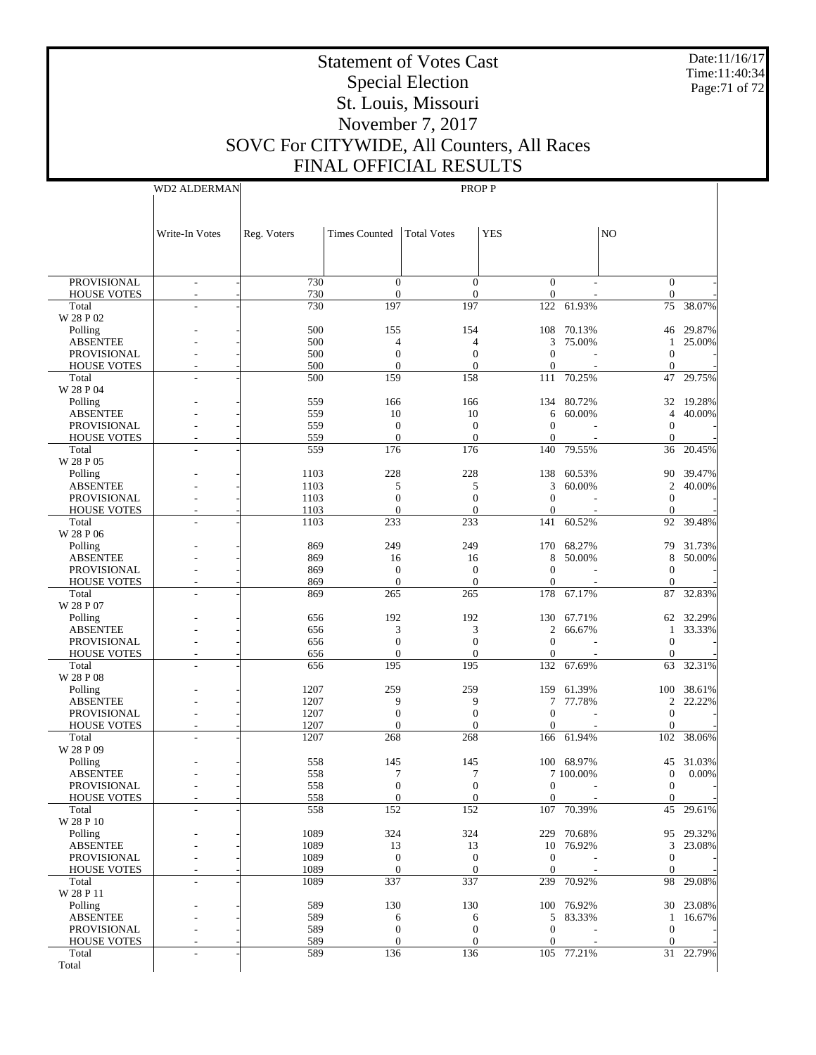Date:11/16/17 Time:11:40:34 Page:71 of 72

# Statement of Votes Cast Special Election St. Louis, Missouri November 7, 2017 SOVC For CITYWIDE, All Counters, All Races FINAL OFFICIAL RESULTS

WD2 ALDERMAN

|                                          | Write-In Votes                                       | Reg. Voters  | <b>Times Counted</b>         | <b>Total Votes</b>                 | <b>YES</b>                     |                                       | N <sub>O</sub>                       |                      |
|------------------------------------------|------------------------------------------------------|--------------|------------------------------|------------------------------------|--------------------------------|---------------------------------------|--------------------------------------|----------------------|
|                                          |                                                      |              |                              |                                    |                                |                                       |                                      |                      |
|                                          |                                                      |              |                              |                                    |                                |                                       |                                      |                      |
| <b>PROVISIONAL</b><br><b>HOUSE VOTES</b> | $\overline{\phantom{a}}$<br>$\overline{\phantom{a}}$ | 730<br>730   | $\mathbf{0}$<br>$\mathbf{0}$ | $\overline{0}$<br>$\boldsymbol{0}$ | $\overline{0}$<br>$\mathbf{0}$ |                                       | $\overline{0}$<br>$\overline{0}$     |                      |
| Total                                    |                                                      | 730          | 197                          | 197                                |                                | 122 61.93%                            |                                      | 75 38.07%            |
| W 28 P 02<br>Polling                     |                                                      | 500          | 155                          | 154                                |                                | 108 70.13%                            |                                      | 46 29.87%            |
| <b>ABSENTEE</b>                          |                                                      | 500          | 4                            | 4                                  | 3                              | 75.00%                                | 1                                    | 25.00%               |
| PROVISIONAL                              |                                                      | 500          | $\Omega$                     | $\mathbf{0}$                       | $\mathbf{0}$                   |                                       | $\mathbf{0}$                         |                      |
| <b>HOUSE VOTES</b><br>Total              |                                                      | 500<br>500   | $\Omega$<br>159              | $\boldsymbol{0}$<br>158            | $\mathbf{0}$<br>111            | 70.25%                                | $\mathbf{0}$<br>47                   | 29.75%               |
| W 28 P 04                                |                                                      |              |                              |                                    |                                |                                       |                                      |                      |
| Polling                                  |                                                      | 559          | 166                          | 166                                |                                | 134 80.72%                            | 32                                   | 19.28%               |
| <b>ABSENTEE</b><br><b>PROVISIONAL</b>    |                                                      | 559<br>559   | 10<br>$\mathbf{0}$           | 10<br>$\mathbf{0}$                 | 6<br>$\mathbf{0}$              | 60.00%                                | $\overline{4}$<br>$\mathbf{0}$       | 40.00%               |
| <b>HOUSE VOTES</b>                       |                                                      | 559          | $\mathbf{0}$                 | $\boldsymbol{0}$                   | $\mathbf{0}$                   |                                       | $\mathbf{0}$                         |                      |
| Total<br>W 28 P 05                       |                                                      | 559          | 176                          | 176                                | 140                            | 79.55%                                | 36                                   | 20.45%               |
| Polling                                  |                                                      | 1103         | 228                          | 228                                |                                | 138 60.53%                            |                                      | 90 39.47%            |
| <b>ABSENTEE</b>                          |                                                      | 1103         | 5                            | 5                                  | 3                              | 60.00%                                | $\overline{c}$                       | 40.00%               |
| PROVISIONAL<br><b>HOUSE VOTES</b>        |                                                      | 1103<br>1103 | $\Omega$<br>$\mathbf{0}$     | $\mathbf{0}$<br>$\boldsymbol{0}$   | $\mathbf{0}$<br>$\mathbf{0}$   |                                       | $\mathbf{0}$<br>$\mathbf{0}$         |                      |
| Total                                    | L.                                                   | 1103         | 233                          | 233                                | 141                            | 60.52%                                | 92                                   | 39.48%               |
| W 28 P 06                                |                                                      |              |                              |                                    |                                |                                       |                                      |                      |
| Polling<br><b>ABSENTEE</b>               |                                                      | 869<br>869   | 249<br>16                    | 249<br>16                          | 8                              | 170 68.27%<br>50.00%                  | 8                                    | 79 31.73%<br>50.00%  |
| PROVISIONAL                              |                                                      | 869          | $\mathbf{0}$                 | $\mathbf{0}$                       | $\mathbf{0}$                   |                                       | $\mathbf{0}$                         |                      |
| <b>HOUSE VOTES</b>                       |                                                      | 869          | $\mathbf{0}$                 | $\mathbf{0}$                       | $\Omega$                       |                                       | $\Omega$                             |                      |
| Total<br>W 28 P 07                       |                                                      | 869          | 265                          | 265                                |                                | 178 67.17%                            | 87                                   | 32.83%               |
| Polling                                  |                                                      | 656          | 192                          | 192                                |                                | 130 67.71%                            |                                      | 62 32.29%            |
| <b>ABSENTEE</b>                          |                                                      | 656          | 3                            | 3                                  | 2                              | 66.67%                                | $\mathbf{1}$                         | 33.33%               |
| PROVISIONAL<br><b>HOUSE VOTES</b>        |                                                      | 656<br>656   | $\Omega$<br>$\Omega$         | $\overline{0}$<br>$\boldsymbol{0}$ | $\mathbf{0}$<br>$\mathbf{0}$   |                                       | $\mathbf{0}$<br>$\mathbf{0}$         |                      |
| Total                                    |                                                      | 656          | 195                          | 195                                |                                | 132 67.69%                            | 63                                   | 32.31%               |
| W 28 P 08                                |                                                      |              |                              |                                    |                                |                                       |                                      |                      |
| Polling<br><b>ABSENTEE</b>               |                                                      | 1207<br>1207 | 259<br>9                     | 259<br>9                           | 7                              | 159 61.39%<br>77.78%                  | $\overline{c}$                       | 100 38.61%<br>22.22% |
| PROVISIONAL                              |                                                      | 1207         | $\mathbf{0}$                 | $\mathbf{0}$                       | $\mathbf{0}$                   |                                       | $\overline{0}$                       |                      |
| <b>HOUSE VOTES</b><br>Total              |                                                      | 1207<br>1207 | $\Omega$<br>268              | $\mathbf{0}$<br>268                | $\mathbf{0}$                   | 166 61.94%                            | $\mathbf{0}$<br>102                  | 38.06%               |
| W 28 P 09                                |                                                      |              |                              |                                    |                                |                                       |                                      |                      |
| Polling                                  |                                                      | 558          | 145                          | 145                                |                                | 100 68.97%                            | 45                                   | 31.03%               |
| <b>ABSENTEE</b><br><b>PROVISIONAL</b>    |                                                      | 558<br>558   | 7<br>$\mathbf{0}$            | 7<br>$\overline{0}$                | $\mathbf{0}$                   | 7 100.00%<br>$\overline{\phantom{a}}$ | $\boldsymbol{0}$<br>$\boldsymbol{0}$ | 0.00%                |
| <b>HOUSE VOTES</b>                       |                                                      | 558          | $\boldsymbol{0}$             | $\boldsymbol{0}$                   | $\overline{0}$                 |                                       | $\overline{0}$                       |                      |
| Total                                    |                                                      | 558          | 152                          | 152                                |                                | 107 70.39%                            |                                      | 45 29.61%            |
| W 28 P 10<br>Polling                     |                                                      | 1089         | 324                          | 324                                |                                | 229 70.68%                            |                                      | 95 29.32%            |
| <b>ABSENTEE</b>                          |                                                      | 1089         | 13                           | 13                                 |                                | 10 76.92%                             |                                      | 3 23.08%             |
| PROVISIONAL                              |                                                      | 1089         | $\mathbf{0}$                 | $\mathbf{0}$                       | $\mathbf{0}$                   |                                       | $\overline{0}$                       |                      |
| <b>HOUSE VOTES</b><br>Total              |                                                      | 1089<br>1089 | $\mathbf{0}$<br>337          | $\mathbf{0}$<br>337                | $\mathbf{0}$                   | 239 70.92%                            | $\overline{0}$                       | 98 29.08%            |
| W 28 P 11                                |                                                      |              |                              |                                    |                                |                                       |                                      |                      |
| Polling                                  |                                                      | 589          | 130                          | 130                                |                                | 100 76.92%                            |                                      | 30 23.08%            |
| <b>ABSENTEE</b><br>PROVISIONAL           |                                                      | 589<br>589   | 6<br>$\mathbf{0}$            | 6<br>$\boldsymbol{0}$              | $\mathbf{0}$                   | 5 83.33%                              | $\overline{0}$                       | 1 16.67%             |
| <b>HOUSE VOTES</b>                       |                                                      | 589          | $\mathbf{0}$                 | $\boldsymbol{0}$                   | $\mathbf{0}$                   |                                       | $\overline{0}$                       |                      |
| Total<br>Total                           |                                                      | 589          | 136                          | 136                                |                                | 105 77.21%                            |                                      | 31 22.79%            |
|                                          |                                                      |              |                              |                                    |                                |                                       |                                      |                      |